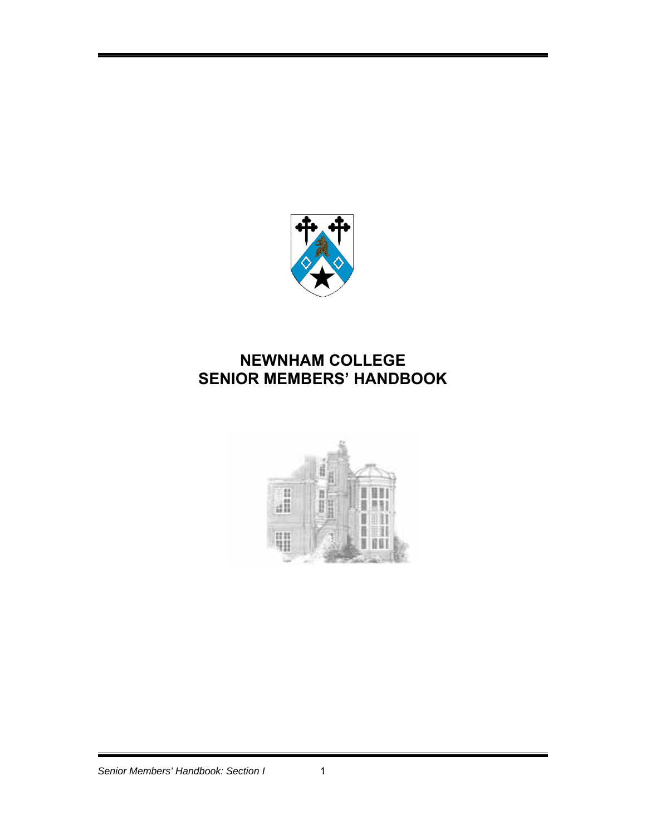

# **NEWNHAM COLLEGE SENIOR MEMBERS' HANDBOOK**

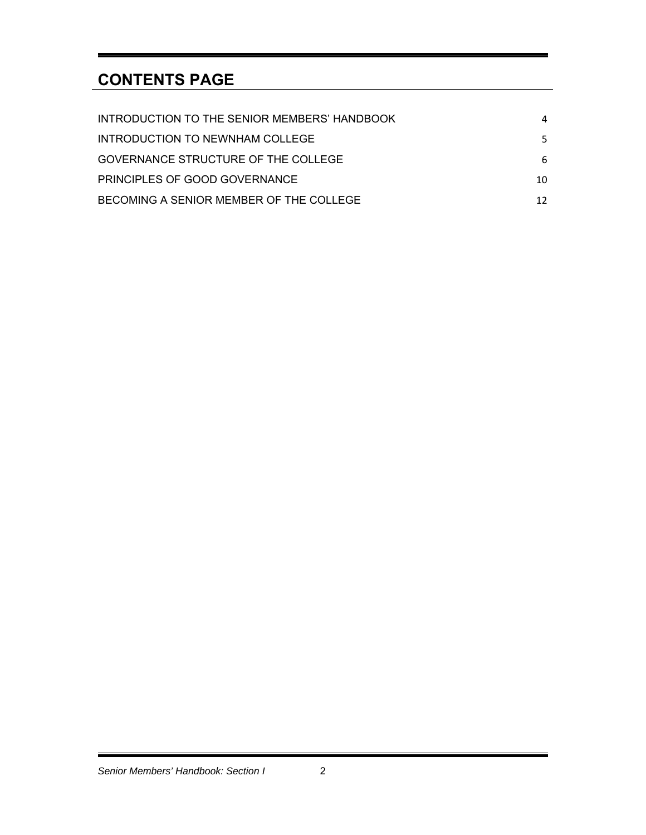# **CONTENTS PAGE**

| INTRODUCTION TO THE SENIOR MEMBERS' HANDBOOK | 4   |
|----------------------------------------------|-----|
| INTRODUCTION TO NEWNHAM COLLEGE              | 5.  |
| GOVERNANCE STRUCTURE OF THE COLLEGE          | 6   |
| <b>PRINCIPLES OF GOOD GOVERNANCE</b>         | 10  |
| BECOMING A SENIOR MEMBER OF THE COLLEGE      | 12. |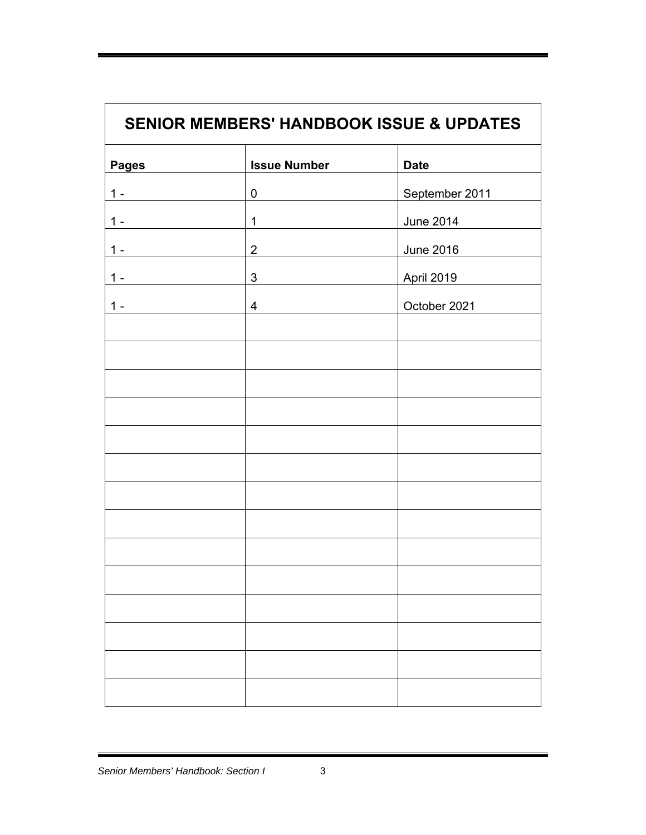| <b>SENIOR MEMBERS' HANDBOOK ISSUE &amp; UPDATES</b> |                         |                  |
|-----------------------------------------------------|-------------------------|------------------|
| <b>Pages</b>                                        | <b>Issue Number</b>     | <b>Date</b>      |
| $1 -$                                               | $\pmb{0}$               | September 2011   |
| $1 -$                                               | $\mathbf 1$             | <b>June 2014</b> |
| $1 -$                                               | $2^{\circ}$             | June 2016        |
| $1 -$                                               | $3 \quad \blacksquare$  | April 2019       |
| $1 -$                                               | $\overline{\mathbf{4}}$ | October 2021     |
|                                                     |                         |                  |
|                                                     |                         |                  |
|                                                     |                         |                  |
|                                                     |                         |                  |
|                                                     |                         |                  |
|                                                     |                         |                  |
|                                                     |                         |                  |
|                                                     |                         |                  |
|                                                     |                         |                  |
|                                                     |                         |                  |
|                                                     |                         |                  |
|                                                     |                         |                  |
|                                                     |                         |                  |
|                                                     |                         |                  |
|                                                     |                         |                  |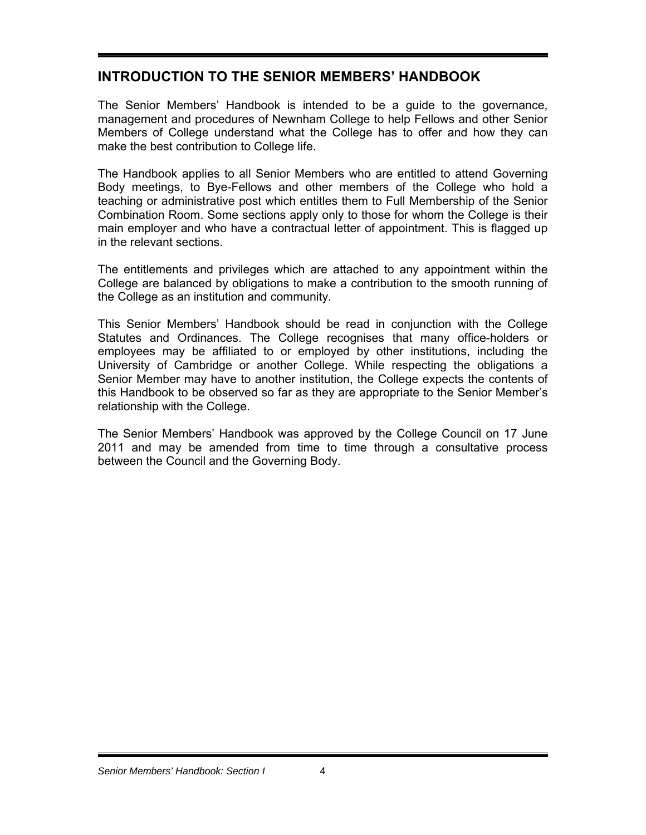# **INTRODUCTION TO THE SENIOR MEMBERS' HANDBOOK**

The Senior Members' Handbook is intended to be a guide to the governance, management and procedures of Newnham College to help Fellows and other Senior Members of College understand what the College has to offer and how they can make the best contribution to College life.

The Handbook applies to all Senior Members who are entitled to attend Governing Body meetings, to Bye-Fellows and other members of the College who hold a teaching or administrative post which entitles them to Full Membership of the Senior Combination Room. Some sections apply only to those for whom the College is their main employer and who have a contractual letter of appointment. This is flagged up in the relevant sections.

The entitlements and privileges which are attached to any appointment within the College are balanced by obligations to make a contribution to the smooth running of the College as an institution and community.

This Senior Members' Handbook should be read in conjunction with the College Statutes and Ordinances. The College recognises that many office-holders or employees may be affiliated to or employed by other institutions, including the University of Cambridge or another College. While respecting the obligations a Senior Member may have to another institution, the College expects the contents of this Handbook to be observed so far as they are appropriate to the Senior Member's relationship with the College.

The Senior Members' Handbook was approved by the College Council on 17 June 2011 and may be amended from time to time through a consultative process between the Council and the Governing Body.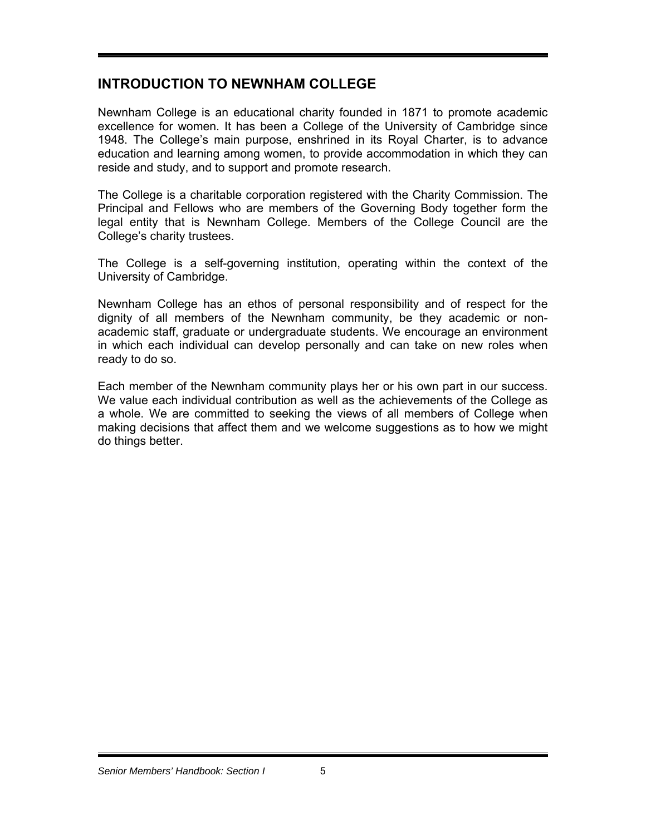## **INTRODUCTION TO NEWNHAM COLLEGE**

Newnham College is an educational charity founded in 1871 to promote academic excellence for women. It has been a College of the University of Cambridge since 1948. The College's main purpose, enshrined in its Royal Charter, is to advance education and learning among women, to provide accommodation in which they can reside and study, and to support and promote research.

The College is a charitable corporation registered with the Charity Commission. The Principal and Fellows who are members of the Governing Body together form the legal entity that is Newnham College. Members of the College Council are the College's charity trustees.

The College is a self-governing institution, operating within the context of the University of Cambridge.

Newnham College has an ethos of personal responsibility and of respect for the dignity of all members of the Newnham community, be they academic or nonacademic staff, graduate or undergraduate students. We encourage an environment in which each individual can develop personally and can take on new roles when ready to do so.

Each member of the Newnham community plays her or his own part in our success. We value each individual contribution as well as the achievements of the College as a whole. We are committed to seeking the views of all members of College when making decisions that affect them and we welcome suggestions as to how we might do things better.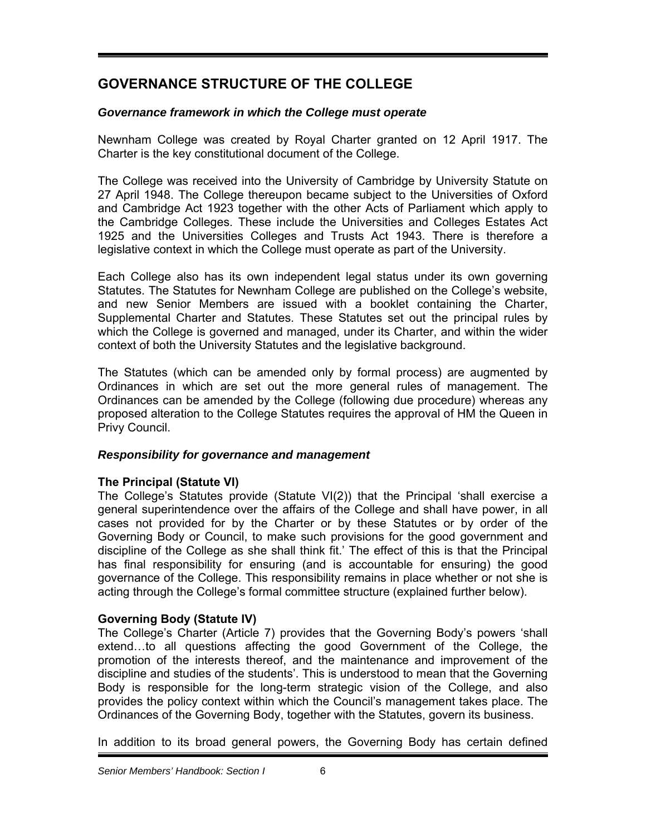# **GOVERNANCE STRUCTURE OF THE COLLEGE**

## *Governance framework in which the College must operate*

Newnham College was created by Royal Charter granted on 12 April 1917. The Charter is the key constitutional document of the College.

The College was received into the University of Cambridge by University Statute on 27 April 1948. The College thereupon became subject to the Universities of Oxford and Cambridge Act 1923 together with the other Acts of Parliament which apply to the Cambridge Colleges. These include the Universities and Colleges Estates Act 1925 and the Universities Colleges and Trusts Act 1943. There is therefore a legislative context in which the College must operate as part of the University.

Each College also has its own independent legal status under its own governing Statutes. The Statutes for Newnham College are published on the College's website, and new Senior Members are issued with a booklet containing the Charter, Supplemental Charter and Statutes. These Statutes set out the principal rules by which the College is governed and managed, under its Charter, and within the wider context of both the University Statutes and the legislative background.

The Statutes (which can be amended only by formal process) are augmented by Ordinances in which are set out the more general rules of management. The Ordinances can be amended by the College (following due procedure) whereas any proposed alteration to the College Statutes requires the approval of HM the Queen in Privy Council.

## *Responsibility for governance and management*

## **The Principal (Statute VI)**

The College's Statutes provide (Statute VI(2)) that the Principal 'shall exercise a general superintendence over the affairs of the College and shall have power, in all cases not provided for by the Charter or by these Statutes or by order of the Governing Body or Council, to make such provisions for the good government and discipline of the College as she shall think fit.' The effect of this is that the Principal has final responsibility for ensuring (and is accountable for ensuring) the good governance of the College. This responsibility remains in place whether or not she is acting through the College's formal committee structure (explained further below).

## **Governing Body (Statute IV)**

The College's Charter (Article 7) provides that the Governing Body's powers 'shall extend…to all questions affecting the good Government of the College, the promotion of the interests thereof, and the maintenance and improvement of the discipline and studies of the students'. This is understood to mean that the Governing Body is responsible for the long-term strategic vision of the College, and also provides the policy context within which the Council's management takes place. The Ordinances of the Governing Body, together with the Statutes, govern its business.

In addition to its broad general powers, the Governing Body has certain defined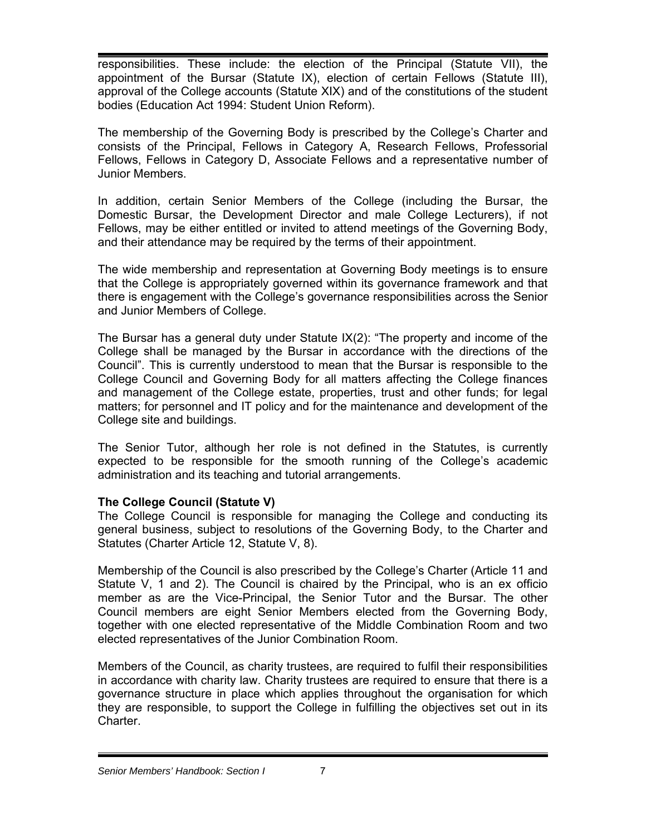responsibilities. These include: the election of the Principal (Statute VII), the appointment of the Bursar (Statute IX), election of certain Fellows (Statute III), approval of the College accounts (Statute XIX) and of the constitutions of the student bodies (Education Act 1994: Student Union Reform).

The membership of the Governing Body is prescribed by the College's Charter and consists of the Principal, Fellows in Category A, Research Fellows, Professorial Fellows, Fellows in Category D, Associate Fellows and a representative number of Junior Members.

In addition, certain Senior Members of the College (including the Bursar, the Domestic Bursar, the Development Director and male College Lecturers), if not Fellows, may be either entitled or invited to attend meetings of the Governing Body, and their attendance may be required by the terms of their appointment.

The wide membership and representation at Governing Body meetings is to ensure that the College is appropriately governed within its governance framework and that there is engagement with the College's governance responsibilities across the Senior and Junior Members of College.

The Bursar has a general duty under Statute  $IX(2)$ : "The property and income of the College shall be managed by the Bursar in accordance with the directions of the Council". This is currently understood to mean that the Bursar is responsible to the College Council and Governing Body for all matters affecting the College finances and management of the College estate, properties, trust and other funds; for legal matters; for personnel and IT policy and for the maintenance and development of the College site and buildings.

The Senior Tutor, although her role is not defined in the Statutes, is currently expected to be responsible for the smooth running of the College's academic administration and its teaching and tutorial arrangements.

## **The College Council (Statute V)**

The College Council is responsible for managing the College and conducting its general business, subject to resolutions of the Governing Body, to the Charter and Statutes (Charter Article 12, Statute V, 8).

Membership of the Council is also prescribed by the College's Charter (Article 11 and Statute V, 1 and 2). The Council is chaired by the Principal, who is an ex officio member as are the Vice-Principal, the Senior Tutor and the Bursar. The other Council members are eight Senior Members elected from the Governing Body, together with one elected representative of the Middle Combination Room and two elected representatives of the Junior Combination Room.

Members of the Council, as charity trustees, are required to fulfil their responsibilities in accordance with charity law. Charity trustees are required to ensure that there is a governance structure in place which applies throughout the organisation for which they are responsible, to support the College in fulfilling the objectives set out in its Charter.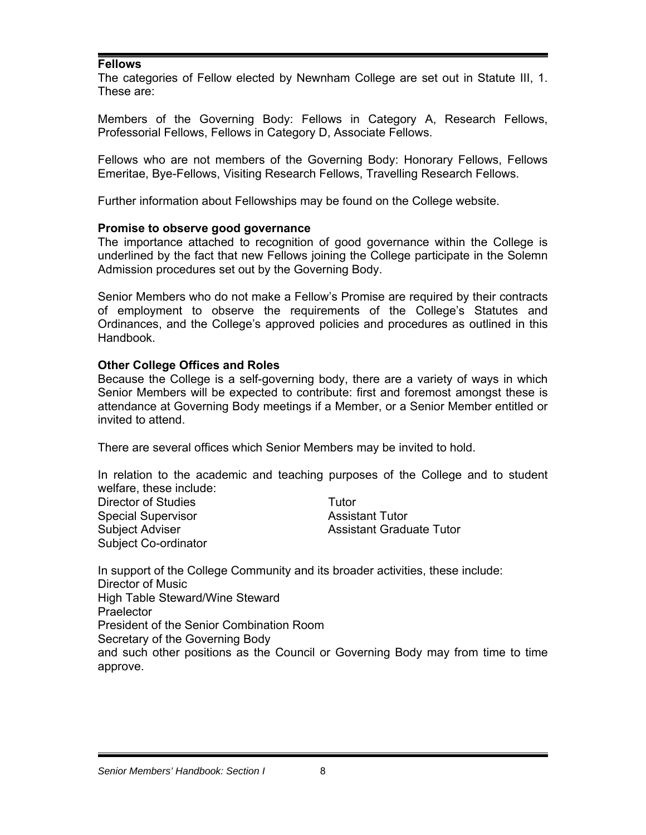#### **Fellows**

The categories of Fellow elected by Newnham College are set out in Statute III, 1. These are:

Members of the Governing Body: Fellows in Category A, Research Fellows, Professorial Fellows, Fellows in Category D, Associate Fellows.

Fellows who are not members of the Governing Body: Honorary Fellows, Fellows Emeritae, Bye-Fellows, Visiting Research Fellows, Travelling Research Fellows.

Further information about Fellowships may be found on the College website.

#### **Promise to observe good governance**

The importance attached to recognition of good governance within the College is underlined by the fact that new Fellows joining the College participate in the Solemn Admission procedures set out by the Governing Body.

Senior Members who do not make a Fellow's Promise are required by their contracts of employment to observe the requirements of the College's Statutes and Ordinances, and the College's approved policies and procedures as outlined in this Handbook.

#### **Other College Offices and Roles**

Because the College is a self-governing body, there are a variety of ways in which Senior Members will be expected to contribute: first and foremost amongst these is attendance at Governing Body meetings if a Member, or a Senior Member entitled or invited to attend.

There are several offices which Senior Members may be invited to hold.

In relation to the academic and teaching purposes of the College and to student welfare, these include: Director of Studies Tutor Special Supervisor **Assistant Tutor** Assistant Tutor Subject Adviser **Assistant Graduate Tutor** Assistant Graduate Tutor Subject Co-ordinator

In support of the College Community and its broader activities, these include: Director of Music High Table Steward/Wine Steward **Praelector** President of the Senior Combination Room Secretary of the Governing Body and such other positions as the Council or Governing Body may from time to time approve.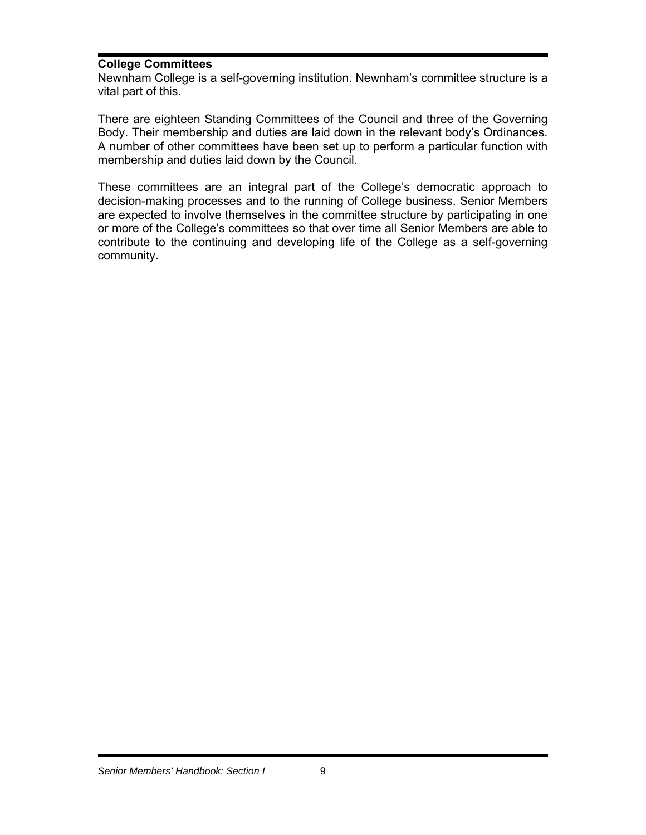#### **College Committees**

Newnham College is a self-governing institution. Newnham's committee structure is a vital part of this.

There are eighteen Standing Committees of the Council and three of the Governing Body. Their membership and duties are laid down in the relevant body's Ordinances. A number of other committees have been set up to perform a particular function with membership and duties laid down by the Council.

These committees are an integral part of the College's democratic approach to decision-making processes and to the running of College business. Senior Members are expected to involve themselves in the committee structure by participating in one or more of the College's committees so that over time all Senior Members are able to contribute to the continuing and developing life of the College as a self-governing community.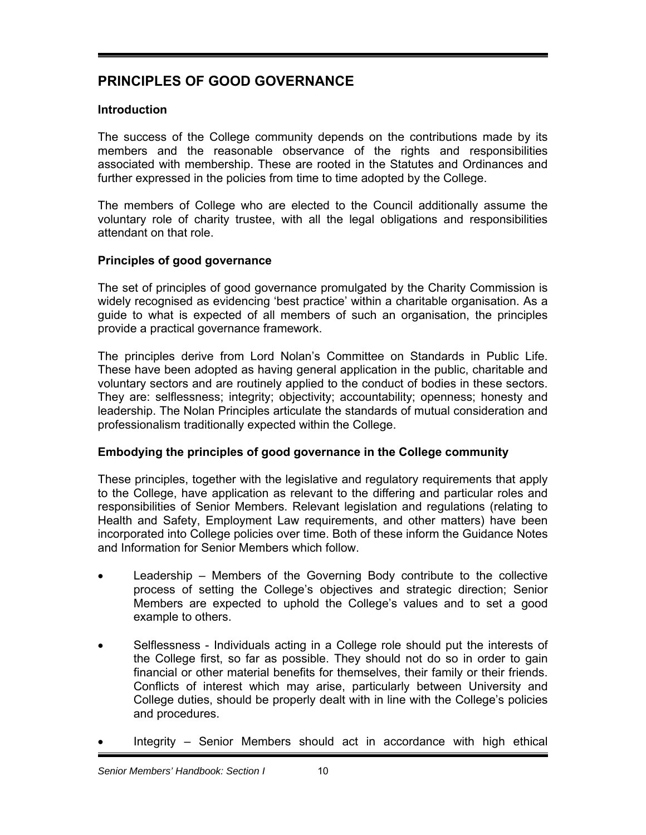# **PRINCIPLES OF GOOD GOVERNANCE**

## **Introduction**

The success of the College community depends on the contributions made by its members and the reasonable observance of the rights and responsibilities associated with membership. These are rooted in the Statutes and Ordinances and further expressed in the policies from time to time adopted by the College.

The members of College who are elected to the Council additionally assume the voluntary role of charity trustee, with all the legal obligations and responsibilities attendant on that role.

## **Principles of good governance**

The set of principles of good governance promulgated by the Charity Commission is widely recognised as evidencing 'best practice' within a charitable organisation. As a guide to what is expected of all members of such an organisation, the principles provide a practical governance framework.

The principles derive from Lord Nolan's Committee on Standards in Public Life. These have been adopted as having general application in the public, charitable and voluntary sectors and are routinely applied to the conduct of bodies in these sectors. They are: selflessness; integrity; objectivity; accountability; openness; honesty and leadership. The Nolan Principles articulate the standards of mutual consideration and professionalism traditionally expected within the College.

## **Embodying the principles of good governance in the College community**

These principles, together with the legislative and regulatory requirements that apply to the College, have application as relevant to the differing and particular roles and responsibilities of Senior Members. Relevant legislation and regulations (relating to Health and Safety, Employment Law requirements, and other matters) have been incorporated into College policies over time. Both of these inform the Guidance Notes and Information for Senior Members which follow.

- Leadership Members of the Governing Body contribute to the collective process of setting the College's objectives and strategic direction; Senior Members are expected to uphold the College's values and to set a good example to others.
- Selflessness Individuals acting in a College role should put the interests of the College first, so far as possible. They should not do so in order to gain financial or other material benefits for themselves, their family or their friends. Conflicts of interest which may arise, particularly between University and College duties, should be properly dealt with in line with the College's policies and procedures.
- Integrity Senior Members should act in accordance with high ethical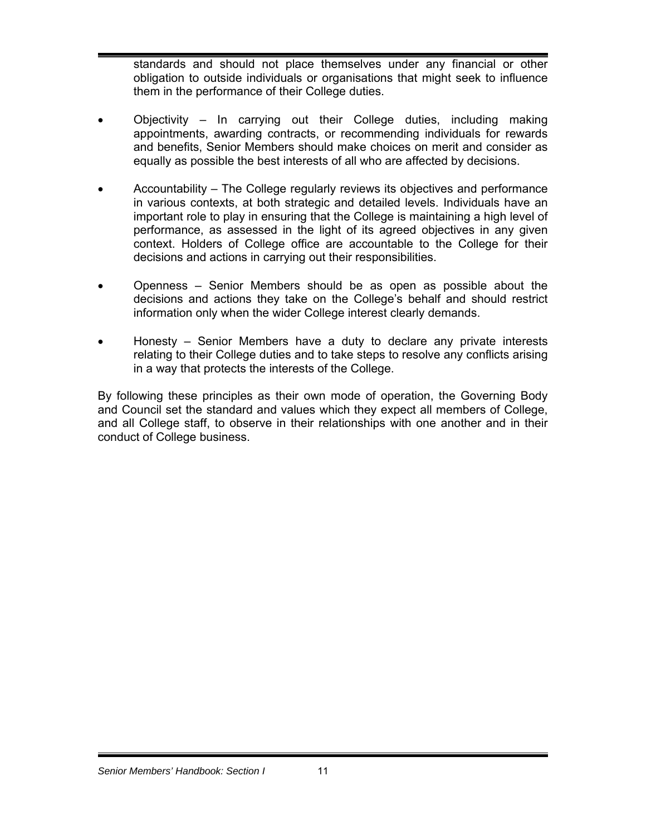standards and should not place themselves under any financial or other obligation to outside individuals or organisations that might seek to influence them in the performance of their College duties.

- Objectivity In carrying out their College duties, including making appointments, awarding contracts, or recommending individuals for rewards and benefits, Senior Members should make choices on merit and consider as equally as possible the best interests of all who are affected by decisions.
- Accountability The College regularly reviews its objectives and performance in various contexts, at both strategic and detailed levels. Individuals have an important role to play in ensuring that the College is maintaining a high level of performance, as assessed in the light of its agreed objectives in any given context. Holders of College office are accountable to the College for their decisions and actions in carrying out their responsibilities.
- Openness Senior Members should be as open as possible about the decisions and actions they take on the College's behalf and should restrict information only when the wider College interest clearly demands.
- Honesty Senior Members have a duty to declare any private interests relating to their College duties and to take steps to resolve any conflicts arising in a way that protects the interests of the College.

By following these principles as their own mode of operation, the Governing Body and Council set the standard and values which they expect all members of College, and all College staff, to observe in their relationships with one another and in their conduct of College business.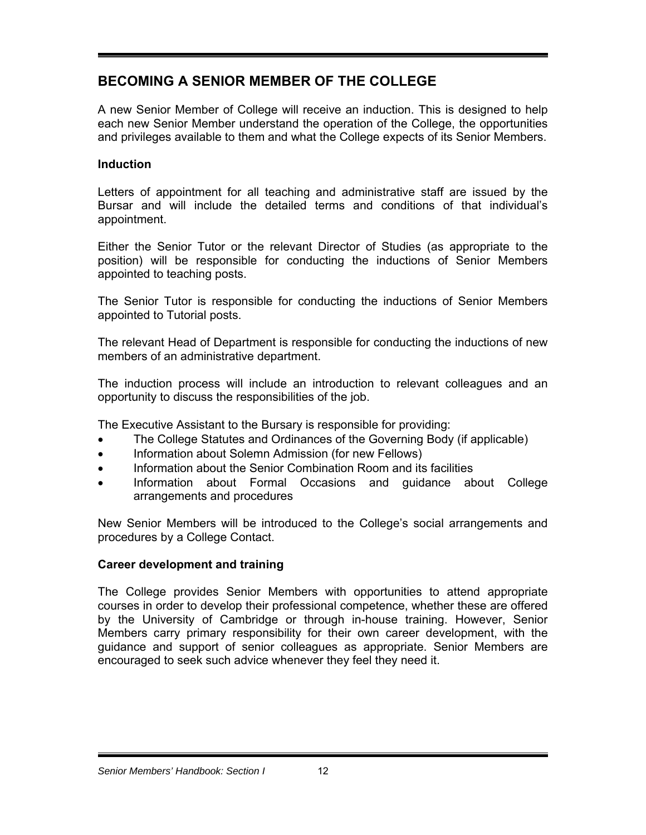# **BECOMING A SENIOR MEMBER OF THE COLLEGE**

A new Senior Member of College will receive an induction. This is designed to help each new Senior Member understand the operation of the College, the opportunities and privileges available to them and what the College expects of its Senior Members.

## **Induction**

Letters of appointment for all teaching and administrative staff are issued by the Bursar and will include the detailed terms and conditions of that individual's appointment.

Either the Senior Tutor or the relevant Director of Studies (as appropriate to the position) will be responsible for conducting the inductions of Senior Members appointed to teaching posts.

The Senior Tutor is responsible for conducting the inductions of Senior Members appointed to Tutorial posts.

The relevant Head of Department is responsible for conducting the inductions of new members of an administrative department.

The induction process will include an introduction to relevant colleagues and an opportunity to discuss the responsibilities of the job.

The Executive Assistant to the Bursary is responsible for providing:

- The College Statutes and Ordinances of the Governing Body (if applicable)
- Information about Solemn Admission (for new Fellows)
- Information about the Senior Combination Room and its facilities
- Information about Formal Occasions and guidance about College arrangements and procedures

New Senior Members will be introduced to the College's social arrangements and procedures by a College Contact.

## **Career development and training**

The College provides Senior Members with opportunities to attend appropriate courses in order to develop their professional competence, whether these are offered by the University of Cambridge or through in-house training. However, Senior Members carry primary responsibility for their own career development, with the guidance and support of senior colleagues as appropriate. Senior Members are encouraged to seek such advice whenever they feel they need it.

#### *Senior Members' Handbook: Section I* 12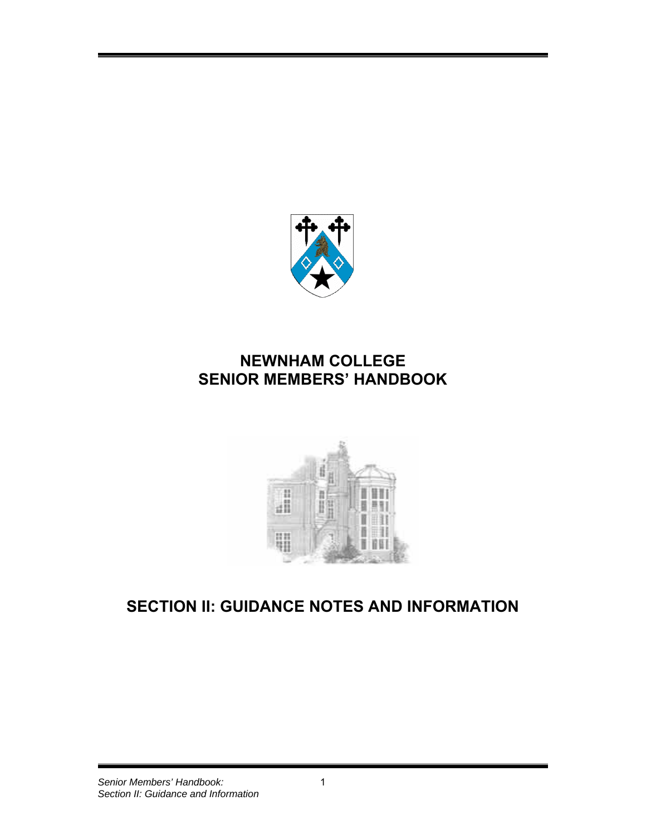

# **NEWNHAM COLLEGE SENIOR MEMBERS' HANDBOOK**



# **SECTION II: GUIDANCE NOTES AND INFORMATION**

#### *Senior Members' Handbook:* 1 *Section II: Guidance and Information*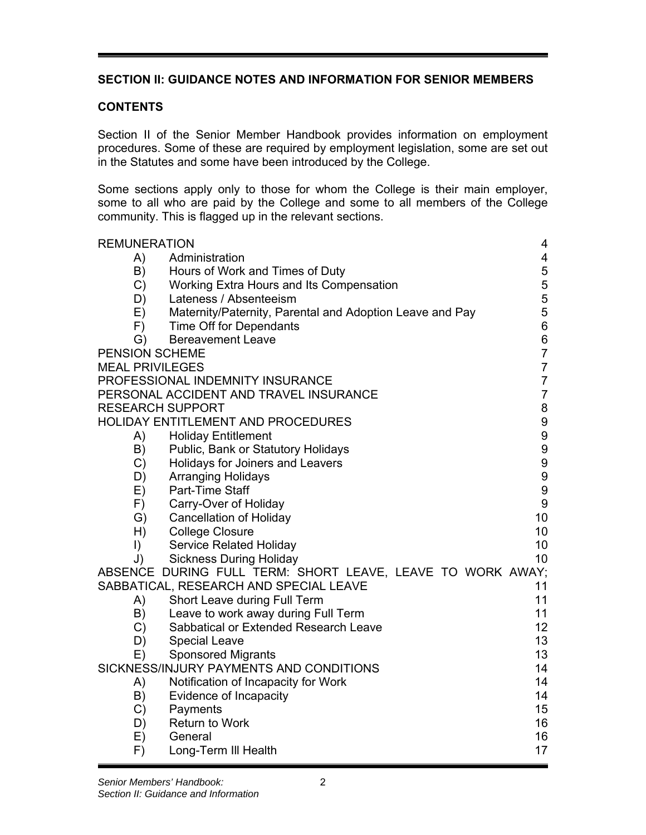## **SECTION II: GUIDANCE NOTES AND INFORMATION FOR SENIOR MEMBERS**

#### **CONTENTS**

Section II of the Senior Member Handbook provides information on employment procedures. Some of these are required by employment legislation, some are set out in the Statutes and some have been introduced by the College.

Some sections apply only to those for whom the College is their main employer, some to all who are paid by the College and some to all members of the College community. This is flagged up in the relevant sections.

| <b>REMUNERATION</b>     |                                                            | 4                |  |  |  |
|-------------------------|------------------------------------------------------------|------------------|--|--|--|
| A)                      | Administration                                             | 4                |  |  |  |
| B)                      | Hours of Work and Times of Duty                            | 5<br>5           |  |  |  |
| C)                      | Working Extra Hours and Its Compensation                   |                  |  |  |  |
| D)                      | Lateness / Absenteeism                                     |                  |  |  |  |
| E)                      | Maternity/Paternity, Parental and Adoption Leave and Pay   | 5                |  |  |  |
| F)                      | Time Off for Dependants                                    | 6                |  |  |  |
| $\mathsf{G}$            | <b>Bereavement Leave</b>                                   | $\,6$            |  |  |  |
| PENSION SCHEME          |                                                            | $\overline{7}$   |  |  |  |
| <b>MEAL PRIVILEGES</b>  |                                                            | $\overline{7}$   |  |  |  |
|                         | PROFESSIONAL INDEMNITY INSURANCE                           | $\overline{7}$   |  |  |  |
|                         | PERSONAL ACCIDENT AND TRAVEL INSURANCE                     | $\overline{7}$   |  |  |  |
| <b>RESEARCH SUPPORT</b> |                                                            | 8                |  |  |  |
|                         | <b>HOLIDAY ENTITLEMENT AND PROCEDURES</b>                  | 9                |  |  |  |
| A)                      | <b>Holiday Entitlement</b>                                 | 9                |  |  |  |
| B)                      | Public, Bank or Statutory Holidays                         | 9                |  |  |  |
| C)                      | Holidays for Joiners and Leavers                           | 9                |  |  |  |
| D)                      | <b>Arranging Holidays</b>                                  | 9                |  |  |  |
| E)                      | Part-Time Staff                                            | $\boldsymbol{9}$ |  |  |  |
| F)                      | Carry-Over of Holiday                                      | $\boldsymbol{9}$ |  |  |  |
| G)                      | <b>Cancellation of Holiday</b>                             | 10               |  |  |  |
| H)                      | <b>College Closure</b>                                     | 10 <sup>°</sup>  |  |  |  |
| $\vert$                 | <b>Service Related Holiday</b>                             | 10               |  |  |  |
| J)                      | <b>Sickness During Holiday</b>                             | 10 <sup>1</sup>  |  |  |  |
|                         | ABSENCE DURING FULL TERM: SHORT LEAVE, LEAVE TO WORK AWAY; |                  |  |  |  |
|                         | SABBATICAL, RESEARCH AND SPECIAL LEAVE                     | 11               |  |  |  |
| A)                      | Short Leave during Full Term                               | 11               |  |  |  |
| B)                      | Leave to work away during Full Term                        | 11               |  |  |  |
| C)                      | Sabbatical or Extended Research Leave                      | 12 <sup>2</sup>  |  |  |  |
| D)                      | <b>Special Leave</b>                                       | 13               |  |  |  |
| E)                      | <b>Sponsored Migrants</b>                                  | 13               |  |  |  |
|                         | SICKNESS/INJURY PAYMENTS AND CONDITIONS                    | 14               |  |  |  |
| A)                      | Notification of Incapacity for Work                        | 14               |  |  |  |
| B)                      | Evidence of Incapacity                                     | 14               |  |  |  |
| C)                      | Payments                                                   | 15               |  |  |  |
| D)                      | <b>Return to Work</b>                                      | 16               |  |  |  |
| E)                      | General                                                    | 16               |  |  |  |
| F)                      | Long-Term III Health                                       | 17               |  |  |  |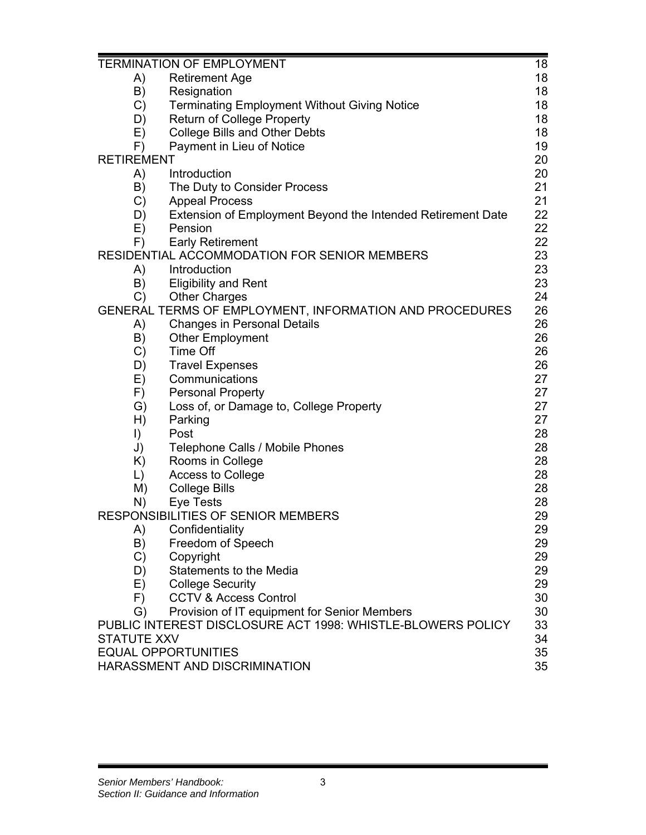|                    | <b>TERMINATION OF EMPLOYMENT</b>                            | 18<br>18 |
|--------------------|-------------------------------------------------------------|----------|
| A)                 | <b>Retirement Age</b>                                       |          |
| B)                 | Resignation                                                 | 18       |
| C)                 | <b>Terminating Employment Without Giving Notice</b>         | 18       |
| D)                 | <b>Return of College Property</b>                           | 18       |
| E)                 | <b>College Bills and Other Debts</b>                        | 18       |
| F)                 | Payment in Lieu of Notice                                   | 19       |
| <b>RETIREMENT</b>  |                                                             | 20       |
| A)                 | Introduction                                                | 20       |
| B)                 | The Duty to Consider Process                                | 21       |
| C)                 | <b>Appeal Process</b>                                       | 21       |
| D)                 | Extension of Employment Beyond the Intended Retirement Date | 22       |
| E)                 | Pension                                                     | 22       |
| F)                 | <b>Early Retirement</b>                                     | 22       |
|                    | RESIDENTIAL ACCOMMODATION FOR SENIOR MEMBERS                | 23       |
| A)                 | Introduction                                                | 23       |
| B)                 | <b>Eligibility and Rent</b>                                 | 23       |
| $\mathsf{C}$       | <b>Other Charges</b>                                        | 24       |
|                    | GENERAL TERMS OF EMPLOYMENT, INFORMATION AND PROCEDURES     | 26       |
| A)                 | <b>Changes in Personal Details</b>                          | 26       |
| B)                 | <b>Other Employment</b>                                     | 26       |
| C)                 | Time Off                                                    | 26       |
| D)                 | <b>Travel Expenses</b>                                      | 26       |
| E)                 | Communications                                              | 27       |
| F)                 | <b>Personal Property</b>                                    | 27       |
| $\mathsf{G}$       | Loss of, or Damage to, College Property                     | 27       |
| H)                 | Parking                                                     | 27       |
| $\vert$            | Post                                                        | 28       |
| J)                 | Telephone Calls / Mobile Phones                             | 28       |
| K)                 | Rooms in College                                            | 28       |
| $\mathsf{L}$       | Access to College                                           | 28       |
| M)                 | <b>College Bills</b>                                        | 28       |
| N)                 | <b>Eye Tests</b>                                            | 28       |
|                    | RESPONSIBILITIES OF SENIOR MEMBERS                          | 29       |
| A)                 | Confidentiality                                             | 29       |
| B)                 | Freedom of Speech                                           | 29       |
| $\mathcal{C}$      | Copyright                                                   | 29       |
| D)                 | <b>Statements to the Media</b>                              | 29       |
| E)                 | <b>College Security</b>                                     | 29       |
| F)                 | <b>CCTV &amp; Access Control</b>                            | 30       |
| G)                 | Provision of IT equipment for Senior Members                | 30       |
|                    | PUBLIC INTEREST DISCLOSURE ACT 1998: WHISTLE-BLOWERS POLICY | 33       |
| <b>STATUTE XXV</b> |                                                             | 34       |
|                    | <b>EQUAL OPPORTUNITIES</b>                                  | 35       |
|                    | HARASSMENT AND DISCRIMINATION                               | 35       |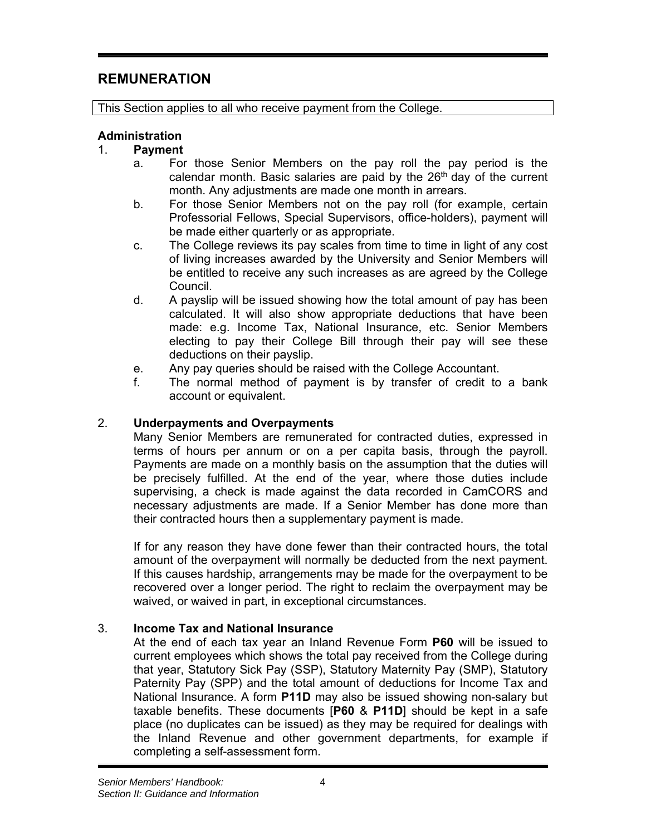# **REMUNERATION**

This Section applies to all who receive payment from the College.

#### **Administration**

#### 1. **Payment**

- a. For those Senior Members on the pay roll the pay period is the calendar month. Basic salaries are paid by the  $26<sup>th</sup>$  day of the current month. Any adjustments are made one month in arrears.
- b. For those Senior Members not on the pay roll (for example, certain Professorial Fellows, Special Supervisors, office-holders), payment will be made either quarterly or as appropriate.
- c. The College reviews its pay scales from time to time in light of any cost of living increases awarded by the University and Senior Members will be entitled to receive any such increases as are agreed by the College Council.
- d. A payslip will be issued showing how the total amount of pay has been calculated. It will also show appropriate deductions that have been made: e.g. Income Tax, National Insurance, etc. Senior Members electing to pay their College Bill through their pay will see these deductions on their payslip.
- e. Any pay queries should be raised with the College Accountant.
- f. The normal method of payment is by transfer of credit to a bank account or equivalent.

#### 2. **Underpayments and Overpayments**

Many Senior Members are remunerated for contracted duties, expressed in terms of hours per annum or on a per capita basis, through the payroll. Payments are made on a monthly basis on the assumption that the duties will be precisely fulfilled. At the end of the year, where those duties include supervising, a check is made against the data recorded in CamCORS and necessary adjustments are made. If a Senior Member has done more than their contracted hours then a supplementary payment is made.

If for any reason they have done fewer than their contracted hours, the total amount of the overpayment will normally be deducted from the next payment. If this causes hardship, arrangements may be made for the overpayment to be recovered over a longer period. The right to reclaim the overpayment may be waived, or waived in part, in exceptional circumstances.

#### 3. **Income Tax and National Insurance**

At the end of each tax year an Inland Revenue Form **P60** will be issued to current employees which shows the total pay received from the College during that year, Statutory Sick Pay (SSP), Statutory Maternity Pay (SMP), Statutory Paternity Pay (SPP) and the total amount of deductions for Income Tax and National Insurance. A form **P11D** may also be issued showing non-salary but taxable benefits. These documents [**P60** & **P11D**] should be kept in a safe place (no duplicates can be issued) as they may be required for dealings with the Inland Revenue and other government departments, for example if completing a self-assessment form.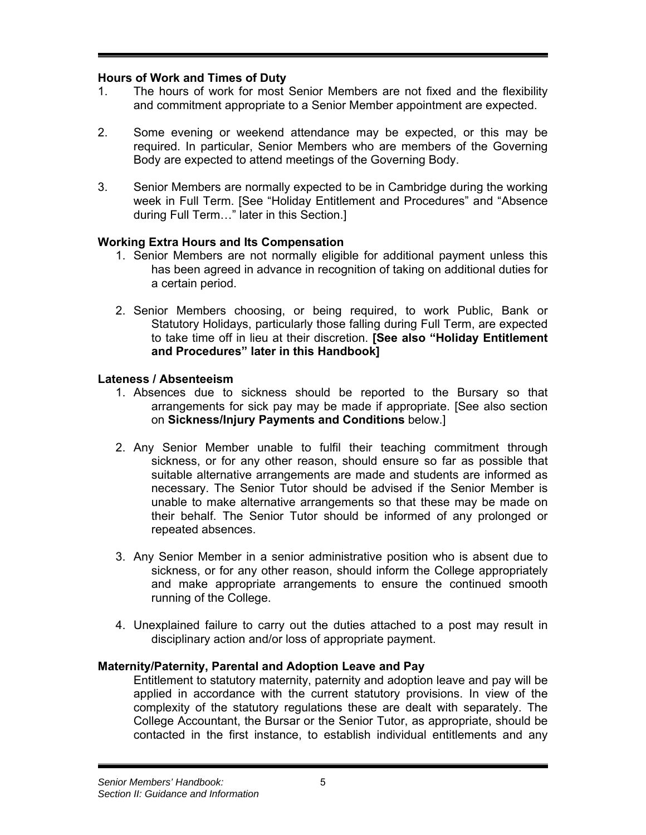## **Hours of Work and Times of Duty**

- 1. The hours of work for most Senior Members are not fixed and the flexibility and commitment appropriate to a Senior Member appointment are expected.
- 2. Some evening or weekend attendance may be expected, or this may be required. In particular, Senior Members who are members of the Governing Body are expected to attend meetings of the Governing Body.
- 3. Senior Members are normally expected to be in Cambridge during the working week in Full Term. [See "Holiday Entitlement and Procedures" and "Absence during Full Term…" later in this Section.]

## **Working Extra Hours and Its Compensation**

- 1. Senior Members are not normally eligible for additional payment unless this has been agreed in advance in recognition of taking on additional duties for a certain period.
- 2. Senior Members choosing, or being required, to work Public, Bank or Statutory Holidays, particularly those falling during Full Term, are expected to take time off in lieu at their discretion. **[See also "Holiday Entitlement and Procedures" later in this Handbook]**

## **Lateness / Absenteeism**

- 1. Absences due to sickness should be reported to the Bursary so that arrangements for sick pay may be made if appropriate. [See also section on **Sickness/Injury Payments and Conditions** below.]
- 2. Any Senior Member unable to fulfil their teaching commitment through sickness, or for any other reason, should ensure so far as possible that suitable alternative arrangements are made and students are informed as necessary. The Senior Tutor should be advised if the Senior Member is unable to make alternative arrangements so that these may be made on their behalf. The Senior Tutor should be informed of any prolonged or repeated absences.
- 3. Any Senior Member in a senior administrative position who is absent due to sickness, or for any other reason, should inform the College appropriately and make appropriate arrangements to ensure the continued smooth running of the College.
- 4. Unexplained failure to carry out the duties attached to a post may result in disciplinary action and/or loss of appropriate payment.

## **Maternity/Paternity, Parental and Adoption Leave and Pay**

Entitlement to statutory maternity, paternity and adoption leave and pay will be applied in accordance with the current statutory provisions. In view of the complexity of the statutory regulations these are dealt with separately. The College Accountant, the Bursar or the Senior Tutor, as appropriate, should be contacted in the first instance, to establish individual entitlements and any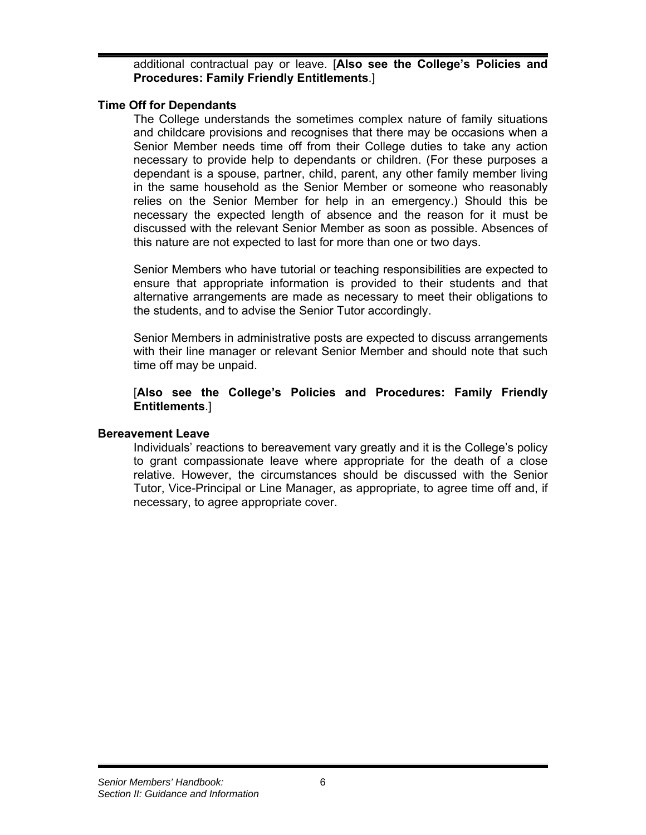additional contractual pay or leave. [**Also see the College's Policies and Procedures: Family Friendly Entitlements**.]

#### **Time Off for Dependants**

The College understands the sometimes complex nature of family situations and childcare provisions and recognises that there may be occasions when a Senior Member needs time off from their College duties to take any action necessary to provide help to dependants or children. (For these purposes a dependant is a spouse, partner, child, parent, any other family member living in the same household as the Senior Member or someone who reasonably relies on the Senior Member for help in an emergency.) Should this be necessary the expected length of absence and the reason for it must be discussed with the relevant Senior Member as soon as possible. Absences of this nature are not expected to last for more than one or two days.

Senior Members who have tutorial or teaching responsibilities are expected to ensure that appropriate information is provided to their students and that alternative arrangements are made as necessary to meet their obligations to the students, and to advise the Senior Tutor accordingly.

Senior Members in administrative posts are expected to discuss arrangements with their line manager or relevant Senior Member and should note that such time off may be unpaid.

#### [**Also see the College's Policies and Procedures: Family Friendly Entitlements**.]

#### **Bereavement Leave**

Individuals' reactions to bereavement vary greatly and it is the College's policy to grant compassionate leave where appropriate for the death of a close relative. However, the circumstances should be discussed with the Senior Tutor, Vice-Principal or Line Manager, as appropriate, to agree time off and, if necessary, to agree appropriate cover.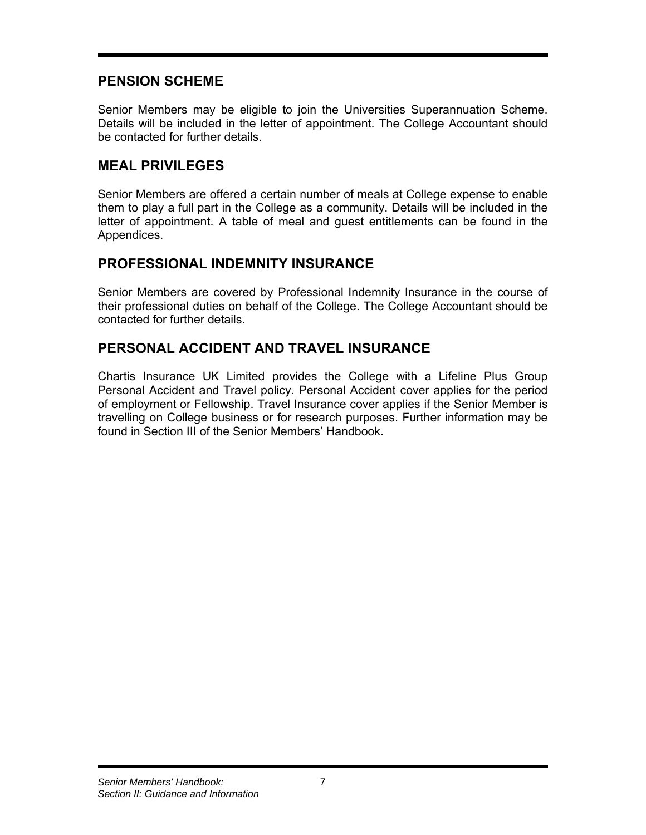## **PENSION SCHEME**

Senior Members may be eligible to join the Universities Superannuation Scheme. Details will be included in the letter of appointment. The College Accountant should be contacted for further details.

## **MEAL PRIVILEGES**

Senior Members are offered a certain number of meals at College expense to enable them to play a full part in the College as a community. Details will be included in the letter of appointment. A table of meal and guest entitlements can be found in the Appendices.

# **PROFESSIONAL INDEMNITY INSURANCE**

Senior Members are covered by Professional Indemnity Insurance in the course of their professional duties on behalf of the College. The College Accountant should be contacted for further details.

# **PERSONAL ACCIDENT AND TRAVEL INSURANCE**

Chartis Insurance UK Limited provides the College with a Lifeline Plus Group Personal Accident and Travel policy. Personal Accident cover applies for the period of employment or Fellowship. Travel Insurance cover applies if the Senior Member is travelling on College business or for research purposes. Further information may be found in Section III of the Senior Members' Handbook.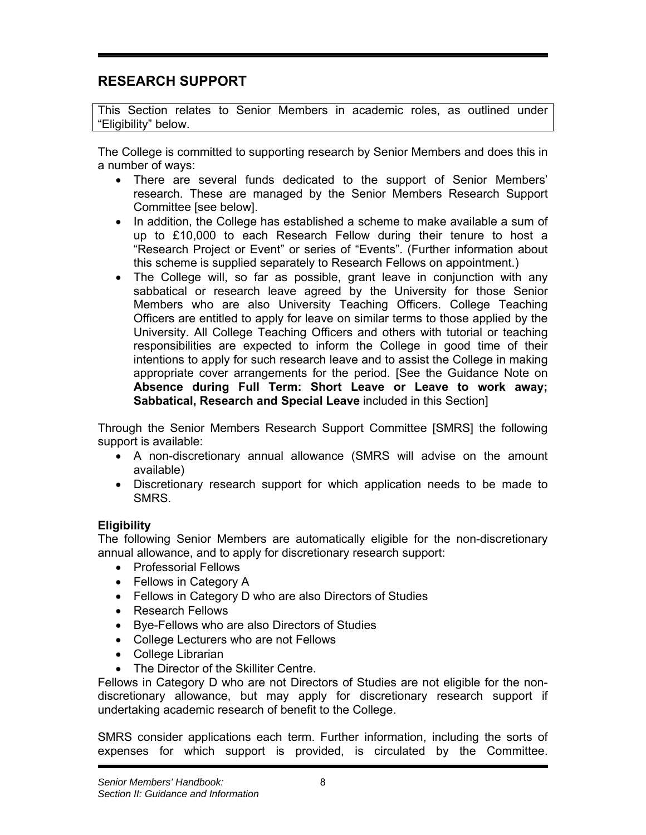# **RESEARCH SUPPORT**

This Section relates to Senior Members in academic roles, as outlined under "Eligibility" below.

The College is committed to supporting research by Senior Members and does this in a number of ways:

- There are several funds dedicated to the support of Senior Members' research. These are managed by the Senior Members Research Support Committee [see below].
- In addition, the College has established a scheme to make available a sum of up to £10,000 to each Research Fellow during their tenure to host a "Research Project or Event" or series of "Events". (Further information about this scheme is supplied separately to Research Fellows on appointment.)
- The College will, so far as possible, grant leave in conjunction with any sabbatical or research leave agreed by the University for those Senior Members who are also University Teaching Officers. College Teaching Officers are entitled to apply for leave on similar terms to those applied by the University. All College Teaching Officers and others with tutorial or teaching responsibilities are expected to inform the College in good time of their intentions to apply for such research leave and to assist the College in making appropriate cover arrangements for the period. [See the Guidance Note on **Absence during Full Term: Short Leave or Leave to work away; Sabbatical, Research and Special Leave** included in this Section]

Through the Senior Members Research Support Committee [SMRS] the following support is available:

- A non-discretionary annual allowance (SMRS will advise on the amount available)
- Discretionary research support for which application needs to be made to SMRS.

## **Eligibility**

The following Senior Members are automatically eligible for the non-discretionary annual allowance, and to apply for discretionary research support:

- Professorial Fellows
- Fellows in Category A
- Fellows in Category D who are also Directors of Studies
- Research Fellows
- Bye-Fellows who are also Directors of Studies
- College Lecturers who are not Fellows
- College Librarian
- The Director of the Skilliter Centre.

Fellows in Category D who are not Directors of Studies are not eligible for the nondiscretionary allowance, but may apply for discretionary research support if undertaking academic research of benefit to the College.

SMRS consider applications each term. Further information, including the sorts of expenses for which support is provided, is circulated by the Committee.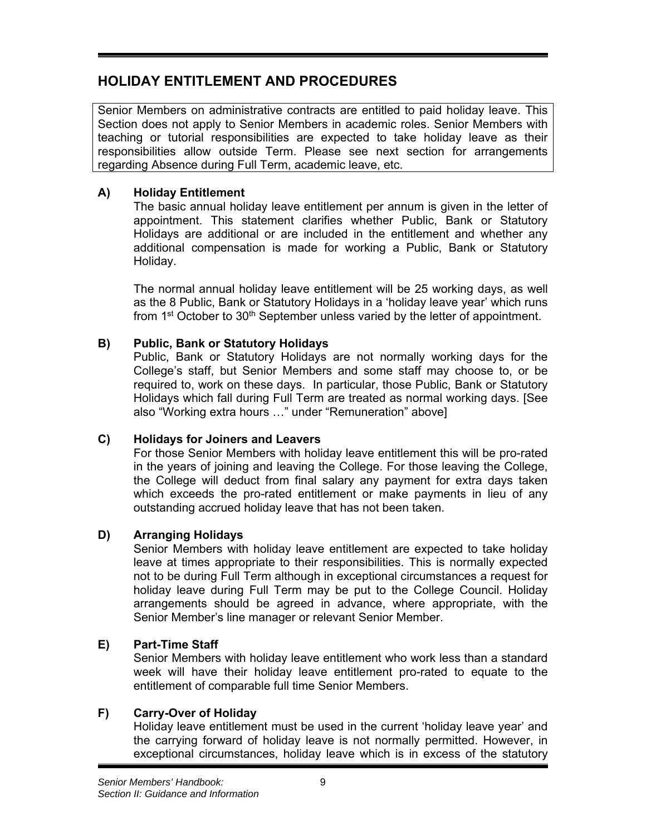# **HOLIDAY ENTITLEMENT AND PROCEDURES**

Senior Members on administrative contracts are entitled to paid holiday leave. This Section does not apply to Senior Members in academic roles. Senior Members with teaching or tutorial responsibilities are expected to take holiday leave as their responsibilities allow outside Term. Please see next section for arrangements regarding Absence during Full Term, academic leave, etc.

## **A) Holiday Entitlement**

The basic annual holiday leave entitlement per annum is given in the letter of appointment. This statement clarifies whether Public, Bank or Statutory Holidays are additional or are included in the entitlement and whether any additional compensation is made for working a Public, Bank or Statutory Holiday.

The normal annual holiday leave entitlement will be 25 working days, as well as the 8 Public, Bank or Statutory Holidays in a 'holiday leave year' which runs from  $1<sup>st</sup>$  October to  $30<sup>th</sup>$  September unless varied by the letter of appointment.

## **B) Public, Bank or Statutory Holidays**

Public, Bank or Statutory Holidays are not normally working days for the College's staff, but Senior Members and some staff may choose to, or be required to, work on these days. In particular, those Public, Bank or Statutory Holidays which fall during Full Term are treated as normal working days. [See also "Working extra hours …" under "Remuneration" above]

## **C) Holidays for Joiners and Leavers**

For those Senior Members with holiday leave entitlement this will be pro-rated in the years of joining and leaving the College. For those leaving the College, the College will deduct from final salary any payment for extra days taken which exceeds the pro-rated entitlement or make payments in lieu of any outstanding accrued holiday leave that has not been taken.

## **D) Arranging Holidays**

Senior Members with holiday leave entitlement are expected to take holiday leave at times appropriate to their responsibilities. This is normally expected not to be during Full Term although in exceptional circumstances a request for holiday leave during Full Term may be put to the College Council. Holiday arrangements should be agreed in advance, where appropriate, with the Senior Member's line manager or relevant Senior Member.

## **E) Part-Time Staff**

Senior Members with holiday leave entitlement who work less than a standard week will have their holiday leave entitlement pro-rated to equate to the entitlement of comparable full time Senior Members.

## **F) Carry-Over of Holiday**

Holiday leave entitlement must be used in the current 'holiday leave year' and the carrying forward of holiday leave is not normally permitted. However, in exceptional circumstances, holiday leave which is in excess of the statutory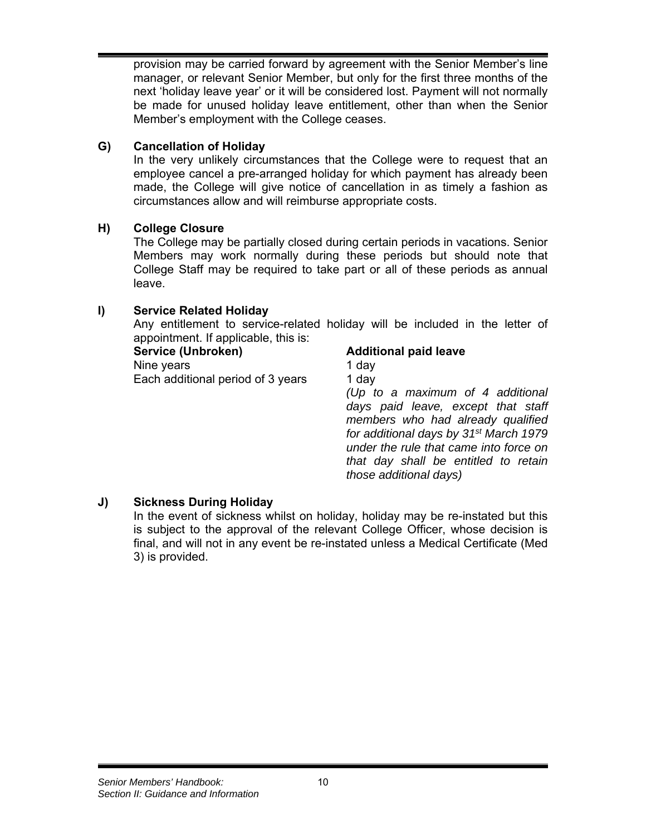provision may be carried forward by agreement with the Senior Member's line manager, or relevant Senior Member, but only for the first three months of the next 'holiday leave year' or it will be considered lost. Payment will not normally be made for unused holiday leave entitlement, other than when the Senior Member's employment with the College ceases.

## **G) Cancellation of Holiday**

In the very unlikely circumstances that the College were to request that an employee cancel a pre-arranged holiday for which payment has already been made, the College will give notice of cancellation in as timely a fashion as circumstances allow and will reimburse appropriate costs.

## **H) College Closure**

The College may be partially closed during certain periods in vacations. Senior Members may work normally during these periods but should note that College Staff may be required to take part or all of these periods as annual leave.

## **I) Service Related Holiday**

Any entitlement to service-related holiday will be included in the letter of appointment. If applicable, this is:

> *for additional days by 31st March 1979 under the rule that came into force on that day shall be entitled to retain*

*those additional days)*

| Service (Unbroken)                | <b>Additional paid leave</b>       |
|-----------------------------------|------------------------------------|
| Nine years                        | 1 day                              |
| Each additional period of 3 years | 1 day                              |
|                                   | (Up to a maximum of 4 additional   |
|                                   | days paid leave, except that staff |
|                                   | members who had already qualified  |

## **J) Sickness During Holiday**

In the event of sickness whilst on holiday, holiday may be re-instated but this is subject to the approval of the relevant College Officer, whose decision is final, and will not in any event be re-instated unless a Medical Certificate (Med 3) is provided.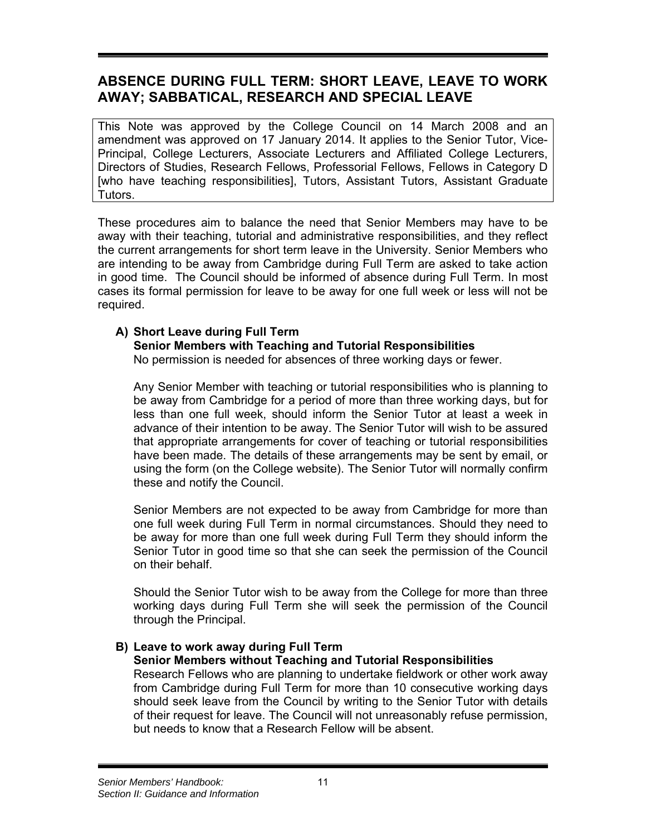# **ABSENCE DURING FULL TERM: SHORT LEAVE, LEAVE TO WORK AWAY; SABBATICAL, RESEARCH AND SPECIAL LEAVE**

This Note was approved by the College Council on 14 March 2008 and an amendment was approved on 17 January 2014. It applies to the Senior Tutor, Vice-Principal, College Lecturers, Associate Lecturers and Affiliated College Lecturers, Directors of Studies, Research Fellows, Professorial Fellows, Fellows in Category D [who have teaching responsibilities], Tutors, Assistant Tutors, Assistant Graduate Tutors.

These procedures aim to balance the need that Senior Members may have to be away with their teaching, tutorial and administrative responsibilities, and they reflect the current arrangements for short term leave in the University. Senior Members who are intending to be away from Cambridge during Full Term are asked to take action in good time. The Council should be informed of absence during Full Term. In most cases its formal permission for leave to be away for one full week or less will not be required.

## **A) Short Leave during Full Term**

## **Senior Members with Teaching and Tutorial Responsibilities**

No permission is needed for absences of three working days or fewer.

Any Senior Member with teaching or tutorial responsibilities who is planning to be away from Cambridge for a period of more than three working days, but for less than one full week, should inform the Senior Tutor at least a week in advance of their intention to be away. The Senior Tutor will wish to be assured that appropriate arrangements for cover of teaching or tutorial responsibilities have been made. The details of these arrangements may be sent by email, or using the form (on the College website). The Senior Tutor will normally confirm these and notify the Council.

Senior Members are not expected to be away from Cambridge for more than one full week during Full Term in normal circumstances. Should they need to be away for more than one full week during Full Term they should inform the Senior Tutor in good time so that she can seek the permission of the Council on their behalf.

Should the Senior Tutor wish to be away from the College for more than three working days during Full Term she will seek the permission of the Council through the Principal.

## **B) Leave to work away during Full Term**

## **Senior Members without Teaching and Tutorial Responsibilities**

Research Fellows who are planning to undertake fieldwork or other work away from Cambridge during Full Term for more than 10 consecutive working days should seek leave from the Council by writing to the Senior Tutor with details of their request for leave. The Council will not unreasonably refuse permission, but needs to know that a Research Fellow will be absent.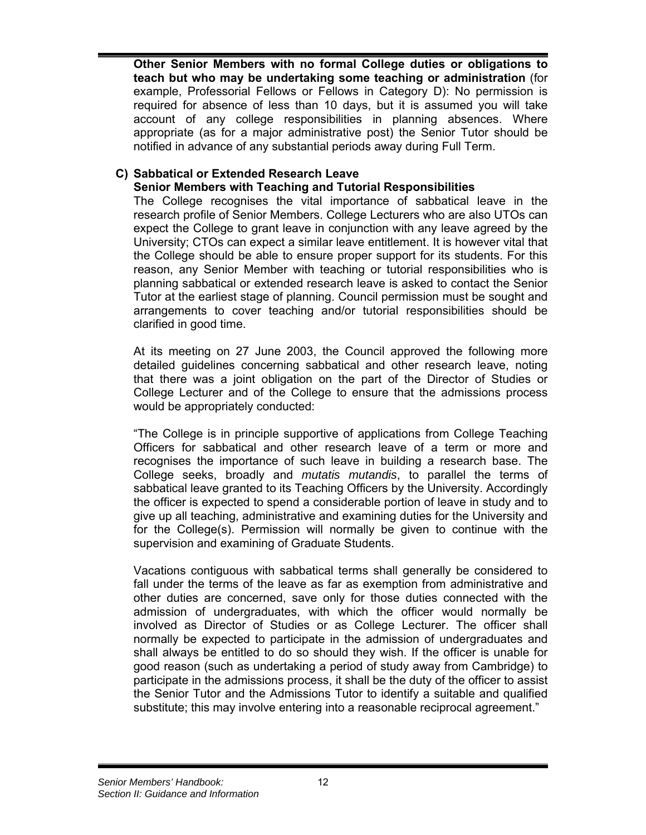**Other Senior Members with no formal College duties or obligations to teach but who may be undertaking some teaching or administration** (for example, Professorial Fellows or Fellows in Category D): No permission is required for absence of less than 10 days, but it is assumed you will take account of any college responsibilities in planning absences. Where appropriate (as for a major administrative post) the Senior Tutor should be notified in advance of any substantial periods away during Full Term.

## **C) Sabbatical or Extended Research Leave**

## **Senior Members with Teaching and Tutorial Responsibilities**

The College recognises the vital importance of sabbatical leave in the research profile of Senior Members. College Lecturers who are also UTOs can expect the College to grant leave in conjunction with any leave agreed by the University; CTOs can expect a similar leave entitlement. It is however vital that the College should be able to ensure proper support for its students. For this reason, any Senior Member with teaching or tutorial responsibilities who is planning sabbatical or extended research leave is asked to contact the Senior Tutor at the earliest stage of planning. Council permission must be sought and arrangements to cover teaching and/or tutorial responsibilities should be clarified in good time.

At its meeting on 27 June 2003, the Council approved the following more detailed guidelines concerning sabbatical and other research leave, noting that there was a joint obligation on the part of the Director of Studies or College Lecturer and of the College to ensure that the admissions process would be appropriately conducted:

"The College is in principle supportive of applications from College Teaching Officers for sabbatical and other research leave of a term or more and recognises the importance of such leave in building a research base. The College seeks, broadly and *mutatis mutandis*, to parallel the terms of sabbatical leave granted to its Teaching Officers by the University. Accordingly the officer is expected to spend a considerable portion of leave in study and to give up all teaching, administrative and examining duties for the University and for the College(s). Permission will normally be given to continue with the supervision and examining of Graduate Students.

Vacations contiguous with sabbatical terms shall generally be considered to fall under the terms of the leave as far as exemption from administrative and other duties are concerned, save only for those duties connected with the admission of undergraduates, with which the officer would normally be involved as Director of Studies or as College Lecturer. The officer shall normally be expected to participate in the admission of undergraduates and shall always be entitled to do so should they wish. If the officer is unable for good reason (such as undertaking a period of study away from Cambridge) to participate in the admissions process, it shall be the duty of the officer to assist the Senior Tutor and the Admissions Tutor to identify a suitable and qualified substitute; this may involve entering into a reasonable reciprocal agreement."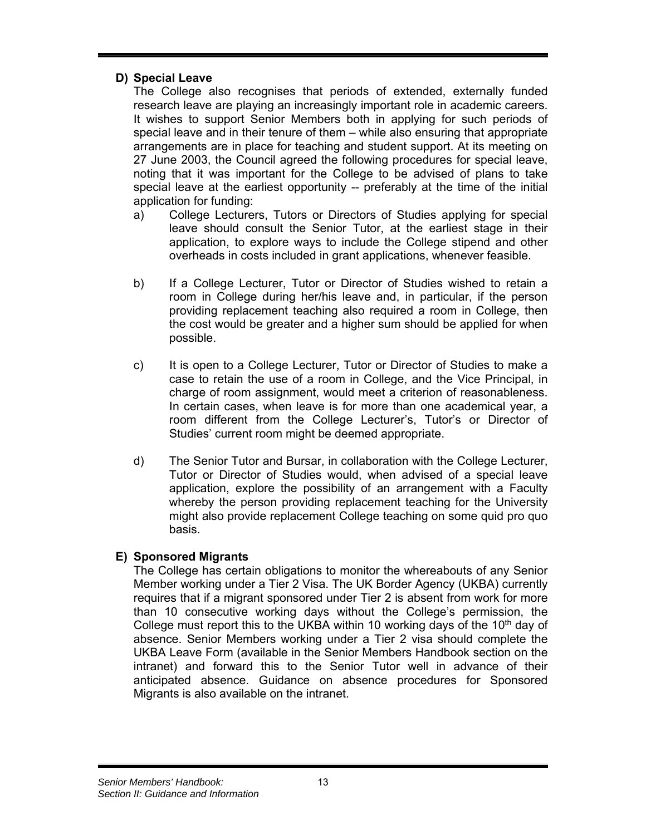## **D) Special Leave**

The College also recognises that periods of extended, externally funded research leave are playing an increasingly important role in academic careers. It wishes to support Senior Members both in applying for such periods of special leave and in their tenure of them – while also ensuring that appropriate arrangements are in place for teaching and student support. At its meeting on 27 June 2003, the Council agreed the following procedures for special leave, noting that it was important for the College to be advised of plans to take special leave at the earliest opportunity -- preferably at the time of the initial application for funding:

- a) College Lecturers, Tutors or Directors of Studies applying for special leave should consult the Senior Tutor, at the earliest stage in their application, to explore ways to include the College stipend and other overheads in costs included in grant applications, whenever feasible.
- b) If a College Lecturer, Tutor or Director of Studies wished to retain a room in College during her/his leave and, in particular, if the person providing replacement teaching also required a room in College, then the cost would be greater and a higher sum should be applied for when possible.
- c) It is open to a College Lecturer, Tutor or Director of Studies to make a case to retain the use of a room in College, and the Vice Principal, in charge of room assignment, would meet a criterion of reasonableness. In certain cases, when leave is for more than one academical year, a room different from the College Lecturer's, Tutor's or Director of Studies' current room might be deemed appropriate.
- d) The Senior Tutor and Bursar, in collaboration with the College Lecturer, Tutor or Director of Studies would, when advised of a special leave application, explore the possibility of an arrangement with a Faculty whereby the person providing replacement teaching for the University might also provide replacement College teaching on some quid pro quo basis.

## **E) Sponsored Migrants**

The College has certain obligations to monitor the whereabouts of any Senior Member working under a Tier 2 Visa. The UK Border Agency (UKBA) currently requires that if a migrant sponsored under Tier 2 is absent from work for more than 10 consecutive working days without the College's permission, the College must report this to the UKBA within 10 working days of the  $10<sup>th</sup>$  day of absence. Senior Members working under a Tier 2 visa should complete the UKBA Leave Form (available in the Senior Members Handbook section on the intranet) and forward this to the Senior Tutor well in advance of their anticipated absence. Guidance on absence procedures for Sponsored Migrants is also available on the intranet.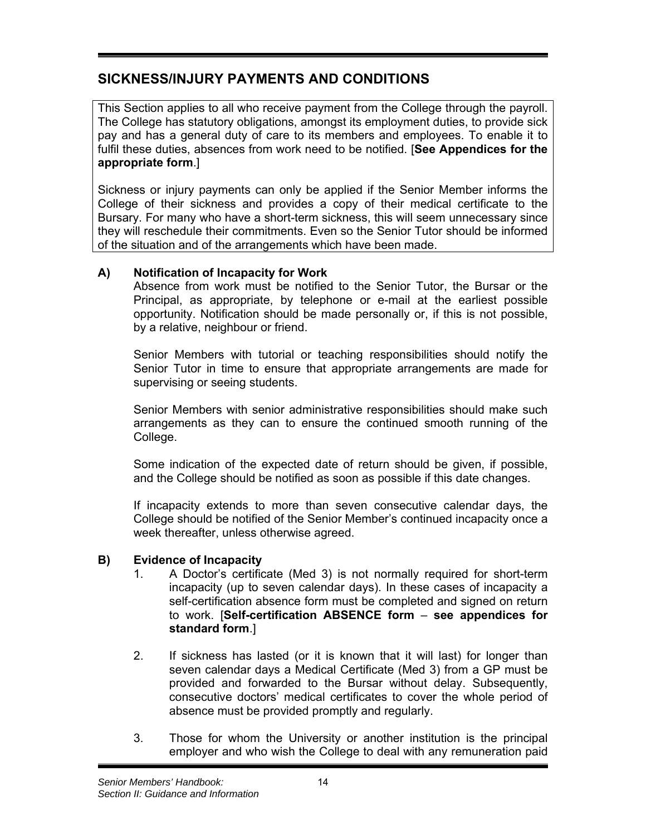# **SICKNESS/INJURY PAYMENTS AND CONDITIONS**

This Section applies to all who receive payment from the College through the payroll. The College has statutory obligations, amongst its employment duties, to provide sick pay and has a general duty of care to its members and employees. To enable it to fulfil these duties, absences from work need to be notified. [**See Appendices for the appropriate form**.]

Sickness or injury payments can only be applied if the Senior Member informs the College of their sickness and provides a copy of their medical certificate to the Bursary. For many who have a short-term sickness, this will seem unnecessary since they will reschedule their commitments. Even so the Senior Tutor should be informed of the situation and of the arrangements which have been made.

## **A) Notification of Incapacity for Work**

Absence from work must be notified to the Senior Tutor, the Bursar or the Principal, as appropriate, by telephone or e-mail at the earliest possible opportunity. Notification should be made personally or, if this is not possible, by a relative, neighbour or friend.

Senior Members with tutorial or teaching responsibilities should notify the Senior Tutor in time to ensure that appropriate arrangements are made for supervising or seeing students.

Senior Members with senior administrative responsibilities should make such arrangements as they can to ensure the continued smooth running of the College.

Some indication of the expected date of return should be given, if possible, and the College should be notified as soon as possible if this date changes.

If incapacity extends to more than seven consecutive calendar days, the College should be notified of the Senior Member's continued incapacity once a week thereafter, unless otherwise agreed.

## **B) Evidence of Incapacity**

- 1. A Doctor's certificate (Med 3) is not normally required for short-term incapacity (up to seven calendar days). In these cases of incapacity a self-certification absence form must be completed and signed on return to work. [**Self-certification ABSENCE form** – **see appendices for standard form**.]
- 2. If sickness has lasted (or it is known that it will last) for longer than seven calendar days a Medical Certificate (Med 3) from a GP must be provided and forwarded to the Bursar without delay. Subsequently, consecutive doctors' medical certificates to cover the whole period of absence must be provided promptly and regularly.
- 3. Those for whom the University or another institution is the principal employer and who wish the College to deal with any remuneration paid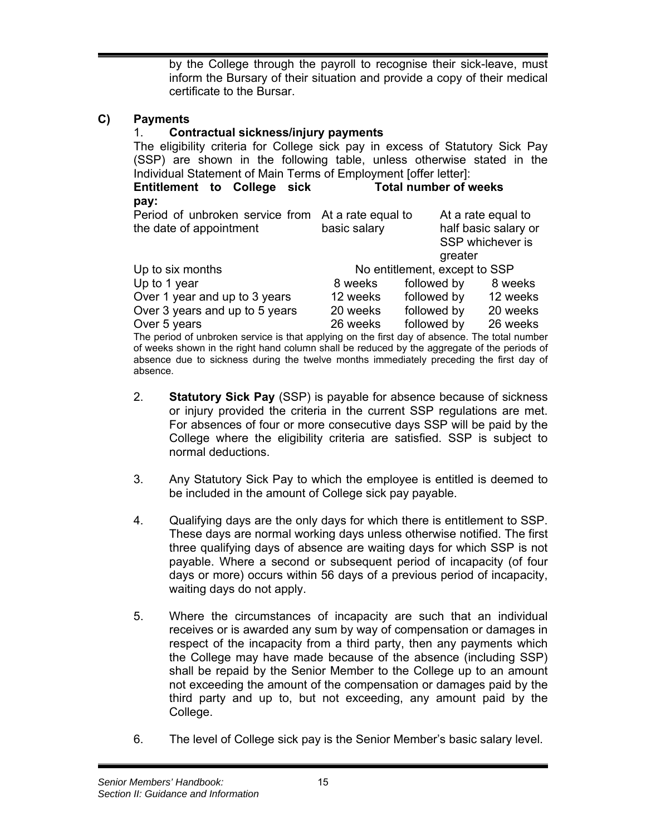by the College through the payroll to recognise their sick-leave, must inform the Bursary of their situation and provide a copy of their medical certificate to the Bursar.

## **C) Payments**

absence.

## 1. **Contractual sickness/injury payments**

The eligibility criteria for College sick pay in excess of Statutory Sick Pay (SSP) are shown in the following table, unless otherwise stated in the Individual Statement of Main Terms of Employment [offer letter]:

| Entitlement to College sick |  | Total number of weeks |
|-----------------------------|--|-----------------------|
| pay:                        |  |                       |

| Period of unbroken service from At a rate equal to                                            |              |                               | At a rate equal to   |
|-----------------------------------------------------------------------------------------------|--------------|-------------------------------|----------------------|
| the date of appointment                                                                       | basic salary |                               | half basic salary or |
|                                                                                               |              |                               | SSP whichever is     |
|                                                                                               |              | greater                       |                      |
| Up to six months                                                                              |              | No entitlement, except to SSP |                      |
| Up to 1 year                                                                                  | 8 weeks      | followed by                   | 8 weeks              |
| Over 1 year and up to 3 years                                                                 | 12 weeks     | followed by                   | 12 weeks             |
| Over 3 years and up to 5 years                                                                | 20 weeks     | followed by                   | 20 weeks             |
| Over 5 years                                                                                  | 26 weeks     | followed by                   | 26 weeks             |
| The period of unbroken service is that applying on the first day of absence. The total number |              |                               |                      |
| of weeks shown in the right hand column shall be reduced by the aggregate of the periods of   |              |                               |                      |
| absence due to sickness during the twelve months immediately preceding the first day of       |              |                               |                      |

- 2. **Statutory Sick Pay** (SSP) is payable for absence because of sickness or injury provided the criteria in the current SSP regulations are met. For absences of four or more consecutive days SSP will be paid by the College where the eligibility criteria are satisfied. SSP is subject to normal deductions.
- 3. Any Statutory Sick Pay to which the employee is entitled is deemed to be included in the amount of College sick pay payable.
- 4. Qualifying days are the only days for which there is entitlement to SSP. These days are normal working days unless otherwise notified. The first three qualifying days of absence are waiting days for which SSP is not payable. Where a second or subsequent period of incapacity (of four days or more) occurs within 56 days of a previous period of incapacity, waiting days do not apply.
- 5. Where the circumstances of incapacity are such that an individual receives or is awarded any sum by way of compensation or damages in respect of the incapacity from a third party, then any payments which the College may have made because of the absence (including SSP) shall be repaid by the Senior Member to the College up to an amount not exceeding the amount of the compensation or damages paid by the third party and up to, but not exceeding, any amount paid by the College.
- 6. The level of College sick pay is the Senior Member's basic salary level.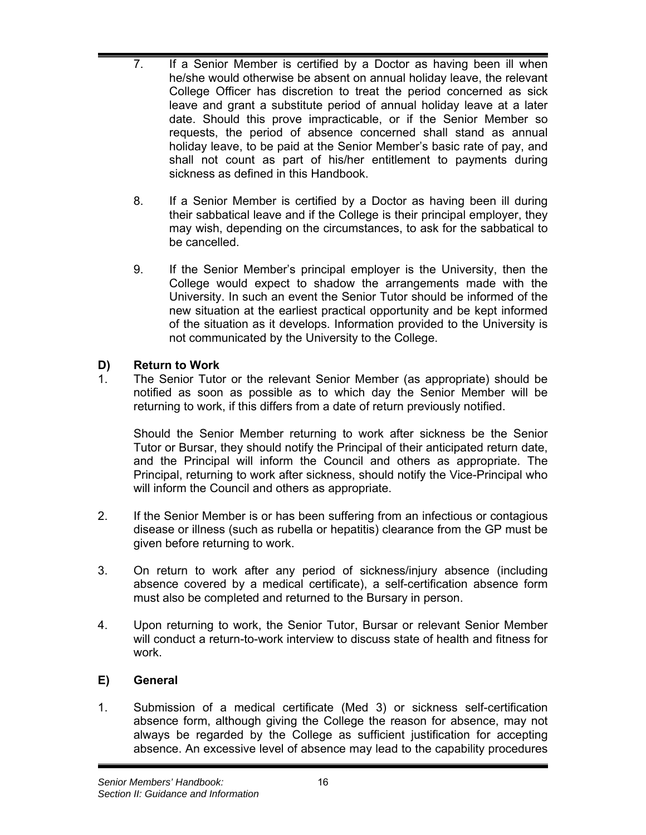- 7. If a Senior Member is certified by a Doctor as having been ill when he/she would otherwise be absent on annual holiday leave, the relevant College Officer has discretion to treat the period concerned as sick leave and grant a substitute period of annual holiday leave at a later date. Should this prove impracticable, or if the Senior Member so requests, the period of absence concerned shall stand as annual holiday leave, to be paid at the Senior Member's basic rate of pay, and shall not count as part of his/her entitlement to payments during sickness as defined in this Handbook.
- 8. If a Senior Member is certified by a Doctor as having been ill during their sabbatical leave and if the College is their principal employer, they may wish, depending on the circumstances, to ask for the sabbatical to be cancelled.
- 9. If the Senior Member's principal employer is the University, then the College would expect to shadow the arrangements made with the University. In such an event the Senior Tutor should be informed of the new situation at the earliest practical opportunity and be kept informed of the situation as it develops. Information provided to the University is not communicated by the University to the College.

## **D) Return to Work**

1. The Senior Tutor or the relevant Senior Member (as appropriate) should be notified as soon as possible as to which day the Senior Member will be returning to work, if this differs from a date of return previously notified.

Should the Senior Member returning to work after sickness be the Senior Tutor or Bursar, they should notify the Principal of their anticipated return date, and the Principal will inform the Council and others as appropriate. The Principal, returning to work after sickness, should notify the Vice-Principal who will inform the Council and others as appropriate.

- 2. If the Senior Member is or has been suffering from an infectious or contagious disease or illness (such as rubella or hepatitis) clearance from the GP must be given before returning to work.
- 3. On return to work after any period of sickness/injury absence (including absence covered by a medical certificate), a self-certification absence form must also be completed and returned to the Bursary in person.
- 4. Upon returning to work, the Senior Tutor, Bursar or relevant Senior Member will conduct a return-to-work interview to discuss state of health and fitness for work.

## **E) General**

1. Submission of a medical certificate (Med 3) or sickness self-certification absence form, although giving the College the reason for absence, may not always be regarded by the College as sufficient justification for accepting absence. An excessive level of absence may lead to the capability procedures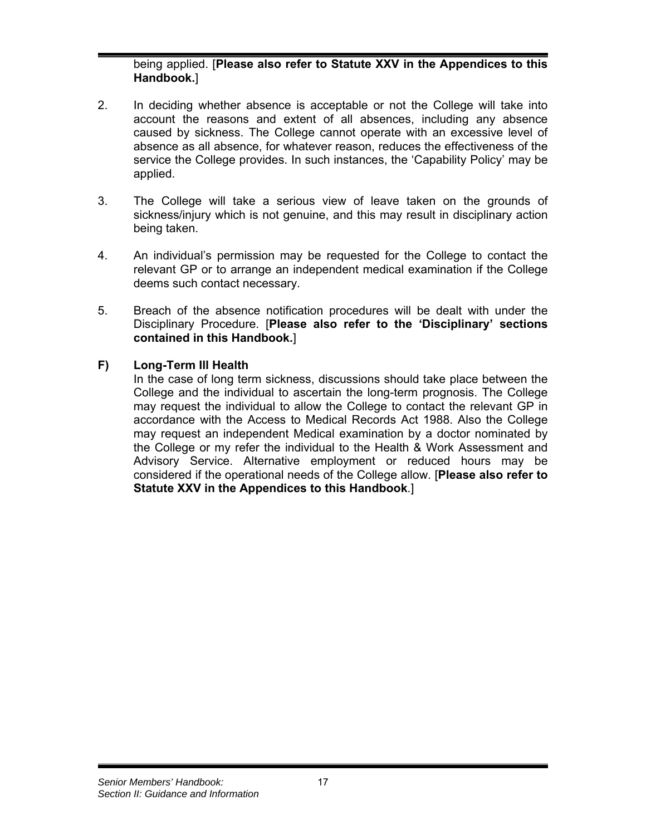## being applied. [**Please also refer to Statute XXV in the Appendices to this Handbook.**]

- 2. In deciding whether absence is acceptable or not the College will take into account the reasons and extent of all absences, including any absence caused by sickness. The College cannot operate with an excessive level of absence as all absence, for whatever reason, reduces the effectiveness of the service the College provides. In such instances, the 'Capability Policy' may be applied.
- 3. The College will take a serious view of leave taken on the grounds of sickness/injury which is not genuine, and this may result in disciplinary action being taken.
- 4. An individual's permission may be requested for the College to contact the relevant GP or to arrange an independent medical examination if the College deems such contact necessary.
- 5. Breach of the absence notification procedures will be dealt with under the Disciplinary Procedure. [**Please also refer to the 'Disciplinary' sections contained in this Handbook.**]

## **F) Long-Term Ill Health**

In the case of long term sickness, discussions should take place between the College and the individual to ascertain the long-term prognosis. The College may request the individual to allow the College to contact the relevant GP in accordance with the Access to Medical Records Act 1988. Also the College may request an independent Medical examination by a doctor nominated by the College or my refer the individual to the Health & Work Assessment and Advisory Service. Alternative employment or reduced hours may be considered if the operational needs of the College allow. [**Please also refer to Statute XXV in the Appendices to this Handbook**.]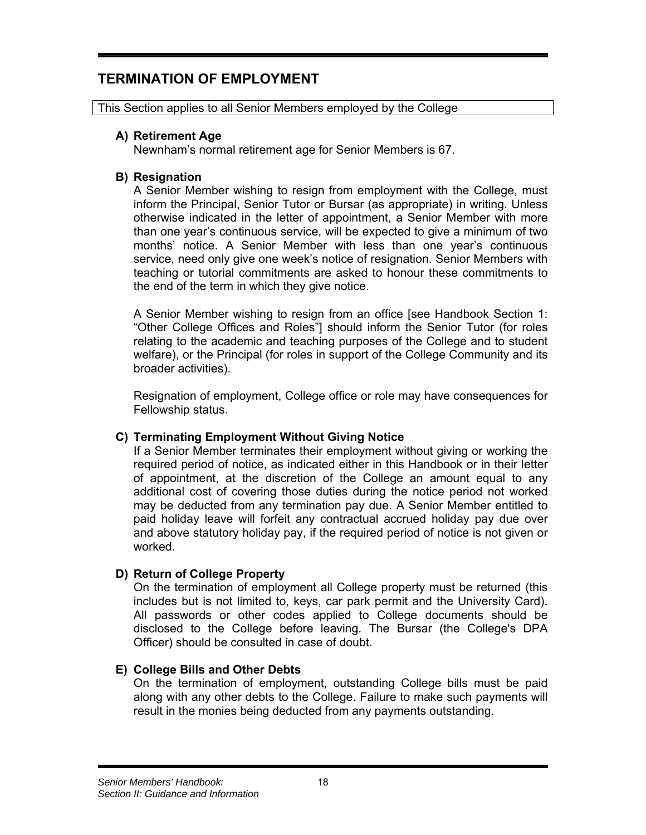# **TERMINATION OF EMPLOYMENT**

This Section applies to all Senior Members employed by the College

#### **A) Retirement Age**

Newnham's normal retirement age for Senior Members is 67.

#### **B) Resignation**

A Senior Member wishing to resign from employment with the College, must inform the Principal, Senior Tutor or Bursar (as appropriate) in writing. Unless otherwise indicated in the letter of appointment, a Senior Member with more than one year's continuous service, will be expected to give a minimum of two months' notice. A Senior Member with less than one year's continuous service, need only give one week's notice of resignation. Senior Members with teaching or tutorial commitments are asked to honour these commitments to the end of the term in which they give notice.

A Senior Member wishing to resign from an office [see Handbook Section 1: "Other College Offices and Roles"] should inform the Senior Tutor (for roles relating to the academic and teaching purposes of the College and to student welfare), or the Principal (for roles in support of the College Community and its broader activities).

Resignation of employment, College office or role may have consequences for Fellowship status.

#### **C) Terminating Employment Without Giving Notice**

If a Senior Member terminates their employment without giving or working the required period of notice, as indicated either in this Handbook or in their letter of appointment, at the discretion of the College an amount equal to any additional cost of covering those duties during the notice period not worked may be deducted from any termination pay due. A Senior Member entitled to paid holiday leave will forfeit any contractual accrued holiday pay due over and above statutory holiday pay, if the required period of notice is not given or worked.

#### **D) Return of College Property**

On the termination of employment all College property must be returned (this includes but is not limited to, keys, car park permit and the University Card). All passwords or other codes applied to College documents should be disclosed to the College before leaving. The Bursar (the College's DPA Officer) should be consulted in case of doubt.

#### **E) College Bills and Other Debts**

On the termination of employment, outstanding College bills must be paid along with any other debts to the College. Failure to make such payments will result in the monies being deducted from any payments outstanding.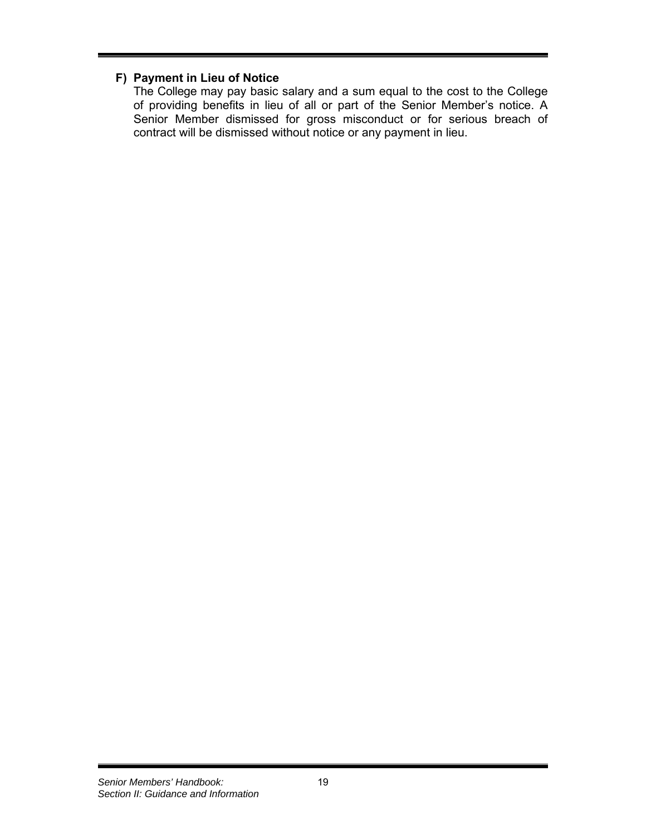## **F) Payment in Lieu of Notice**

The College may pay basic salary and a sum equal to the cost to the College of providing benefits in lieu of all or part of the Senior Member's notice. A Senior Member dismissed for gross misconduct or for serious breach of contract will be dismissed without notice or any payment in lieu.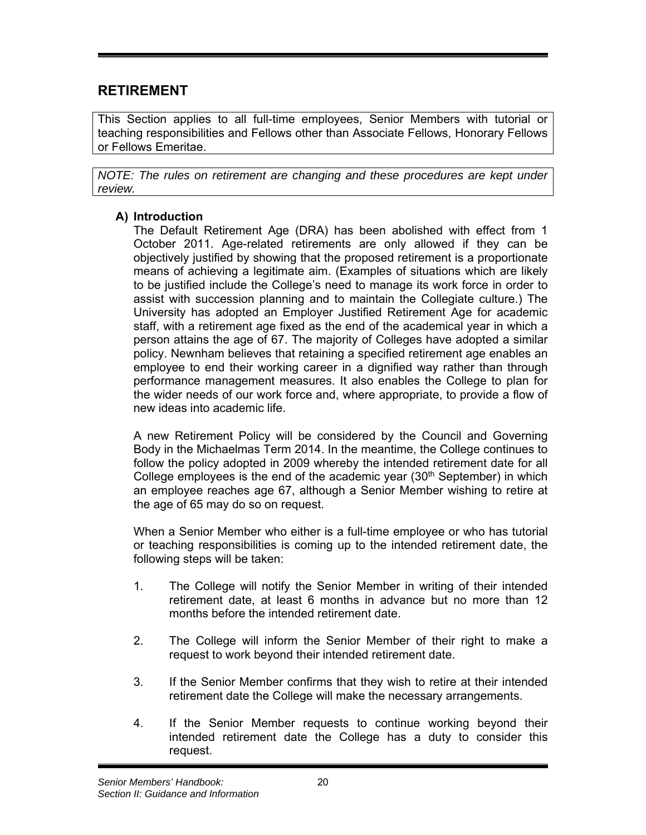# **RETIREMENT**

This Section applies to all full-time employees, Senior Members with tutorial or teaching responsibilities and Fellows other than Associate Fellows, Honorary Fellows or Fellows Emeritae.

*NOTE: The rules on retirement are changing and these procedures are kept under review.* 

## **A) Introduction**

The Default Retirement Age (DRA) has been abolished with effect from 1 October 2011. Age-related retirements are only allowed if they can be objectively justified by showing that the proposed retirement is a proportionate means of achieving a legitimate aim. (Examples of situations which are likely to be justified include the College's need to manage its work force in order to assist with succession planning and to maintain the Collegiate culture.) The University has adopted an Employer Justified Retirement Age for academic staff, with a retirement age fixed as the end of the academical year in which a person attains the age of 67. The majority of Colleges have adopted a similar policy. Newnham believes that retaining a specified retirement age enables an employee to end their working career in a dignified way rather than through performance management measures. It also enables the College to plan for the wider needs of our work force and, where appropriate, to provide a flow of new ideas into academic life.

A new Retirement Policy will be considered by the Council and Governing Body in the Michaelmas Term 2014. In the meantime, the College continues to follow the policy adopted in 2009 whereby the intended retirement date for all College employees is the end of the academic year  $(30<sup>th</sup>$  September) in which an employee reaches age 67, although a Senior Member wishing to retire at the age of 65 may do so on request.

When a Senior Member who either is a full-time employee or who has tutorial or teaching responsibilities is coming up to the intended retirement date, the following steps will be taken:

- 1. The College will notify the Senior Member in writing of their intended retirement date, at least 6 months in advance but no more than 12 months before the intended retirement date.
- 2. The College will inform the Senior Member of their right to make a request to work beyond their intended retirement date.
- 3. If the Senior Member confirms that they wish to retire at their intended retirement date the College will make the necessary arrangements.
- 4. If the Senior Member requests to continue working beyond their intended retirement date the College has a duty to consider this request.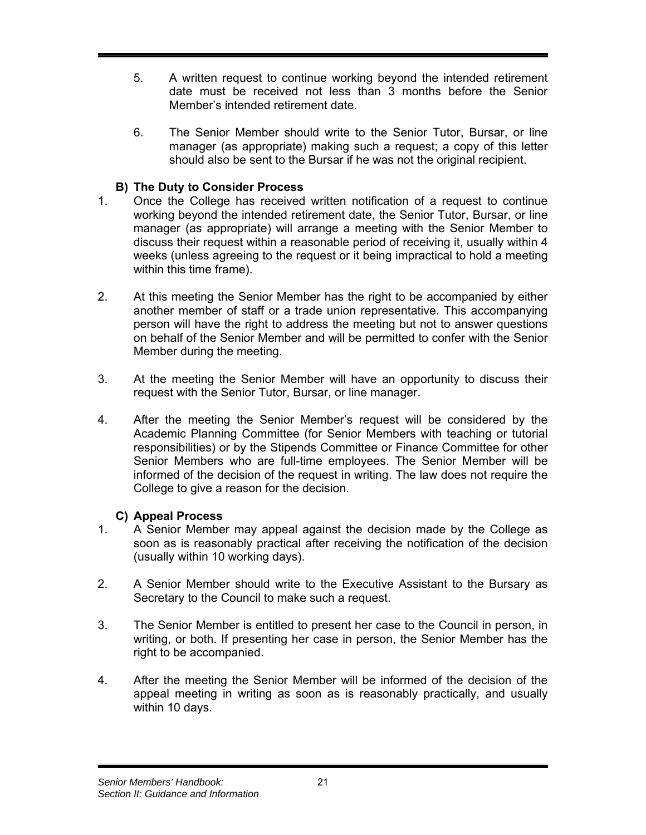- 5. A written request to continue working beyond the intended retirement date must be received not less than 3 months before the Senior Member's intended retirement date.
- 6. The Senior Member should write to the Senior Tutor, Bursar, or line manager (as appropriate) making such a request; a copy of this letter should also be sent to the Bursar if he was not the original recipient.

## **B) The Duty to Consider Process**

- 1. Once the College has received written notification of a request to continue working beyond the intended retirement date, the Senior Tutor, Bursar, or line manager (as appropriate) will arrange a meeting with the Senior Member to discuss their request within a reasonable period of receiving it, usually within 4 weeks (unless agreeing to the request or it being impractical to hold a meeting within this time frame).
- 2. At this meeting the Senior Member has the right to be accompanied by either another member of staff or a trade union representative. This accompanying person will have the right to address the meeting but not to answer questions on behalf of the Senior Member and will be permitted to confer with the Senior Member during the meeting.
- 3. At the meeting the Senior Member will have an opportunity to discuss their request with the Senior Tutor, Bursar, or line manager.
- 4. After the meeting the Senior Member's request will be considered by the Academic Planning Committee (for Senior Members with teaching or tutorial responsibilities) or by the Stipends Committee or Finance Committee for other Senior Members who are full-time employees. The Senior Member will be informed of the decision of the request in writing. The law does not require the College to give a reason for the decision.

## **C) Appeal Process**

- 1. A Senior Member may appeal against the decision made by the College as soon as is reasonably practical after receiving the notification of the decision (usually within 10 working days).
- 2. A Senior Member should write to the Executive Assistant to the Bursary as Secretary to the Council to make such a request.
- 3. The Senior Member is entitled to present her case to the Council in person, in writing, or both. If presenting her case in person, the Senior Member has the right to be accompanied.
- 4. After the meeting the Senior Member will be informed of the decision of the appeal meeting in writing as soon as is reasonably practically, and usually within 10 days.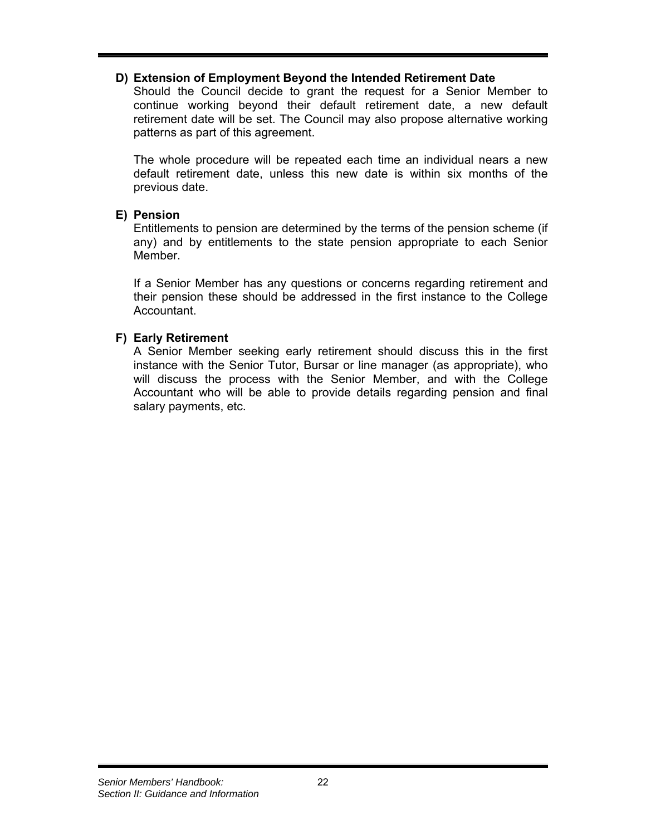#### **D) Extension of Employment Beyond the Intended Retirement Date**

Should the Council decide to grant the request for a Senior Member to continue working beyond their default retirement date, a new default retirement date will be set. The Council may also propose alternative working patterns as part of this agreement.

The whole procedure will be repeated each time an individual nears a new default retirement date, unless this new date is within six months of the previous date.

#### **E) Pension**

Entitlements to pension are determined by the terms of the pension scheme (if any) and by entitlements to the state pension appropriate to each Senior Member.

If a Senior Member has any questions or concerns regarding retirement and their pension these should be addressed in the first instance to the College Accountant.

#### **F) Early Retirement**

A Senior Member seeking early retirement should discuss this in the first instance with the Senior Tutor, Bursar or line manager (as appropriate), who will discuss the process with the Senior Member, and with the College Accountant who will be able to provide details regarding pension and final salary payments, etc.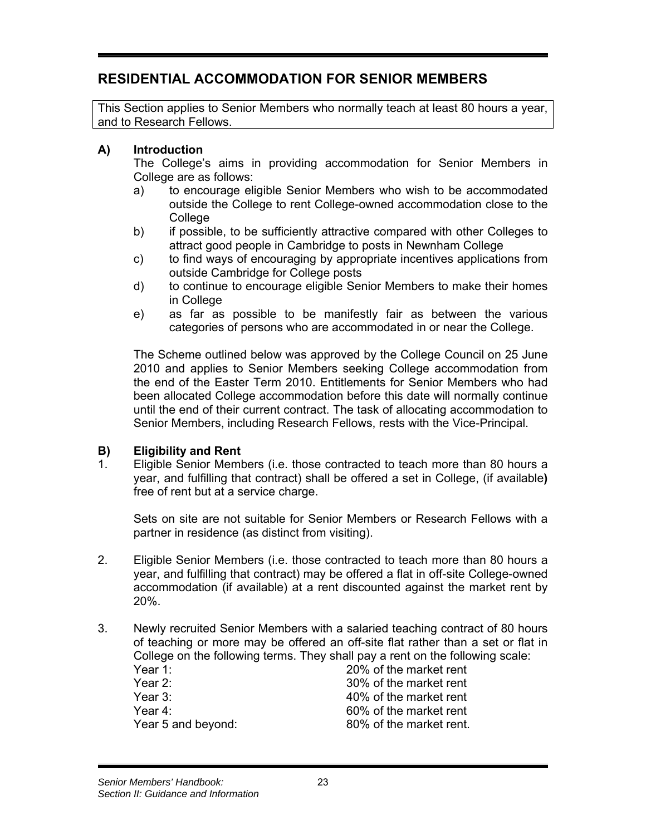# **RESIDENTIAL ACCOMMODATION FOR SENIOR MEMBERS**

This Section applies to Senior Members who normally teach at least 80 hours a year, and to Research Fellows.

#### **A) Introduction**

The College's aims in providing accommodation for Senior Members in College are as follows:

- a) to encourage eligible Senior Members who wish to be accommodated outside the College to rent College-owned accommodation close to the **College**
- b) if possible, to be sufficiently attractive compared with other Colleges to attract good people in Cambridge to posts in Newnham College
- c) to find ways of encouraging by appropriate incentives applications from outside Cambridge for College posts
- d) to continue to encourage eligible Senior Members to make their homes in College
- e) as far as possible to be manifestly fair as between the various categories of persons who are accommodated in or near the College.

The Scheme outlined below was approved by the College Council on 25 June 2010 and applies to Senior Members seeking College accommodation from the end of the Easter Term 2010. Entitlements for Senior Members who had been allocated College accommodation before this date will normally continue until the end of their current contract. The task of allocating accommodation to Senior Members, including Research Fellows, rests with the Vice-Principal.

#### **B) Eligibility and Rent**

1. Eligible Senior Members (i.e. those contracted to teach more than 80 hours a year, and fulfilling that contract) shall be offered a set in College, (if available**)** free of rent but at a service charge.

Sets on site are not suitable for Senior Members or Research Fellows with a partner in residence (as distinct from visiting).

- 2. Eligible Senior Members (i.e. those contracted to teach more than 80 hours a year, and fulfilling that contract) may be offered a flat in off-site College-owned accommodation (if available) at a rent discounted against the market rent by 20%.
- 3. Newly recruited Senior Members with a salaried teaching contract of 80 hours of teaching or more may be offered an off-site flat rather than a set or flat in College on the following terms. They shall pay a rent on the following scale:

| Year 1:            | 20% of the market rent  |
|--------------------|-------------------------|
| Year 2:            | 30% of the market rent  |
| Year 3:            | 40% of the market rent  |
| Year 4:            | 60% of the market rent  |
| Year 5 and beyond: | 80% of the market rent. |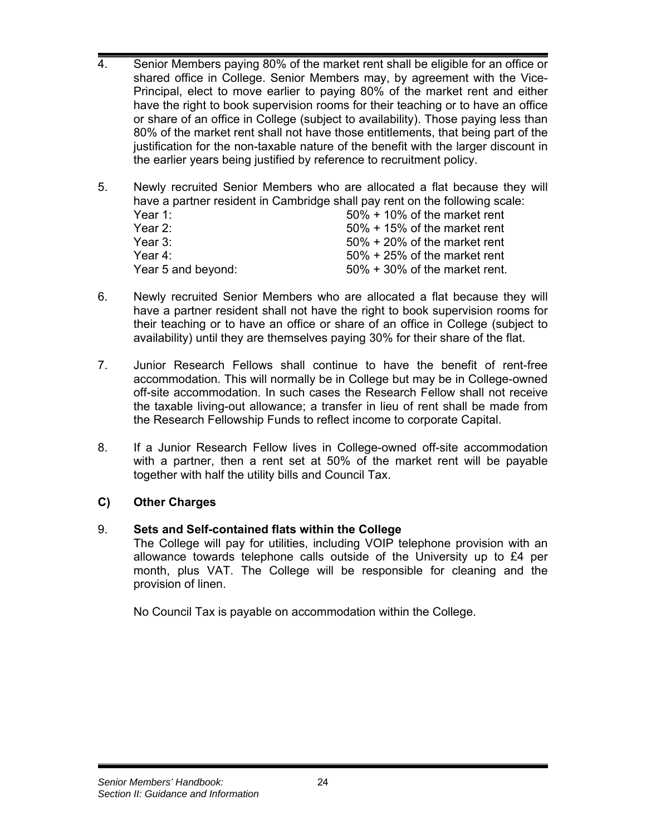- 4. Senior Members paying 80% of the market rent shall be eligible for an office or shared office in College. Senior Members may, by agreement with the Vice-Principal, elect to move earlier to paying 80% of the market rent and either have the right to book supervision rooms for their teaching or to have an office or share of an office in College (subject to availability). Those paying less than 80% of the market rent shall not have those entitlements, that being part of the justification for the non-taxable nature of the benefit with the larger discount in the earlier years being justified by reference to recruitment policy.
- 5. Newly recruited Senior Members who are allocated a flat because they will have a partner resident in Cambridge shall pay rent on the following scale:

| Year 1:            | $50\% + 10\%$ of the market rent  |
|--------------------|-----------------------------------|
|                    |                                   |
| Year 2:            | $50\% + 15\%$ of the market rent  |
| Year 3:            | $50\% + 20\%$ of the market rent  |
| Year 4:            | $50\% + 25\%$ of the market rent  |
| Year 5 and beyond: | $50\% + 30\%$ of the market rent. |

- 6. Newly recruited Senior Members who are allocated a flat because they will have a partner resident shall not have the right to book supervision rooms for their teaching or to have an office or share of an office in College (subject to availability) until they are themselves paying 30% for their share of the flat.
- 7. Junior Research Fellows shall continue to have the benefit of rent-free accommodation. This will normally be in College but may be in College-owned off-site accommodation. In such cases the Research Fellow shall not receive the taxable living-out allowance; a transfer in lieu of rent shall be made from the Research Fellowship Funds to reflect income to corporate Capital.
- 8. If a Junior Research Fellow lives in College-owned off-site accommodation with a partner, then a rent set at 50% of the market rent will be payable together with half the utility bills and Council Tax.

## **C) Other Charges**

## 9. **Sets and Self-contained flats within the College**

The College will pay for utilities, including VOIP telephone provision with an allowance towards telephone calls outside of the University up to £4 per month, plus VAT. The College will be responsible for cleaning and the provision of linen.

No Council Tax is payable on accommodation within the College.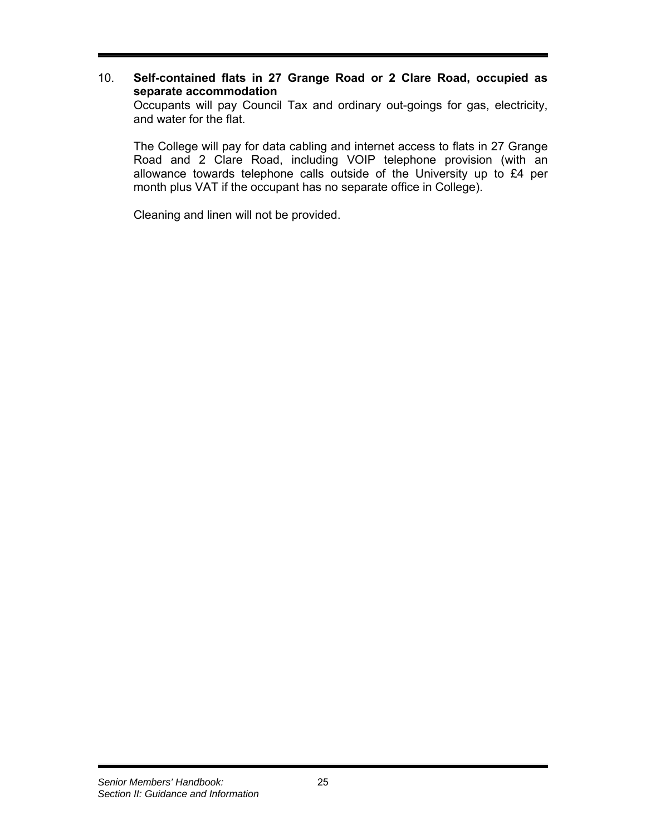### 10. **Self-contained flats in 27 Grange Road or 2 Clare Road, occupied as separate accommodation**

Occupants will pay Council Tax and ordinary out-goings for gas, electricity, and water for the flat.

The College will pay for data cabling and internet access to flats in 27 Grange Road and 2 Clare Road, including VOIP telephone provision (with an allowance towards telephone calls outside of the University up to £4 per month plus VAT if the occupant has no separate office in College).

Cleaning and linen will not be provided.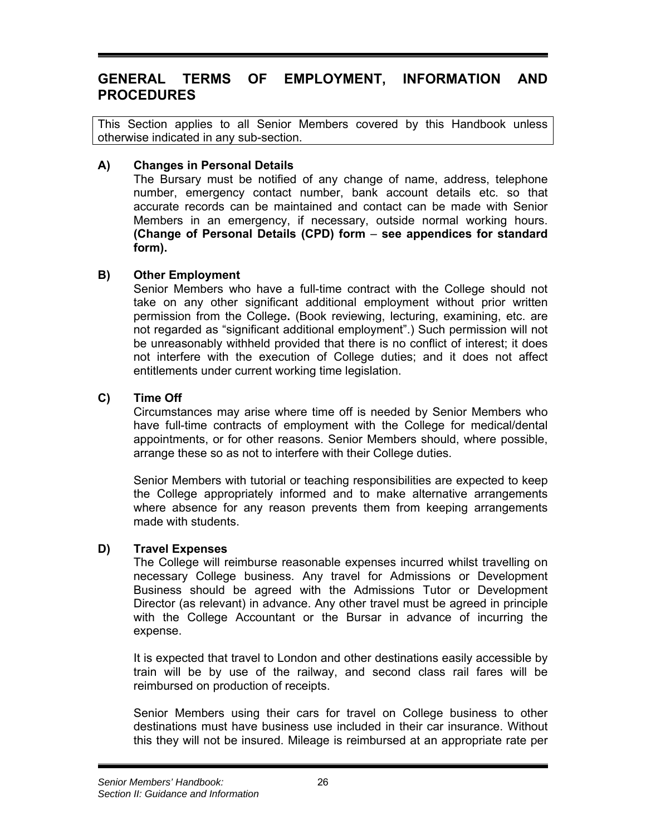## **GENERAL TERMS OF EMPLOYMENT, INFORMATION AND PROCEDURES**

This Section applies to all Senior Members covered by this Handbook unless otherwise indicated in any sub-section.

### **A) Changes in Personal Details**

The Bursary must be notified of any change of name, address, telephone number, emergency contact number, bank account details etc. so that accurate records can be maintained and contact can be made with Senior Members in an emergency, if necessary, outside normal working hours. **(Change of Personal Details (CPD) form** – **see appendices for standard form).**

### **B) Other Employment**

Senior Members who have a full-time contract with the College should not take on any other significant additional employment without prior written permission from the College**.** (Book reviewing, lecturing, examining, etc. are not regarded as "significant additional employment".) Such permission will not be unreasonably withheld provided that there is no conflict of interest; it does not interfere with the execution of College duties; and it does not affect entitlements under current working time legislation.

### **C) Time Off**

Circumstances may arise where time off is needed by Senior Members who have full-time contracts of employment with the College for medical/dental appointments, or for other reasons. Senior Members should, where possible, arrange these so as not to interfere with their College duties.

Senior Members with tutorial or teaching responsibilities are expected to keep the College appropriately informed and to make alternative arrangements where absence for any reason prevents them from keeping arrangements made with students.

### **D) Travel Expenses**

The College will reimburse reasonable expenses incurred whilst travelling on necessary College business. Any travel for Admissions or Development Business should be agreed with the Admissions Tutor or Development Director (as relevant) in advance. Any other travel must be agreed in principle with the College Accountant or the Bursar in advance of incurring the expense.

It is expected that travel to London and other destinations easily accessible by train will be by use of the railway, and second class rail fares will be reimbursed on production of receipts.

Senior Members using their cars for travel on College business to other destinations must have business use included in their car insurance. Without this they will not be insured. Mileage is reimbursed at an appropriate rate per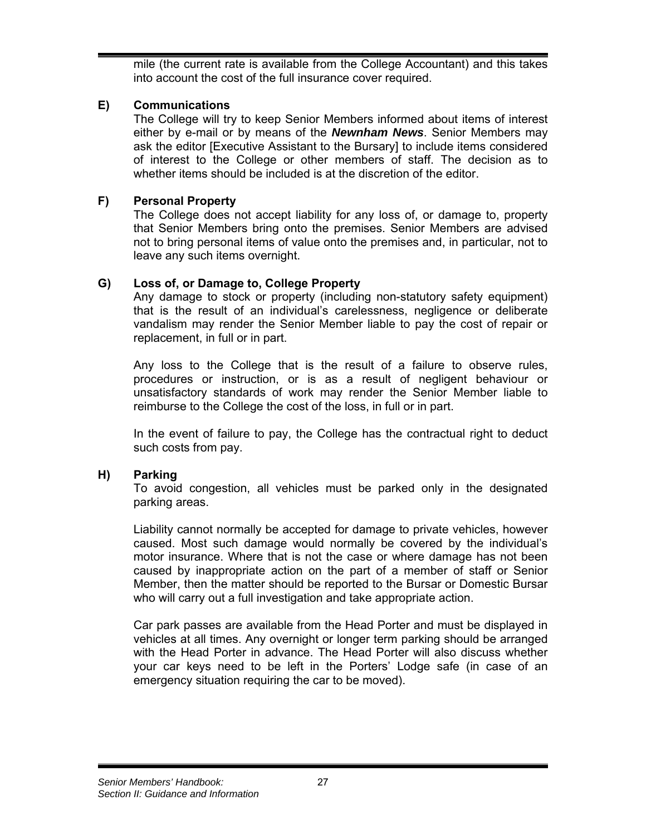mile (the current rate is available from the College Accountant) and this takes into account the cost of the full insurance cover required.

## **E) Communications**

The College will try to keep Senior Members informed about items of interest either by e-mail or by means of the *Newnham News*. Senior Members may ask the editor [Executive Assistant to the Bursary] to include items considered of interest to the College or other members of staff. The decision as to whether items should be included is at the discretion of the editor.

## **F) Personal Property**

The College does not accept liability for any loss of, or damage to, property that Senior Members bring onto the premises. Senior Members are advised not to bring personal items of value onto the premises and, in particular, not to leave any such items overnight.

## **G) Loss of, or Damage to, College Property**

Any damage to stock or property (including non-statutory safety equipment) that is the result of an individual's carelessness, negligence or deliberate vandalism may render the Senior Member liable to pay the cost of repair or replacement, in full or in part.

Any loss to the College that is the result of a failure to observe rules, procedures or instruction, or is as a result of negligent behaviour or unsatisfactory standards of work may render the Senior Member liable to reimburse to the College the cost of the loss, in full or in part.

In the event of failure to pay, the College has the contractual right to deduct such costs from pay.

### **H) Parking**

To avoid congestion, all vehicles must be parked only in the designated parking areas.

Liability cannot normally be accepted for damage to private vehicles, however caused. Most such damage would normally be covered by the individual's motor insurance. Where that is not the case or where damage has not been caused by inappropriate action on the part of a member of staff or Senior Member, then the matter should be reported to the Bursar or Domestic Bursar who will carry out a full investigation and take appropriate action.

Car park passes are available from the Head Porter and must be displayed in vehicles at all times. Any overnight or longer term parking should be arranged with the Head Porter in advance. The Head Porter will also discuss whether your car keys need to be left in the Porters' Lodge safe (in case of an emergency situation requiring the car to be moved).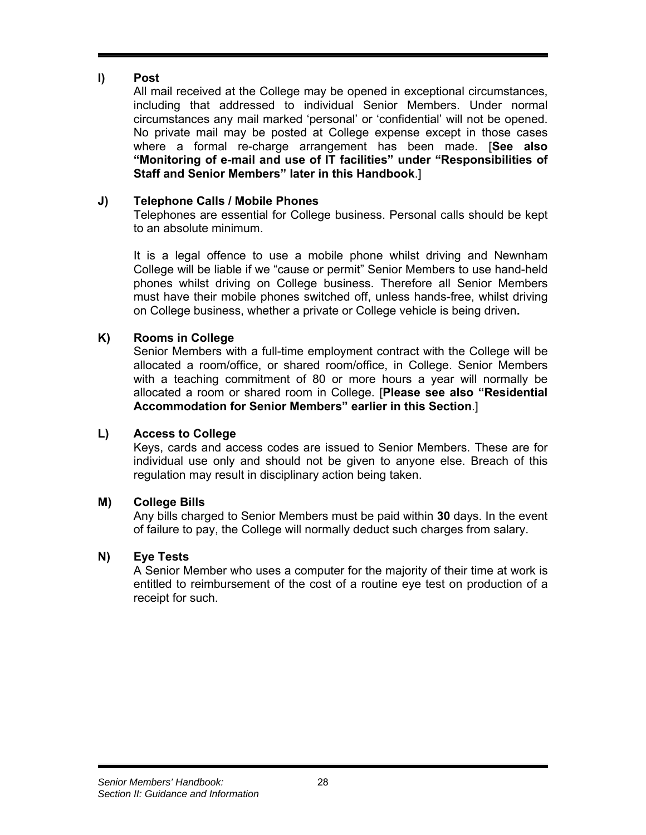## **I) Post**

All mail received at the College may be opened in exceptional circumstances, including that addressed to individual Senior Members. Under normal circumstances any mail marked 'personal' or 'confidential' will not be opened. No private mail may be posted at College expense except in those cases where a formal re-charge arrangement has been made. [**See also "Monitoring of e-mail and use of IT facilities" under "Responsibilities of Staff and Senior Members" later in this Handbook**.]

## **J) Telephone Calls / Mobile Phones**

Telephones are essential for College business. Personal calls should be kept to an absolute minimum.

It is a legal offence to use a mobile phone whilst driving and Newnham College will be liable if we "cause or permit" Senior Members to use hand-held phones whilst driving on College business. Therefore all Senior Members must have their mobile phones switched off, unless hands-free, whilst driving on College business, whether a private or College vehicle is being driven**.**

### **K) Rooms in College**

Senior Members with a full-time employment contract with the College will be allocated a room/office, or shared room/office, in College. Senior Members with a teaching commitment of 80 or more hours a year will normally be allocated a room or shared room in College. [**Please see also "Residential Accommodation for Senior Members" earlier in this Section**.]

### **L) Access to College**

Keys, cards and access codes are issued to Senior Members. These are for individual use only and should not be given to anyone else. Breach of this regulation may result in disciplinary action being taken.

## **M) College Bills**

Any bills charged to Senior Members must be paid within **30** days. In the event of failure to pay, the College will normally deduct such charges from salary.

## **N) Eye Tests**

A Senior Member who uses a computer for the majority of their time at work is entitled to reimbursement of the cost of a routine eye test on production of a receipt for such.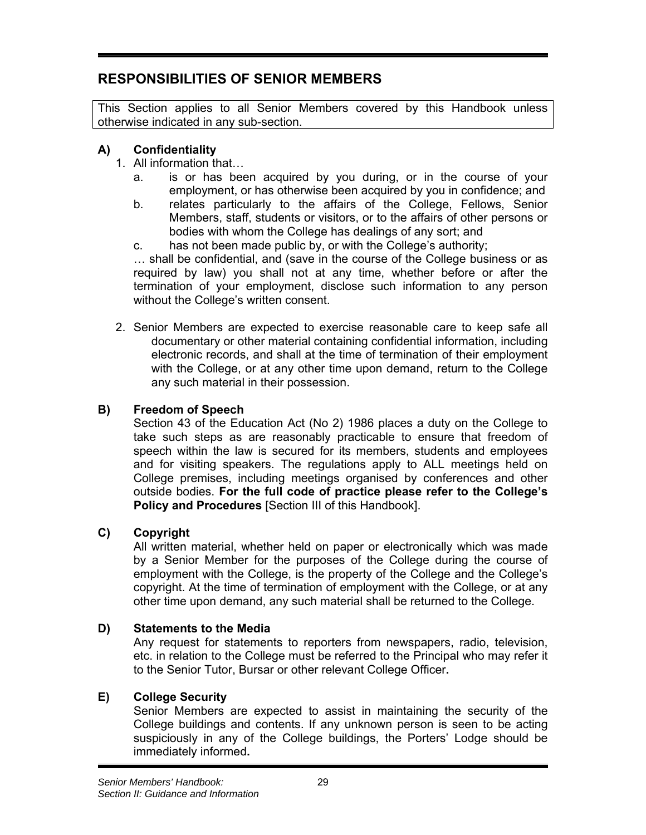## **RESPONSIBILITIES OF SENIOR MEMBERS**

This Section applies to all Senior Members covered by this Handbook unless otherwise indicated in any sub-section.

## **A) Confidentiality**

- 1. All information that…
	- a. is or has been acquired by you during, or in the course of your employment, or has otherwise been acquired by you in confidence; and
	- b. relates particularly to the affairs of the College, Fellows, Senior Members, staff, students or visitors, or to the affairs of other persons or bodies with whom the College has dealings of any sort; and
	- c. has not been made public by, or with the College's authority;

… shall be confidential, and (save in the course of the College business or as required by law) you shall not at any time, whether before or after the termination of your employment, disclose such information to any person without the College's written consent.

2. Senior Members are expected to exercise reasonable care to keep safe all documentary or other material containing confidential information, including electronic records, and shall at the time of termination of their employment with the College, or at any other time upon demand, return to the College any such material in their possession.

## **B) Freedom of Speech**

Section 43 of the Education Act (No 2) 1986 places a duty on the College to take such steps as are reasonably practicable to ensure that freedom of speech within the law is secured for its members, students and employees and for visiting speakers. The regulations apply to ALL meetings held on College premises, including meetings organised by conferences and other outside bodies. **For the full code of practice please refer to the College's Policy and Procedures** [Section III of this Handbook].

## **C) Copyright**

All written material, whether held on paper or electronically which was made by a Senior Member for the purposes of the College during the course of employment with the College, is the property of the College and the College's copyright. At the time of termination of employment with the College, or at any other time upon demand, any such material shall be returned to the College.

## **D) Statements to the Media**

Any request for statements to reporters from newspapers, radio, television, etc. in relation to the College must be referred to the Principal who may refer it to the Senior Tutor, Bursar or other relevant College Officer**.** 

## **E) College Security**

Senior Members are expected to assist in maintaining the security of the College buildings and contents. If any unknown person is seen to be acting suspiciously in any of the College buildings, the Porters' Lodge should be immediately informed**.**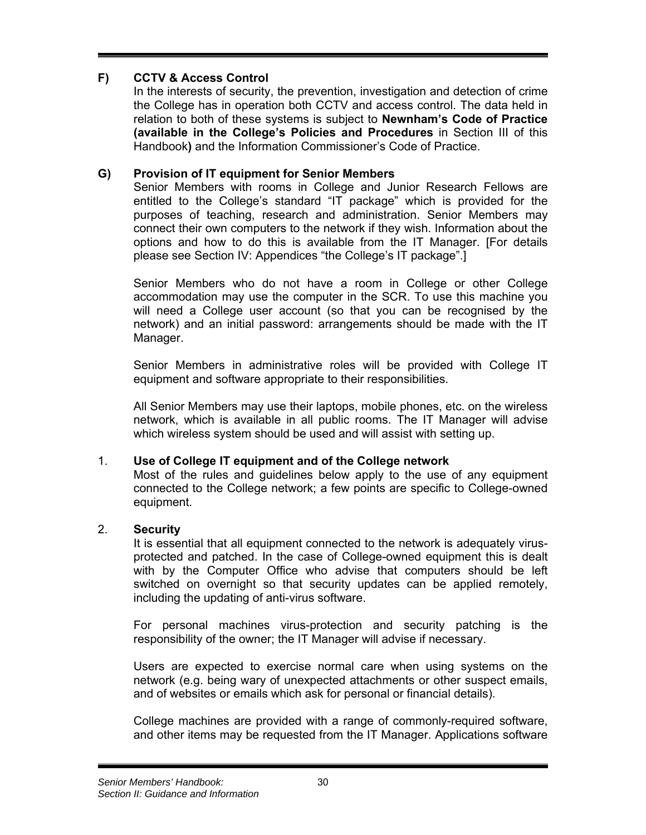## **F) CCTV & Access Control**

In the interests of security, the prevention, investigation and detection of crime the College has in operation both CCTV and access control. The data held in relation to both of these systems is subject to **Newnham's Code of Practice (available in the College's Policies and Procedures** in Section III of this Handbook**)** and the Information Commissioner's Code of Practice.

## **G) Provision of IT equipment for Senior Members**

Senior Members with rooms in College and Junior Research Fellows are entitled to the College's standard "IT package" which is provided for the purposes of teaching, research and administration. Senior Members may connect their own computers to the network if they wish. Information about the options and how to do this is available from the IT Manager. [For details please see Section IV: Appendices "the College's IT package".]

Senior Members who do not have a room in College or other College accommodation may use the computer in the SCR. To use this machine you will need a College user account (so that you can be recognised by the network) and an initial password: arrangements should be made with the IT Manager.

Senior Members in administrative roles will be provided with College IT equipment and software appropriate to their responsibilities.

All Senior Members may use their laptops, mobile phones, etc. on the wireless network, which is available in all public rooms. The IT Manager will advise which wireless system should be used and will assist with setting up.

### 1. **Use of College IT equipment and of the College network**

Most of the rules and guidelines below apply to the use of any equipment connected to the College network; a few points are specific to College-owned equipment.

### 2. **Security**

It is essential that all equipment connected to the network is adequately virusprotected and patched. In the case of College-owned equipment this is dealt with by the Computer Office who advise that computers should be left switched on overnight so that security updates can be applied remotely, including the updating of anti-virus software.

For personal machines virus-protection and security patching is the responsibility of the owner; the IT Manager will advise if necessary.

Users are expected to exercise normal care when using systems on the network (e.g. being wary of unexpected attachments or other suspect emails, and of websites or emails which ask for personal or financial details).

College machines are provided with a range of commonly-required software, and other items may be requested from the IT Manager. Applications software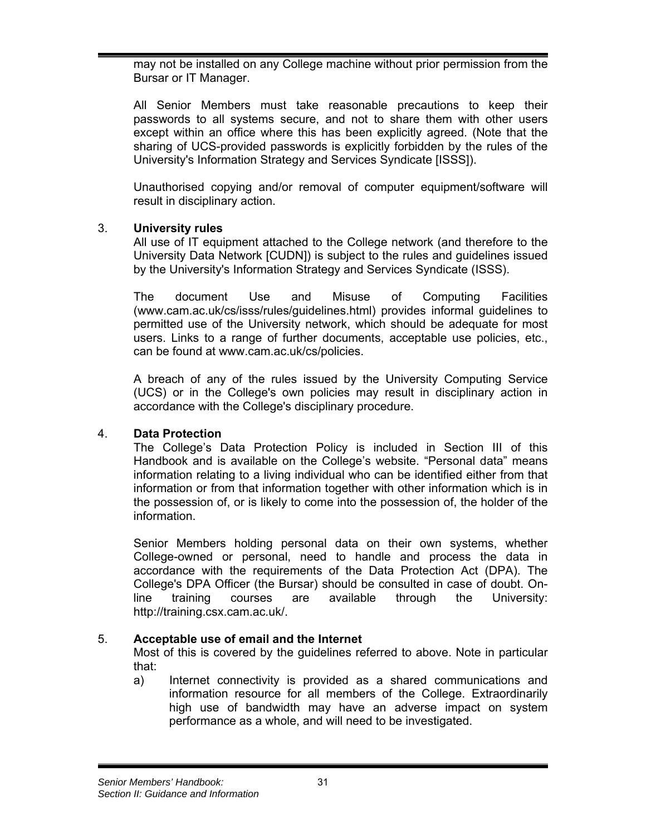may not be installed on any College machine without prior permission from the Bursar or IT Manager.

All Senior Members must take reasonable precautions to keep their passwords to all systems secure, and not to share them with other users except within an office where this has been explicitly agreed. (Note that the sharing of UCS-provided passwords is explicitly forbidden by the rules of the University's Information Strategy and Services Syndicate [ISSS]).

Unauthorised copying and/or removal of computer equipment/software will result in disciplinary action.

### 3. **University rules**

All use of IT equipment attached to the College network (and therefore to the University Data Network [CUDN]) is subject to the rules and guidelines issued by the University's Information Strategy and Services Syndicate (ISSS).

The document Use and Misuse of Computing Facilities (www.cam.ac.uk/cs/isss/rules/guidelines.html) provides informal guidelines to permitted use of the University network, which should be adequate for most users. Links to a range of further documents, acceptable use policies, etc., can be found at www.cam.ac.uk/cs/policies.

A breach of any of the rules issued by the University Computing Service (UCS) or in the College's own policies may result in disciplinary action in accordance with the College's disciplinary procedure.

### 4. **Data Protection**

The College's Data Protection Policy is included in Section III of this Handbook and is available on the College's website. "Personal data" means information relating to a living individual who can be identified either from that information or from that information together with other information which is in the possession of, or is likely to come into the possession of, the holder of the information.

Senior Members holding personal data on their own systems, whether College-owned or personal, need to handle and process the data in accordance with the requirements of the Data Protection Act (DPA). The College's DPA Officer (the Bursar) should be consulted in case of doubt. Online training courses are available through the University: http://training.csx.cam.ac.uk/.

### 5. **Acceptable use of email and the Internet**

Most of this is covered by the guidelines referred to above. Note in particular that:

a) Internet connectivity is provided as a shared communications and information resource for all members of the College. Extraordinarily high use of bandwidth may have an adverse impact on system performance as a whole, and will need to be investigated.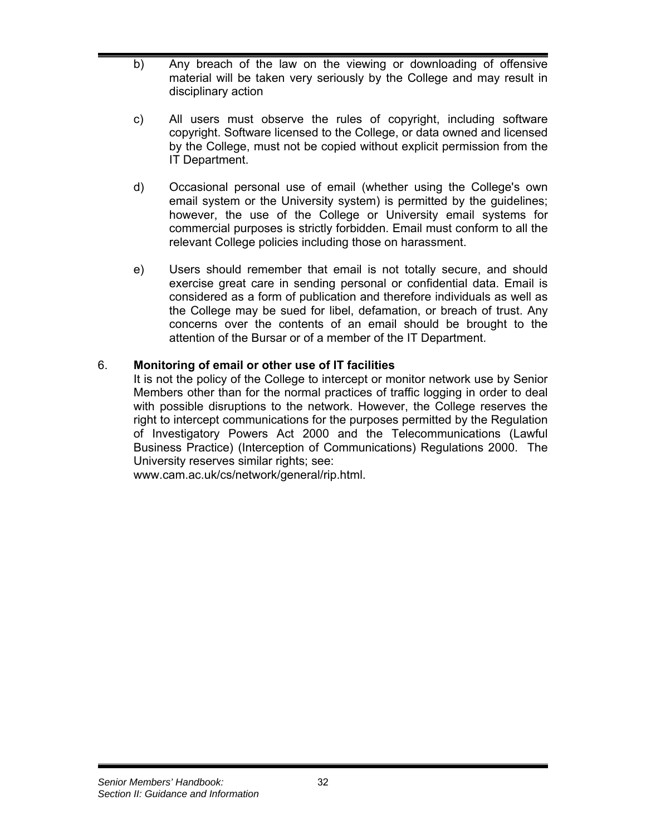- b) Any breach of the law on the viewing or downloading of offensive material will be taken very seriously by the College and may result in disciplinary action
- c) All users must observe the rules of copyright, including software copyright. Software licensed to the College, or data owned and licensed by the College, must not be copied without explicit permission from the IT Department.
- d) Occasional personal use of email (whether using the College's own email system or the University system) is permitted by the guidelines; however, the use of the College or University email systems for commercial purposes is strictly forbidden. Email must conform to all the relevant College policies including those on harassment.
- e) Users should remember that email is not totally secure, and should exercise great care in sending personal or confidential data. Email is considered as a form of publication and therefore individuals as well as the College may be sued for libel, defamation, or breach of trust. Any concerns over the contents of an email should be brought to the attention of the Bursar or of a member of the IT Department.

### 6. **Monitoring of email or other use of IT facilities**

It is not the policy of the College to intercept or monitor network use by Senior Members other than for the normal practices of traffic logging in order to deal with possible disruptions to the network. However, the College reserves the right to intercept communications for the purposes permitted by the Regulation of Investigatory Powers Act 2000 and the Telecommunications (Lawful Business Practice) (Interception of Communications) Regulations 2000. The University reserves similar rights; see:

www.cam.ac.uk/cs/network/general/rip.html.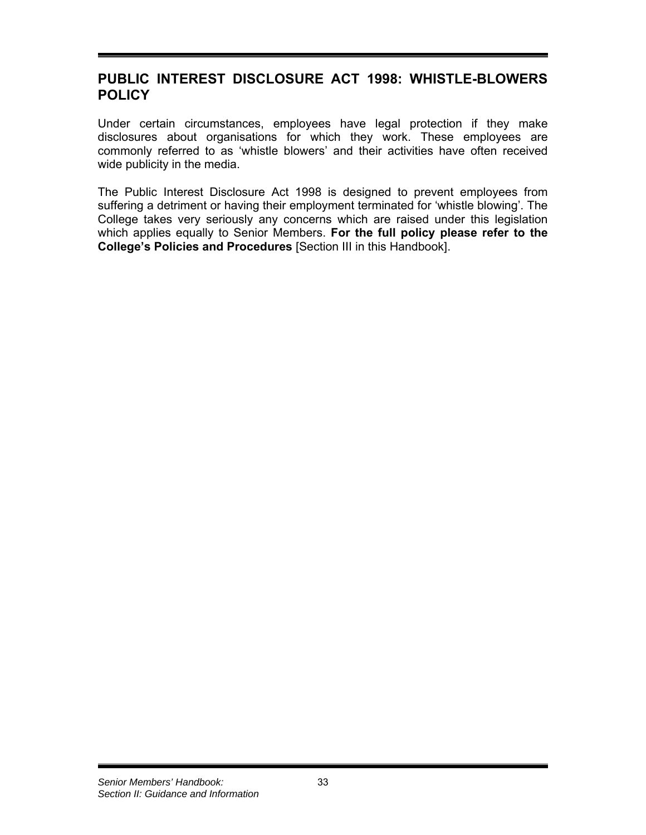## **PUBLIC INTEREST DISCLOSURE ACT 1998: WHISTLE-BLOWERS POLICY**

Under certain circumstances, employees have legal protection if they make disclosures about organisations for which they work. These employees are commonly referred to as 'whistle blowers' and their activities have often received wide publicity in the media.

The Public Interest Disclosure Act 1998 is designed to prevent employees from suffering a detriment or having their employment terminated for 'whistle blowing'. The College takes very seriously any concerns which are raised under this legislation which applies equally to Senior Members. **For the full policy please refer to the College's Policies and Procedures** [Section III in this Handbook].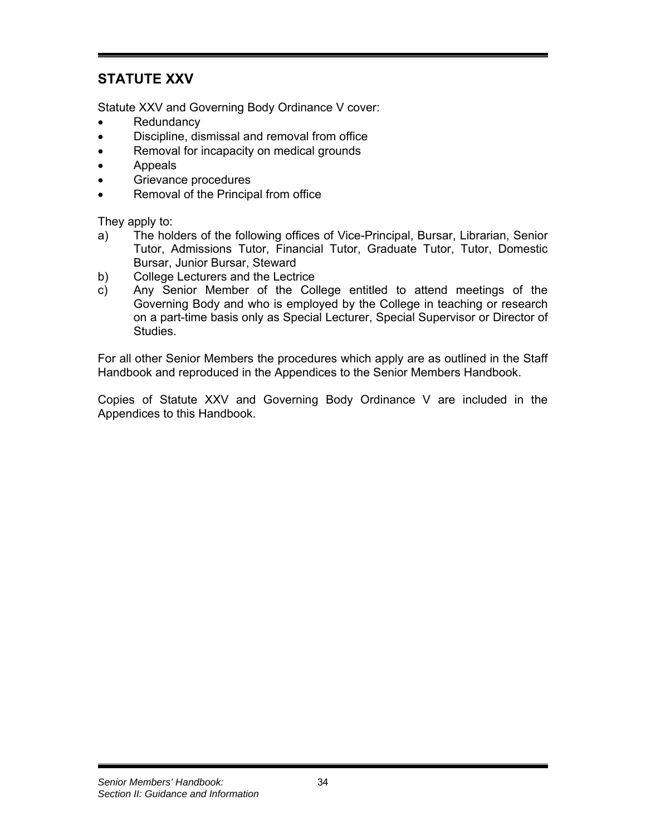## **STATUTE XXV**

Statute XXV and Governing Body Ordinance V cover:

- **Redundancy**
- Discipline, dismissal and removal from office
- Removal for incapacity on medical grounds
- Appeals
- Grievance procedures
- Removal of the Principal from office

They apply to:

- a) The holders of the following offices of Vice-Principal, Bursar, Librarian, Senior Tutor, Admissions Tutor, Financial Tutor, Graduate Tutor, Tutor, Domestic Bursar, Junior Bursar, Steward
- b) College Lecturers and the Lectrice
- c) Any Senior Member of the College entitled to attend meetings of the Governing Body and who is employed by the College in teaching or research on a part-time basis only as Special Lecturer, Special Supervisor or Director of Studies.

For all other Senior Members the procedures which apply are as outlined in the Staff Handbook and reproduced in the Appendices to the Senior Members Handbook.

Copies of Statute XXV and Governing Body Ordinance V are included in the Appendices to this Handbook.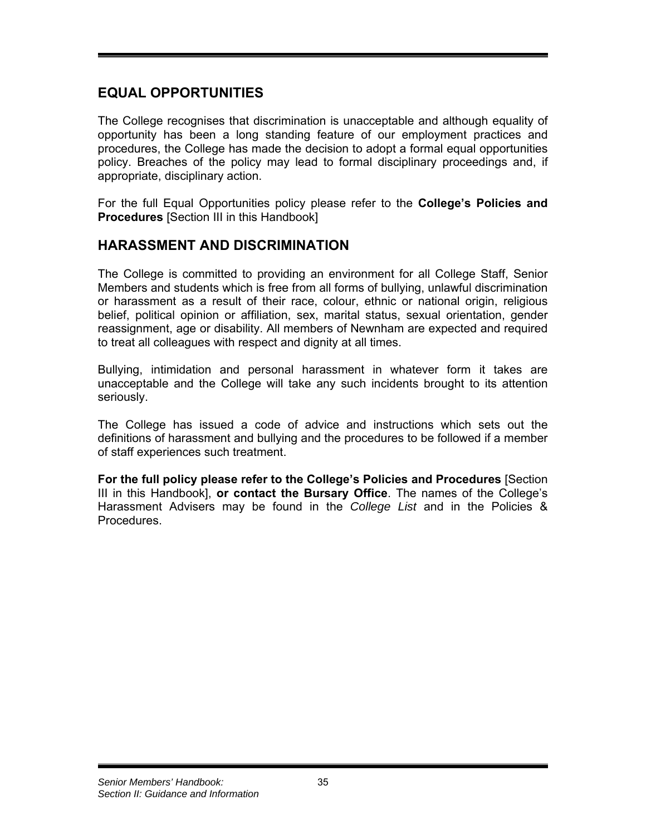## **EQUAL OPPORTUNITIES**

The College recognises that discrimination is unacceptable and although equality of opportunity has been a long standing feature of our employment practices and procedures, the College has made the decision to adopt a formal equal opportunities policy. Breaches of the policy may lead to formal disciplinary proceedings and, if appropriate, disciplinary action.

For the full Equal Opportunities policy please refer to the **College's Policies and Procedures** [Section III in this Handbook]

## **HARASSMENT AND DISCRIMINATION**

The College is committed to providing an environment for all College Staff, Senior Members and students which is free from all forms of bullying, unlawful discrimination or harassment as a result of their race, colour, ethnic or national origin, religious belief, political opinion or affiliation, sex, marital status, sexual orientation, gender reassignment, age or disability. All members of Newnham are expected and required to treat all colleagues with respect and dignity at all times.

Bullying, intimidation and personal harassment in whatever form it takes are unacceptable and the College will take any such incidents brought to its attention seriously.

The College has issued a code of advice and instructions which sets out the definitions of harassment and bullying and the procedures to be followed if a member of staff experiences such treatment.

**For the full policy please refer to the College's Policies and Procedures** [Section III in this Handbook], **or contact the Bursary Office**. The names of the College's Harassment Advisers may be found in the *College List* and in the Policies & **Procedures**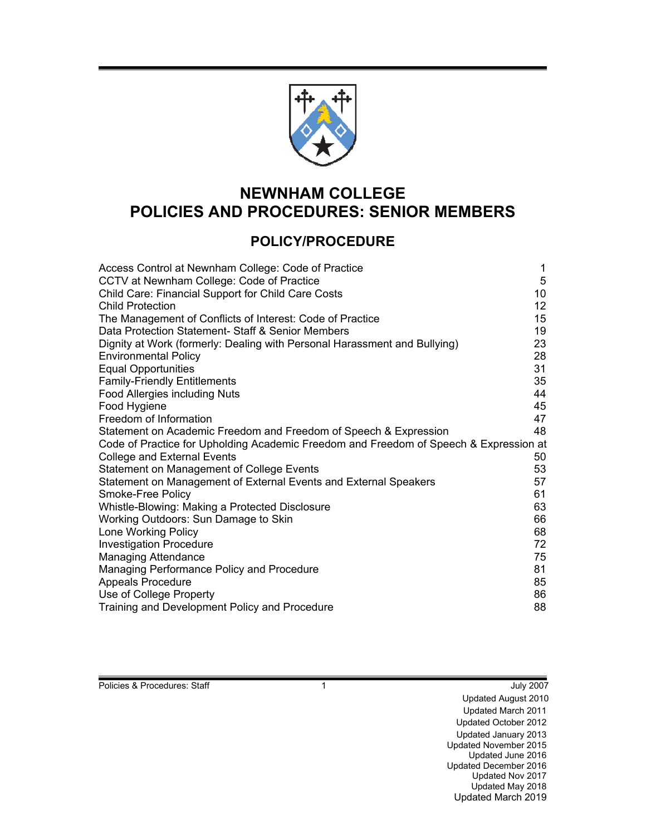

# **NEWNHAM COLLEGE POLICIES AND PROCEDURES: SENIOR MEMBERS**

## **POLICY/PROCEDURE**

| Access Control at Newnham College: Code of Practice                                   | 1               |
|---------------------------------------------------------------------------------------|-----------------|
| CCTV at Newnham College: Code of Practice                                             | 5               |
| Child Care: Financial Support for Child Care Costs                                    | 10 <sup>°</sup> |
| Child Protection                                                                      | 12 <sub>2</sub> |
| The Management of Conflicts of Interest: Code of Practice                             | 15              |
| Data Protection Statement- Staff & Senior Members                                     | 19              |
| Dignity at Work (formerly: Dealing with Personal Harassment and Bullying)             | 23              |
| <b>Environmental Policy</b>                                                           | 28              |
| <b>Equal Opportunities</b>                                                            | 31              |
| <b>Family-Friendly Entitlements</b>                                                   | 35              |
| Food Allergies including Nuts                                                         | 44              |
| Food Hygiene                                                                          | 45              |
| Freedom of Information                                                                | 47              |
| Statement on Academic Freedom and Freedom of Speech & Expression                      | 48              |
| Code of Practice for Upholding Academic Freedom and Freedom of Speech & Expression at |                 |
| <b>College and External Events</b>                                                    | 50              |
| Statement on Management of College Events                                             | 53              |
| Statement on Management of External Events and External Speakers                      | 57              |
| Smoke-Free Policy                                                                     | 61              |
| Whistle-Blowing: Making a Protected Disclosure                                        | 63              |
| Working Outdoors: Sun Damage to Skin                                                  | 66              |
| Lone Working Policy                                                                   | 68              |
| <b>Investigation Procedure</b>                                                        | 72              |
| <b>Managing Attendance</b>                                                            | 75              |
| Managing Performance Policy and Procedure                                             | 81              |
| <b>Appeals Procedure</b>                                                              | 85              |
| Use of College Property                                                               | 86              |
| Training and Development Policy and Procedure                                         | 88              |
|                                                                                       |                 |

Policies & Procedures: Staff 1 1 and 1 July 2007

Updated August 2010 Updated March 2011 Updated October 2012 Updated January 2013 Updated November 2015 Updated June 2016 Updated December 2016 Updated Nov 2017 Updated May 2018 Updated March 2019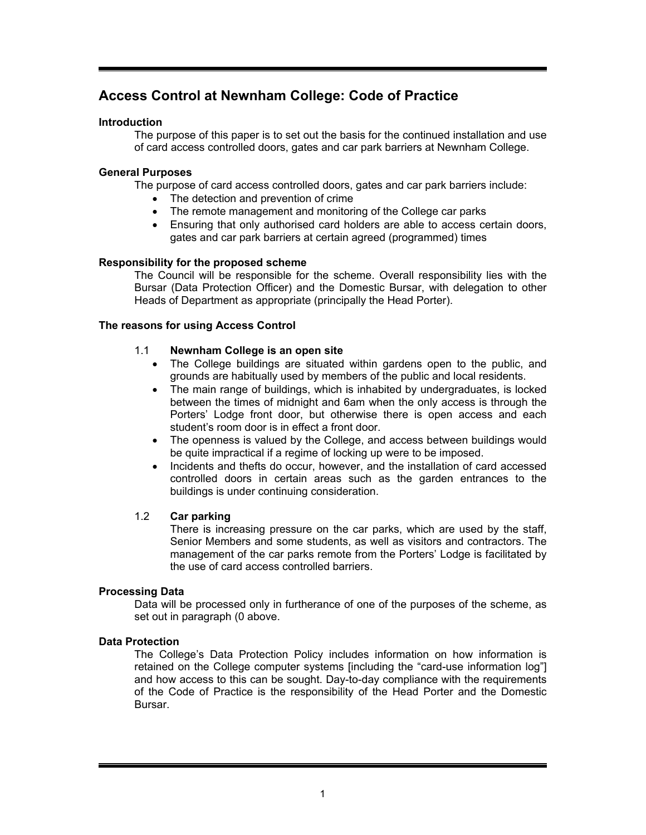## **Access Control at Newnham College: Code of Practice**

### **Introduction**

The purpose of this paper is to set out the basis for the continued installation and use of card access controlled doors, gates and car park barriers at Newnham College.

### **General Purposes**

The purpose of card access controlled doors, gates and car park barriers include:

- The detection and prevention of crime
- The remote management and monitoring of the College car parks
- Ensuring that only authorised card holders are able to access certain doors, gates and car park barriers at certain agreed (programmed) times

### **Responsibility for the proposed scheme**

The Council will be responsible for the scheme. Overall responsibility lies with the Bursar (Data Protection Officer) and the Domestic Bursar, with delegation to other Heads of Department as appropriate (principally the Head Porter).

### **The reasons for using Access Control**

### 1.1 **Newnham College is an open site**

- The College buildings are situated within gardens open to the public, and grounds are habitually used by members of the public and local residents.
- The main range of buildings, which is inhabited by undergraduates, is locked between the times of midnight and 6am when the only access is through the Porters' Lodge front door, but otherwise there is open access and each student's room door is in effect a front door.
- The openness is valued by the College, and access between buildings would be quite impractical if a regime of locking up were to be imposed.
- Incidents and thefts do occur, however, and the installation of card accessed controlled doors in certain areas such as the garden entrances to the buildings is under continuing consideration.

### 1.2 **Car parking**

There is increasing pressure on the car parks, which are used by the staff, Senior Members and some students, as well as visitors and contractors. The management of the car parks remote from the Porters' Lodge is facilitated by the use of card access controlled barriers.

### **Processing Data**

Data will be processed only in furtherance of one of the purposes of the scheme, as set out in paragraph (0 above.

### **Data Protection**

The College's Data Protection Policy includes information on how information is retained on the College computer systems [including the "card-use information log"] and how access to this can be sought. Day-to-day compliance with the requirements of the Code of Practice is the responsibility of the Head Porter and the Domestic Bursar.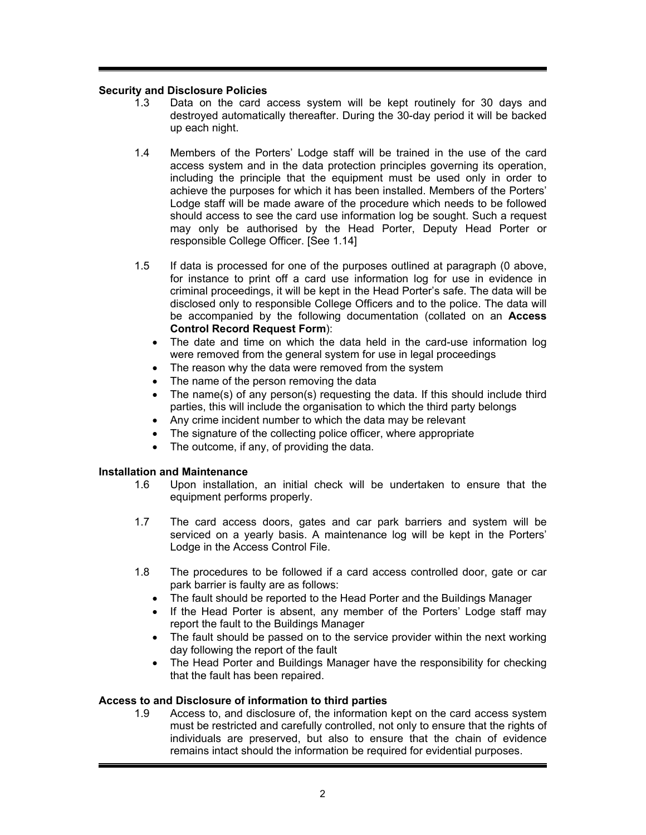### **Security and Disclosure Policies**

- 1.3 Data on the card access system will be kept routinely for 30 days and destroyed automatically thereafter. During the 30-day period it will be backed up each night.
- 1.4 Members of the Porters' Lodge staff will be trained in the use of the card access system and in the data protection principles governing its operation, including the principle that the equipment must be used only in order to achieve the purposes for which it has been installed. Members of the Porters' Lodge staff will be made aware of the procedure which needs to be followed should access to see the card use information log be sought. Such a request may only be authorised by the Head Porter, Deputy Head Porter or responsible College Officer. [See 1.14]
- 1.5 If data is processed for one of the purposes outlined at paragraph (0 above, for instance to print off a card use information log for use in evidence in criminal proceedings, it will be kept in the Head Porter's safe. The data will be disclosed only to responsible College Officers and to the police. The data will be accompanied by the following documentation (collated on an **Access Control Record Request Form**):
	- The date and time on which the data held in the card-use information log were removed from the general system for use in legal proceedings
	- The reason why the data were removed from the system
	- The name of the person removing the data
	- The name(s) of any person(s) requesting the data. If this should include third parties, this will include the organisation to which the third party belongs
	- Any crime incident number to which the data may be relevant
	- The signature of the collecting police officer, where appropriate
	- The outcome, if any, of providing the data.

#### **Installation and Maintenance**

- 1.6 Upon installation, an initial check will be undertaken to ensure that the equipment performs properly.
- 1.7 The card access doors, gates and car park barriers and system will be serviced on a yearly basis. A maintenance log will be kept in the Porters' Lodge in the Access Control File.
- 1.8 The procedures to be followed if a card access controlled door, gate or car park barrier is faulty are as follows:
	- The fault should be reported to the Head Porter and the Buildings Manager
	- If the Head Porter is absent, any member of the Porters' Lodge staff may report the fault to the Buildings Manager
	- The fault should be passed on to the service provider within the next working day following the report of the fault
	- The Head Porter and Buildings Manager have the responsibility for checking that the fault has been repaired.

#### **Access to and Disclosure of information to third parties**

1.9 Access to, and disclosure of, the information kept on the card access system must be restricted and carefully controlled, not only to ensure that the rights of individuals are preserved, but also to ensure that the chain of evidence remains intact should the information be required for evidential purposes.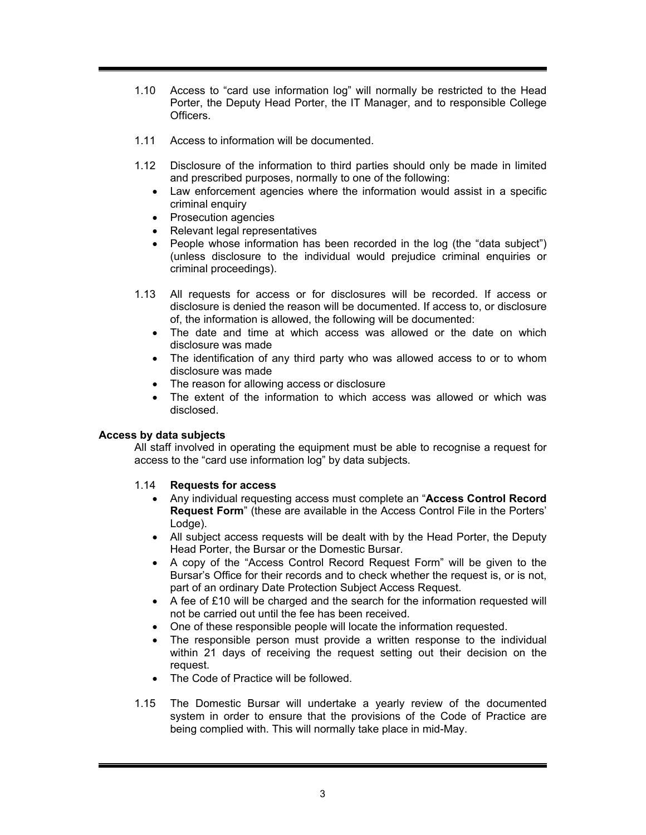- 1.10 Access to "card use information log" will normally be restricted to the Head Porter, the Deputy Head Porter, the IT Manager, and to responsible College Officers.
- 1.11 Access to information will be documented.
- 1.12 Disclosure of the information to third parties should only be made in limited and prescribed purposes, normally to one of the following:
	- Law enforcement agencies where the information would assist in a specific criminal enquiry
	- Prosecution agencies
	- Relevant legal representatives
	- People whose information has been recorded in the log (the "data subject") (unless disclosure to the individual would prejudice criminal enquiries or criminal proceedings).
- 1.13 All requests for access or for disclosures will be recorded. If access or disclosure is denied the reason will be documented. If access to, or disclosure of, the information is allowed, the following will be documented:
	- The date and time at which access was allowed or the date on which disclosure was made
	- The identification of any third party who was allowed access to or to whom disclosure was made
	- The reason for allowing access or disclosure
	- The extent of the information to which access was allowed or which was disclosed.

### **Access by data subjects**

All staff involved in operating the equipment must be able to recognise a request for access to the "card use information log" by data subjects.

### 1.14 **Requests for access**

- Any individual requesting access must complete an "**Access Control Record Request Form**" (these are available in the Access Control File in the Porters' Lodge).
- All subject access requests will be dealt with by the Head Porter, the Deputy Head Porter, the Bursar or the Domestic Bursar.
- A copy of the "Access Control Record Request Form" will be given to the Bursar's Office for their records and to check whether the request is, or is not, part of an ordinary Date Protection Subject Access Request.
- A fee of £10 will be charged and the search for the information requested will not be carried out until the fee has been received.
- One of these responsible people will locate the information requested.
- The responsible person must provide a written response to the individual within 21 days of receiving the request setting out their decision on the request.
- The Code of Practice will be followed.
- 1.15 The Domestic Bursar will undertake a yearly review of the documented system in order to ensure that the provisions of the Code of Practice are being complied with. This will normally take place in mid-May.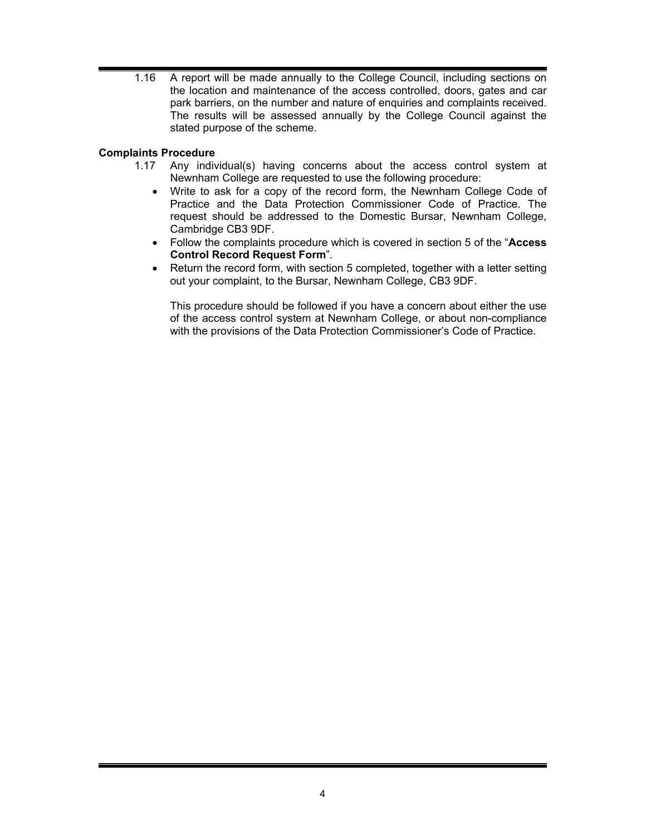1.16 A report will be made annually to the College Council, including sections on the location and maintenance of the access controlled, doors, gates and car park barriers, on the number and nature of enquiries and complaints received. The results will be assessed annually by the College Council against the stated purpose of the scheme.

### **Complaints Procedure**

- 1.17 Any individual(s) having concerns about the access control system at Newnham College are requested to use the following procedure:
	- Write to ask for a copy of the record form, the Newnham College Code of Practice and the Data Protection Commissioner Code of Practice. The request should be addressed to the Domestic Bursar, Newnham College, Cambridge CB3 9DF.
	- Follow the complaints procedure which is covered in section 5 of the "**Access Control Record Request Form**".
	- Return the record form, with section 5 completed, together with a letter setting out your complaint, to the Bursar, Newnham College, CB3 9DF.

This procedure should be followed if you have a concern about either the use of the access control system at Newnham College, or about non-compliance with the provisions of the Data Protection Commissioner's Code of Practice.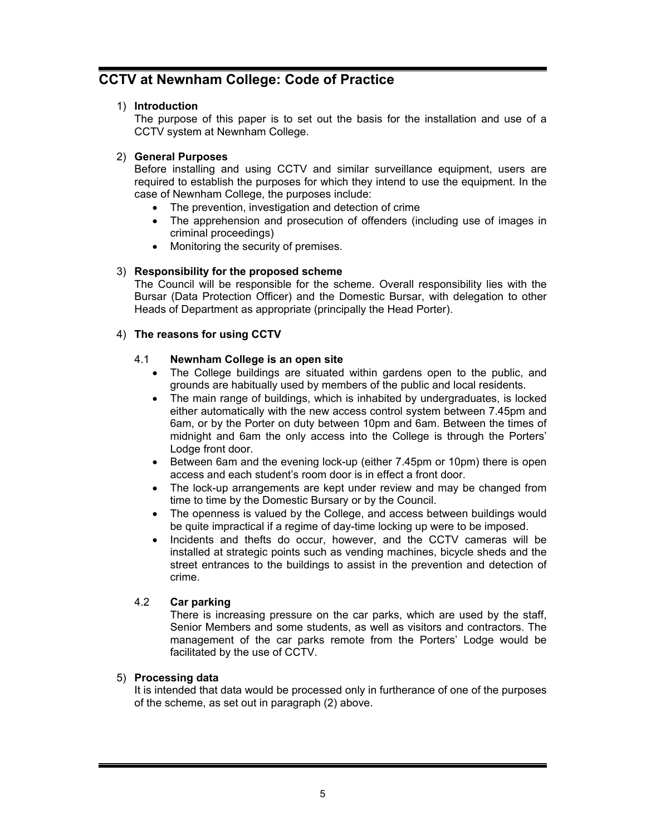## **CCTV at Newnham College: Code of Practice**

### 1) **Introduction**

The purpose of this paper is to set out the basis for the installation and use of a CCTV system at Newnham College.

### 2) **General Purposes**

Before installing and using CCTV and similar surveillance equipment, users are required to establish the purposes for which they intend to use the equipment. In the case of Newnham College, the purposes include:

- The prevention, investigation and detection of crime
- The apprehension and prosecution of offenders (including use of images in criminal proceedings)
- Monitoring the security of premises.

### 3) **Responsibility for the proposed scheme**

The Council will be responsible for the scheme. Overall responsibility lies with the Bursar (Data Protection Officer) and the Domestic Bursar, with delegation to other Heads of Department as appropriate (principally the Head Porter).

### 4) **The reasons for using CCTV**

### 4.1 **Newnham College is an open site**

- The College buildings are situated within gardens open to the public, and grounds are habitually used by members of the public and local residents.
- The main range of buildings, which is inhabited by undergraduates, is locked either automatically with the new access control system between 7.45pm and 6am, or by the Porter on duty between 10pm and 6am. Between the times of midnight and 6am the only access into the College is through the Porters' Lodge front door.
- Between 6am and the evening lock-up (either 7.45pm or 10pm) there is open access and each student's room door is in effect a front door.
- The lock-up arrangements are kept under review and may be changed from time to time by the Domestic Bursary or by the Council.
- The openness is valued by the College, and access between buildings would be quite impractical if a regime of day-time locking up were to be imposed.
- Incidents and thefts do occur, however, and the CCTV cameras will be installed at strategic points such as vending machines, bicycle sheds and the street entrances to the buildings to assist in the prevention and detection of crime.

### 4.2 **Car parking**

There is increasing pressure on the car parks, which are used by the staff, Senior Members and some students, as well as visitors and contractors. The management of the car parks remote from the Porters' Lodge would be facilitated by the use of CCTV.

### 5) **Processing data**

It is intended that data would be processed only in furtherance of one of the purposes of the scheme, as set out in paragraph (2) above.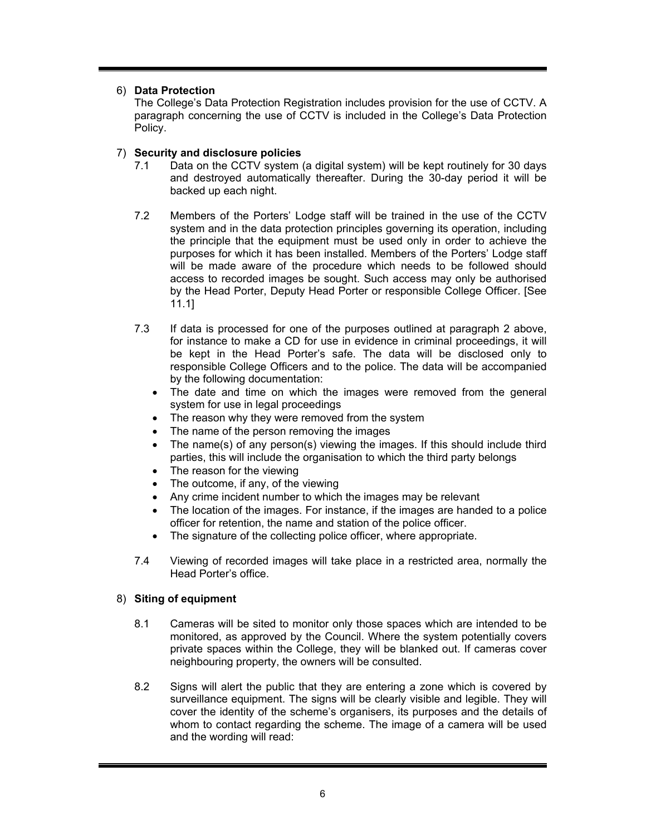### 6) **Data Protection**

The College's Data Protection Registration includes provision for the use of CCTV. A paragraph concerning the use of CCTV is included in the College's Data Protection Policy.

### 7) **Security and disclosure policies**

- 7.1 Data on the CCTV system (a digital system) will be kept routinely for 30 days and destroyed automatically thereafter. During the 30-day period it will be backed up each night.
- 7.2 Members of the Porters' Lodge staff will be trained in the use of the CCTV system and in the data protection principles governing its operation, including the principle that the equipment must be used only in order to achieve the purposes for which it has been installed. Members of the Porters' Lodge staff will be made aware of the procedure which needs to be followed should access to recorded images be sought. Such access may only be authorised by the Head Porter, Deputy Head Porter or responsible College Officer. [See 11.1]
- 7.3 If data is processed for one of the purposes outlined at paragraph 2 above, for instance to make a CD for use in evidence in criminal proceedings, it will be kept in the Head Porter's safe. The data will be disclosed only to responsible College Officers and to the police. The data will be accompanied by the following documentation:
	- The date and time on which the images were removed from the general system for use in legal proceedings
	- The reason why they were removed from the system
	- The name of the person removing the images
	- The name(s) of any person(s) viewing the images. If this should include third parties, this will include the organisation to which the third party belongs
	- The reason for the viewing
	- The outcome, if any, of the viewing
	- Any crime incident number to which the images may be relevant
	- The location of the images. For instance, if the images are handed to a police officer for retention, the name and station of the police officer.
	- The signature of the collecting police officer, where appropriate.
- 7.4 Viewing of recorded images will take place in a restricted area, normally the Head Porter's office.

### 8) **Siting of equipment**

- 8.1 Cameras will be sited to monitor only those spaces which are intended to be monitored, as approved by the Council. Where the system potentially covers private spaces within the College, they will be blanked out. If cameras cover neighbouring property, the owners will be consulted.
- 8.2 Signs will alert the public that they are entering a zone which is covered by surveillance equipment. The signs will be clearly visible and legible. They will cover the identity of the scheme's organisers, its purposes and the details of whom to contact regarding the scheme. The image of a camera will be used and the wording will read: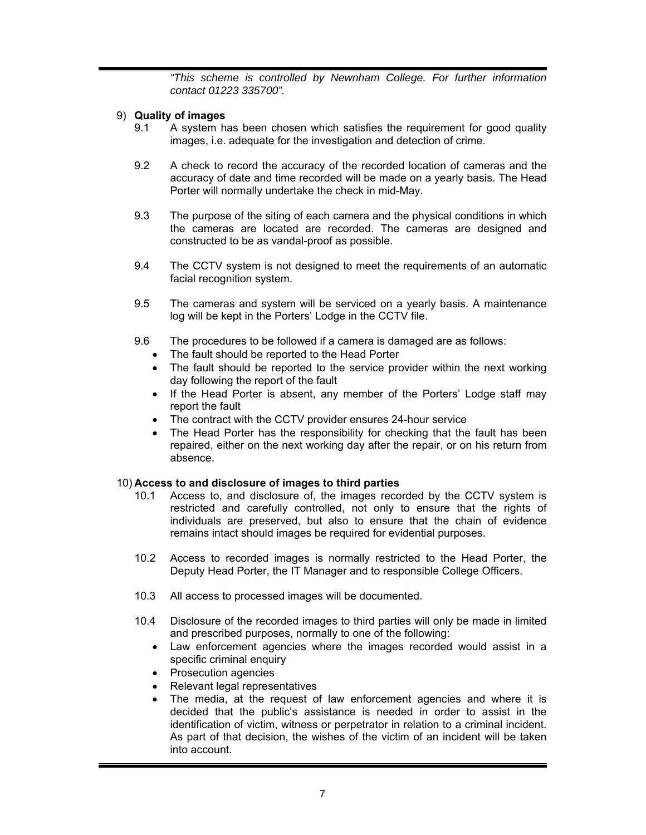*"This scheme is controlled by Newnham College. For further information contact 01223 335700".*

### 9) **Quality of images**

- 9.1 A system has been chosen which satisfies the requirement for good quality images, i.e. adequate for the investigation and detection of crime.
- 9.2 A check to record the accuracy of the recorded location of cameras and the accuracy of date and time recorded will be made on a yearly basis. The Head Porter will normally undertake the check in mid-May.
- 9.3 The purpose of the siting of each camera and the physical conditions in which the cameras are located are recorded. The cameras are designed and constructed to be as vandal-proof as possible.
- 9.4 The CCTV system is not designed to meet the requirements of an automatic facial recognition system.
- 9.5 The cameras and system will be serviced on a yearly basis. A maintenance log will be kept in the Porters' Lodge in the CCTV file.
- 9.6 The procedures to be followed if a camera is damaged are as follows:
	- The fault should be reported to the Head Porter
	- The fault should be reported to the service provider within the next working day following the report of the fault
	- If the Head Porter is absent, any member of the Porters' Lodge staff may report the fault
	- The contract with the CCTV provider ensures 24-hour service
	- The Head Porter has the responsibility for checking that the fault has been repaired, either on the next working day after the repair, or on his return from absence.

### 10) **Access to and disclosure of images to third parties**

- 10.1 Access to, and disclosure of, the images recorded by the CCTV system is restricted and carefully controlled, not only to ensure that the rights of individuals are preserved, but also to ensure that the chain of evidence remains intact should images be required for evidential purposes.
- 10.2 Access to recorded images is normally restricted to the Head Porter, the Deputy Head Porter, the IT Manager and to responsible College Officers.
- 10.3 All access to processed images will be documented.
- 10.4 Disclosure of the recorded images to third parties will only be made in limited and prescribed purposes, normally to one of the following:
	- Law enforcement agencies where the images recorded would assist in a specific criminal enquiry
	- Prosecution agencies
	- Relevant legal representatives
	- The media, at the request of law enforcement agencies and where it is decided that the public's assistance is needed in order to assist in the identification of victim, witness or perpetrator in relation to a criminal incident. As part of that decision, the wishes of the victim of an incident will be taken into account.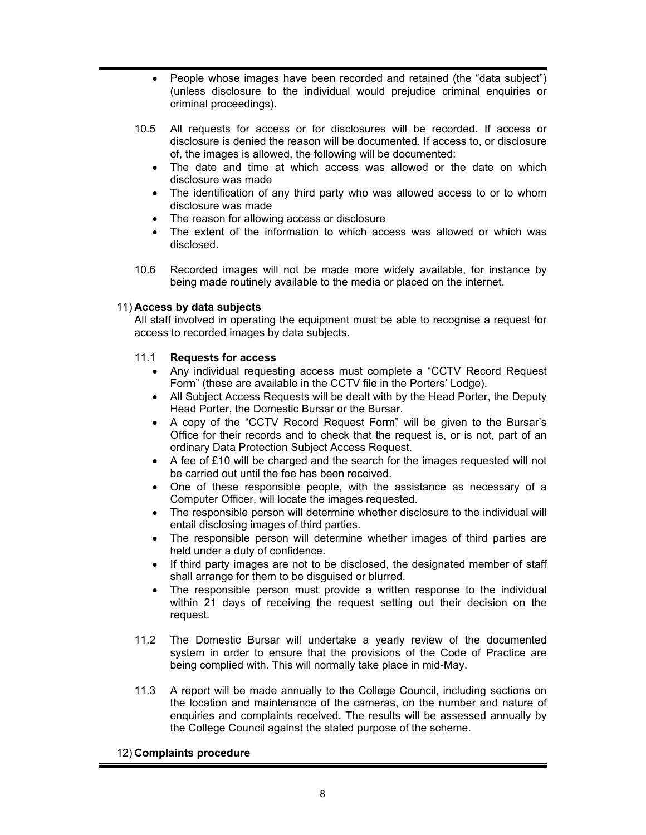- People whose images have been recorded and retained (the "data subject") (unless disclosure to the individual would prejudice criminal enquiries or criminal proceedings).
- 10.5 All requests for access or for disclosures will be recorded. If access or disclosure is denied the reason will be documented. If access to, or disclosure of, the images is allowed, the following will be documented:
	- The date and time at which access was allowed or the date on which disclosure was made
	- The identification of any third party who was allowed access to or to whom disclosure was made
	- The reason for allowing access or disclosure
	- The extent of the information to which access was allowed or which was disclosed.
- 10.6 Recorded images will not be made more widely available, for instance by being made routinely available to the media or placed on the internet.

### 11) **Access by data subjects**

All staff involved in operating the equipment must be able to recognise a request for access to recorded images by data subjects.

### 11.1 **Requests for access**

- Any individual requesting access must complete a "CCTV Record Request Form" (these are available in the CCTV file in the Porters' Lodge).
- All Subject Access Requests will be dealt with by the Head Porter, the Deputy Head Porter, the Domestic Bursar or the Bursar.
- A copy of the "CCTV Record Request Form" will be given to the Bursar's Office for their records and to check that the request is, or is not, part of an ordinary Data Protection Subject Access Request.
- A fee of £10 will be charged and the search for the images requested will not be carried out until the fee has been received.
- One of these responsible people, with the assistance as necessary of a Computer Officer, will locate the images requested.
- The responsible person will determine whether disclosure to the individual will entail disclosing images of third parties.
- The responsible person will determine whether images of third parties are held under a duty of confidence.
- If third party images are not to be disclosed, the designated member of staff shall arrange for them to be disguised or blurred.
- The responsible person must provide a written response to the individual within 21 days of receiving the request setting out their decision on the request.
- 11.2 The Domestic Bursar will undertake a yearly review of the documented system in order to ensure that the provisions of the Code of Practice are being complied with. This will normally take place in mid-May.
- 11.3 A report will be made annually to the College Council, including sections on the location and maintenance of the cameras, on the number and nature of enquiries and complaints received. The results will be assessed annually by the College Council against the stated purpose of the scheme.

#### 12) **Complaints procedure**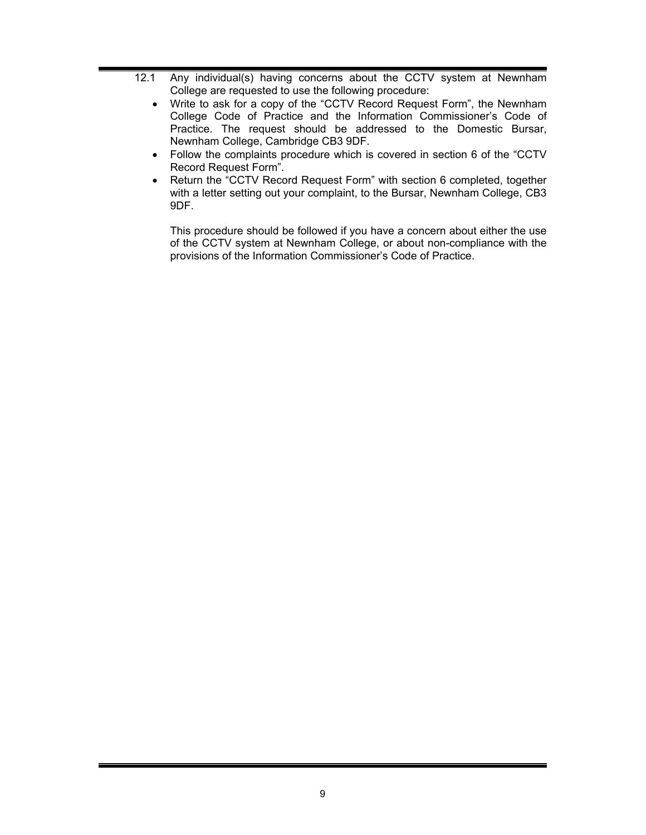- 12.1 Any individual(s) having concerns about the CCTV system at Newnham College are requested to use the following procedure:
	- Write to ask for a copy of the "CCTV Record Request Form", the Newnham College Code of Practice and the Information Commissioner's Code of Practice. The request should be addressed to the Domestic Bursar, Newnham College, Cambridge CB3 9DF.
	- Follow the complaints procedure which is covered in section 6 of the "CCTV Record Request Form".
	- Return the "CCTV Record Request Form" with section 6 completed, together with a letter setting out your complaint, to the Bursar, Newnham College, CB3 9DF.

This procedure should be followed if you have a concern about either the use of the CCTV system at Newnham College, or about non-compliance with the provisions of the Information Commissioner's Code of Practice.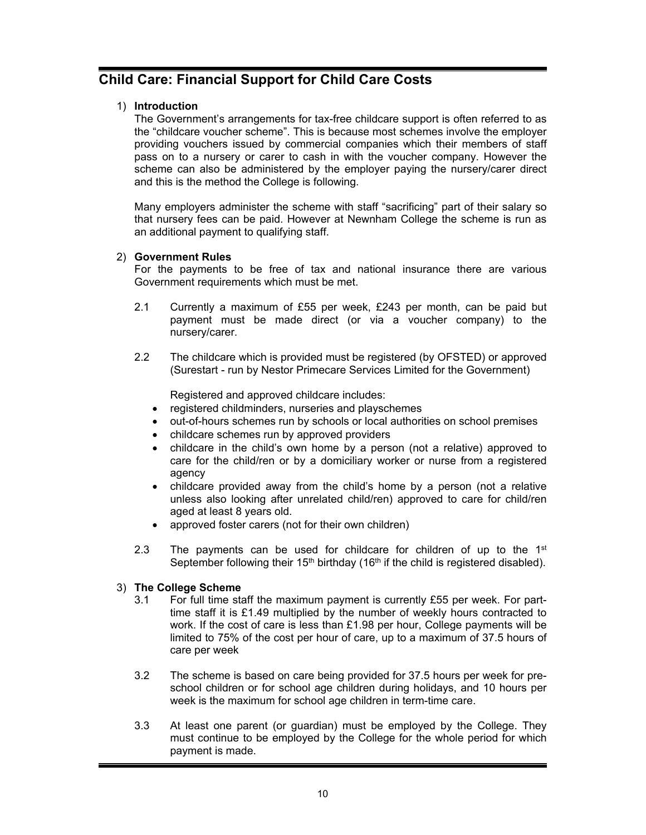## **Child Care: Financial Support for Child Care Costs**

### 1) **Introduction**

The Government's arrangements for tax-free childcare support is often referred to as the "childcare voucher scheme". This is because most schemes involve the employer providing vouchers issued by commercial companies which their members of staff pass on to a nursery or carer to cash in with the voucher company. However the scheme can also be administered by the employer paying the nursery/carer direct and this is the method the College is following.

Many employers administer the scheme with staff "sacrificing" part of their salary so that nursery fees can be paid. However at Newnham College the scheme is run as an additional payment to qualifying staff.

### 2) **Government Rules**

For the payments to be free of tax and national insurance there are various Government requirements which must be met.

- 2.1 Currently a maximum of £55 per week, £243 per month, can be paid but payment must be made direct (or via a voucher company) to the nursery/carer.
- 2.2 The childcare which is provided must be registered (by OFSTED) or approved (Surestart - run by Nestor Primecare Services Limited for the Government)

Registered and approved childcare includes:

- registered childminders, nurseries and playschemes
- out-of-hours schemes run by schools or local authorities on school premises
- childcare schemes run by approved providers
- childcare in the child's own home by a person (not a relative) approved to care for the child/ren or by a domiciliary worker or nurse from a registered agency
- childcare provided away from the child's home by a person (not a relative unless also looking after unrelated child/ren) approved to care for child/ren aged at least 8 years old.
- approved foster carers (not for their own children)
- 2.3 The payments can be used for childcare for children of up to the  $1<sup>st</sup>$ September following their  $15<sup>th</sup>$  birthday ( $16<sup>th</sup>$  if the child is registered disabled).

### 3) **The College Scheme**

- 3.1 For full time staff the maximum payment is currently £55 per week. For parttime staff it is £1.49 multiplied by the number of weekly hours contracted to work. If the cost of care is less than £1.98 per hour, College payments will be limited to 75% of the cost per hour of care, up to a maximum of 37.5 hours of care per week
- 3.2 The scheme is based on care being provided for 37.5 hours per week for preschool children or for school age children during holidays, and 10 hours per week is the maximum for school age children in term-time care.
- 3.3 At least one parent (or guardian) must be employed by the College. They must continue to be employed by the College for the whole period for which payment is made.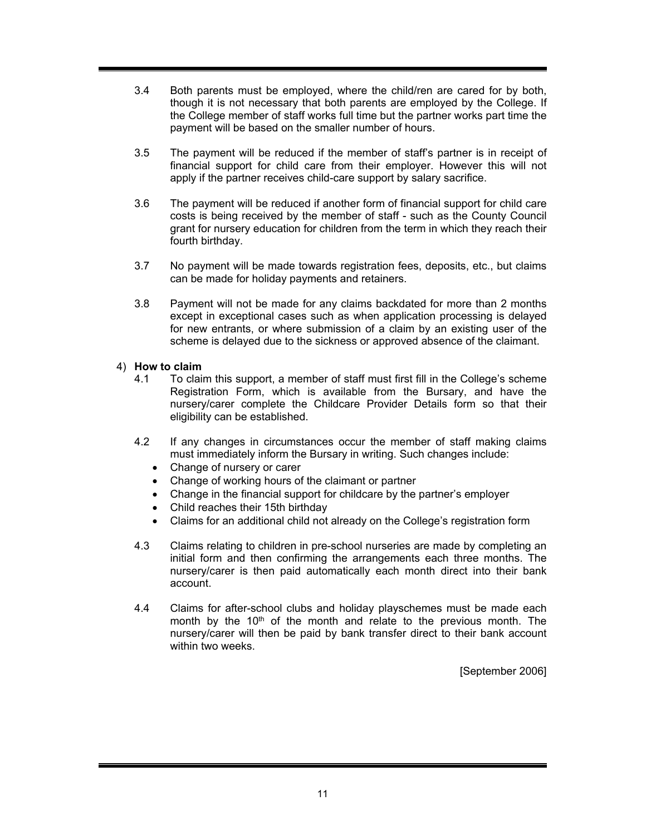- 3.4 Both parents must be employed, where the child/ren are cared for by both, though it is not necessary that both parents are employed by the College. If the College member of staff works full time but the partner works part time the payment will be based on the smaller number of hours.
- 3.5 The payment will be reduced if the member of staff's partner is in receipt of financial support for child care from their employer. However this will not apply if the partner receives child-care support by salary sacrifice.
- 3.6 The payment will be reduced if another form of financial support for child care costs is being received by the member of staff - such as the County Council grant for nursery education for children from the term in which they reach their fourth birthday.
- 3.7 No payment will be made towards registration fees, deposits, etc., but claims can be made for holiday payments and retainers.
- 3.8 Payment will not be made for any claims backdated for more than 2 months except in exceptional cases such as when application processing is delayed for new entrants, or where submission of a claim by an existing user of the scheme is delayed due to the sickness or approved absence of the claimant.

### 4) **How to claim**

- 4.1 To claim this support, a member of staff must first fill in the College's scheme Registration Form, which is available from the Bursary, and have the nursery/carer complete the Childcare Provider Details form so that their eligibility can be established.
- 4.2 If any changes in circumstances occur the member of staff making claims must immediately inform the Bursary in writing. Such changes include:
	- Change of nursery or carer
	- Change of working hours of the claimant or partner
	- Change in the financial support for childcare by the partner's employer
	- Child reaches their 15th birthday
	- Claims for an additional child not already on the College's registration form
- 4.3 Claims relating to children in pre-school nurseries are made by completing an initial form and then confirming the arrangements each three months. The nursery/carer is then paid automatically each month direct into their bank account.
- 4.4 Claims for after-school clubs and holiday playschemes must be made each month by the  $10<sup>th</sup>$  of the month and relate to the previous month. The nursery/carer will then be paid by bank transfer direct to their bank account within two weeks.

[September 2006]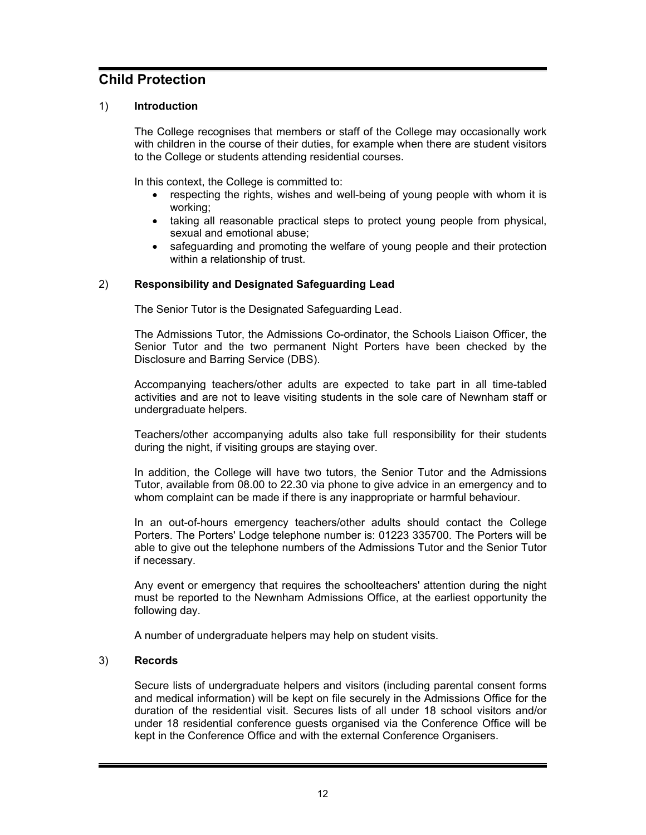## **Child Protection**

### 1) **Introduction**

The College recognises that members or staff of the College may occasionally work with children in the course of their duties, for example when there are student visitors to the College or students attending residential courses.

In this context, the College is committed to:

- respecting the rights, wishes and well-being of young people with whom it is working;
- taking all reasonable practical steps to protect young people from physical, sexual and emotional abuse;
- safeguarding and promoting the welfare of young people and their protection within a relationship of trust.

### 2) **Responsibility and Designated Safeguarding Lead**

The Senior Tutor is the Designated Safeguarding Lead.

The Admissions Tutor, the Admissions Co-ordinator, the Schools Liaison Officer, the Senior Tutor and the two permanent Night Porters have been checked by the Disclosure and Barring Service (DBS).

Accompanying teachers/other adults are expected to take part in all time-tabled activities and are not to leave visiting students in the sole care of Newnham staff or undergraduate helpers.

Teachers/other accompanying adults also take full responsibility for their students during the night, if visiting groups are staying over.

In addition, the College will have two tutors, the Senior Tutor and the Admissions Tutor, available from 08.00 to 22.30 via phone to give advice in an emergency and to whom complaint can be made if there is any inappropriate or harmful behaviour.

In an out-of-hours emergency teachers/other adults should contact the College Porters. The Porters' Lodge telephone number is: 01223 335700. The Porters will be able to give out the telephone numbers of the Admissions Tutor and the Senior Tutor if necessary.

Any event or emergency that requires the schoolteachers' attention during the night must be reported to the Newnham Admissions Office, at the earliest opportunity the following day.

A number of undergraduate helpers may help on student visits.

### 3) **Records**

Secure lists of undergraduate helpers and visitors (including parental consent forms and medical information) will be kept on file securely in the Admissions Office for the duration of the residential visit. Secures lists of all under 18 school visitors and/or under 18 residential conference guests organised via the Conference Office will be kept in the Conference Office and with the external Conference Organisers.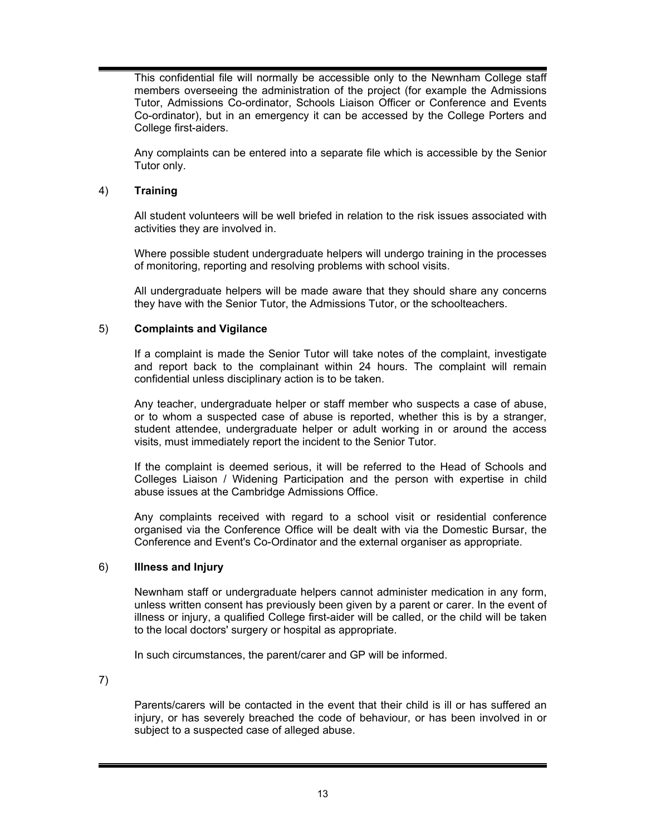This confidential file will normally be accessible only to the Newnham College staff members overseeing the administration of the project (for example the Admissions Tutor, Admissions Co-ordinator, Schools Liaison Officer or Conference and Events Co-ordinator), but in an emergency it can be accessed by the College Porters and College first-aiders.

Any complaints can be entered into a separate file which is accessible by the Senior Tutor only.

### 4) **Training**

All student volunteers will be well briefed in relation to the risk issues associated with activities they are involved in.

Where possible student undergraduate helpers will undergo training in the processes of monitoring, reporting and resolving problems with school visits.

All undergraduate helpers will be made aware that they should share any concerns they have with the Senior Tutor, the Admissions Tutor, or the schoolteachers.

### 5) **Complaints and Vigilance**

If a complaint is made the Senior Tutor will take notes of the complaint, investigate and report back to the complainant within 24 hours. The complaint will remain confidential unless disciplinary action is to be taken.

Any teacher, undergraduate helper or staff member who suspects a case of abuse, or to whom a suspected case of abuse is reported, whether this is by a stranger, student attendee, undergraduate helper or adult working in or around the access visits, must immediately report the incident to the Senior Tutor.

If the complaint is deemed serious, it will be referred to the Head of Schools and Colleges Liaison / Widening Participation and the person with expertise in child abuse issues at the Cambridge Admissions Office.

Any complaints received with regard to a school visit or residential conference organised via the Conference Office will be dealt with via the Domestic Bursar, the Conference and Event's Co-Ordinator and the external organiser as appropriate.

### 6) **Illness and Injury**

Newnham staff or undergraduate helpers cannot administer medication in any form, unless written consent has previously been given by a parent or carer. In the event of illness or injury, a qualified College first-aider will be called, or the child will be taken to the local doctors' surgery or hospital as appropriate.

In such circumstances, the parent/carer and GP will be informed.

7)

Parents/carers will be contacted in the event that their child is ill or has suffered an injury, or has severely breached the code of behaviour, or has been involved in or subject to a suspected case of alleged abuse.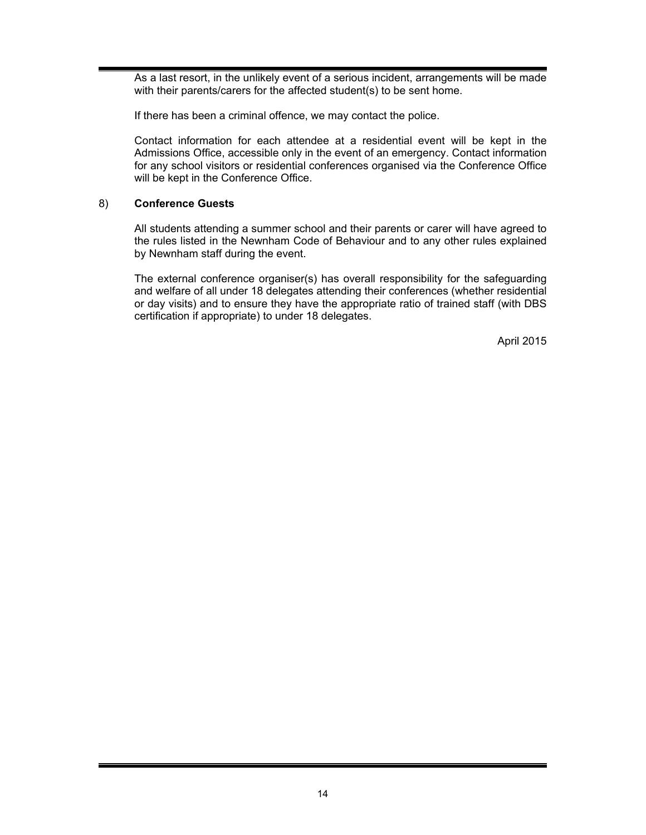As a last resort, in the unlikely event of a serious incident, arrangements will be made with their parents/carers for the affected student(s) to be sent home.

If there has been a criminal offence, we may contact the police.

Contact information for each attendee at a residential event will be kept in the Admissions Office, accessible only in the event of an emergency. Contact information for any school visitors or residential conferences organised via the Conference Office will be kept in the Conference Office.

### 8) **Conference Guests**

All students attending a summer school and their parents or carer will have agreed to the rules listed in the Newnham Code of Behaviour and to any other rules explained by Newnham staff during the event.

The external conference organiser(s) has overall responsibility for the safeguarding and welfare of all under 18 delegates attending their conferences (whether residential or day visits) and to ensure they have the appropriate ratio of trained staff (with DBS certification if appropriate) to under 18 delegates.

April 2015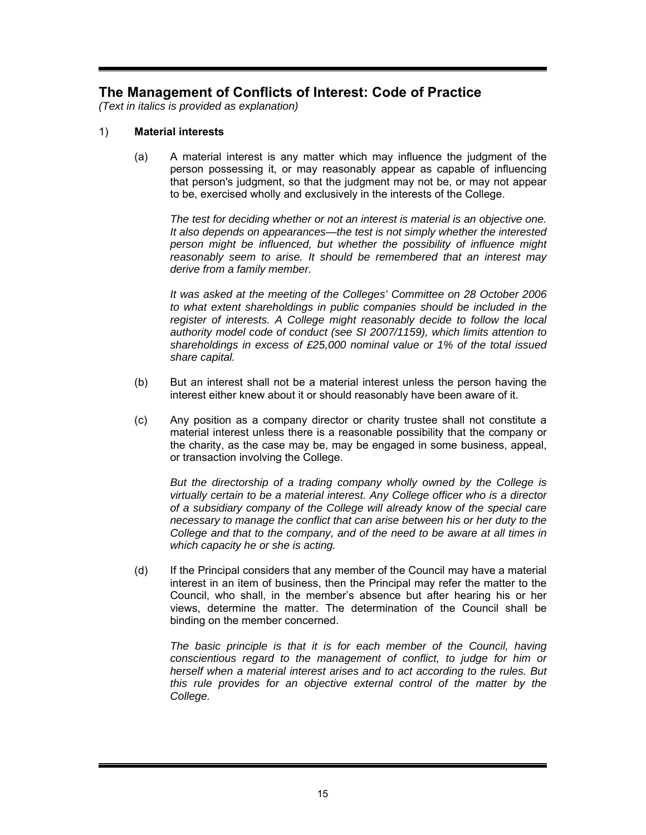## **The Management of Conflicts of Interest: Code of Practice**

*(Text in italics is provided as explanation)* 

### 1) **Material interests**

(a) A material interest is any matter which may influence the judgment of the person possessing it, or may reasonably appear as capable of influencing that person's judgment, so that the judgment may not be, or may not appear to be, exercised wholly and exclusively in the interests of the College.

*The test for deciding whether or not an interest is material is an objective one. It also depends on appearances—the test is not simply whether the interested person might be influenced, but whether the possibility of influence might reasonably seem to arise. It should be remembered that an interest may derive from a family member.* 

*It was asked at the meeting of the Colleges' Committee on 28 October 2006 to what extent shareholdings in public companies should be included in the register of interests. A College might reasonably decide to follow the local authority model code of conduct (see SI 2007/1159), which limits attention to shareholdings in excess of £25,000 nominal value or 1% of the total issued share capital.* 

- (b) But an interest shall not be a material interest unless the person having the interest either knew about it or should reasonably have been aware of it.
- (c) Any position as a company director or charity trustee shall not constitute a material interest unless there is a reasonable possibility that the company or the charity, as the case may be, may be engaged in some business, appeal, or transaction involving the College.

*But the directorship of a trading company wholly owned by the College is virtually certain to be a material interest. Any College officer who is a director of a subsidiary company of the College will already know of the special care necessary to manage the conflict that can arise between his or her duty to the College and that to the company, and of the need to be aware at all times in which capacity he or she is acting.* 

(d) If the Principal considers that any member of the Council may have a material interest in an item of business, then the Principal may refer the matter to the Council, who shall, in the member's absence but after hearing his or her views, determine the matter. The determination of the Council shall be binding on the member concerned.

*The basic principle is that it is for each member of the Council, having conscientious regard to the management of conflict, to judge for him or herself when a material interest arises and to act according to the rules. But this rule provides for an objective external control of the matter by the College.*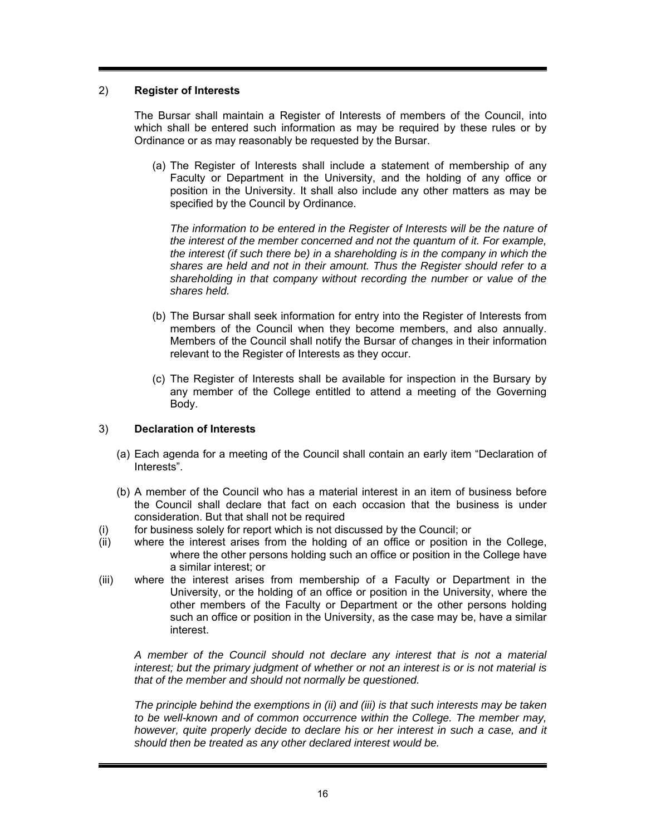### 2) **Register of Interests**

The Bursar shall maintain a Register of Interests of members of the Council, into which shall be entered such information as may be required by these rules or by Ordinance or as may reasonably be requested by the Bursar.

(a) The Register of Interests shall include a statement of membership of any Faculty or Department in the University, and the holding of any office or position in the University. It shall also include any other matters as may be specified by the Council by Ordinance.

*The information to be entered in the Register of Interests will be the nature of the interest of the member concerned and not the quantum of it. For example, the interest (if such there be) in a shareholding is in the company in which the shares are held and not in their amount. Thus the Register should refer to a shareholding in that company without recording the number or value of the shares held.* 

- (b) The Bursar shall seek information for entry into the Register of Interests from members of the Council when they become members, and also annually. Members of the Council shall notify the Bursar of changes in their information relevant to the Register of Interests as they occur.
- (c) The Register of Interests shall be available for inspection in the Bursary by any member of the College entitled to attend a meeting of the Governing Body.

### 3) **Declaration of Interests**

- (a) Each agenda for a meeting of the Council shall contain an early item "Declaration of Interests".
- (b) A member of the Council who has a material interest in an item of business before the Council shall declare that fact on each occasion that the business is under consideration. But that shall not be required
- (i) for business solely for report which is not discussed by the Council; or
- (ii) where the interest arises from the holding of an office or position in the College, where the other persons holding such an office or position in the College have a similar interest; or
- (iii) where the interest arises from membership of a Faculty or Department in the University, or the holding of an office or position in the University, where the other members of the Faculty or Department or the other persons holding such an office or position in the University, as the case may be, have a similar interest.

*A member of the Council should not declare any interest that is not a material interest; but the primary judgment of whether or not an interest is or is not material is that of the member and should not normally be questioned.* 

*The principle behind the exemptions in (ii) and (iii) is that such interests may be taken to be well-known and of common occurrence within the College. The member may, however, quite properly decide to declare his or her interest in such a case, and it should then be treated as any other declared interest would be.*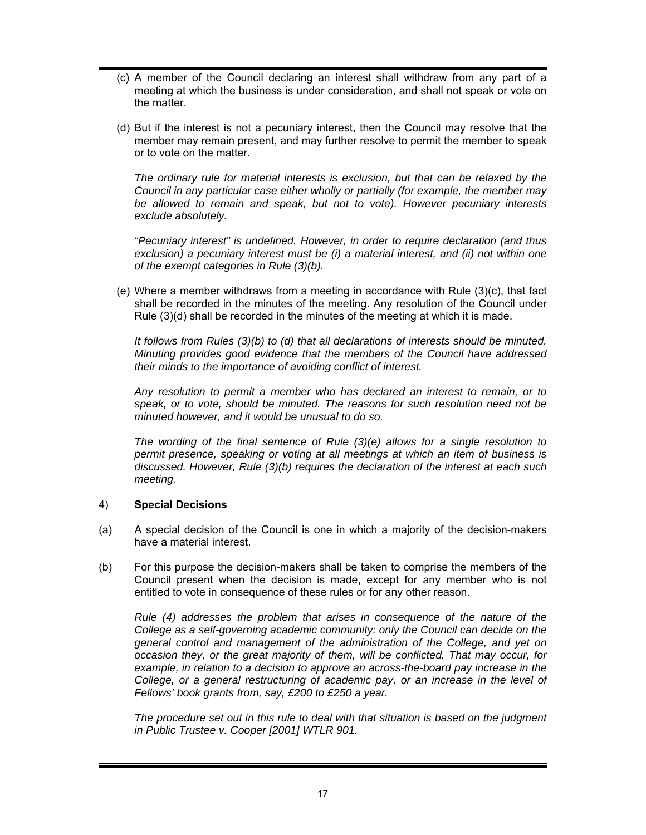- (c) A member of the Council declaring an interest shall withdraw from any part of a meeting at which the business is under consideration, and shall not speak or vote on the matter.
- (d) But if the interest is not a pecuniary interest, then the Council may resolve that the member may remain present, and may further resolve to permit the member to speak or to vote on the matter.

*The ordinary rule for material interests is exclusion, but that can be relaxed by the Council in any particular case either wholly or partially (for example, the member may be allowed to remain and speak, but not to vote). However pecuniary interests exclude absolutely.* 

*"Pecuniary interest" is undefined. However, in order to require declaration (and thus exclusion) a pecuniary interest must be (i) a material interest, and (ii) not within one of the exempt categories in Rule (3)(b).* 

(e) Where a member withdraws from a meeting in accordance with Rule (3)(c), that fact shall be recorded in the minutes of the meeting. Any resolution of the Council under Rule (3)(d) shall be recorded in the minutes of the meeting at which it is made.

*It follows from Rules (3)(b) to (d) that all declarations of interests should be minuted. Minuting provides good evidence that the members of the Council have addressed their minds to the importance of avoiding conflict of interest.* 

*Any resolution to permit a member who has declared an interest to remain, or to speak, or to vote, should be minuted. The reasons for such resolution need not be minuted however, and it would be unusual to do so.* 

*The wording of the final sentence of Rule (3)(e) allows for a single resolution to permit presence, speaking or voting at all meetings at which an item of business is discussed. However, Rule (3)(b) requires the declaration of the interest at each such meeting.* 

### 4) **Special Decisions**

- (a) A special decision of the Council is one in which a majority of the decision-makers have a material interest.
- (b) For this purpose the decision-makers shall be taken to comprise the members of the Council present when the decision is made, except for any member who is not entitled to vote in consequence of these rules or for any other reason.

*Rule (4) addresses the problem that arises in consequence of the nature of the College as a self-governing academic community: only the Council can decide on the general control and management of the administration of the College, and yet on occasion they, or the great majority of them, will be conflicted. That may occur, for example, in relation to a decision to approve an across-the-board pay increase in the*  College, or a general restructuring of academic pay, or an increase in the level of *Fellows' book grants from, say, £200 to £250 a year.* 

*The procedure set out in this rule to deal with that situation is based on the judgment in Public Trustee v. Cooper [2001] WTLR 901.*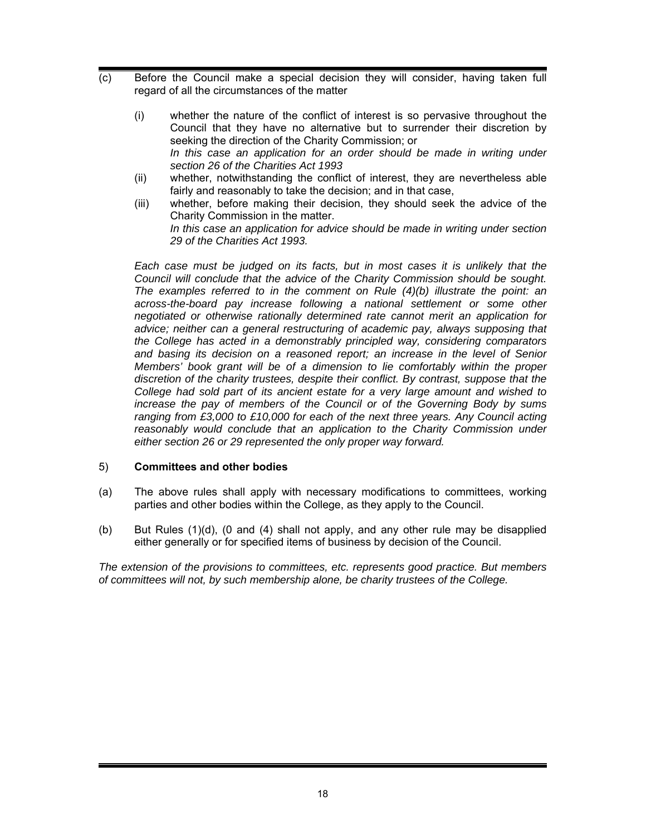- (c) Before the Council make a special decision they will consider, having taken full regard of all the circumstances of the matter
	- (i) whether the nature of the conflict of interest is so pervasive throughout the Council that they have no alternative but to surrender their discretion by seeking the direction of the Charity Commission; or In this case an application for an order should be made in writing under *section 26 of the Charities Act 1993*
	- (ii) whether, notwithstanding the conflict of interest, they are nevertheless able fairly and reasonably to take the decision; and in that case,
	- (iii) whether, before making their decision, they should seek the advice of the Charity Commission in the matter. *In this case an application for advice should be made in writing under section 29 of the Charities Act 1993.*

*Each case must be judged on its facts, but in most cases it is unlikely that the Council will conclude that the advice of the Charity Commission should be sought. The examples referred to in the comment on Rule (4)(b) illustrate the point: an across-the-board pay increase following a national settlement or some other negotiated or otherwise rationally determined rate cannot merit an application for advice; neither can a general restructuring of academic pay, always supposing that the College has acted in a demonstrably principled way, considering comparators and basing its decision on a reasoned report; an increase in the level of Senior Members' book grant will be of a dimension to lie comfortably within the proper discretion of the charity trustees, despite their conflict. By contrast, suppose that the College had sold part of its ancient estate for a very large amount and wished to increase the pay of members of the Council or of the Governing Body by sums ranging from £3,000 to £10,000 for each of the next three years. Any Council acting* reasonably would conclude that an application to the Charity Commission under *either section 26 or 29 represented the only proper way forward.* 

### 5) **Committees and other bodies**

- (a) The above rules shall apply with necessary modifications to committees, working parties and other bodies within the College, as they apply to the Council.
- (b) But Rules (1)(d), (0 and (4) shall not apply, and any other rule may be disapplied either generally or for specified items of business by decision of the Council.

*The extension of the provisions to committees, etc. represents good practice. But members of committees will not, by such membership alone, be charity trustees of the College.*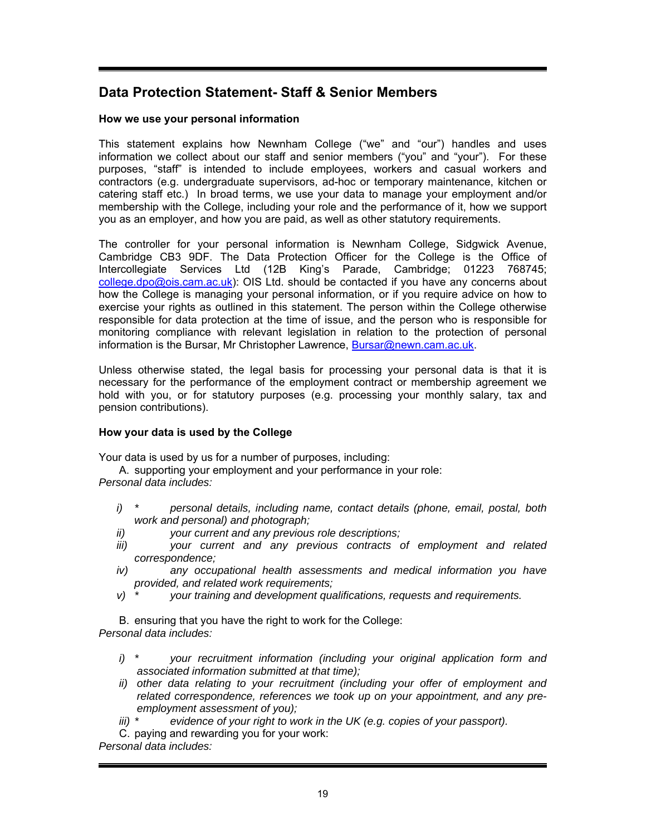## **Data Protection Statement- Staff & Senior Members**

### **How we use your personal information**

This statement explains how Newnham College ("we" and "our") handles and uses information we collect about our staff and senior members ("you" and "your"). For these purposes, "staff" is intended to include employees, workers and casual workers and contractors (e.g. undergraduate supervisors, ad-hoc or temporary maintenance, kitchen or catering staff etc.) In broad terms, we use your data to manage your employment and/or membership with the College, including your role and the performance of it, how we support you as an employer, and how you are paid, as well as other statutory requirements.

The controller for your personal information is Newnham College, Sidgwick Avenue, Cambridge CB3 9DF. The Data Protection Officer for the College is the Office of Intercollegiate Services Ltd (12B King's Parade, Cambridge; 01223 768745; college.dpo@ois.cam.ac.uk): OIS Ltd. should be contacted if you have any concerns about how the College is managing your personal information, or if you require advice on how to exercise your rights as outlined in this statement. The person within the College otherwise responsible for data protection at the time of issue, and the person who is responsible for monitoring compliance with relevant legislation in relation to the protection of personal information is the Bursar, Mr Christopher Lawrence, Bursar@newn.cam.ac.uk.

Unless otherwise stated, the legal basis for processing your personal data is that it is necessary for the performance of the employment contract or membership agreement we hold with you, or for statutory purposes (e.g. processing your monthly salary, tax and pension contributions).

### **How your data is used by the College**

Your data is used by us for a number of purposes, including:

A. supporting your employment and your performance in your role: *Personal data includes:* 

- *i) \* personal details, including name, contact details (phone, email, postal, both work and personal) and photograph;*
- *ii) your current and any previous role descriptions;*
- *iii) your current and any previous contracts of employment and related correspondence;*
- *iv) any occupational health assessments and medical information you have provided, and related work requirements;*
- *v) \* your training and development qualifications, requests and requirements.*

B. ensuring that you have the right to work for the College: *Personal data includes:* 

- *i) \* your recruitment information (including your original application form and associated information submitted at that time);*
- *ii) other data relating to your recruitment (including your offer of employment and related correspondence, references we took up on your appointment, and any preemployment assessment of you);*
- *iii)* \* evidence of your right to work in the UK (e.g. copies of your passport).

C. paying and rewarding you for your work:

*Personal data includes:*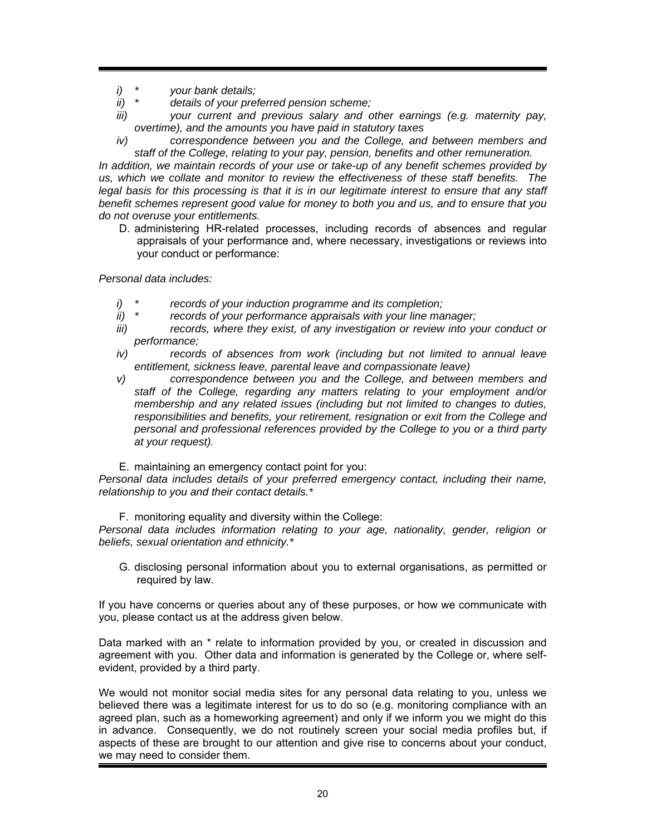- *i) \* your bank details;*
- *ii) \* details of your preferred pension scheme;*
- *iii) your current and previous salary and other earnings (e.g. maternity pay, overtime), and the amounts you have paid in statutory taxes*
- *iv) correspondence between you and the College, and between members and staff of the College, relating to your pay, pension, benefits and other remuneration.*

*In addition, we maintain records of your use or take-up of any benefit schemes provided by us, which we collate and monitor to review the effectiveness of these staff benefits. The*  legal basis for this processing is that it is in our legitimate interest to ensure that any staff *benefit schemes represent good value for money to both you and us, and to ensure that you do not overuse your entitlements.* 

D. administering HR-related processes, including records of absences and regular appraisals of your performance and, where necessary, investigations or reviews into your conduct or performance:

*Personal data includes:* 

- *i) \* records of your induction programme and its completion;*
- *ii) \* records of your performance appraisals with your line manager;*
- *iii)* records, where they exist, of any investigation or review into your conduct or *performance;*
- *iv) records of absences from work (including but not limited to annual leave entitlement, sickness leave, parental leave and compassionate leave)*
- *v) correspondence between you and the College, and between members and staff of the College, regarding any matters relating to your employment and/or membership and any related issues (including but not limited to changes to duties, responsibilities and benefits, your retirement, resignation or exit from the College and personal and professional references provided by the College to you or a third party at your request).*
- E. maintaining an emergency contact point for you:

*Personal data includes details of your preferred emergency contact, including their name, relationship to you and their contact details.\** 

F. monitoring equality and diversity within the College:

*Personal data includes information relating to your age, nationality, gender, religion or beliefs, sexual orientation and ethnicity.\** 

G. disclosing personal information about you to external organisations, as permitted or required by law.

If you have concerns or queries about any of these purposes, or how we communicate with you, please contact us at the address given below.

Data marked with an \* relate to information provided by you, or created in discussion and agreement with you. Other data and information is generated by the College or, where selfevident, provided by a third party.

We would not monitor social media sites for any personal data relating to you, unless we believed there was a legitimate interest for us to do so (e.g. monitoring compliance with an agreed plan, such as a homeworking agreement) and only if we inform you we might do this in advance. Consequently, we do not routinely screen your social media profiles but, if aspects of these are brought to our attention and give rise to concerns about your conduct, we may need to consider them.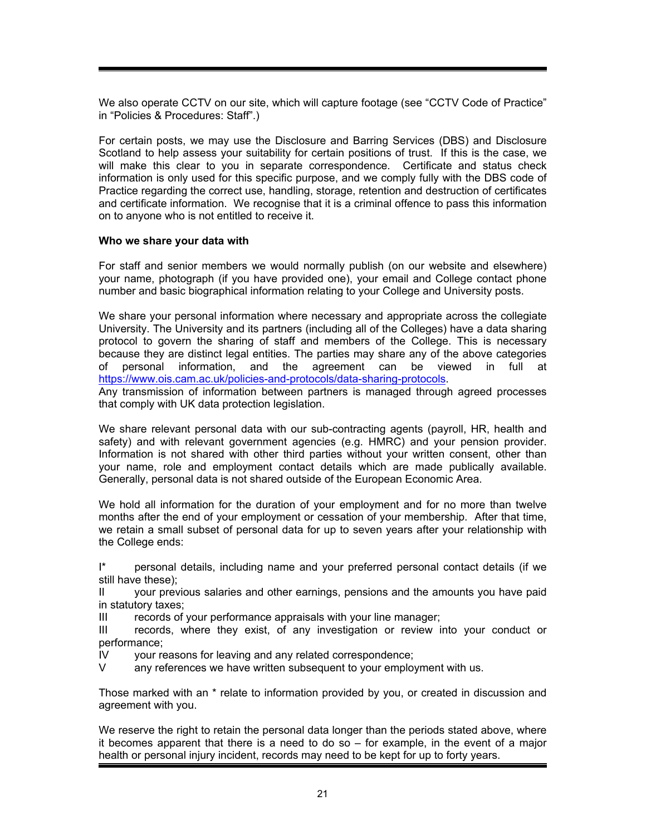We also operate CCTV on our site, which will capture footage (see "CCTV Code of Practice" in "Policies & Procedures: Staff".)

For certain posts, we may use the Disclosure and Barring Services (DBS) and Disclosure Scotland to help assess your suitability for certain positions of trust. If this is the case, we will make this clear to you in separate correspondence. Certificate and status check information is only used for this specific purpose, and we comply fully with the DBS code of Practice regarding the correct use, handling, storage, retention and destruction of certificates and certificate information. We recognise that it is a criminal offence to pass this information on to anyone who is not entitled to receive it.

#### **Who we share your data with**

For staff and senior members we would normally publish (on our website and elsewhere) your name, photograph (if you have provided one), your email and College contact phone number and basic biographical information relating to your College and University posts.

We share your personal information where necessary and appropriate across the collegiate University. The University and its partners (including all of the Colleges) have a data sharing protocol to govern the sharing of staff and members of the College. This is necessary because they are distinct legal entities. The parties may share any of the above categories of personal information, and the agreement can be viewed in full at https://www.ois.cam.ac.uk/policies-and-protocols/data-sharing-protocols.

Any transmission of information between partners is managed through agreed processes that comply with UK data protection legislation.

We share relevant personal data with our sub-contracting agents (payroll, HR, health and safety) and with relevant government agencies (e.g. HMRC) and your pension provider. Information is not shared with other third parties without your written consent, other than your name, role and employment contact details which are made publically available. Generally, personal data is not shared outside of the European Economic Area.

We hold all information for the duration of your employment and for no more than twelve months after the end of your employment or cessation of your membership. After that time, we retain a small subset of personal data for up to seven years after your relationship with the College ends:

I\* personal details, including name and your preferred personal contact details (if we still have these);

II your previous salaries and other earnings, pensions and the amounts you have paid in statutory taxes;

III records of your performance appraisals with your line manager;

III records, where they exist, of any investigation or review into your conduct or performance;

IV your reasons for leaving and any related correspondence;

V any references we have written subsequent to your employment with us.

Those marked with an \* relate to information provided by you, or created in discussion and agreement with you.

We reserve the right to retain the personal data longer than the periods stated above, where it becomes apparent that there is a need to do so – for example, in the event of a major health or personal injury incident, records may need to be kept for up to forty years.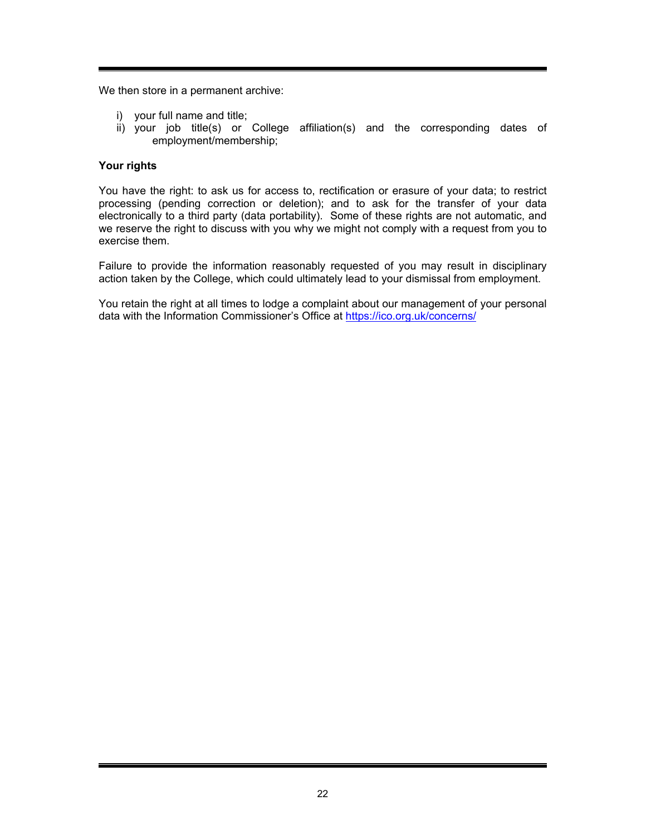We then store in a permanent archive:

- i) your full name and title;
- ii) your job title(s) or College affiliation(s) and the corresponding dates of employment/membership;

### **Your rights**

You have the right: to ask us for access to, rectification or erasure of your data; to restrict processing (pending correction or deletion); and to ask for the transfer of your data electronically to a third party (data portability). Some of these rights are not automatic, and we reserve the right to discuss with you why we might not comply with a request from you to exercise them.

Failure to provide the information reasonably requested of you may result in disciplinary action taken by the College, which could ultimately lead to your dismissal from employment.

You retain the right at all times to lodge a complaint about our management of your personal data with the Information Commissioner's Office at https://ico.org.uk/concerns/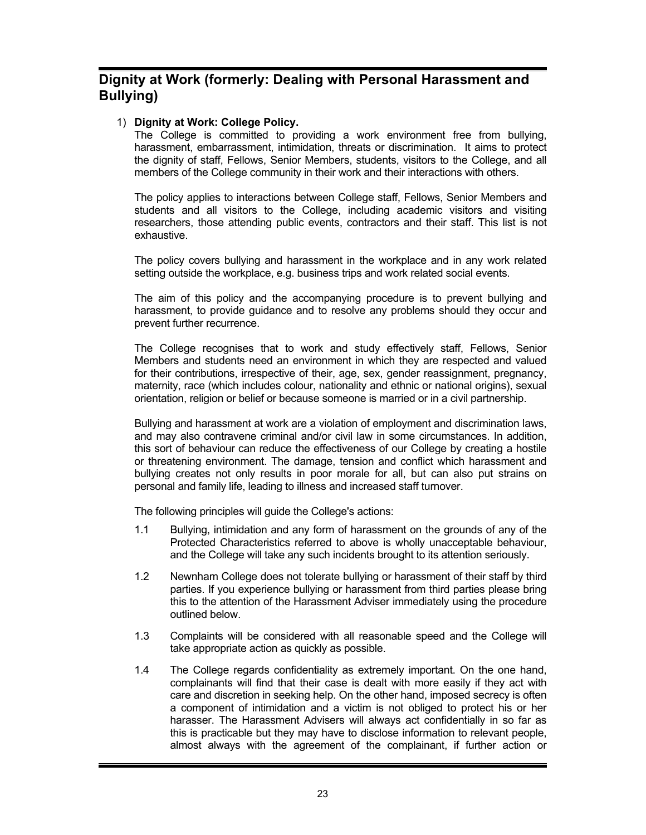## **Dignity at Work (formerly: Dealing with Personal Harassment and Bullying)**

### 1) **Dignity at Work: College Policy.**

The College is committed to providing a work environment free from bullying, harassment, embarrassment, intimidation, threats or discrimination. It aims to protect the dignity of staff, Fellows, Senior Members, students, visitors to the College, and all members of the College community in their work and their interactions with others.

The policy applies to interactions between College staff, Fellows, Senior Members and students and all visitors to the College, including academic visitors and visiting researchers, those attending public events, contractors and their staff. This list is not exhaustive.

The policy covers bullying and harassment in the workplace and in any work related setting outside the workplace, e.g. business trips and work related social events.

The aim of this policy and the accompanying procedure is to prevent bullying and harassment, to provide guidance and to resolve any problems should they occur and prevent further recurrence.

The College recognises that to work and study effectively staff, Fellows, Senior Members and students need an environment in which they are respected and valued for their contributions, irrespective of their, age, sex, gender reassignment, pregnancy, maternity, race (which includes colour, nationality and ethnic or national origins), sexual orientation, religion or belief or because someone is married or in a civil partnership.

Bullying and harassment at work are a violation of employment and discrimination laws, and may also contravene criminal and/or civil law in some circumstances. In addition, this sort of behaviour can reduce the effectiveness of our College by creating a hostile or threatening environment. The damage, tension and conflict which harassment and bullying creates not only results in poor morale for all, but can also put strains on personal and family life, leading to illness and increased staff turnover.

The following principles will guide the College's actions:

- 1.1 Bullying, intimidation and any form of harassment on the grounds of any of the Protected Characteristics referred to above is wholly unacceptable behaviour, and the College will take any such incidents brought to its attention seriously.
- 1.2 Newnham College does not tolerate bullying or harassment of their staff by third parties. If you experience bullying or harassment from third parties please bring this to the attention of the Harassment Adviser immediately using the procedure outlined below.
- 1.3 Complaints will be considered with all reasonable speed and the College will take appropriate action as quickly as possible.
- 1.4 The College regards confidentiality as extremely important. On the one hand, complainants will find that their case is dealt with more easily if they act with care and discretion in seeking help. On the other hand, imposed secrecy is often a component of intimidation and a victim is not obliged to protect his or her harasser. The Harassment Advisers will always act confidentially in so far as this is practicable but they may have to disclose information to relevant people, almost always with the agreement of the complainant, if further action or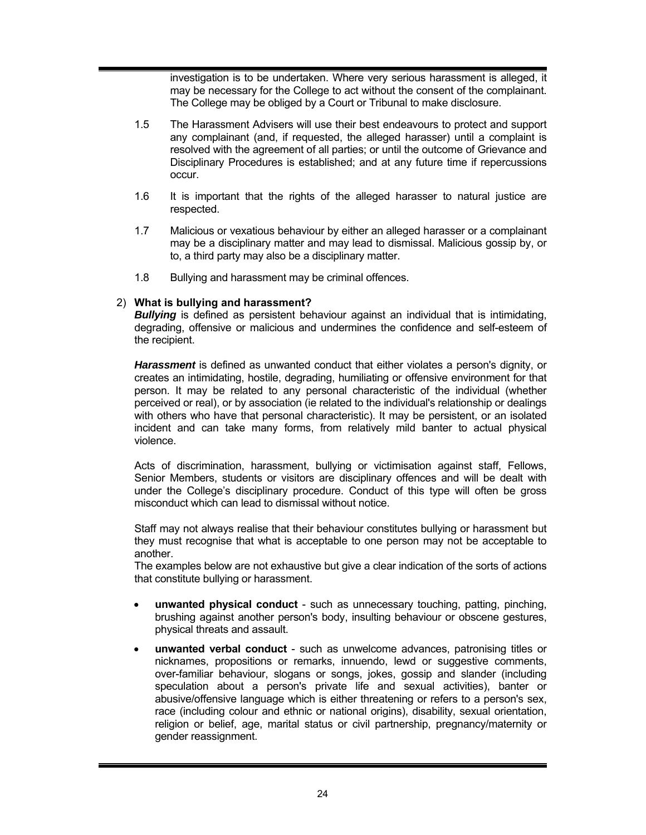investigation is to be undertaken. Where very serious harassment is alleged, it may be necessary for the College to act without the consent of the complainant. The College may be obliged by a Court or Tribunal to make disclosure.

- 1.5 The Harassment Advisers will use their best endeavours to protect and support any complainant (and, if requested, the alleged harasser) until a complaint is resolved with the agreement of all parties; or until the outcome of Grievance and Disciplinary Procedures is established; and at any future time if repercussions occur.
- 1.6 It is important that the rights of the alleged harasser to natural justice are respected.
- 1.7 Malicious or vexatious behaviour by either an alleged harasser or a complainant may be a disciplinary matter and may lead to dismissal. Malicious gossip by, or to, a third party may also be a disciplinary matter.
- 1.8 Bullying and harassment may be criminal offences.

### 2) **What is bullying and harassment?**

*Bullying* is defined as persistent behaviour against an individual that is intimidating, degrading, offensive or malicious and undermines the confidence and self-esteem of the recipient.

*Harassment* is defined as unwanted conduct that either violates a person's dignity, or creates an intimidating, hostile, degrading, humiliating or offensive environment for that person. It may be related to any personal characteristic of the individual (whether perceived or real), or by association (ie related to the individual's relationship or dealings with others who have that personal characteristic). It may be persistent, or an isolated incident and can take many forms, from relatively mild banter to actual physical violence.

Acts of discrimination, harassment, bullying or victimisation against staff, Fellows, Senior Members, students or visitors are disciplinary offences and will be dealt with under the College's disciplinary procedure. Conduct of this type will often be gross misconduct which can lead to dismissal without notice.

Staff may not always realise that their behaviour constitutes bullying or harassment but they must recognise that what is acceptable to one person may not be acceptable to another.

The examples below are not exhaustive but give a clear indication of the sorts of actions that constitute bullying or harassment.

- **unwanted physical conduct** such as unnecessary touching, patting, pinching, brushing against another person's body, insulting behaviour or obscene gestures, physical threats and assault.
- **unwanted verbal conduct** such as unwelcome advances, patronising titles or nicknames, propositions or remarks, innuendo, lewd or suggestive comments, over-familiar behaviour, slogans or songs, jokes, gossip and slander (including speculation about a person's private life and sexual activities), banter or abusive/offensive language which is either threatening or refers to a person's sex, race (including colour and ethnic or national origins), disability, sexual orientation, religion or belief, age, marital status or civil partnership, pregnancy/maternity or gender reassignment.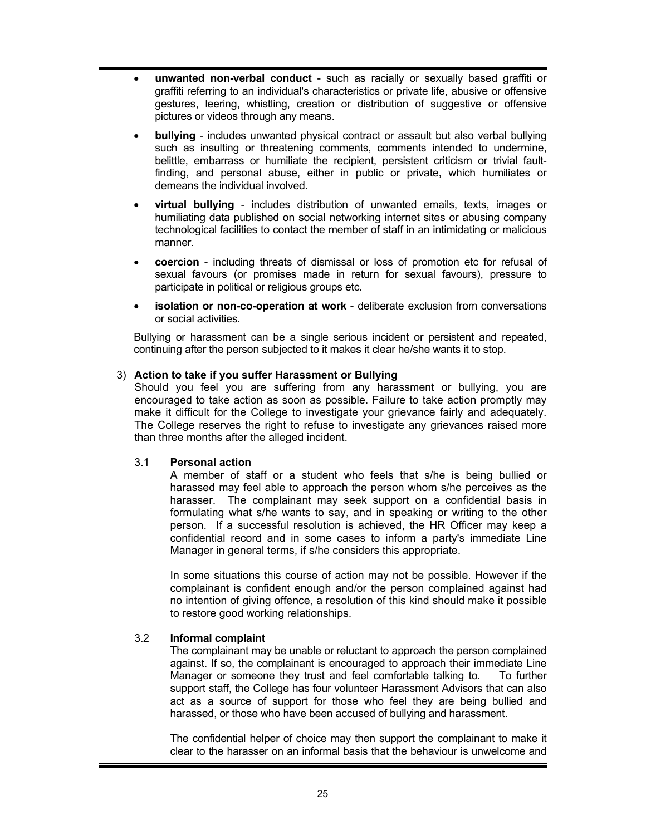- **unwanted non-verbal conduct** such as racially or sexually based graffiti or graffiti referring to an individual's characteristics or private life, abusive or offensive gestures, leering, whistling, creation or distribution of suggestive or offensive pictures or videos through any means.
- **bullying** includes unwanted physical contract or assault but also verbal bullying such as insulting or threatening comments, comments intended to undermine, belittle, embarrass or humiliate the recipient, persistent criticism or trivial faultfinding, and personal abuse, either in public or private, which humiliates or demeans the individual involved.
- **virtual bullying** includes distribution of unwanted emails, texts, images or humiliating data published on social networking internet sites or abusing company technological facilities to contact the member of staff in an intimidating or malicious manner.
- **coercion** including threats of dismissal or loss of promotion etc for refusal of sexual favours (or promises made in return for sexual favours), pressure to participate in political or religious groups etc.
- **isolation or non-co-operation at work** deliberate exclusion from conversations or social activities.

Bullying or harassment can be a single serious incident or persistent and repeated, continuing after the person subjected to it makes it clear he/she wants it to stop.

## 3) **Action to take if you suffer Harassment or Bullying**

Should you feel you are suffering from any harassment or bullying, you are encouraged to take action as soon as possible. Failure to take action promptly may make it difficult for the College to investigate your grievance fairly and adequately. The College reserves the right to refuse to investigate any grievances raised more than three months after the alleged incident.

#### 3.1 **Personal action**

A member of staff or a student who feels that s/he is being bullied or harassed may feel able to approach the person whom s/he perceives as the harasser. The complainant may seek support on a confidential basis in formulating what s/he wants to say, and in speaking or writing to the other person. If a successful resolution is achieved, the HR Officer may keep a confidential record and in some cases to inform a party's immediate Line Manager in general terms, if s/he considers this appropriate.

In some situations this course of action may not be possible. However if the complainant is confident enough and/or the person complained against had no intention of giving offence, a resolution of this kind should make it possible to restore good working relationships.

## 3.2 **Informal complaint**

The complainant may be unable or reluctant to approach the person complained against. If so, the complainant is encouraged to approach their immediate Line Manager or someone they trust and feel comfortable talking to. To further support staff, the College has four volunteer Harassment Advisors that can also act as a source of support for those who feel they are being bullied and harassed, or those who have been accused of bullying and harassment.

The confidential helper of choice may then support the complainant to make it clear to the harasser on an informal basis that the behaviour is unwelcome and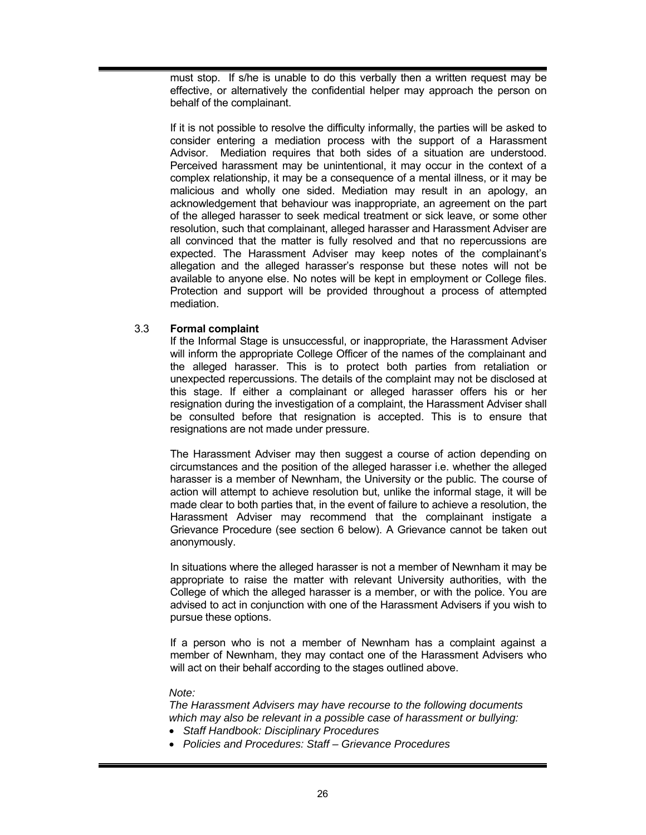must stop. If s/he is unable to do this verbally then a written request may be effective, or alternatively the confidential helper may approach the person on behalf of the complainant.

If it is not possible to resolve the difficulty informally, the parties will be asked to consider entering a mediation process with the support of a Harassment Advisor. Mediation requires that both sides of a situation are understood. Perceived harassment may be unintentional, it may occur in the context of a complex relationship, it may be a consequence of a mental illness, or it may be malicious and wholly one sided. Mediation may result in an apology, an acknowledgement that behaviour was inappropriate, an agreement on the part of the alleged harasser to seek medical treatment or sick leave, or some other resolution, such that complainant, alleged harasser and Harassment Adviser are all convinced that the matter is fully resolved and that no repercussions are expected. The Harassment Adviser may keep notes of the complainant's allegation and the alleged harasser's response but these notes will not be available to anyone else. No notes will be kept in employment or College files. Protection and support will be provided throughout a process of attempted mediation.

## 3.3 **Formal complaint**

If the Informal Stage is unsuccessful, or inappropriate, the Harassment Adviser will inform the appropriate College Officer of the names of the complainant and the alleged harasser. This is to protect both parties from retaliation or unexpected repercussions. The details of the complaint may not be disclosed at this stage. If either a complainant or alleged harasser offers his or her resignation during the investigation of a complaint, the Harassment Adviser shall be consulted before that resignation is accepted. This is to ensure that resignations are not made under pressure.

The Harassment Adviser may then suggest a course of action depending on circumstances and the position of the alleged harasser i.e. whether the alleged harasser is a member of Newnham, the University or the public. The course of action will attempt to achieve resolution but, unlike the informal stage, it will be made clear to both parties that, in the event of failure to achieve a resolution, the Harassment Adviser may recommend that the complainant instigate a Grievance Procedure (see section 6 below). A Grievance cannot be taken out anonymously.

In situations where the alleged harasser is not a member of Newnham it may be appropriate to raise the matter with relevant University authorities, with the College of which the alleged harasser is a member, or with the police. You are advised to act in conjunction with one of the Harassment Advisers if you wish to pursue these options.

If a person who is not a member of Newnham has a complaint against a member of Newnham, they may contact one of the Harassment Advisers who will act on their behalf according to the stages outlined above.

#### *Note:*

*The Harassment Advisers may have recourse to the following documents which may also be relevant in a possible case of harassment or bullying:* 

- *Staff Handbook: Disciplinary Procedures*
- *Policies and Procedures: Staff Grievance Procedures*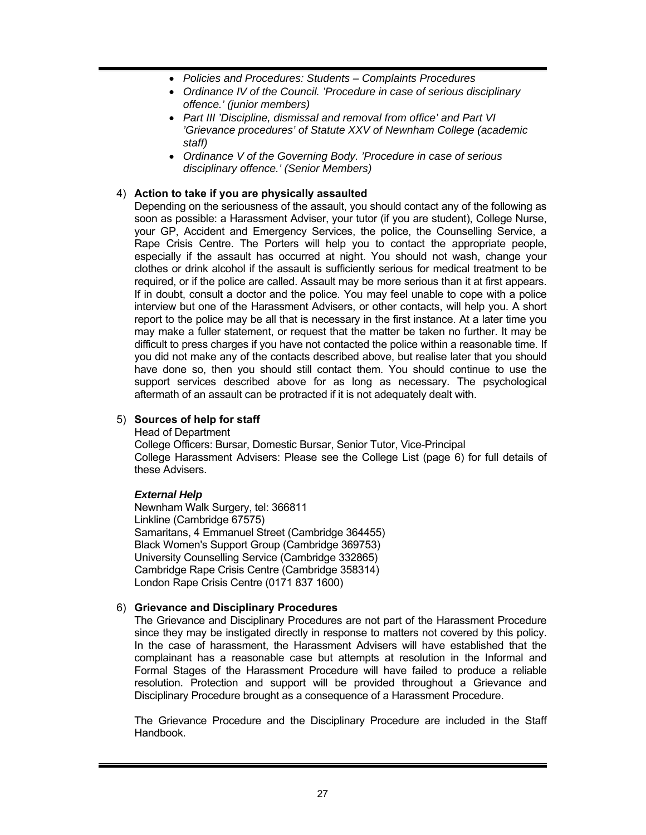- *Policies and Procedures: Students Complaints Procedures*
- *Ordinance IV of the Council. 'Procedure in case of serious disciplinary offence.' (junior members)*
- *Part III 'Discipline, dismissal and removal from office' and Part VI 'Grievance procedures' of Statute XXV of Newnham College (academic staff)*
- *Ordinance V of the Governing Body. 'Procedure in case of serious disciplinary offence.' (Senior Members)*

## 4) **Action to take if you are physically assaulted**

Depending on the seriousness of the assault, you should contact any of the following as soon as possible: a Harassment Adviser, your tutor (if you are student), College Nurse, your GP, Accident and Emergency Services, the police, the Counselling Service, a Rape Crisis Centre. The Porters will help you to contact the appropriate people, especially if the assault has occurred at night. You should not wash, change your clothes or drink alcohol if the assault is sufficiently serious for medical treatment to be required, or if the police are called. Assault may be more serious than it at first appears. If in doubt, consult a doctor and the police. You may feel unable to cope with a police interview but one of the Harassment Advisers, or other contacts, will help you. A short report to the police may be all that is necessary in the first instance. At a later time you may make a fuller statement, or request that the matter be taken no further. It may be difficult to press charges if you have not contacted the police within a reasonable time. If you did not make any of the contacts described above, but realise later that you should have done so, then you should still contact them. You should continue to use the support services described above for as long as necessary. The psychological aftermath of an assault can be protracted if it is not adequately dealt with.

## 5) **Sources of help for staff**

Head of Department

College Officers: Bursar, Domestic Bursar, Senior Tutor, Vice-Principal College Harassment Advisers: Please see the College List (page 6) for full details of these Advisers.

# *External Help*

Newnham Walk Surgery, tel: 366811 Linkline (Cambridge 67575) Samaritans, 4 Emmanuel Street (Cambridge 364455) Black Women's Support Group (Cambridge 369753) University Counselling Service (Cambridge 332865) Cambridge Rape Crisis Centre (Cambridge 358314) London Rape Crisis Centre (0171 837 1600)

## 6) **Grievance and Disciplinary Procedures**

The Grievance and Disciplinary Procedures are not part of the Harassment Procedure since they may be instigated directly in response to matters not covered by this policy. In the case of harassment, the Harassment Advisers will have established that the complainant has a reasonable case but attempts at resolution in the Informal and Formal Stages of the Harassment Procedure will have failed to produce a reliable resolution. Protection and support will be provided throughout a Grievance and Disciplinary Procedure brought as a consequence of a Harassment Procedure.

The Grievance Procedure and the Disciplinary Procedure are included in the Staff Handbook.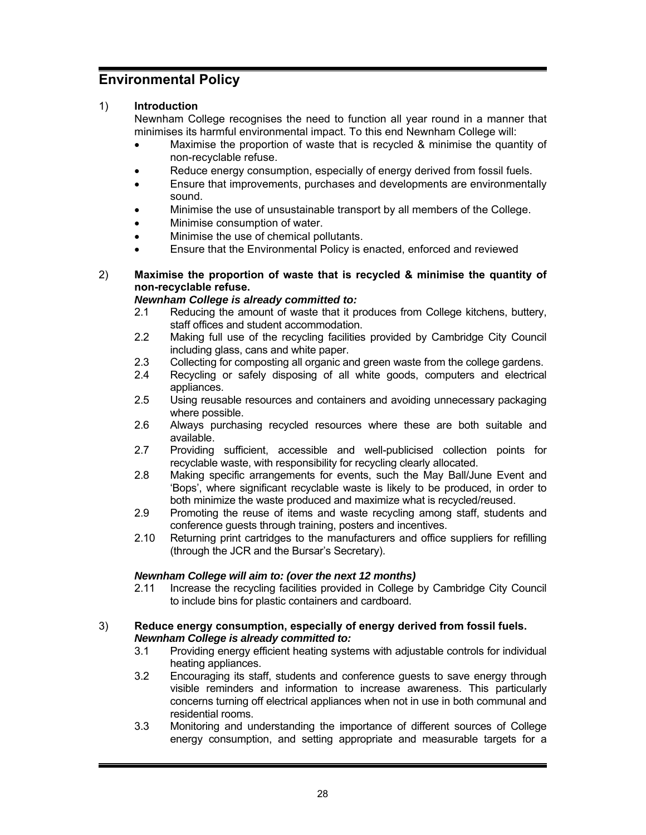# **Environmental Policy**

# 1) **Introduction**

Newnham College recognises the need to function all year round in a manner that minimises its harmful environmental impact. To this end Newnham College will:

- Maximise the proportion of waste that is recycled & minimise the quantity of non-recyclable refuse.
- Reduce energy consumption, especially of energy derived from fossil fuels.
- Ensure that improvements, purchases and developments are environmentally sound.
- Minimise the use of unsustainable transport by all members of the College.
- Minimise consumption of water.
- Minimise the use of chemical pollutants.
- Ensure that the Environmental Policy is enacted, enforced and reviewed

## 2) **Maximise the proportion of waste that is recycled & minimise the quantity of non-recyclable refuse.**

## *Newnham College is already committed to:*

- 2.1 Reducing the amount of waste that it produces from College kitchens, buttery, staff offices and student accommodation.
- 2.2 Making full use of the recycling facilities provided by Cambridge City Council including glass, cans and white paper.
- 2.3 Collecting for composting all organic and green waste from the college gardens.
- 2.4 Recycling or safely disposing of all white goods, computers and electrical appliances.
- 2.5 Using reusable resources and containers and avoiding unnecessary packaging where possible.
- 2.6 Always purchasing recycled resources where these are both suitable and available.
- 2.7 Providing sufficient, accessible and well-publicised collection points for recyclable waste, with responsibility for recycling clearly allocated.
- 2.8 Making specific arrangements for events, such the May Ball/June Event and 'Bops', where significant recyclable waste is likely to be produced, in order to both minimize the waste produced and maximize what is recycled/reused.
- 2.9 Promoting the reuse of items and waste recycling among staff, students and conference guests through training, posters and incentives.
- 2.10 Returning print cartridges to the manufacturers and office suppliers for refilling (through the JCR and the Bursar's Secretary).

## *Newnham College will aim to: (over the next 12 months)*

2.11 Increase the recycling facilities provided in College by Cambridge City Council to include bins for plastic containers and cardboard.

#### 3) **Reduce energy consumption, especially of energy derived from fossil fuels.**  *Newnham College is already committed to:*

- 3.1 Providing energy efficient heating systems with adjustable controls for individual heating appliances.
- 3.2 Encouraging its staff, students and conference guests to save energy through visible reminders and information to increase awareness. This particularly concerns turning off electrical appliances when not in use in both communal and residential rooms.
- 3.3 Monitoring and understanding the importance of different sources of College energy consumption, and setting appropriate and measurable targets for a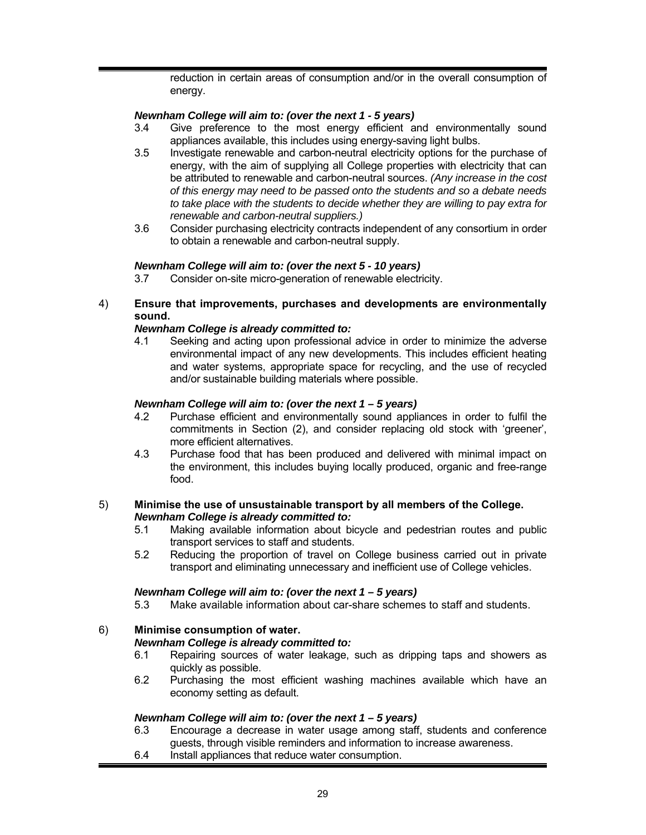reduction in certain areas of consumption and/or in the overall consumption of energy.

## *Newnham College will aim to: (over the next 1 - 5 years)*

- 3.4 Give preference to the most energy efficient and environmentally sound appliances available, this includes using energy-saving light bulbs.
- 3.5 Investigate renewable and carbon-neutral electricity options for the purchase of energy, with the aim of supplying all College properties with electricity that can be attributed to renewable and carbon-neutral sources. *(Any increase in the cost of this energy may need to be passed onto the students and so a debate needs to take place with the students to decide whether they are willing to pay extra for renewable and carbon-neutral suppliers.)*
- 3.6 Consider purchasing electricity contracts independent of any consortium in order to obtain a renewable and carbon-neutral supply.

#### *Newnham College will aim to: (over the next 5 - 10 years)*

3.7 Consider on-site micro-generation of renewable electricity.

## 4) **Ensure that improvements, purchases and developments are environmentally sound.**

#### *Newnham College is already committed to:*

4.1 Seeking and acting upon professional advice in order to minimize the adverse environmental impact of any new developments. This includes efficient heating and water systems, appropriate space for recycling, and the use of recycled and/or sustainable building materials where possible.

#### *Newnham College will aim to: (over the next 1 – 5 years)*

- 4.2 Purchase efficient and environmentally sound appliances in order to fulfil the commitments in Section (2), and consider replacing old stock with 'greener', more efficient alternatives.
- 4.3 Purchase food that has been produced and delivered with minimal impact on the environment, this includes buying locally produced, organic and free-range food.

#### 5) **Minimise the use of unsustainable transport by all members of the College.**  *Newnham College is already committed to:*

- 5.1 Making available information about bicycle and pedestrian routes and public transport services to staff and students.
- 5.2 Reducing the proportion of travel on College business carried out in private transport and eliminating unnecessary and inefficient use of College vehicles.

#### *Newnham College will aim to: (over the next 1 – 5 years)*

5.3 Make available information about car-share schemes to staff and students.

## 6) **Minimise consumption of water.**

#### *Newnham College is already committed to:*

- 6.1 Repairing sources of water leakage, such as dripping taps and showers as quickly as possible.
- 6.2 Purchasing the most efficient washing machines available which have an economy setting as default.

#### *Newnham College will aim to: (over the next 1 – 5 years)*

- 6.3 Encourage a decrease in water usage among staff, students and conference guests, through visible reminders and information to increase awareness.
- 6.4 Install appliances that reduce water consumption.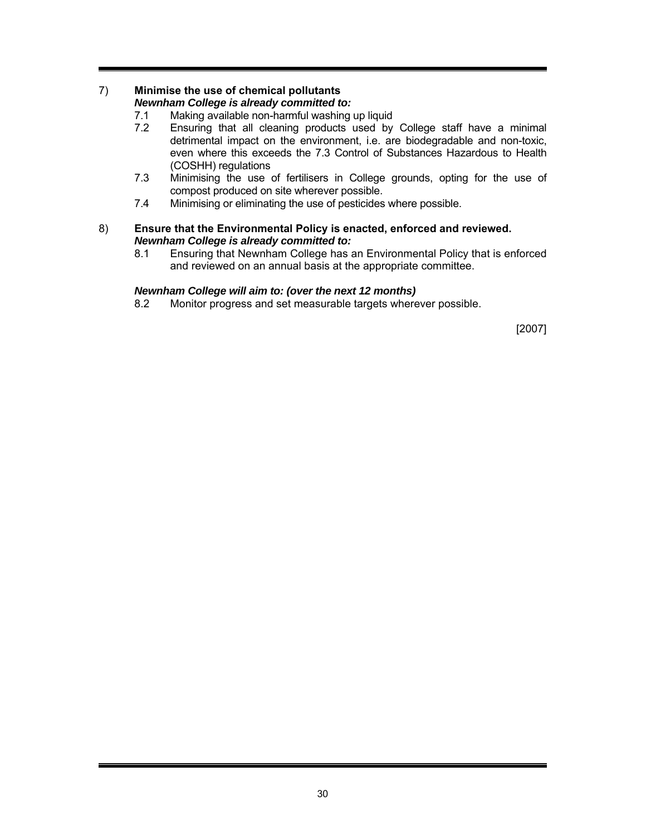# 7) **Minimise the use of chemical pollutants**

# *Newnham College is already committed to:*

- 7.1 Making available non-harmful washing up liquid<br>7.2 Ensuring that all cleaning products used by
- Ensuring that all cleaning products used by College staff have a minimal detrimental impact on the environment, i.e. are biodegradable and non-toxic, even where this exceeds the 7.3 Control of Substances Hazardous to Health (COSHH) regulations
- 7.3 Minimising the use of fertilisers in College grounds, opting for the use of compost produced on site wherever possible.
- 7.4 Minimising or eliminating the use of pesticides where possible.

## 8) **Ensure that the Environmental Policy is enacted, enforced and reviewed.**  *Newnham College is already committed to:*

8.1 Ensuring that Newnham College has an Environmental Policy that is enforced and reviewed on an annual basis at the appropriate committee.

# *Newnham College will aim to: (over the next 12 months)*

8.2 Monitor progress and set measurable targets wherever possible.

[2007]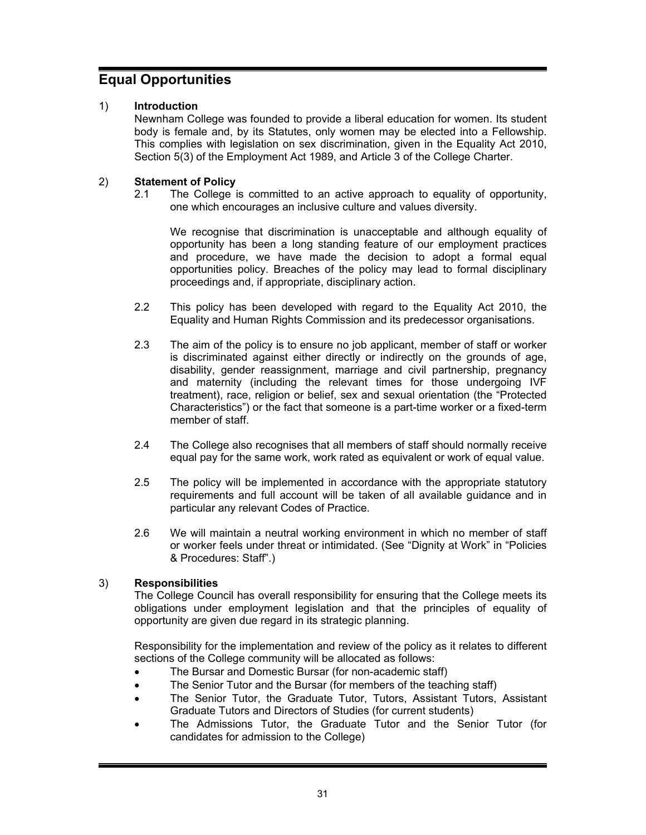# **Equal Opportunities**

# 1) **Introduction**

Newnham College was founded to provide a liberal education for women. Its student body is female and, by its Statutes, only women may be elected into a Fellowship. This complies with legislation on sex discrimination, given in the Equality Act 2010, Section 5(3) of the Employment Act 1989, and Article 3 of the College Charter.

# 2) **Statement of Policy**

2.1 The College is committed to an active approach to equality of opportunity, one which encourages an inclusive culture and values diversity.

We recognise that discrimination is unacceptable and although equality of opportunity has been a long standing feature of our employment practices and procedure, we have made the decision to adopt a formal equal opportunities policy. Breaches of the policy may lead to formal disciplinary proceedings and, if appropriate, disciplinary action.

- 2.2 This policy has been developed with regard to the Equality Act 2010, the Equality and Human Rights Commission and its predecessor organisations.
- 2.3 The aim of the policy is to ensure no job applicant, member of staff or worker is discriminated against either directly or indirectly on the grounds of age, disability, gender reassignment, marriage and civil partnership, pregnancy and maternity (including the relevant times for those undergoing IVF treatment), race, religion or belief, sex and sexual orientation (the "Protected Characteristics") or the fact that someone is a part-time worker or a fixed-term member of staff.
- 2.4 The College also recognises that all members of staff should normally receive equal pay for the same work, work rated as equivalent or work of equal value.
- 2.5 The policy will be implemented in accordance with the appropriate statutory requirements and full account will be taken of all available guidance and in particular any relevant Codes of Practice.
- 2.6 We will maintain a neutral working environment in which no member of staff or worker feels under threat or intimidated. (See "Dignity at Work" in "Policies & Procedures: Staff".)

# 3) **Responsibilities**

The College Council has overall responsibility for ensuring that the College meets its obligations under employment legislation and that the principles of equality of opportunity are given due regard in its strategic planning.

Responsibility for the implementation and review of the policy as it relates to different sections of the College community will be allocated as follows:

- The Bursar and Domestic Bursar (for non-academic staff)
- The Senior Tutor and the Bursar (for members of the teaching staff)
- The Senior Tutor, the Graduate Tutor, Tutors, Assistant Tutors, Assistant Graduate Tutors and Directors of Studies (for current students)
- The Admissions Tutor, the Graduate Tutor and the Senior Tutor (for candidates for admission to the College)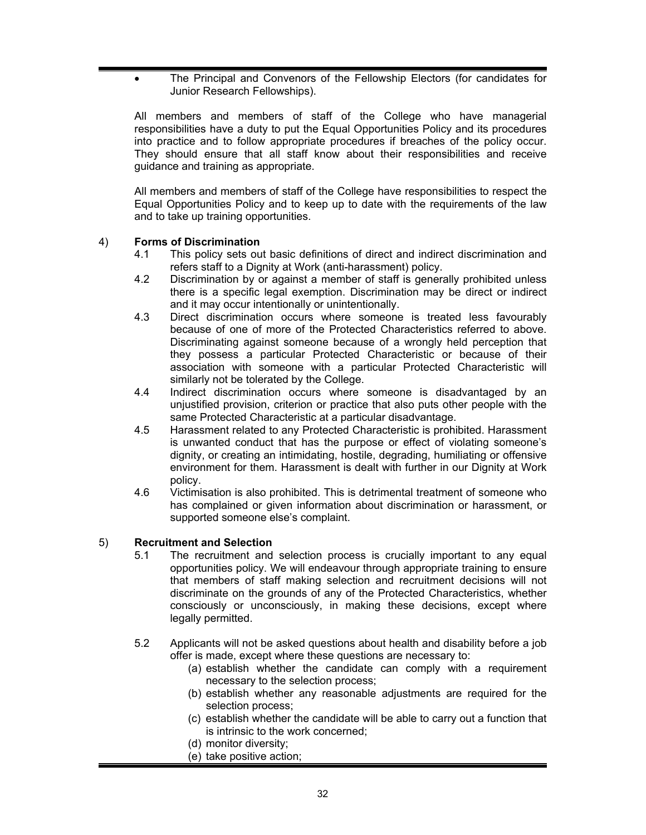The Principal and Convenors of the Fellowship Electors (for candidates for Junior Research Fellowships).

All members and members of staff of the College who have managerial responsibilities have a duty to put the Equal Opportunities Policy and its procedures into practice and to follow appropriate procedures if breaches of the policy occur. They should ensure that all staff know about their responsibilities and receive guidance and training as appropriate.

All members and members of staff of the College have responsibilities to respect the Equal Opportunities Policy and to keep up to date with the requirements of the law and to take up training opportunities.

# 4) **Forms of Discrimination**

- 4.1 This policy sets out basic definitions of direct and indirect discrimination and refers staff to a Dignity at Work (anti-harassment) policy.
- 4.2 Discrimination by or against a member of staff is generally prohibited unless there is a specific legal exemption. Discrimination may be direct or indirect and it may occur intentionally or unintentionally.
- 4.3 Direct discrimination occurs where someone is treated less favourably because of one of more of the Protected Characteristics referred to above. Discriminating against someone because of a wrongly held perception that they possess a particular Protected Characteristic or because of their association with someone with a particular Protected Characteristic will similarly not be tolerated by the College.
- 4.4 Indirect discrimination occurs where someone is disadvantaged by an unjustified provision, criterion or practice that also puts other people with the same Protected Characteristic at a particular disadvantage.
- 4.5 Harassment related to any Protected Characteristic is prohibited. Harassment is unwanted conduct that has the purpose or effect of violating someone's dignity, or creating an intimidating, hostile, degrading, humiliating or offensive environment for them. Harassment is dealt with further in our Dignity at Work policy.
- 4.6 Victimisation is also prohibited. This is detrimental treatment of someone who has complained or given information about discrimination or harassment, or supported someone else's complaint.

## 5) **Recruitment and Selection**

- 5.1 The recruitment and selection process is crucially important to any equal opportunities policy. We will endeavour through appropriate training to ensure that members of staff making selection and recruitment decisions will not discriminate on the grounds of any of the Protected Characteristics, whether consciously or unconsciously, in making these decisions, except where legally permitted.
- 5.2 Applicants will not be asked questions about health and disability before a job offer is made, except where these questions are necessary to:
	- (a) establish whether the candidate can comply with a requirement necessary to the selection process;
	- (b) establish whether any reasonable adjustments are required for the selection process;
	- (c) establish whether the candidate will be able to carry out a function that is intrinsic to the work concerned;
	- (d) monitor diversity;
	- (e) take positive action;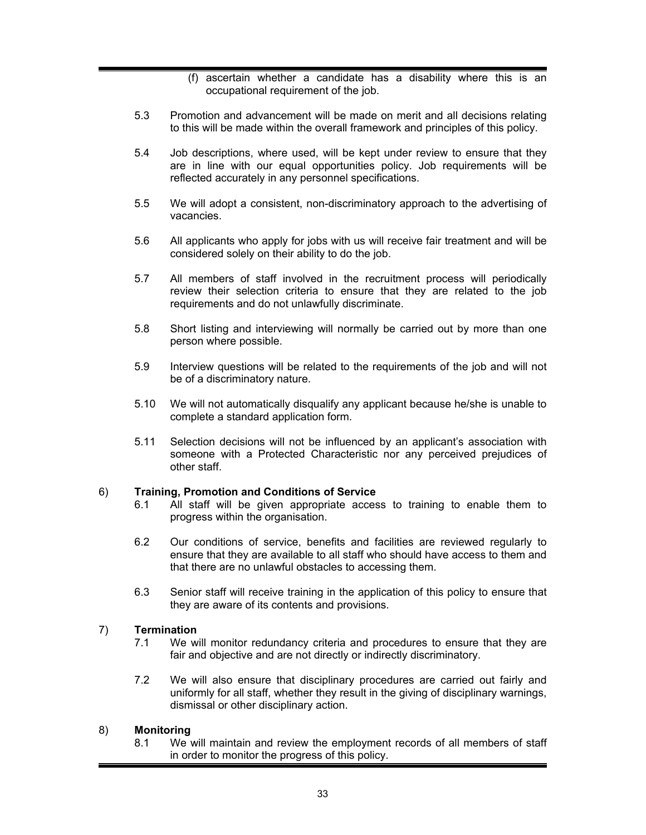- (f) ascertain whether a candidate has a disability where this is an occupational requirement of the job.
- 5.3 Promotion and advancement will be made on merit and all decisions relating to this will be made within the overall framework and principles of this policy.
- 5.4 Job descriptions, where used, will be kept under review to ensure that they are in line with our equal opportunities policy. Job requirements will be reflected accurately in any personnel specifications.
- 5.5 We will adopt a consistent, non-discriminatory approach to the advertising of vacancies.
- 5.6 All applicants who apply for jobs with us will receive fair treatment and will be considered solely on their ability to do the job.
- 5.7 All members of staff involved in the recruitment process will periodically review their selection criteria to ensure that they are related to the job requirements and do not unlawfully discriminate.
- 5.8 Short listing and interviewing will normally be carried out by more than one person where possible.
- 5.9 Interview questions will be related to the requirements of the job and will not be of a discriminatory nature.
- 5.10 We will not automatically disqualify any applicant because he/she is unable to complete a standard application form.
- 5.11 Selection decisions will not be influenced by an applicant's association with someone with a Protected Characteristic nor any perceived prejudices of other staff.

#### 6) **Training, Promotion and Conditions of Service**

- 6.1 All staff will be given appropriate access to training to enable them to progress within the organisation.
- 6.2 Our conditions of service, benefits and facilities are reviewed regularly to ensure that they are available to all staff who should have access to them and that there are no unlawful obstacles to accessing them.
- 6.3 Senior staff will receive training in the application of this policy to ensure that they are aware of its contents and provisions.

#### 7) **Termination**

- 7.1 We will monitor redundancy criteria and procedures to ensure that they are fair and objective and are not directly or indirectly discriminatory.
- 7.2 We will also ensure that disciplinary procedures are carried out fairly and uniformly for all staff, whether they result in the giving of disciplinary warnings, dismissal or other disciplinary action.

#### 8) **Monitoring**

8.1 We will maintain and review the employment records of all members of staff in order to monitor the progress of this policy.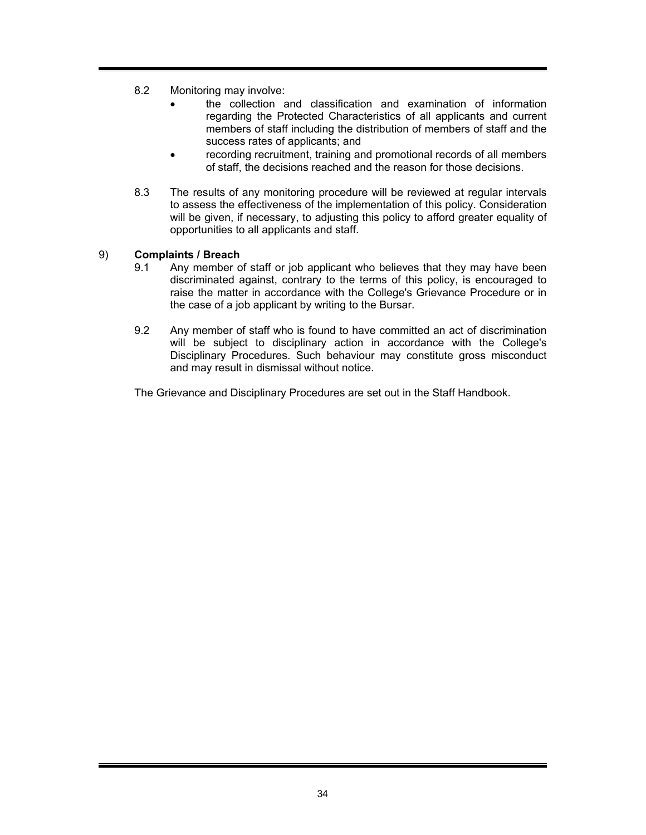- 8.2 Monitoring may involve:
	- the collection and classification and examination of information regarding the Protected Characteristics of all applicants and current members of staff including the distribution of members of staff and the success rates of applicants; and
	- recording recruitment, training and promotional records of all members of staff, the decisions reached and the reason for those decisions.
- 8.3 The results of any monitoring procedure will be reviewed at regular intervals to assess the effectiveness of the implementation of this policy. Consideration will be given, if necessary, to adjusting this policy to afford greater equality of opportunities to all applicants and staff.

## 9) **Complaints / Breach**

- 9.1 Any member of staff or job applicant who believes that they may have been discriminated against, contrary to the terms of this policy, is encouraged to raise the matter in accordance with the College's Grievance Procedure or in the case of a job applicant by writing to the Bursar.
- 9.2 Any member of staff who is found to have committed an act of discrimination will be subject to disciplinary action in accordance with the College's Disciplinary Procedures. Such behaviour may constitute gross misconduct and may result in dismissal without notice.

The Grievance and Disciplinary Procedures are set out in the Staff Handbook.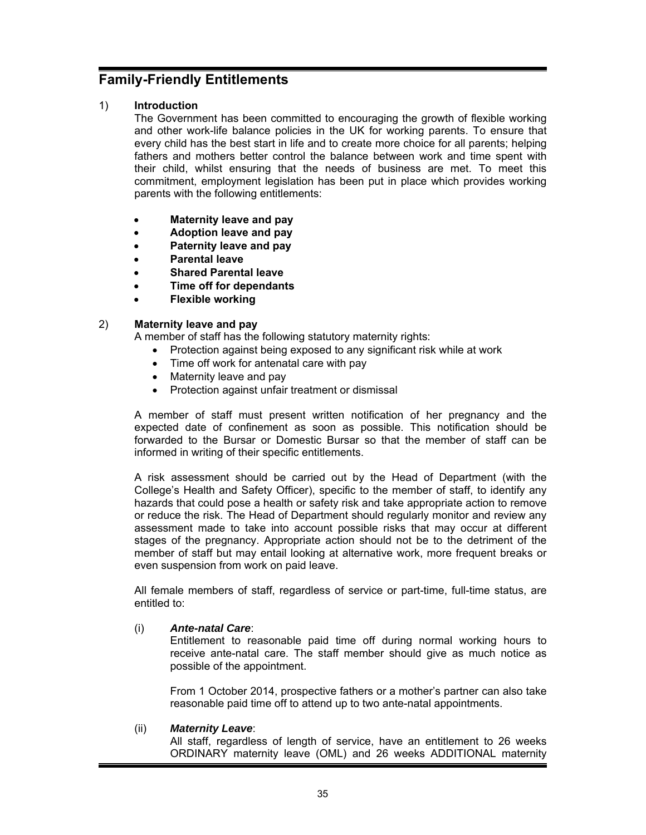# **Family-Friendly Entitlements**

## 1) **Introduction**

The Government has been committed to encouraging the growth of flexible working and other work-life balance policies in the UK for working parents. To ensure that every child has the best start in life and to create more choice for all parents; helping fathers and mothers better control the balance between work and time spent with their child, whilst ensuring that the needs of business are met. To meet this commitment, employment legislation has been put in place which provides working parents with the following entitlements:

- **Maternity leave and pay**
- **Adoption leave and pay**
- **Paternity leave and pay**
- **Parental leave**
- **Shared Parental leave**
- **Time off for dependants**
- **Flexible working**

# 2) **Maternity leave and pay**

A member of staff has the following statutory maternity rights:

- Protection against being exposed to any significant risk while at work
- Time off work for antenatal care with pay
- Maternity leave and pay
- Protection against unfair treatment or dismissal

A member of staff must present written notification of her pregnancy and the expected date of confinement as soon as possible. This notification should be forwarded to the Bursar or Domestic Bursar so that the member of staff can be informed in writing of their specific entitlements.

A risk assessment should be carried out by the Head of Department (with the College's Health and Safety Officer), specific to the member of staff, to identify any hazards that could pose a health or safety risk and take appropriate action to remove or reduce the risk. The Head of Department should regularly monitor and review any assessment made to take into account possible risks that may occur at different stages of the pregnancy. Appropriate action should not be to the detriment of the member of staff but may entail looking at alternative work, more frequent breaks or even suspension from work on paid leave.

All female members of staff, regardless of service or part-time, full-time status, are entitled to:

## (i) *Ante-natal Care*:

Entitlement to reasonable paid time off during normal working hours to receive ante-natal care. The staff member should give as much notice as possible of the appointment.

From 1 October 2014, prospective fathers or a mother's partner can also take reasonable paid time off to attend up to two ante-natal appointments.

## (ii) *Maternity Leave*:

All staff, regardless of length of service, have an entitlement to 26 weeks ORDINARY maternity leave (OML) and 26 weeks ADDITIONAL maternity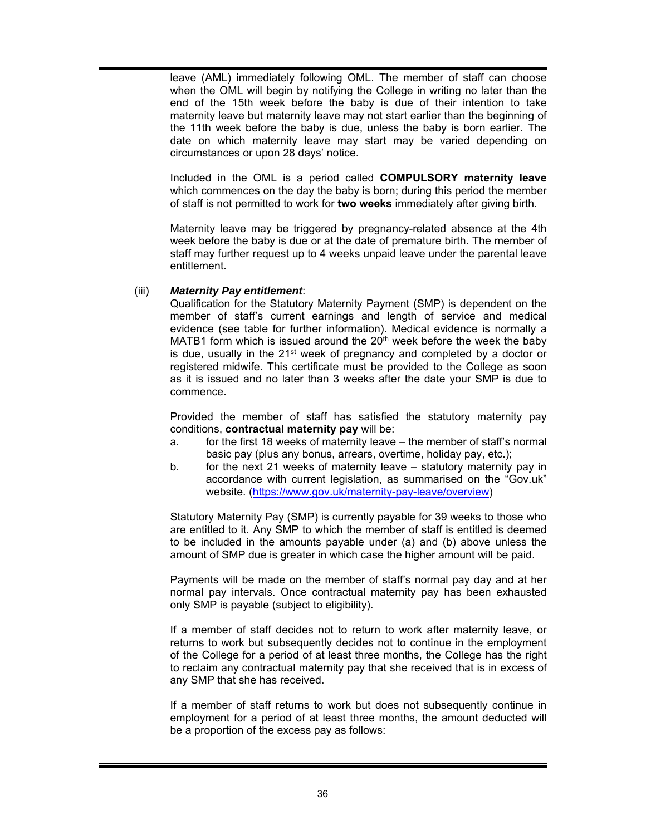leave (AML) immediately following OML. The member of staff can choose when the OML will begin by notifying the College in writing no later than the end of the 15th week before the baby is due of their intention to take maternity leave but maternity leave may not start earlier than the beginning of the 11th week before the baby is due, unless the baby is born earlier. The date on which maternity leave may start may be varied depending on circumstances or upon 28 days' notice.

Included in the OML is a period called **COMPULSORY maternity leave** which commences on the day the baby is born; during this period the member of staff is not permitted to work for **two weeks** immediately after giving birth.

Maternity leave may be triggered by pregnancy-related absence at the 4th week before the baby is due or at the date of premature birth. The member of staff may further request up to 4 weeks unpaid leave under the parental leave entitlement.

#### (iii) *Maternity Pay entitlement*:

Qualification for the Statutory Maternity Payment (SMP) is dependent on the member of staff's current earnings and length of service and medical evidence (see table for further information). Medical evidence is normally a MATB1 form which is issued around the  $20<sup>th</sup>$  week before the week the baby is due, usually in the 21<sup>st</sup> week of pregnancy and completed by a doctor or registered midwife. This certificate must be provided to the College as soon as it is issued and no later than 3 weeks after the date your SMP is due to commence.

Provided the member of staff has satisfied the statutory maternity pay conditions, **contractual maternity pay** will be:

- a. for the first 18 weeks of maternity leave the member of staff's normal basic pay (plus any bonus, arrears, overtime, holiday pay, etc.);
- b. for the next 21 weeks of maternity leave statutory maternity pay in accordance with current legislation, as summarised on the "Gov.uk" website. (https://www.gov.uk/maternity-pay-leave/overview)

Statutory Maternity Pay (SMP) is currently payable for 39 weeks to those who are entitled to it. Any SMP to which the member of staff is entitled is deemed to be included in the amounts payable under (a) and (b) above unless the amount of SMP due is greater in which case the higher amount will be paid.

Payments will be made on the member of staff's normal pay day and at her normal pay intervals. Once contractual maternity pay has been exhausted only SMP is payable (subject to eligibility).

If a member of staff decides not to return to work after maternity leave, or returns to work but subsequently decides not to continue in the employment of the College for a period of at least three months, the College has the right to reclaim any contractual maternity pay that she received that is in excess of any SMP that she has received.

If a member of staff returns to work but does not subsequently continue in employment for a period of at least three months, the amount deducted will be a proportion of the excess pay as follows: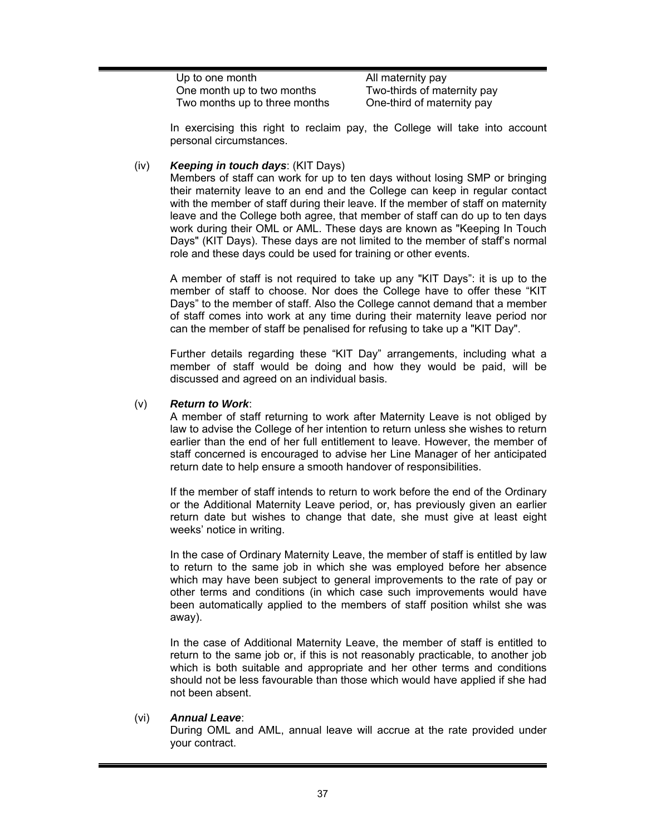| Up to one month               | All maternity pay           |
|-------------------------------|-----------------------------|
| One month up to two months    | Two-thirds of maternity pay |
| Two months up to three months | One-third of maternity pay  |

In exercising this right to reclaim pay, the College will take into account personal circumstances.

#### (iv) *Keeping in touch days*: (KIT Days)

Members of staff can work for up to ten days without losing SMP or bringing their maternity leave to an end and the College can keep in regular contact with the member of staff during their leave. If the member of staff on maternity leave and the College both agree, that member of staff can do up to ten days work during their OML or AML. These days are known as "Keeping In Touch Days" (KIT Days). These days are not limited to the member of staff's normal role and these days could be used for training or other events.

A member of staff is not required to take up any "KIT Days": it is up to the member of staff to choose. Nor does the College have to offer these "KIT Days" to the member of staff. Also the College cannot demand that a member of staff comes into work at any time during their maternity leave period nor can the member of staff be penalised for refusing to take up a "KIT Day".

Further details regarding these "KIT Day" arrangements, including what a member of staff would be doing and how they would be paid, will be discussed and agreed on an individual basis.

#### (v) *Return to Work*:

A member of staff returning to work after Maternity Leave is not obliged by law to advise the College of her intention to return unless she wishes to return earlier than the end of her full entitlement to leave. However, the member of staff concerned is encouraged to advise her Line Manager of her anticipated return date to help ensure a smooth handover of responsibilities.

If the member of staff intends to return to work before the end of the Ordinary or the Additional Maternity Leave period, or, has previously given an earlier return date but wishes to change that date, she must give at least eight weeks' notice in writing.

In the case of Ordinary Maternity Leave, the member of staff is entitled by law to return to the same job in which she was employed before her absence which may have been subject to general improvements to the rate of pay or other terms and conditions (in which case such improvements would have been automatically applied to the members of staff position whilst she was away).

In the case of Additional Maternity Leave, the member of staff is entitled to return to the same job or, if this is not reasonably practicable, to another job which is both suitable and appropriate and her other terms and conditions should not be less favourable than those which would have applied if she had not been absent.

#### (vi) *Annual Leave*:

During OML and AML, annual leave will accrue at the rate provided under your contract.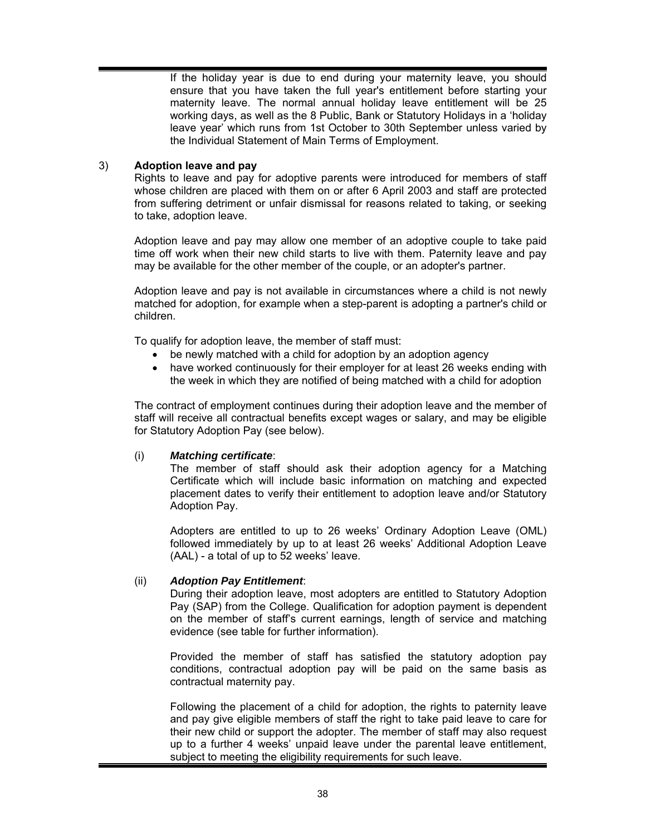If the holiday year is due to end during your maternity leave, you should ensure that you have taken the full year's entitlement before starting your maternity leave. The normal annual holiday leave entitlement will be 25 working days, as well as the 8 Public, Bank or Statutory Holidays in a 'holiday leave year' which runs from 1st October to 30th September unless varied by the Individual Statement of Main Terms of Employment.

## 3) **Adoption leave and pay**

Rights to leave and pay for adoptive parents were introduced for members of staff whose children are placed with them on or after 6 April 2003 and staff are protected from suffering detriment or unfair dismissal for reasons related to taking, or seeking to take, adoption leave.

Adoption leave and pay may allow one member of an adoptive couple to take paid time off work when their new child starts to live with them. Paternity leave and pay may be available for the other member of the couple, or an adopter's partner.

Adoption leave and pay is not available in circumstances where a child is not newly matched for adoption, for example when a step-parent is adopting a partner's child or children.

To qualify for adoption leave, the member of staff must:

- be newly matched with a child for adoption by an adoption agency
- have worked continuously for their employer for at least 26 weeks ending with the week in which they are notified of being matched with a child for adoption

The contract of employment continues during their adoption leave and the member of staff will receive all contractual benefits except wages or salary, and may be eligible for Statutory Adoption Pay (see below).

## (i) *Matching certificate*:

The member of staff should ask their adoption agency for a Matching Certificate which will include basic information on matching and expected placement dates to verify their entitlement to adoption leave and/or Statutory Adoption Pay.

Adopters are entitled to up to 26 weeks' Ordinary Adoption Leave (OML) followed immediately by up to at least 26 weeks' Additional Adoption Leave (AAL) - a total of up to 52 weeks' leave.

## (ii) *Adoption Pay Entitlement*:

During their adoption leave, most adopters are entitled to Statutory Adoption Pay (SAP) from the College. Qualification for adoption payment is dependent on the member of staff's current earnings, length of service and matching evidence (see table for further information).

Provided the member of staff has satisfied the statutory adoption pay conditions, contractual adoption pay will be paid on the same basis as contractual maternity pay.

Following the placement of a child for adoption, the rights to paternity leave and pay give eligible members of staff the right to take paid leave to care for their new child or support the adopter. The member of staff may also request up to a further 4 weeks' unpaid leave under the parental leave entitlement, subject to meeting the eligibility requirements for such leave.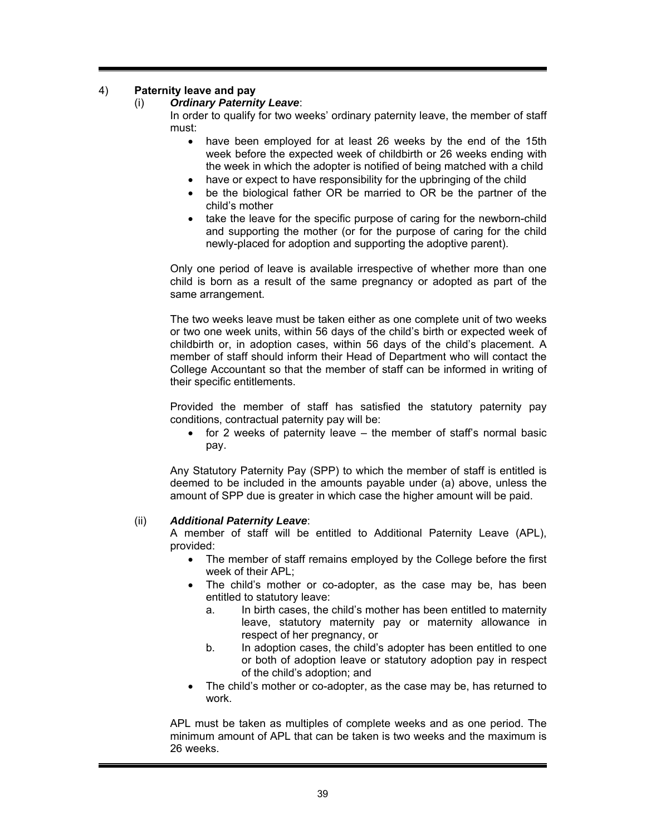## 4) **Paternity leave and pay**

#### (i) *Ordinary Paternity Leave*:

In order to qualify for two weeks' ordinary paternity leave, the member of staff must:

- have been employed for at least 26 weeks by the end of the 15th week before the expected week of childbirth or 26 weeks ending with the week in which the adopter is notified of being matched with a child
- have or expect to have responsibility for the upbringing of the child
- be the biological father OR be married to OR be the partner of the child's mother
- take the leave for the specific purpose of caring for the newborn-child and supporting the mother (or for the purpose of caring for the child newly-placed for adoption and supporting the adoptive parent).

Only one period of leave is available irrespective of whether more than one child is born as a result of the same pregnancy or adopted as part of the same arrangement.

The two weeks leave must be taken either as one complete unit of two weeks or two one week units, within 56 days of the child's birth or expected week of childbirth or, in adoption cases, within 56 days of the child's placement. A member of staff should inform their Head of Department who will contact the College Accountant so that the member of staff can be informed in writing of their specific entitlements.

Provided the member of staff has satisfied the statutory paternity pay conditions, contractual paternity pay will be:

 $\bullet$  for 2 weeks of paternity leave – the member of staff's normal basic pay.

Any Statutory Paternity Pay (SPP) to which the member of staff is entitled is deemed to be included in the amounts payable under (a) above, unless the amount of SPP due is greater in which case the higher amount will be paid.

#### (ii) *Additional Paternity Leave*:

A member of staff will be entitled to Additional Paternity Leave (APL), provided:

- The member of staff remains employed by the College before the first week of their APL;
- The child's mother or co-adopter, as the case may be, has been entitled to statutory leave:
	- a. In birth cases, the child's mother has been entitled to maternity leave, statutory maternity pay or maternity allowance in respect of her pregnancy, or
	- b. In adoption cases, the child's adopter has been entitled to one or both of adoption leave or statutory adoption pay in respect of the child's adoption; and
- The child's mother or co-adopter, as the case may be, has returned to work.

APL must be taken as multiples of complete weeks and as one period. The minimum amount of APL that can be taken is two weeks and the maximum is 26 weeks.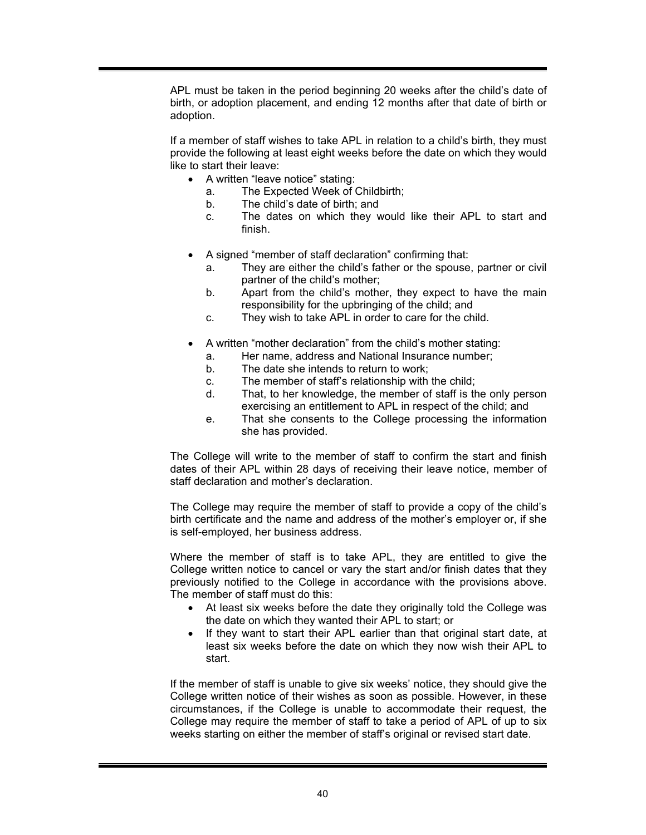APL must be taken in the period beginning 20 weeks after the child's date of birth, or adoption placement, and ending 12 months after that date of birth or adoption.

If a member of staff wishes to take APL in relation to a child's birth, they must provide the following at least eight weeks before the date on which they would like to start their leave:

- A written "leave notice" stating:
	- a. The Expected Week of Childbirth;
	- b. The child's date of birth; and
	- c. The dates on which they would like their APL to start and finish.
- A signed "member of staff declaration" confirming that:
	- a. They are either the child's father or the spouse, partner or civil partner of the child's mother;
	- b. Apart from the child's mother, they expect to have the main responsibility for the upbringing of the child; and
	- c. They wish to take APL in order to care for the child.
- A written "mother declaration" from the child's mother stating:
	- a. Her name, address and National Insurance number;
	- b. The date she intends to return to work;
	- c. The member of staff's relationship with the child;
	- d. That, to her knowledge, the member of staff is the only person exercising an entitlement to APL in respect of the child; and
	- e. That she consents to the College processing the information she has provided.

The College will write to the member of staff to confirm the start and finish dates of their APL within 28 days of receiving their leave notice, member of staff declaration and mother's declaration.

The College may require the member of staff to provide a copy of the child's birth certificate and the name and address of the mother's employer or, if she is self-employed, her business address.

Where the member of staff is to take APL, they are entitled to give the College written notice to cancel or vary the start and/or finish dates that they previously notified to the College in accordance with the provisions above. The member of staff must do this:

- At least six weeks before the date they originally told the College was the date on which they wanted their APL to start; or
- If they want to start their APL earlier than that original start date, at least six weeks before the date on which they now wish their APL to start.

If the member of staff is unable to give six weeks' notice, they should give the College written notice of their wishes as soon as possible. However, in these circumstances, if the College is unable to accommodate their request, the College may require the member of staff to take a period of APL of up to six weeks starting on either the member of staff's original or revised start date.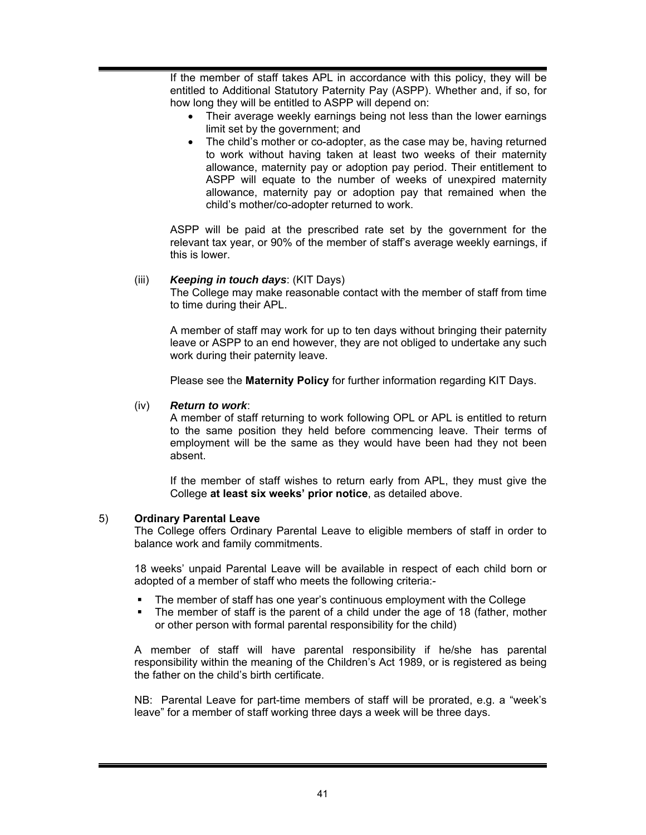If the member of staff takes APL in accordance with this policy, they will be entitled to Additional Statutory Paternity Pay (ASPP). Whether and, if so, for how long they will be entitled to ASPP will depend on:

- Their average weekly earnings being not less than the lower earnings limit set by the government; and
- The child's mother or co-adopter, as the case may be, having returned to work without having taken at least two weeks of their maternity allowance, maternity pay or adoption pay period. Their entitlement to ASPP will equate to the number of weeks of unexpired maternity allowance, maternity pay or adoption pay that remained when the child's mother/co-adopter returned to work.

ASPP will be paid at the prescribed rate set by the government for the relevant tax year, or 90% of the member of staff's average weekly earnings, if this is lower.

#### (iii) *Keeping in touch days*: (KIT Days)

The College may make reasonable contact with the member of staff from time to time during their APL.

A member of staff may work for up to ten days without bringing their paternity leave or ASPP to an end however, they are not obliged to undertake any such work during their paternity leave.

Please see the **Maternity Policy** for further information regarding KIT Days.

#### (iv) *Return to work*:

A member of staff returning to work following OPL or APL is entitled to return to the same position they held before commencing leave. Their terms of employment will be the same as they would have been had they not been absent.

If the member of staff wishes to return early from APL, they must give the College **at least six weeks' prior notice**, as detailed above.

#### 5) **Ordinary Parental Leave**

The College offers Ordinary Parental Leave to eligible members of staff in order to balance work and family commitments.

18 weeks' unpaid Parental Leave will be available in respect of each child born or adopted of a member of staff who meets the following criteria:-

- The member of staff has one year's continuous employment with the College
- The member of staff is the parent of a child under the age of 18 (father, mother or other person with formal parental responsibility for the child)

A member of staff will have parental responsibility if he/she has parental responsibility within the meaning of the Children's Act 1989, or is registered as being the father on the child's birth certificate.

NB: Parental Leave for part-time members of staff will be prorated, e.g. a "week's leave" for a member of staff working three days a week will be three days.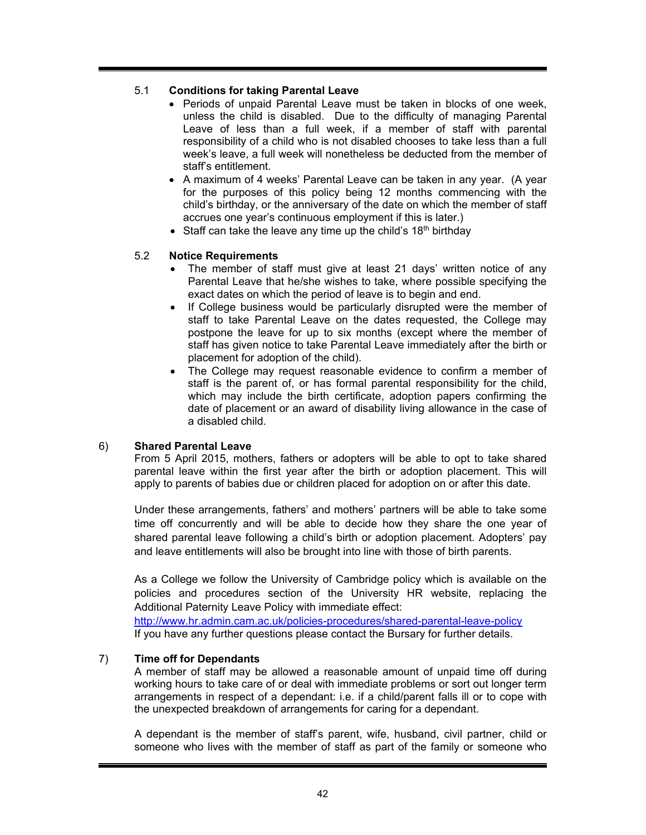# 5.1 **Conditions for taking Parental Leave**

- Periods of unpaid Parental Leave must be taken in blocks of one week, unless the child is disabled. Due to the difficulty of managing Parental Leave of less than a full week, if a member of staff with parental responsibility of a child who is not disabled chooses to take less than a full week's leave, a full week will nonetheless be deducted from the member of staff's entitlement.
- A maximum of 4 weeks' Parental Leave can be taken in any year. (A year for the purposes of this policy being 12 months commencing with the child's birthday, or the anniversary of the date on which the member of staff accrues one year's continuous employment if this is later.)
- Staff can take the leave any time up the child's  $18<sup>th</sup>$  birthday

# 5.2 **Notice Requirements**

- The member of staff must give at least 21 days' written notice of any Parental Leave that he/she wishes to take, where possible specifying the exact dates on which the period of leave is to begin and end.
- If College business would be particularly disrupted were the member of staff to take Parental Leave on the dates requested, the College may postpone the leave for up to six months (except where the member of staff has given notice to take Parental Leave immediately after the birth or placement for adoption of the child).
- The College may request reasonable evidence to confirm a member of staff is the parent of, or has formal parental responsibility for the child, which may include the birth certificate, adoption papers confirming the date of placement or an award of disability living allowance in the case of a disabled child.

## 6) **Shared Parental Leave**

From 5 April 2015, mothers, fathers or adopters will be able to opt to take shared parental leave within the first year after the birth or adoption placement. This will apply to parents of babies due or children placed for adoption on or after this date.

Under these arrangements, fathers' and mothers' partners will be able to take some time off concurrently and will be able to decide how they share the one year of shared parental leave following a child's birth or adoption placement. Adopters' pay and leave entitlements will also be brought into line with those of birth parents.

As a College we follow the University of Cambridge policy which is available on the policies and procedures section of the University HR website, replacing the Additional Paternity Leave Policy with immediate effect:

http://www.hr.admin.cam.ac.uk/policies-procedures/shared-parental-leave-policy If you have any further questions please contact the Bursary for further details.

## 7) **Time off for Dependants**

A member of staff may be allowed a reasonable amount of unpaid time off during working hours to take care of or deal with immediate problems or sort out longer term arrangements in respect of a dependant: i.e. if a child/parent falls ill or to cope with the unexpected breakdown of arrangements for caring for a dependant.

A dependant is the member of staff's parent, wife, husband, civil partner, child or someone who lives with the member of staff as part of the family or someone who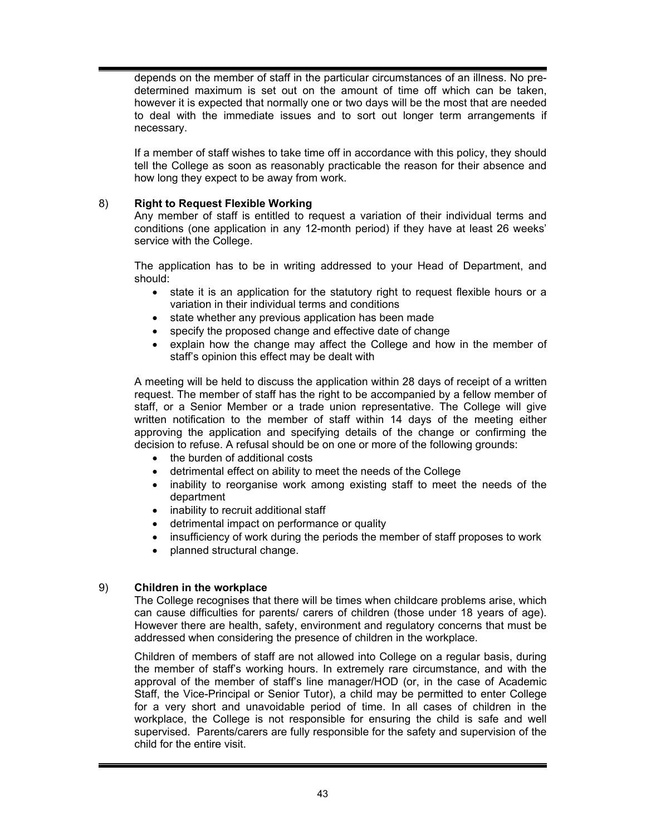depends on the member of staff in the particular circumstances of an illness. No predetermined maximum is set out on the amount of time off which can be taken, however it is expected that normally one or two days will be the most that are needed to deal with the immediate issues and to sort out longer term arrangements if necessary.

If a member of staff wishes to take time off in accordance with this policy, they should tell the College as soon as reasonably practicable the reason for their absence and how long they expect to be away from work.

## 8) **Right to Request Flexible Working**

Any member of staff is entitled to request a variation of their individual terms and conditions (one application in any 12-month period) if they have at least 26 weeks' service with the College.

The application has to be in writing addressed to your Head of Department, and should:

- state it is an application for the statutory right to request flexible hours or a variation in their individual terms and conditions
- state whether any previous application has been made
- specify the proposed change and effective date of change
- explain how the change may affect the College and how in the member of staff's opinion this effect may be dealt with

A meeting will be held to discuss the application within 28 days of receipt of a written request. The member of staff has the right to be accompanied by a fellow member of staff, or a Senior Member or a trade union representative. The College will give written notification to the member of staff within 14 days of the meeting either approving the application and specifying details of the change or confirming the decision to refuse. A refusal should be on one or more of the following grounds:

- the burden of additional costs
- detrimental effect on ability to meet the needs of the College
- inability to reorganise work among existing staff to meet the needs of the department
- inability to recruit additional staff
- detrimental impact on performance or quality
- insufficiency of work during the periods the member of staff proposes to work
- planned structural change.

## 9) **Children in the workplace**

The College recognises that there will be times when childcare problems arise, which can cause difficulties for parents/ carers of children (those under 18 years of age). However there are health, safety, environment and regulatory concerns that must be addressed when considering the presence of children in the workplace.

Children of members of staff are not allowed into College on a regular basis, during the member of staff's working hours. In extremely rare circumstance, and with the approval of the member of staff's line manager/HOD (or, in the case of Academic Staff, the Vice-Principal or Senior Tutor), a child may be permitted to enter College for a very short and unavoidable period of time. In all cases of children in the workplace, the College is not responsible for ensuring the child is safe and well supervised. Parents/carers are fully responsible for the safety and supervision of the child for the entire visit.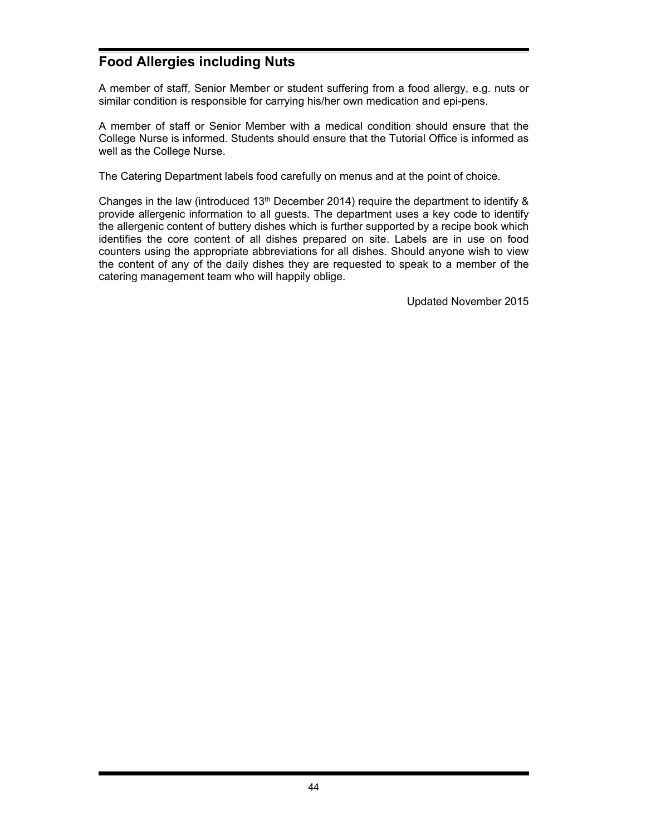# **Food Allergies including Nuts**

A member of staff, Senior Member or student suffering from a food allergy, e.g. nuts or similar condition is responsible for carrying his/her own medication and epi-pens.

A member of staff or Senior Member with a medical condition should ensure that the College Nurse is informed. Students should ensure that the Tutorial Office is informed as well as the College Nurse.

The Catering Department labels food carefully on menus and at the point of choice.

Changes in the law (introduced 13<sup>th</sup> December 2014) require the department to identify  $\&$ provide allergenic information to all guests. The department uses a key code to identify the allergenic content of buttery dishes which is further supported by a recipe book which identifies the core content of all dishes prepared on site. Labels are in use on food counters using the appropriate abbreviations for all dishes. Should anyone wish to view the content of any of the daily dishes they are requested to speak to a member of the catering management team who will happily oblige.

Updated November 2015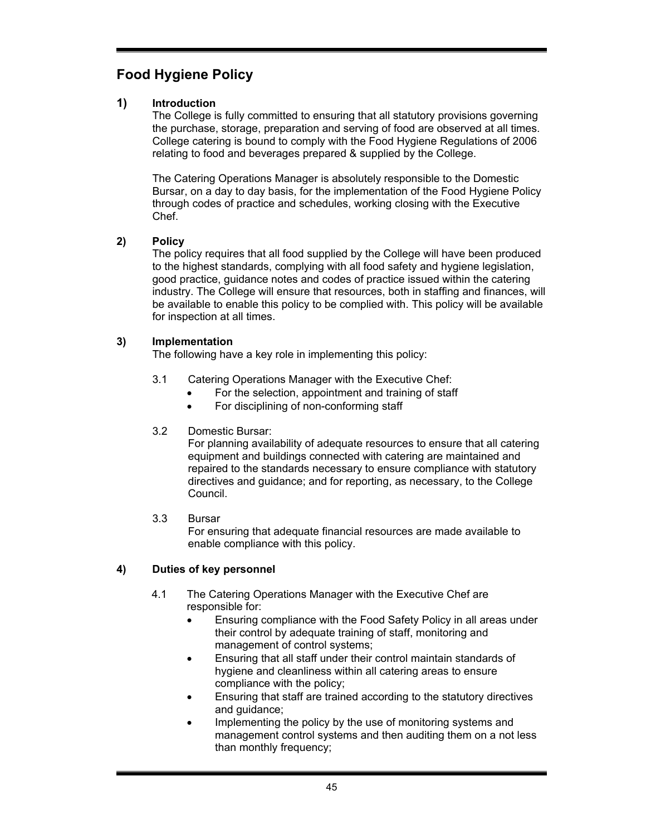# **Food Hygiene Policy**

# **1) Introduction**

The College is fully committed to ensuring that all statutory provisions governing the purchase, storage, preparation and serving of food are observed at all times. College catering is bound to comply with the Food Hygiene Regulations of 2006 relating to food and beverages prepared & supplied by the College.

The Catering Operations Manager is absolutely responsible to the Domestic Bursar, on a day to day basis, for the implementation of the Food Hygiene Policy through codes of practice and schedules, working closing with the Executive Chef.

# **2) Policy**

The policy requires that all food supplied by the College will have been produced to the highest standards, complying with all food safety and hygiene legislation, good practice, guidance notes and codes of practice issued within the catering industry. The College will ensure that resources, both in staffing and finances, will be available to enable this policy to be complied with. This policy will be available for inspection at all times.

# **3) Implementation**

The following have a key role in implementing this policy:

- 3.1 Catering Operations Manager with the Executive Chef:
	- For the selection, appointment and training of staff
	- For disciplining of non-conforming staff

# 3.2 Domestic Bursar:

For planning availability of adequate resources to ensure that all catering equipment and buildings connected with catering are maintained and repaired to the standards necessary to ensure compliance with statutory directives and guidance; and for reporting, as necessary, to the College Council.

3.3 Bursar

For ensuring that adequate financial resources are made available to enable compliance with this policy.

# **4) Duties of key personnel**

- 4.1 The Catering Operations Manager with the Executive Chef are responsible for:
	- Ensuring compliance with the Food Safety Policy in all areas under their control by adequate training of staff, monitoring and management of control systems;
	- Ensuring that all staff under their control maintain standards of hygiene and cleanliness within all catering areas to ensure compliance with the policy;
	- Ensuring that staff are trained according to the statutory directives and guidance;
	- Implementing the policy by the use of monitoring systems and management control systems and then auditing them on a not less than monthly frequency;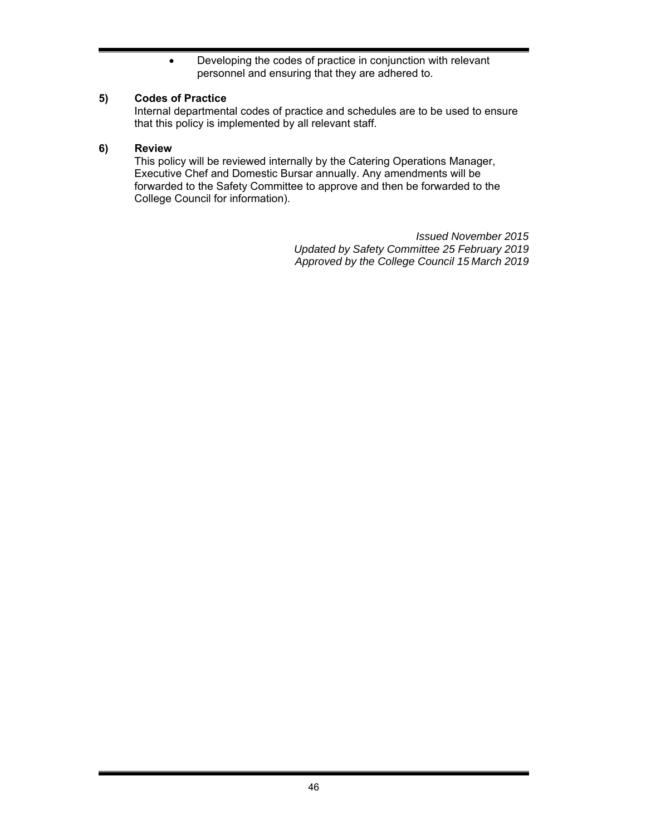Developing the codes of practice in conjunction with relevant personnel and ensuring that they are adhered to.

# **5) Codes of Practice**

Internal departmental codes of practice and schedules are to be used to ensure that this policy is implemented by all relevant staff.

# **6) Review**

This policy will be reviewed internally by the Catering Operations Manager, Executive Chef and Domestic Bursar annually. Any amendments will be forwarded to the Safety Committee to approve and then be forwarded to the College Council for information).

> *Issued November 2015 Updated by Safety Committee 25 February 2019 Approved by the College Council 15 March 2019*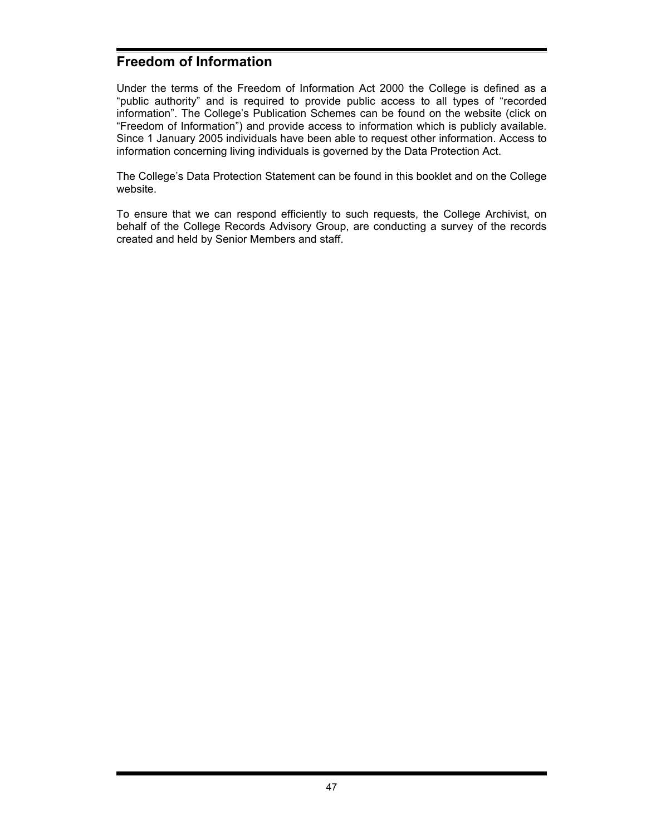# **Freedom of Information**

Under the terms of the Freedom of Information Act 2000 the College is defined as a "public authority" and is required to provide public access to all types of "recorded information". The College's Publication Schemes can be found on the website (click on "Freedom of Information") and provide access to information which is publicly available. Since 1 January 2005 individuals have been able to request other information. Access to information concerning living individuals is governed by the Data Protection Act.

The College's Data Protection Statement can be found in this booklet and on the College website.

To ensure that we can respond efficiently to such requests, the College Archivist, on behalf of the College Records Advisory Group, are conducting a survey of the records created and held by Senior Members and staff.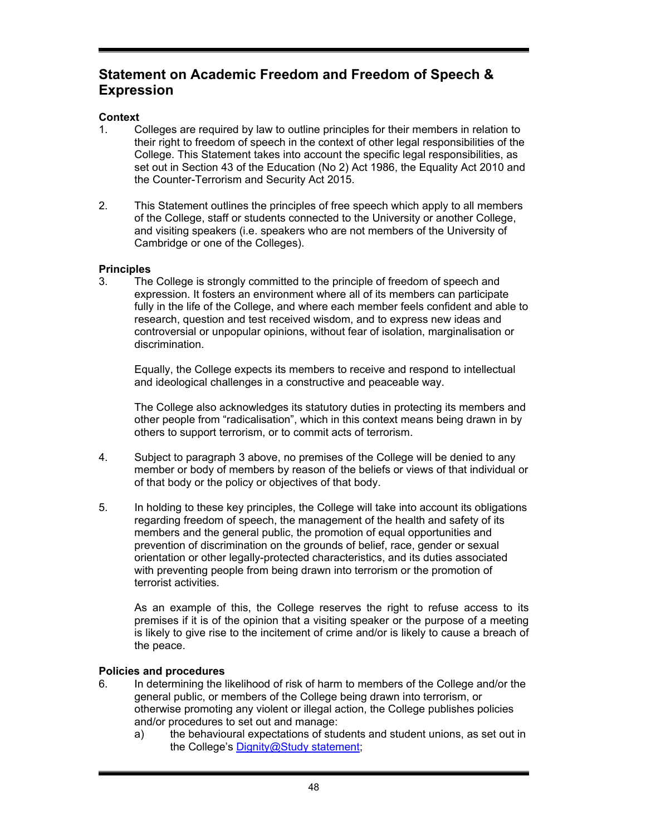# **Statement on Academic Freedom and Freedom of Speech & Expression**

# **Context**

- 1. Colleges are required by law to outline principles for their members in relation to their right to freedom of speech in the context of other legal responsibilities of the College. This Statement takes into account the specific legal responsibilities, as set out in Section 43 of the Education (No 2) Act 1986, the Equality Act 2010 and the Counter-Terrorism and Security Act 2015.
- 2. This Statement outlines the principles of free speech which apply to all members of the College, staff or students connected to the University or another College, and visiting speakers (i.e. speakers who are not members of the University of Cambridge or one of the Colleges).

# **Principles**

3. The College is strongly committed to the principle of freedom of speech and expression. It fosters an environment where all of its members can participate fully in the life of the College, and where each member feels confident and able to research, question and test received wisdom, and to express new ideas and controversial or unpopular opinions, without fear of isolation, marginalisation or discrimination.

Equally, the College expects its members to receive and respond to intellectual and ideological challenges in a constructive and peaceable way.

The College also acknowledges its statutory duties in protecting its members and other people from "radicalisation", which in this context means being drawn in by others to support terrorism, or to commit acts of terrorism.

- 4. Subject to paragraph 3 above, no premises of the College will be denied to any member or body of members by reason of the beliefs or views of that individual or of that body or the policy or objectives of that body.
- 5. In holding to these key principles, the College will take into account its obligations regarding freedom of speech, the management of the health and safety of its members and the general public, the promotion of equal opportunities and prevention of discrimination on the grounds of belief, race, gender or sexual orientation or other legally-protected characteristics, and its duties associated with preventing people from being drawn into terrorism or the promotion of terrorist activities.

As an example of this, the College reserves the right to refuse access to its premises if it is of the opinion that a visiting speaker or the purpose of a meeting is likely to give rise to the incitement of crime and/or is likely to cause a breach of the peace.

## **Policies and procedures**

- 6. In determining the likelihood of risk of harm to members of the College and/or the general public, or members of the College being drawn into terrorism, or otherwise promoting any violent or illegal action, the College publishes policies and/or procedures to set out and manage:
	- a) the behavioural expectations of students and student unions, as set out in the College's Dignity@Study statement;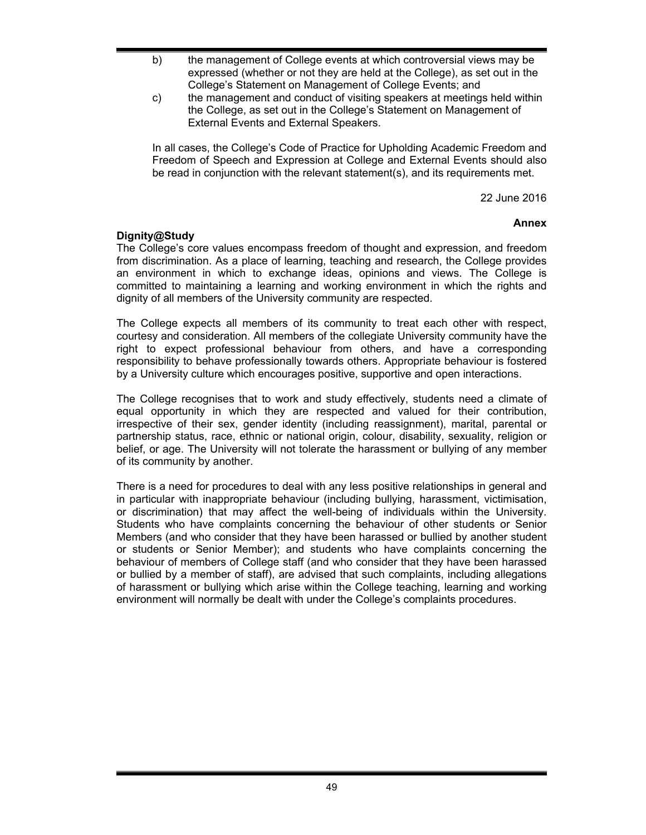- b) the management of College events at which controversial views may be expressed (whether or not they are held at the College), as set out in the College's Statement on Management of College Events; and
- c) the management and conduct of visiting speakers at meetings held within the College, as set out in the College's Statement on Management of External Events and External Speakers.

In all cases, the College's Code of Practice for Upholding Academic Freedom and Freedom of Speech and Expression at College and External Events should also be read in conjunction with the relevant statement(s), and its requirements met.

22 June 2016

## **Annex**

## **Dignity@Study**

The College's core values encompass freedom of thought and expression, and freedom from discrimination. As a place of learning, teaching and research, the College provides an environment in which to exchange ideas, opinions and views. The College is committed to maintaining a learning and working environment in which the rights and dignity of all members of the University community are respected.

The College expects all members of its community to treat each other with respect, courtesy and consideration. All members of the collegiate University community have the right to expect professional behaviour from others, and have a corresponding responsibility to behave professionally towards others. Appropriate behaviour is fostered by a University culture which encourages positive, supportive and open interactions.

The College recognises that to work and study effectively, students need a climate of equal opportunity in which they are respected and valued for their contribution, irrespective of their sex, gender identity (including reassignment), marital, parental or partnership status, race, ethnic or national origin, colour, disability, sexuality, religion or belief, or age. The University will not tolerate the harassment or bullying of any member of its community by another.

There is a need for procedures to deal with any less positive relationships in general and in particular with inappropriate behaviour (including bullying, harassment, victimisation, or discrimination) that may affect the well-being of individuals within the University. Students who have complaints concerning the behaviour of other students or Senior Members (and who consider that they have been harassed or bullied by another student or students or Senior Member); and students who have complaints concerning the behaviour of members of College staff (and who consider that they have been harassed or bullied by a member of staff), are advised that such complaints, including allegations of harassment or bullying which arise within the College teaching, learning and working environment will normally be dealt with under the College's complaints procedures.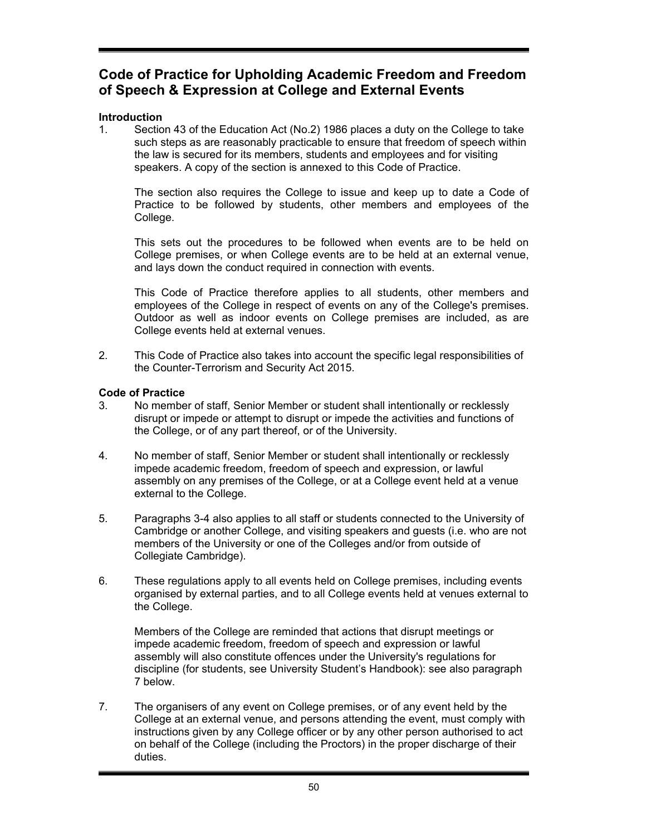# **Code of Practice for Upholding Academic Freedom and Freedom of Speech & Expression at College and External Events**

# **Introduction**

1. Section 43 of the Education Act (No.2) 1986 places a duty on the College to take such steps as are reasonably practicable to ensure that freedom of speech within the law is secured for its members, students and employees and for visiting speakers. A copy of the section is annexed to this Code of Practice.

The section also requires the College to issue and keep up to date a Code of Practice to be followed by students, other members and employees of the College.

This sets out the procedures to be followed when events are to be held on College premises, or when College events are to be held at an external venue, and lays down the conduct required in connection with events.

This Code of Practice therefore applies to all students, other members and employees of the College in respect of events on any of the College's premises. Outdoor as well as indoor events on College premises are included, as are College events held at external venues.

2. This Code of Practice also takes into account the specific legal responsibilities of the Counter-Terrorism and Security Act 2015.

# **Code of Practice**

- 3. No member of staff, Senior Member or student shall intentionally or recklessly disrupt or impede or attempt to disrupt or impede the activities and functions of the College, or of any part thereof, or of the University.
- 4. No member of staff, Senior Member or student shall intentionally or recklessly impede academic freedom, freedom of speech and expression, or lawful assembly on any premises of the College, or at a College event held at a venue external to the College.
- 5. Paragraphs 3-4 also applies to all staff or students connected to the University of Cambridge or another College, and visiting speakers and guests (i.e. who are not members of the University or one of the Colleges and/or from outside of Collegiate Cambridge).
- 6. These regulations apply to all events held on College premises, including events organised by external parties, and to all College events held at venues external to the College.

Members of the College are reminded that actions that disrupt meetings or impede academic freedom, freedom of speech and expression or lawful assembly will also constitute offences under the University's regulations for discipline (for students, see University Student's Handbook): see also paragraph 7 below.

7. The organisers of any event on College premises, or of any event held by the College at an external venue, and persons attending the event, must comply with instructions given by any College officer or by any other person authorised to act on behalf of the College (including the Proctors) in the proper discharge of their duties.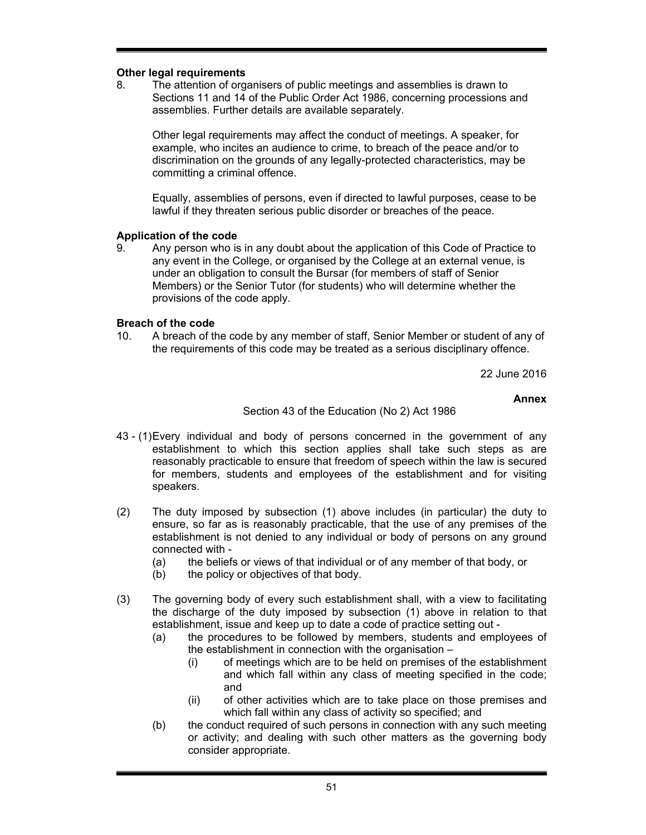## **Other legal requirements**

8. The attention of organisers of public meetings and assemblies is drawn to Sections 11 and 14 of the Public Order Act 1986, concerning processions and assemblies. Further details are available separately.

Other legal requirements may affect the conduct of meetings. A speaker, for example, who incites an audience to crime, to breach of the peace and/or to discrimination on the grounds of any legally-protected characteristics, may be committing a criminal offence.

Equally, assemblies of persons, even if directed to lawful purposes, cease to be lawful if they threaten serious public disorder or breaches of the peace.

## **Application of the code**

9. Any person who is in any doubt about the application of this Code of Practice to any event in the College, or organised by the College at an external venue, is under an obligation to consult the Bursar (for members of staff of Senior Members) or the Senior Tutor (for students) who will determine whether the provisions of the code apply.

#### **Breach of the code**

10. A breach of the code by any member of staff, Senior Member or student of any of the requirements of this code may be treated as a serious disciplinary offence.

22 June 2016

#### **Annex**

#### Section 43 of the Education (No 2) Act 1986

- 43 (1) Every individual and body of persons concerned in the government of any establishment to which this section applies shall take such steps as are reasonably practicable to ensure that freedom of speech within the law is secured for members, students and employees of the establishment and for visiting speakers.
- (2) The duty imposed by subsection (1) above includes (in particular) the duty to ensure, so far as is reasonably practicable, that the use of any premises of the establishment is not denied to any individual or body of persons on any ground connected with -
	- (a) the beliefs or views of that individual or of any member of that body, or
	- (b) the policy or objectives of that body.
- (3) The governing body of every such establishment shall, with a view to facilitating the discharge of the duty imposed by subsection (1) above in relation to that establishment, issue and keep up to date a code of practice setting out -
	- (a) the procedures to be followed by members, students and employees of the establishment in connection with the organisation –
		- (i) of meetings which are to be held on premises of the establishment and which fall within any class of meeting specified in the code; and
		- (ii) of other activities which are to take place on those premises and which fall within any class of activity so specified; and
	- (b) the conduct required of such persons in connection with any such meeting or activity; and dealing with such other matters as the governing body consider appropriate.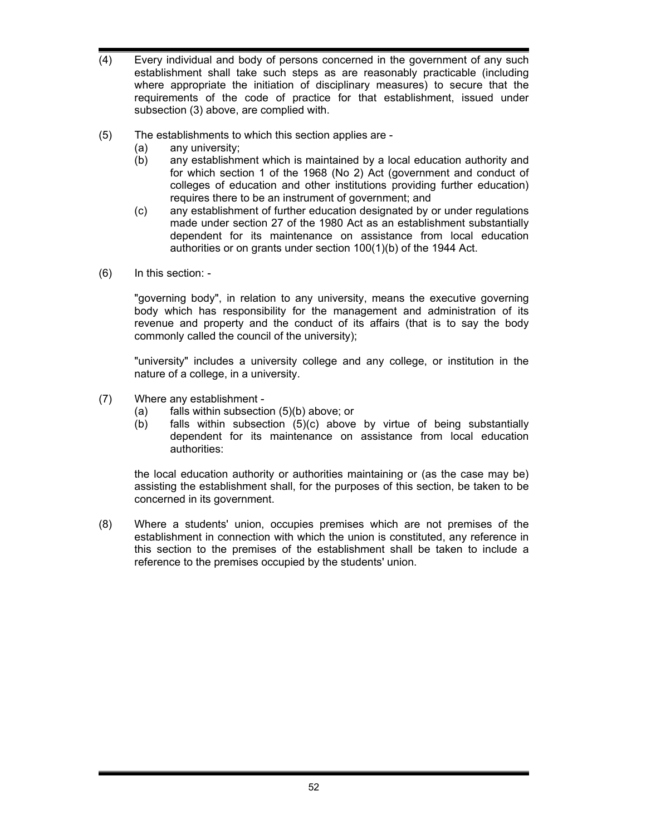- (4) Every individual and body of persons concerned in the government of any such establishment shall take such steps as are reasonably practicable (including where appropriate the initiation of disciplinary measures) to secure that the requirements of the code of practice for that establishment, issued under subsection (3) above, are complied with.
- (5) The establishments to which this section applies are
	- (a) any university;
	- (b) any establishment which is maintained by a local education authority and for which section 1 of the 1968 (No 2) Act (government and conduct of colleges of education and other institutions providing further education) requires there to be an instrument of government; and
	- (c) any establishment of further education designated by or under regulations made under section 27 of the 1980 Act as an establishment substantially dependent for its maintenance on assistance from local education authorities or on grants under section 100(1)(b) of the 1944 Act.
- (6) In this section: -

"governing body", in relation to any university, means the executive governing body which has responsibility for the management and administration of its revenue and property and the conduct of its affairs (that is to say the body commonly called the council of the university);

"university" includes a university college and any college, or institution in the nature of a college, in a university.

- (7) Where any establishment
	- (a) falls within subsection (5)(b) above; or
	- (b) falls within subsection (5)(c) above by virtue of being substantially dependent for its maintenance on assistance from local education authorities:

the local education authority or authorities maintaining or (as the case may be) assisting the establishment shall, for the purposes of this section, be taken to be concerned in its government.

(8) Where a students' union, occupies premises which are not premises of the establishment in connection with which the union is constituted, any reference in this section to the premises of the establishment shall be taken to include a reference to the premises occupied by the students' union.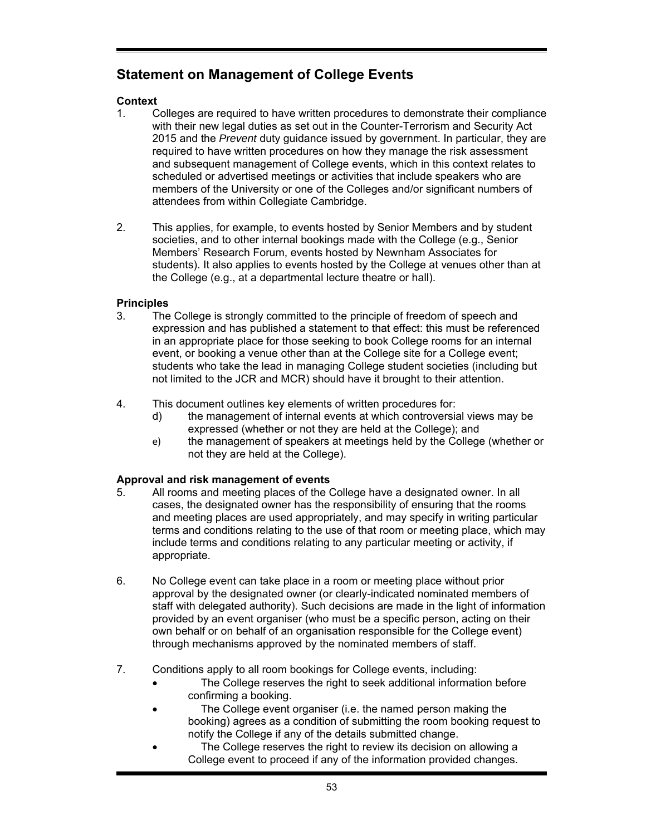# **Statement on Management of College Events**

# **Context**

- 1. Colleges are required to have written procedures to demonstrate their compliance with their new legal duties as set out in the Counter-Terrorism and Security Act 2015 and the *Prevent* duty guidance issued by government. In particular, they are required to have written procedures on how they manage the risk assessment and subsequent management of College events, which in this context relates to scheduled or advertised meetings or activities that include speakers who are members of the University or one of the Colleges and/or significant numbers of attendees from within Collegiate Cambridge.
- 2. This applies, for example, to events hosted by Senior Members and by student societies, and to other internal bookings made with the College (e.g., Senior Members' Research Forum, events hosted by Newnham Associates for students). It also applies to events hosted by the College at venues other than at the College (e.g., at a departmental lecture theatre or hall).

# **Principles**

- 3. The College is strongly committed to the principle of freedom of speech and expression and has published a statement to that effect: this must be referenced in an appropriate place for those seeking to book College rooms for an internal event, or booking a venue other than at the College site for a College event; students who take the lead in managing College student societies (including but not limited to the JCR and MCR) should have it brought to their attention.
- 4. This document outlines key elements of written procedures for:
	- d) the management of internal events at which controversial views may be expressed (whether or not they are held at the College); and
	- e) the management of speakers at meetings held by the College (whether or not they are held at the College).

# **Approval and risk management of events**

- 5. All rooms and meeting places of the College have a designated owner. In all cases, the designated owner has the responsibility of ensuring that the rooms and meeting places are used appropriately, and may specify in writing particular terms and conditions relating to the use of that room or meeting place, which may include terms and conditions relating to any particular meeting or activity, if appropriate.
- 6. No College event can take place in a room or meeting place without prior approval by the designated owner (or clearly-indicated nominated members of staff with delegated authority). Such decisions are made in the light of information provided by an event organiser (who must be a specific person, acting on their own behalf or on behalf of an organisation responsible for the College event) through mechanisms approved by the nominated members of staff.
- 7. Conditions apply to all room bookings for College events, including:
	- The College reserves the right to seek additional information before confirming a booking.
	- The College event organiser (i.e. the named person making the booking) agrees as a condition of submitting the room booking request to notify the College if any of the details submitted change.
	- The College reserves the right to review its decision on allowing a College event to proceed if any of the information provided changes.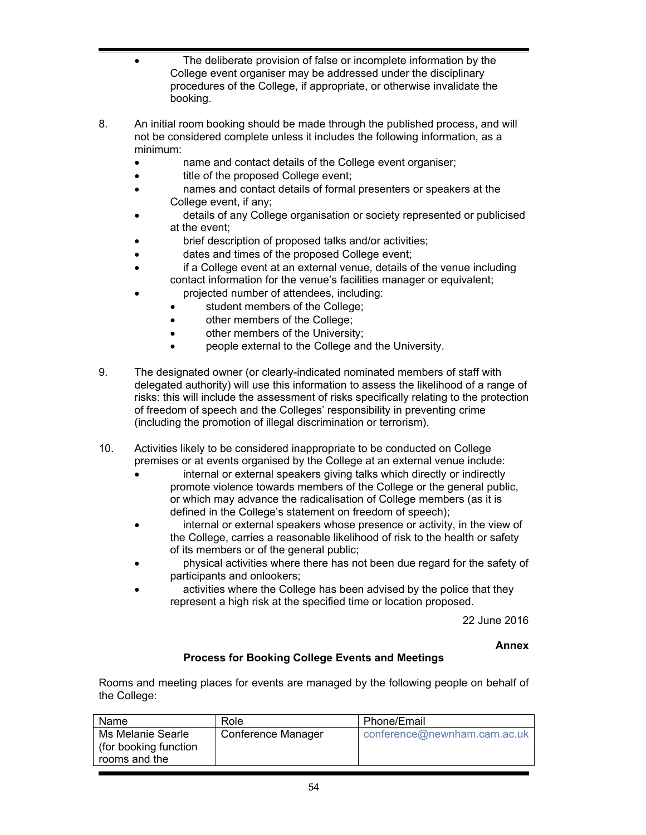- The deliberate provision of false or incomplete information by the College event organiser may be addressed under the disciplinary procedures of the College, if appropriate, or otherwise invalidate the booking.
- 8. An initial room booking should be made through the published process, and will not be considered complete unless it includes the following information, as a minimum:
	- name and contact details of the College event organiser;
	- title of the proposed College event;
	- names and contact details of formal presenters or speakers at the College event, if any;
	- details of any College organisation or society represented or publicised at the event;
	- brief description of proposed talks and/or activities;
	- dates and times of the proposed College event;
	- if a College event at an external venue, details of the venue including contact information for the venue's facilities manager or equivalent;
		- projected number of attendees, including:
		- student members of the College;
		- other members of the College;
		- other members of the University;
		- people external to the College and the University.
- 9. The designated owner (or clearly-indicated nominated members of staff with delegated authority) will use this information to assess the likelihood of a range of risks: this will include the assessment of risks specifically relating to the protection of freedom of speech and the Colleges' responsibility in preventing crime (including the promotion of illegal discrimination or terrorism).
- 10. Activities likely to be considered inappropriate to be conducted on College premises or at events organised by the College at an external venue include:
	- internal or external speakers giving talks which directly or indirectly promote violence towards members of the College or the general public, or which may advance the radicalisation of College members (as it is defined in the College's statement on freedom of speech);
	- internal or external speakers whose presence or activity, in the view of the College, carries a reasonable likelihood of risk to the health or safety of its members or of the general public;
	- physical activities where there has not been due regard for the safety of participants and onlookers;
	- activities where the College has been advised by the police that they represent a high risk at the specified time or location proposed.

22 June 2016

**Annex** 

# **Process for Booking College Events and Meetings**

Rooms and meeting places for events are managed by the following people on behalf of the College:

| Name                                                        | Role               | Phone/Email                  |
|-------------------------------------------------------------|--------------------|------------------------------|
| Ms Melanie Searle<br>(for booking function<br>rooms and the | Conference Manager | conference@newnham.cam.ac.uk |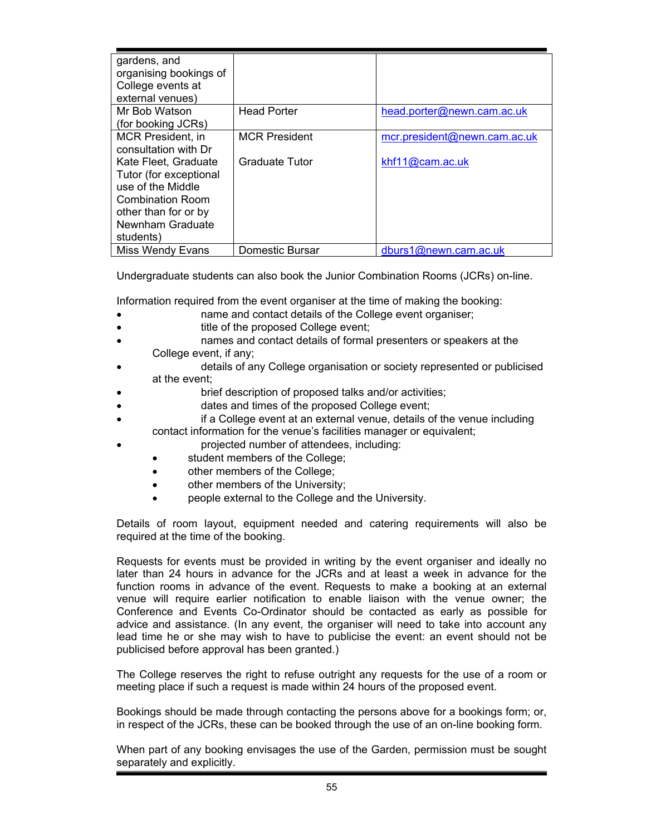| gardens, and           |                        |                              |
|------------------------|------------------------|------------------------------|
| organising bookings of |                        |                              |
| College events at      |                        |                              |
| external venues)       |                        |                              |
| Mr Bob Watson          | <b>Head Porter</b>     | head.porter@newn.cam.ac.uk   |
| (for booking JCRs)     |                        |                              |
| MCR President, in      | <b>MCR President</b>   | mcr.president@newn.cam.ac.uk |
| consultation with Dr   |                        |                              |
| Kate Fleet, Graduate   | <b>Graduate Tutor</b>  | khf11@cam.ac.uk              |
| Tutor (for exceptional |                        |                              |
| use of the Middle      |                        |                              |
| Combination Room       |                        |                              |
| other than for or by   |                        |                              |
| Newnham Graduate       |                        |                              |
| students)              |                        |                              |
| Miss Wendy Evans       | <b>Domestic Bursar</b> | dburs1@newn.cam.ac.uk        |

Undergraduate students can also book the Junior Combination Rooms (JCRs) on-line.

Information required from the event organiser at the time of making the booking:

- name and contact details of the College event organiser;
- title of the proposed College event;
- names and contact details of formal presenters or speakers at the College event, if any;
- details of any College organisation or society represented or publicised at the event;
- brief description of proposed talks and/or activities;
- dates and times of the proposed College event;
- if a College event at an external venue, details of the venue including contact information for the venue's facilities manager or equivalent;
	- projected number of attendees, including:
	- student members of the College;
	- other members of the College;
	- other members of the University;
	- people external to the College and the University.

Details of room layout, equipment needed and catering requirements will also be required at the time of the booking.

Requests for events must be provided in writing by the event organiser and ideally no later than 24 hours in advance for the JCRs and at least a week in advance for the function rooms in advance of the event. Requests to make a booking at an external venue will require earlier notification to enable liaison with the venue owner; the Conference and Events Co-Ordinator should be contacted as early as possible for advice and assistance. (In any event, the organiser will need to take into account any lead time he or she may wish to have to publicise the event: an event should not be publicised before approval has been granted.)

The College reserves the right to refuse outright any requests for the use of a room or meeting place if such a request is made within 24 hours of the proposed event.

Bookings should be made through contacting the persons above for a bookings form; or, in respect of the JCRs, these can be booked through the use of an on-line booking form.

When part of any booking envisages the use of the Garden, permission must be sought separately and explicitly.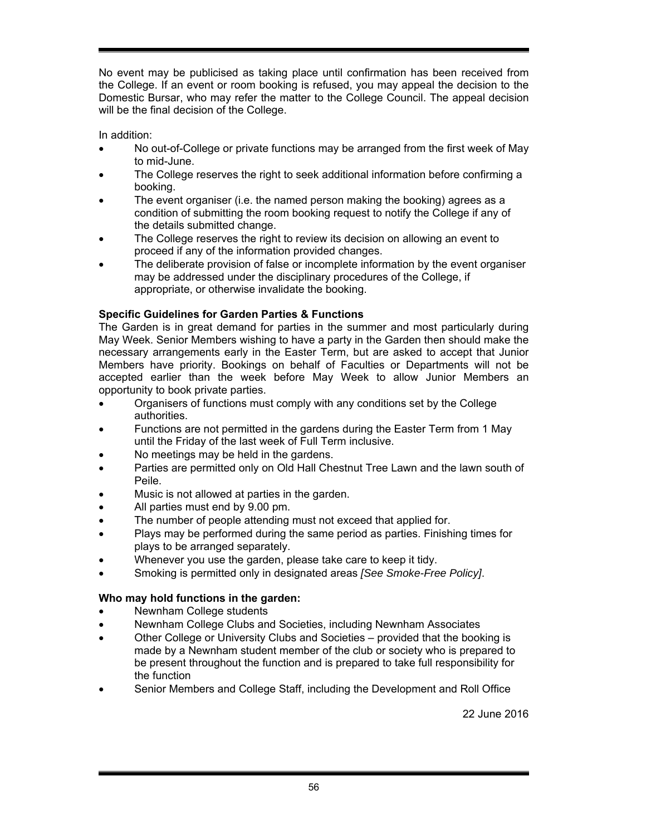No event may be publicised as taking place until confirmation has been received from the College. If an event or room booking is refused, you may appeal the decision to the Domestic Bursar, who may refer the matter to the College Council. The appeal decision will be the final decision of the College.

In addition:

- No out-of-College or private functions may be arranged from the first week of May to mid-June.
- The College reserves the right to seek additional information before confirming a booking.
- The event organiser (i.e. the named person making the booking) agrees as a condition of submitting the room booking request to notify the College if any of the details submitted change.
- The College reserves the right to review its decision on allowing an event to proceed if any of the information provided changes.
- The deliberate provision of false or incomplete information by the event organiser may be addressed under the disciplinary procedures of the College, if appropriate, or otherwise invalidate the booking.

# **Specific Guidelines for Garden Parties & Functions**

The Garden is in great demand for parties in the summer and most particularly during May Week. Senior Members wishing to have a party in the Garden then should make the necessary arrangements early in the Easter Term, but are asked to accept that Junior Members have priority. Bookings on behalf of Faculties or Departments will not be accepted earlier than the week before May Week to allow Junior Members an opportunity to book private parties.

- Organisers of functions must comply with any conditions set by the College authorities.
- Functions are not permitted in the gardens during the Easter Term from 1 May until the Friday of the last week of Full Term inclusive.
- No meetings may be held in the gardens.
- Parties are permitted only on Old Hall Chestnut Tree Lawn and the lawn south of Peile.
- Music is not allowed at parties in the garden.
- All parties must end by 9.00 pm.
- The number of people attending must not exceed that applied for.
- Plays may be performed during the same period as parties. Finishing times for plays to be arranged separately.
- Whenever you use the garden, please take care to keep it tidy.
- Smoking is permitted only in designated areas *[See Smoke-Free Policy]*.

# **Who may hold functions in the garden:**

- Newnham College students
- Newnham College Clubs and Societies, including Newnham Associates
- Other College or University Clubs and Societies provided that the booking is made by a Newnham student member of the club or society who is prepared to be present throughout the function and is prepared to take full responsibility for the function
- Senior Members and College Staff, including the Development and Roll Office

22 June 2016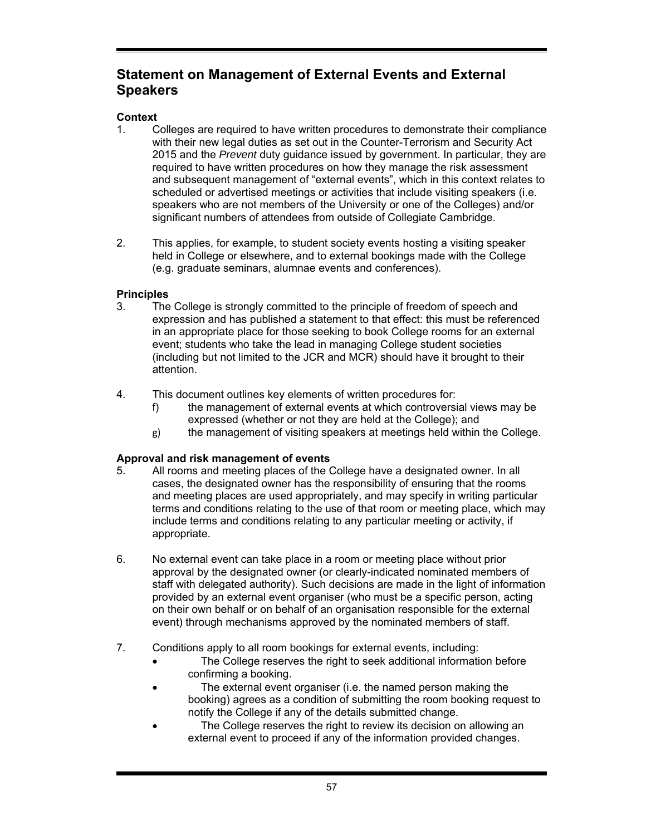# **Statement on Management of External Events and External Speakers**

# **Context**

- 1. Colleges are required to have written procedures to demonstrate their compliance with their new legal duties as set out in the Counter-Terrorism and Security Act 2015 and the *Prevent* duty guidance issued by government. In particular, they are required to have written procedures on how they manage the risk assessment and subsequent management of "external events", which in this context relates to scheduled or advertised meetings or activities that include visiting speakers (i.e. speakers who are not members of the University or one of the Colleges) and/or significant numbers of attendees from outside of Collegiate Cambridge.
- 2. This applies, for example, to student society events hosting a visiting speaker held in College or elsewhere, and to external bookings made with the College (e.g. graduate seminars, alumnae events and conferences).

# **Principles**

- 3. The College is strongly committed to the principle of freedom of speech and expression and has published a statement to that effect: this must be referenced in an appropriate place for those seeking to book College rooms for an external event; students who take the lead in managing College student societies (including but not limited to the JCR and MCR) should have it brought to their attention.
- 4. This document outlines key elements of written procedures for:
	- f) the management of external events at which controversial views may be expressed (whether or not they are held at the College); and
	- g) the management of visiting speakers at meetings held within the College.

# **Approval and risk management of events**

- 5. All rooms and meeting places of the College have a designated owner. In all cases, the designated owner has the responsibility of ensuring that the rooms and meeting places are used appropriately, and may specify in writing particular terms and conditions relating to the use of that room or meeting place, which may include terms and conditions relating to any particular meeting or activity, if appropriate.
- 6. No external event can take place in a room or meeting place without prior approval by the designated owner (or clearly-indicated nominated members of staff with delegated authority). Such decisions are made in the light of information provided by an external event organiser (who must be a specific person, acting on their own behalf or on behalf of an organisation responsible for the external event) through mechanisms approved by the nominated members of staff.
- 7. Conditions apply to all room bookings for external events, including:
	- The College reserves the right to seek additional information before confirming a booking.
	- The external event organiser (i.e. the named person making the booking) agrees as a condition of submitting the room booking request to notify the College if any of the details submitted change.
	- The College reserves the right to review its decision on allowing an external event to proceed if any of the information provided changes.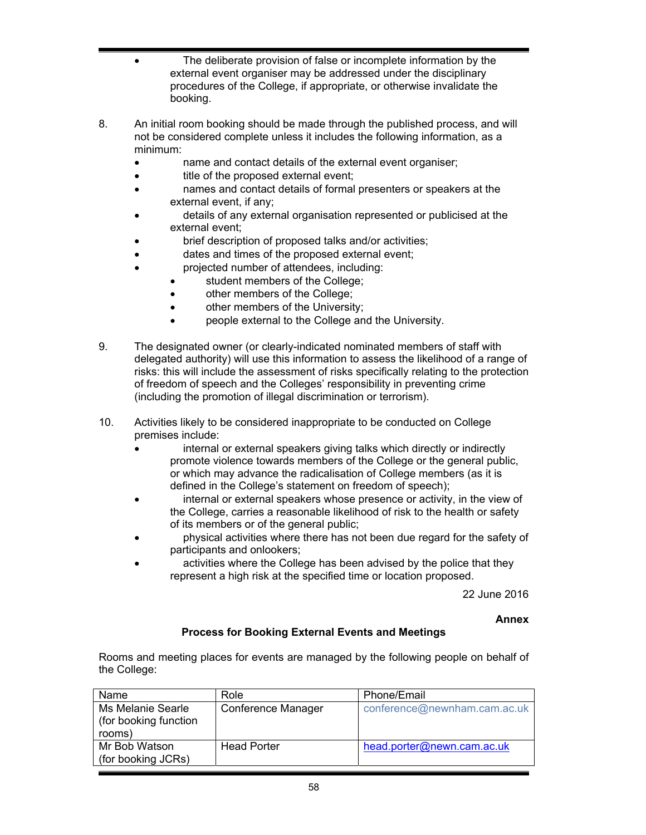- The deliberate provision of false or incomplete information by the external event organiser may be addressed under the disciplinary procedures of the College, if appropriate, or otherwise invalidate the booking.
- 8. An initial room booking should be made through the published process, and will not be considered complete unless it includes the following information, as a minimum:
	- name and contact details of the external event organiser;
	- title of the proposed external event;
	- names and contact details of formal presenters or speakers at the external event, if any;
	- details of any external organisation represented or publicised at the external event;
	- brief description of proposed talks and/or activities;
	- dates and times of the proposed external event;
	- projected number of attendees, including:
		- student members of the College;
		- other members of the College;
		- **•** other members of the University;
		- people external to the College and the University.
- 9. The designated owner (or clearly-indicated nominated members of staff with delegated authority) will use this information to assess the likelihood of a range of risks: this will include the assessment of risks specifically relating to the protection of freedom of speech and the Colleges' responsibility in preventing crime (including the promotion of illegal discrimination or terrorism).
- 10. Activities likely to be considered inappropriate to be conducted on College premises include:
	- internal or external speakers giving talks which directly or indirectly promote violence towards members of the College or the general public, or which may advance the radicalisation of College members (as it is defined in the College's statement on freedom of speech);
	- internal or external speakers whose presence or activity, in the view of the College, carries a reasonable likelihood of risk to the health or safety of its members or of the general public;
	- physical activities where there has not been due regard for the safety of participants and onlookers;
	- activities where the College has been advised by the police that they represent a high risk at the specified time or location proposed.

22 June 2016

**Annex** 

# **Process for Booking External Events and Meetings**

Rooms and meeting places for events are managed by the following people on behalf of the College:

| Name                                                 | Role               | Phone/Email                  |
|------------------------------------------------------|--------------------|------------------------------|
| Ms Melanie Searle<br>(for booking function<br>rooms) | Conference Manager | conference@newnham.cam.ac.uk |
| Mr Bob Watson<br>(for booking JCRs)                  | <b>Head Porter</b> | head.porter@newn.cam.ac.uk   |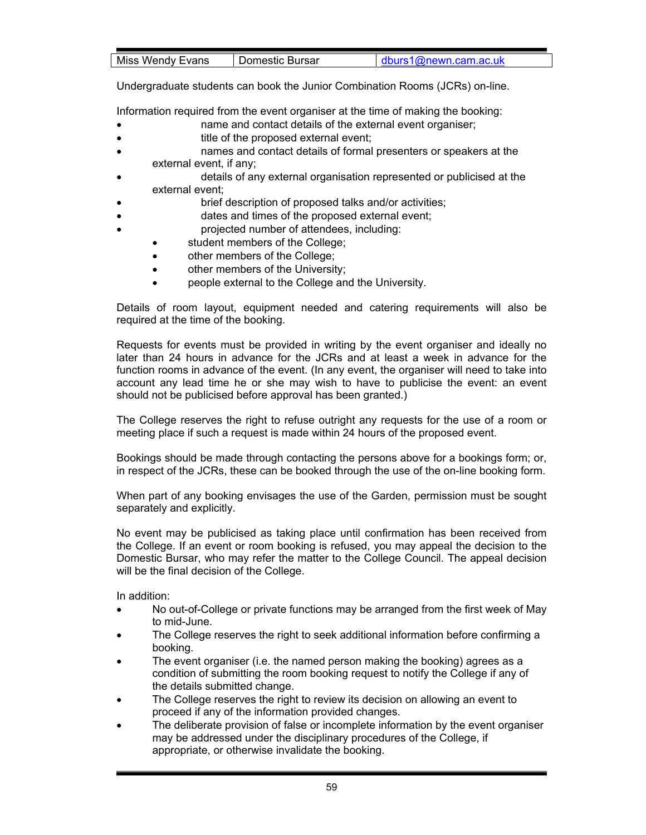| Miss Wendy Evans<br>⊧Bursar<br>Domestic⊹<br><b>LIM</b> | 1@newn.cam.ac.uk |
|--------------------------------------------------------|------------------|

Undergraduate students can book the Junior Combination Rooms (JCRs) on-line.

Information required from the event organiser at the time of making the booking:

- name and contact details of the external event organiser;
- title of the proposed external event;
- names and contact details of formal presenters or speakers at the external event, if any;
- details of any external organisation represented or publicised at the external event;
- brief description of proposed talks and/or activities;
- dates and times of the proposed external event;
	- projected number of attendees, including:
		- student members of the College;
		- other members of the College;
		- other members of the University;
		- people external to the College and the University.

Details of room layout, equipment needed and catering requirements will also be required at the time of the booking.

Requests for events must be provided in writing by the event organiser and ideally no later than 24 hours in advance for the JCRs and at least a week in advance for the function rooms in advance of the event. (In any event, the organiser will need to take into account any lead time he or she may wish to have to publicise the event: an event should not be publicised before approval has been granted.)

The College reserves the right to refuse outright any requests for the use of a room or meeting place if such a request is made within 24 hours of the proposed event.

Bookings should be made through contacting the persons above for a bookings form; or, in respect of the JCRs, these can be booked through the use of the on-line booking form.

When part of any booking envisages the use of the Garden, permission must be sought separately and explicitly.

No event may be publicised as taking place until confirmation has been received from the College. If an event or room booking is refused, you may appeal the decision to the Domestic Bursar, who may refer the matter to the College Council. The appeal decision will be the final decision of the College.

In addition:

- No out-of-College or private functions may be arranged from the first week of May to mid-June.
- The College reserves the right to seek additional information before confirming a booking.
- The event organiser (i.e. the named person making the booking) agrees as a condition of submitting the room booking request to notify the College if any of the details submitted change.
- The College reserves the right to review its decision on allowing an event to proceed if any of the information provided changes.
- The deliberate provision of false or incomplete information by the event organiser may be addressed under the disciplinary procedures of the College, if appropriate, or otherwise invalidate the booking.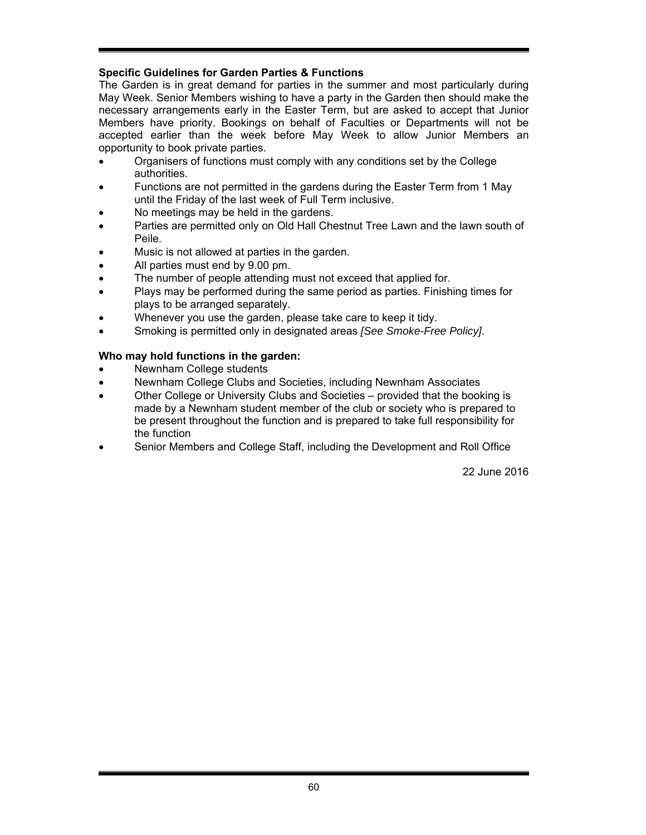# **Specific Guidelines for Garden Parties & Functions**

The Garden is in great demand for parties in the summer and most particularly during May Week. Senior Members wishing to have a party in the Garden then should make the necessary arrangements early in the Easter Term, but are asked to accept that Junior Members have priority. Bookings on behalf of Faculties or Departments will not be accepted earlier than the week before May Week to allow Junior Members an opportunity to book private parties.

- Organisers of functions must comply with any conditions set by the College authorities.
- Functions are not permitted in the gardens during the Easter Term from 1 May until the Friday of the last week of Full Term inclusive.
- No meetings may be held in the gardens.
- Parties are permitted only on Old Hall Chestnut Tree Lawn and the lawn south of Peile.
- Music is not allowed at parties in the garden.
- All parties must end by 9.00 pm.
- The number of people attending must not exceed that applied for.
- Plays may be performed during the same period as parties. Finishing times for plays to be arranged separately.
- Whenever you use the garden, please take care to keep it tidy.
- Smoking is permitted only in designated areas *[See Smoke-Free Policy]*.

# **Who may hold functions in the garden:**

- Newnham College students
- Newnham College Clubs and Societies, including Newnham Associates
- Other College or University Clubs and Societies provided that the booking is made by a Newnham student member of the club or society who is prepared to be present throughout the function and is prepared to take full responsibility for the function
- Senior Members and College Staff, including the Development and Roll Office

22 June 2016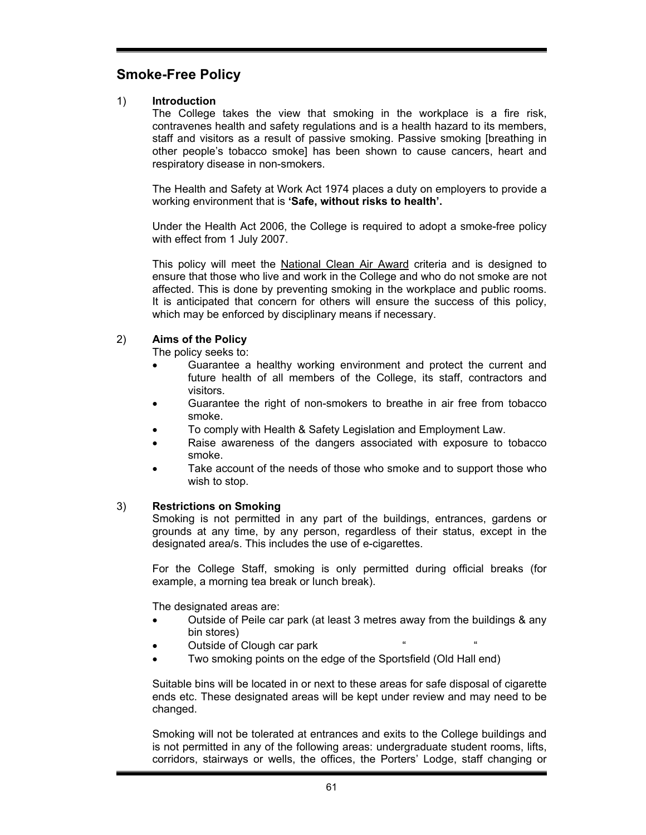# **Smoke-Free Policy**

# 1) **Introduction**

The College takes the view that smoking in the workplace is a fire risk, contravenes health and safety regulations and is a health hazard to its members, staff and visitors as a result of passive smoking. Passive smoking [breathing in other people's tobacco smoke] has been shown to cause cancers, heart and respiratory disease in non-smokers.

The Health and Safety at Work Act 1974 places a duty on employers to provide a working environment that is **'Safe, without risks to health'.** 

Under the Health Act 2006, the College is required to adopt a smoke-free policy with effect from 1 July 2007.

This policy will meet the National Clean Air Award criteria and is designed to ensure that those who live and work in the College and who do not smoke are not affected. This is done by preventing smoking in the workplace and public rooms. It is anticipated that concern for others will ensure the success of this policy, which may be enforced by disciplinary means if necessary.

# 2) **Aims of the Policy**

The policy seeks to:

- Guarantee a healthy working environment and protect the current and future health of all members of the College, its staff, contractors and visitors.
- Guarantee the right of non-smokers to breathe in air free from tobacco smoke.
- To comply with Health & Safety Legislation and Employment Law.
- Raise awareness of the dangers associated with exposure to tobacco smoke.
- Take account of the needs of those who smoke and to support those who wish to stop.

# 3) **Restrictions on Smoking**

Smoking is not permitted in any part of the buildings, entrances, gardens or grounds at any time, by any person, regardless of their status, except in the designated area/s. This includes the use of e-cigarettes.

For the College Staff, smoking is only permitted during official breaks (for example, a morning tea break or lunch break).

The designated areas are:

- Outside of Peile car park (at least 3 metres away from the buildings & any bin stores)
- Outside of Clough car park
- Two smoking points on the edge of the Sportsfield (Old Hall end)

Suitable bins will be located in or next to these areas for safe disposal of cigarette ends etc. These designated areas will be kept under review and may need to be changed.

Smoking will not be tolerated at entrances and exits to the College buildings and is not permitted in any of the following areas: undergraduate student rooms, lifts, corridors, stairways or wells, the offices, the Porters' Lodge, staff changing or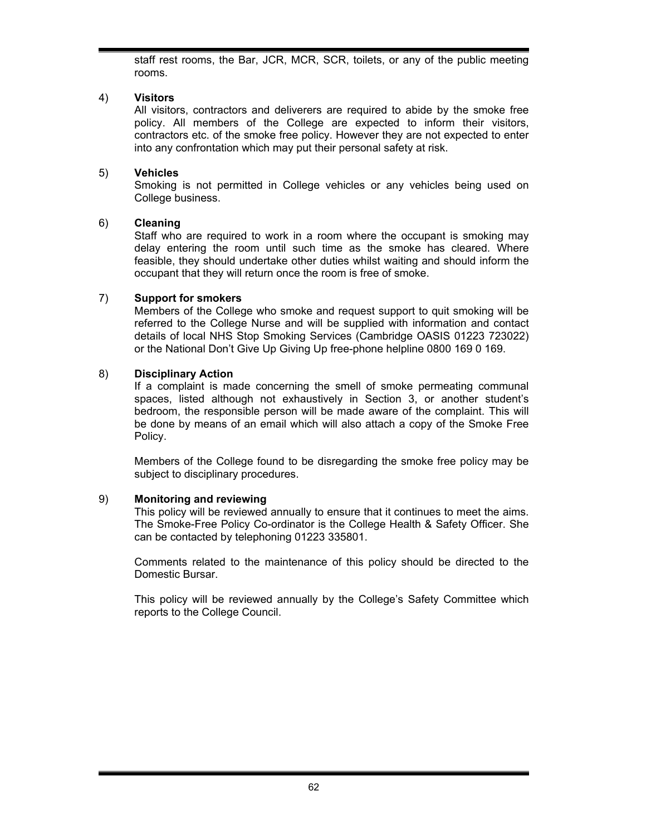staff rest rooms, the Bar, JCR, MCR, SCR, toilets, or any of the public meeting rooms.

# 4) **Visitors**

All visitors, contractors and deliverers are required to abide by the smoke free policy. All members of the College are expected to inform their visitors, contractors etc. of the smoke free policy. However they are not expected to enter into any confrontation which may put their personal safety at risk.

### 5) **Vehicles**

Smoking is not permitted in College vehicles or any vehicles being used on College business.

### 6) **Cleaning**

Staff who are required to work in a room where the occupant is smoking may delay entering the room until such time as the smoke has cleared. Where feasible, they should undertake other duties whilst waiting and should inform the occupant that they will return once the room is free of smoke.

### 7) **Support for smokers**

Members of the College who smoke and request support to quit smoking will be referred to the College Nurse and will be supplied with information and contact details of local NHS Stop Smoking Services (Cambridge OASIS 01223 723022) or the National Don't Give Up Giving Up free-phone helpline 0800 169 0 169.

### 8) **Disciplinary Action**

If a complaint is made concerning the smell of smoke permeating communal spaces, listed although not exhaustively in Section 3, or another student's bedroom, the responsible person will be made aware of the complaint. This will be done by means of an email which will also attach a copy of the Smoke Free Policy.

Members of the College found to be disregarding the smoke free policy may be subject to disciplinary procedures.

#### 9) **Monitoring and reviewing**

This policy will be reviewed annually to ensure that it continues to meet the aims. The Smoke-Free Policy Co-ordinator is the College Health & Safety Officer. She can be contacted by telephoning 01223 335801.

Comments related to the maintenance of this policy should be directed to the Domestic Bursar.

This policy will be reviewed annually by the College's Safety Committee which reports to the College Council.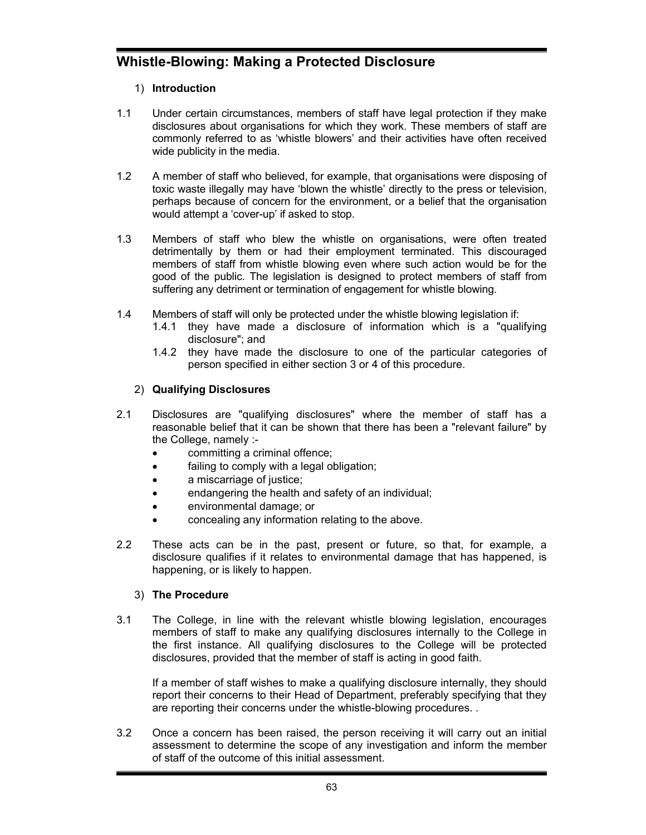# **Whistle-Blowing: Making a Protected Disclosure**

# 1) **Introduction**

- 1.1 Under certain circumstances, members of staff have legal protection if they make disclosures about organisations for which they work. These members of staff are commonly referred to as 'whistle blowers' and their activities have often received wide publicity in the media.
- 1.2 A member of staff who believed, for example, that organisations were disposing of toxic waste illegally may have 'blown the whistle' directly to the press or television, perhaps because of concern for the environment, or a belief that the organisation would attempt a 'cover-up' if asked to stop.
- 1.3 Members of staff who blew the whistle on organisations, were often treated detrimentally by them or had their employment terminated. This discouraged members of staff from whistle blowing even where such action would be for the good of the public. The legislation is designed to protect members of staff from suffering any detriment or termination of engagement for whistle blowing.
- 1.4 Members of staff will only be protected under the whistle blowing legislation if:
	- 1.4.1 they have made a disclosure of information which is a "qualifying disclosure"; and
	- 1.4.2 they have made the disclosure to one of the particular categories of person specified in either section 3 or 4 of this procedure.

# 2) **Qualifying Disclosures**

- 2.1 Disclosures are "qualifying disclosures" where the member of staff has a reasonable belief that it can be shown that there has been a "relevant failure" by the College, namely :
	- committing a criminal offence;
	- failing to comply with a legal obligation;
	- a miscarriage of justice;
	- endangering the health and safety of an individual;
	- environmental damage; or
	- concealing any information relating to the above.
- 2.2 These acts can be in the past, present or future, so that, for example, a disclosure qualifies if it relates to environmental damage that has happened, is happening, or is likely to happen.

# 3) **The Procedure**

3.1 The College, in line with the relevant whistle blowing legislation, encourages members of staff to make any qualifying disclosures internally to the College in the first instance. All qualifying disclosures to the College will be protected disclosures, provided that the member of staff is acting in good faith.

If a member of staff wishes to make a qualifying disclosure internally, they should report their concerns to their Head of Department, preferably specifying that they are reporting their concerns under the whistle-blowing procedures. .

3.2 Once a concern has been raised, the person receiving it will carry out an initial assessment to determine the scope of any investigation and inform the member of staff of the outcome of this initial assessment.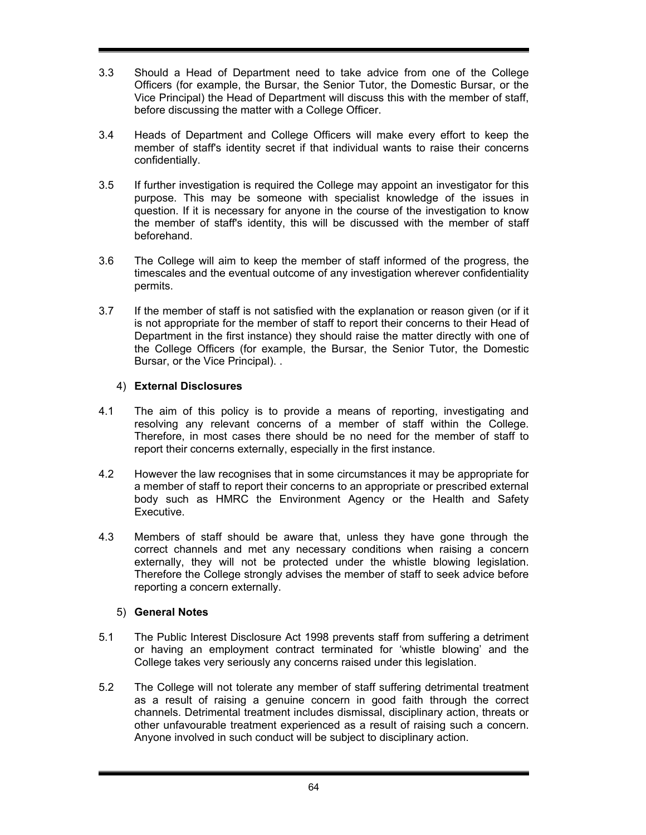- 3.3 Should a Head of Department need to take advice from one of the College Officers (for example, the Bursar, the Senior Tutor, the Domestic Bursar, or the Vice Principal) the Head of Department will discuss this with the member of staff, before discussing the matter with a College Officer.
- 3.4 Heads of Department and College Officers will make every effort to keep the member of staff's identity secret if that individual wants to raise their concerns confidentially.
- 3.5 If further investigation is required the College may appoint an investigator for this purpose. This may be someone with specialist knowledge of the issues in question. If it is necessary for anyone in the course of the investigation to know the member of staff's identity, this will be discussed with the member of staff beforehand.
- 3.6 The College will aim to keep the member of staff informed of the progress, the timescales and the eventual outcome of any investigation wherever confidentiality permits.
- 3.7 If the member of staff is not satisfied with the explanation or reason given (or if it is not appropriate for the member of staff to report their concerns to their Head of Department in the first instance) they should raise the matter directly with one of the College Officers (for example, the Bursar, the Senior Tutor, the Domestic Bursar, or the Vice Principal). .

# 4) **External Disclosures**

- 4.1 The aim of this policy is to provide a means of reporting, investigating and resolving any relevant concerns of a member of staff within the College. Therefore, in most cases there should be no need for the member of staff to report their concerns externally, especially in the first instance.
- 4.2 However the law recognises that in some circumstances it may be appropriate for a member of staff to report their concerns to an appropriate or prescribed external body such as HMRC the Environment Agency or the Health and Safety Executive.
- 4.3 Members of staff should be aware that, unless they have gone through the correct channels and met any necessary conditions when raising a concern externally, they will not be protected under the whistle blowing legislation. Therefore the College strongly advises the member of staff to seek advice before reporting a concern externally.

# 5) **General Notes**

- 5.1 The Public Interest Disclosure Act 1998 prevents staff from suffering a detriment or having an employment contract terminated for 'whistle blowing' and the College takes very seriously any concerns raised under this legislation.
- 5.2 The College will not tolerate any member of staff suffering detrimental treatment as a result of raising a genuine concern in good faith through the correct channels. Detrimental treatment includes dismissal, disciplinary action, threats or other unfavourable treatment experienced as a result of raising such a concern. Anyone involved in such conduct will be subject to disciplinary action.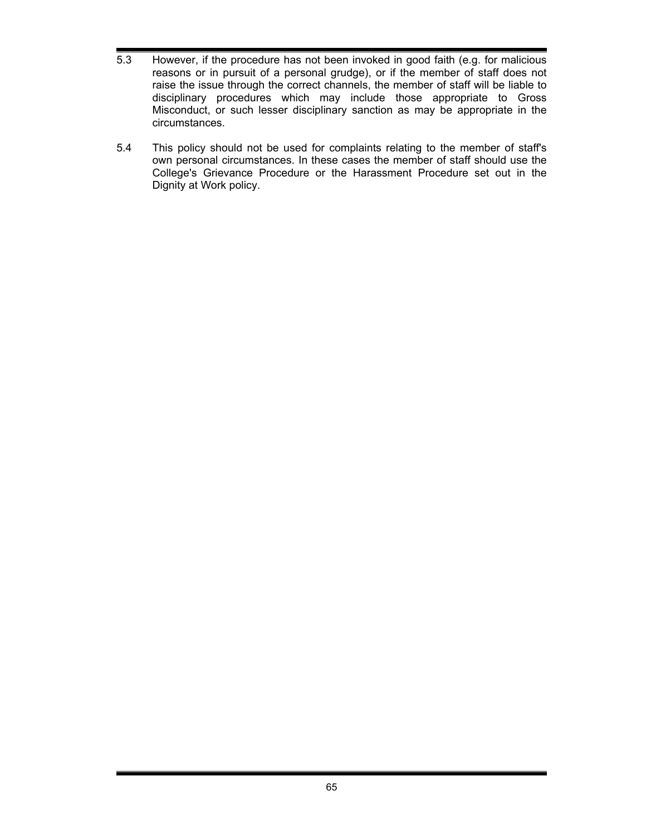- 5.3 However, if the procedure has not been invoked in good faith (e.g. for malicious reasons or in pursuit of a personal grudge), or if the member of staff does not raise the issue through the correct channels, the member of staff will be liable to disciplinary procedures which may include those appropriate to Gross Misconduct, or such lesser disciplinary sanction as may be appropriate in the circumstances.
- 5.4 This policy should not be used for complaints relating to the member of staff's own personal circumstances. In these cases the member of staff should use the College's Grievance Procedure or the Harassment Procedure set out in the Dignity at Work policy.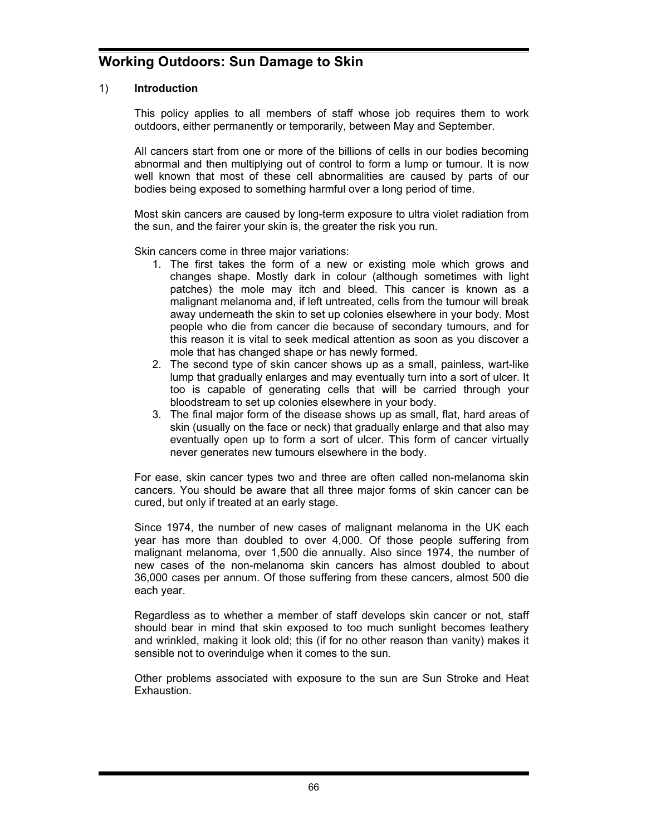# **Working Outdoors: Sun Damage to Skin**

### 1) **Introduction**

This policy applies to all members of staff whose job requires them to work outdoors, either permanently or temporarily, between May and September.

All cancers start from one or more of the billions of cells in our bodies becoming abnormal and then multiplying out of control to form a lump or tumour. It is now well known that most of these cell abnormalities are caused by parts of our bodies being exposed to something harmful over a long period of time.

Most skin cancers are caused by long-term exposure to ultra violet radiation from the sun, and the fairer your skin is, the greater the risk you run.

Skin cancers come in three major variations:

- 1. The first takes the form of a new or existing mole which grows and changes shape. Mostly dark in colour (although sometimes with light patches) the mole may itch and bleed. This cancer is known as a malignant melanoma and, if left untreated, cells from the tumour will break away underneath the skin to set up colonies elsewhere in your body. Most people who die from cancer die because of secondary tumours, and for this reason it is vital to seek medical attention as soon as you discover a mole that has changed shape or has newly formed.
- 2. The second type of skin cancer shows up as a small, painless, wart-like lump that gradually enlarges and may eventually turn into a sort of ulcer. It too is capable of generating cells that will be carried through your bloodstream to set up colonies elsewhere in your body.
- 3. The final major form of the disease shows up as small, flat, hard areas of skin (usually on the face or neck) that gradually enlarge and that also may eventually open up to form a sort of ulcer. This form of cancer virtually never generates new tumours elsewhere in the body.

For ease, skin cancer types two and three are often called non-melanoma skin cancers. You should be aware that all three major forms of skin cancer can be cured, but only if treated at an early stage.

Since 1974, the number of new cases of malignant melanoma in the UK each year has more than doubled to over 4,000. Of those people suffering from malignant melanoma, over 1,500 die annually. Also since 1974, the number of new cases of the non-melanoma skin cancers has almost doubled to about 36,000 cases per annum. Of those suffering from these cancers, almost 500 die each year.

Regardless as to whether a member of staff develops skin cancer or not, staff should bear in mind that skin exposed to too much sunlight becomes leathery and wrinkled, making it look old; this (if for no other reason than vanity) makes it sensible not to overindulge when it comes to the sun.

Other problems associated with exposure to the sun are Sun Stroke and Heat Exhaustion.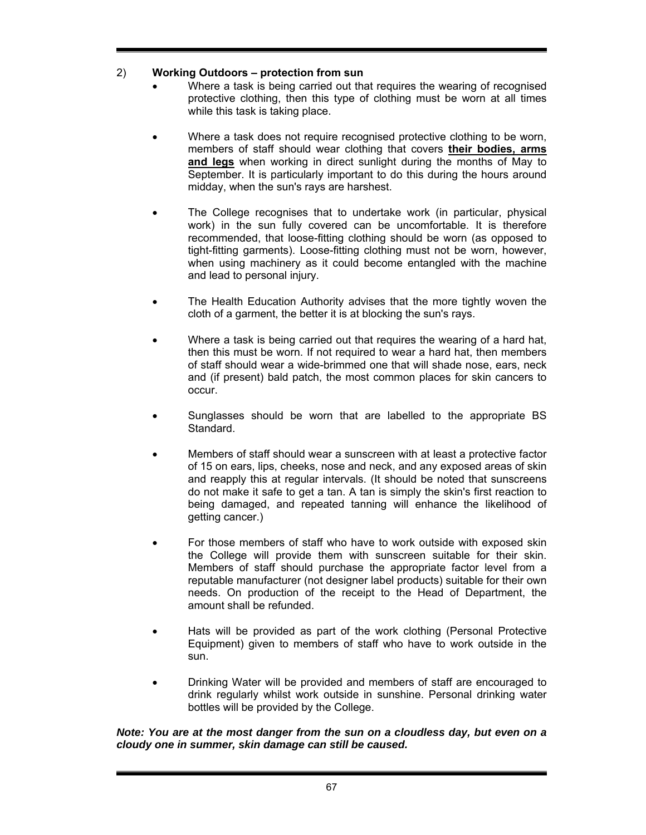# 2) **Working Outdoors – protection from sun**

- Where a task is being carried out that requires the wearing of recognised protective clothing, then this type of clothing must be worn at all times while this task is taking place.
- Where a task does not require recognised protective clothing to be worn, members of staff should wear clothing that covers **their bodies, arms and legs** when working in direct sunlight during the months of May to September. It is particularly important to do this during the hours around midday, when the sun's rays are harshest.
- The College recognises that to undertake work (in particular, physical work) in the sun fully covered can be uncomfortable. It is therefore recommended, that loose-fitting clothing should be worn (as opposed to tight-fitting garments). Loose-fitting clothing must not be worn, however, when using machinery as it could become entangled with the machine and lead to personal injury.
- The Health Education Authority advises that the more tightly woven the cloth of a garment, the better it is at blocking the sun's rays.
- Where a task is being carried out that requires the wearing of a hard hat, then this must be worn. If not required to wear a hard hat, then members of staff should wear a wide-brimmed one that will shade nose, ears, neck and (if present) bald patch, the most common places for skin cancers to occur.
- Sunglasses should be worn that are labelled to the appropriate BS Standard.
- Members of staff should wear a sunscreen with at least a protective factor of 15 on ears, lips, cheeks, nose and neck, and any exposed areas of skin and reapply this at regular intervals. (It should be noted that sunscreens do not make it safe to get a tan. A tan is simply the skin's first reaction to being damaged, and repeated tanning will enhance the likelihood of getting cancer.)
- For those members of staff who have to work outside with exposed skin the College will provide them with sunscreen suitable for their skin. Members of staff should purchase the appropriate factor level from a reputable manufacturer (not designer label products) suitable for their own needs. On production of the receipt to the Head of Department, the amount shall be refunded.
- Hats will be provided as part of the work clothing (Personal Protective Equipment) given to members of staff who have to work outside in the sun.
- Drinking Water will be provided and members of staff are encouraged to drink regularly whilst work outside in sunshine. Personal drinking water bottles will be provided by the College.

### *Note: You are at the most danger from the sun on a cloudless day, but even on a cloudy one in summer, skin damage can still be caused.*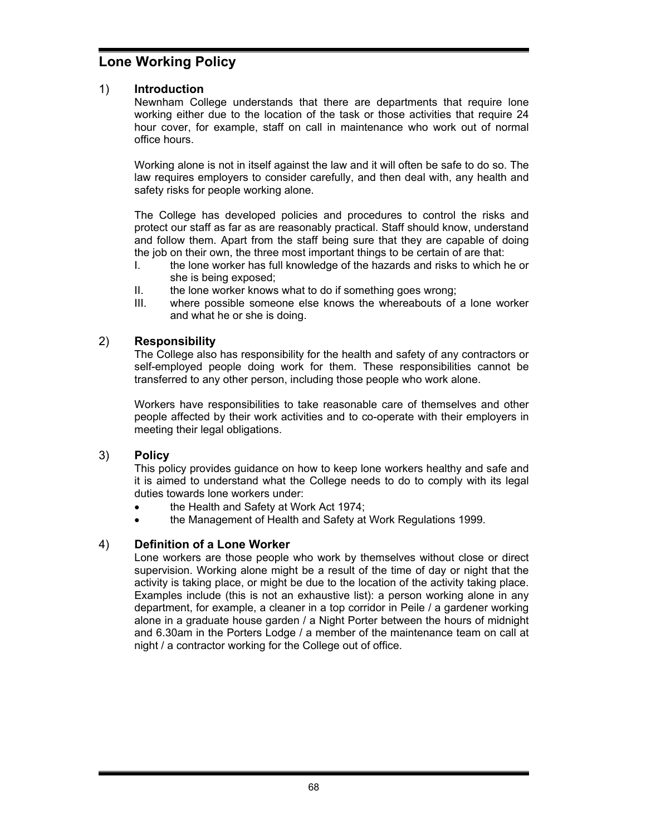# **Lone Working Policy**

# 1) **Introduction**

Newnham College understands that there are departments that require lone working either due to the location of the task or those activities that require 24 hour cover, for example, staff on call in maintenance who work out of normal office hours.

Working alone is not in itself against the law and it will often be safe to do so. The law requires employers to consider carefully, and then deal with, any health and safety risks for people working alone.

The College has developed policies and procedures to control the risks and protect our staff as far as are reasonably practical. Staff should know, understand and follow them. Apart from the staff being sure that they are capable of doing the job on their own, the three most important things to be certain of are that:

- I. the lone worker has full knowledge of the hazards and risks to which he or she is being exposed;
- II. the lone worker knows what to do if something goes wrong;
- III. where possible someone else knows the whereabouts of a lone worker and what he or she is doing.

# 2) **Responsibility**

The College also has responsibility for the health and safety of any contractors or self-employed people doing work for them. These responsibilities cannot be transferred to any other person, including those people who work alone.

Workers have responsibilities to take reasonable care of themselves and other people affected by their work activities and to co-operate with their employers in meeting their legal obligations.

# 3) **Policy**

This policy provides guidance on how to keep lone workers healthy and safe and it is aimed to understand what the College needs to do to comply with its legal duties towards lone workers under:

- the Health and Safety at Work Act 1974;
- the Management of Health and Safety at Work Regulations 1999.

# 4) **Definition of a Lone Worker**

Lone workers are those people who work by themselves without close or direct supervision. Working alone might be a result of the time of day or night that the activity is taking place, or might be due to the location of the activity taking place. Examples include (this is not an exhaustive list): a person working alone in any department, for example, a cleaner in a top corridor in Peile / a gardener working alone in a graduate house garden / a Night Porter between the hours of midnight and 6.30am in the Porters Lodge / a member of the maintenance team on call at night / a contractor working for the College out of office.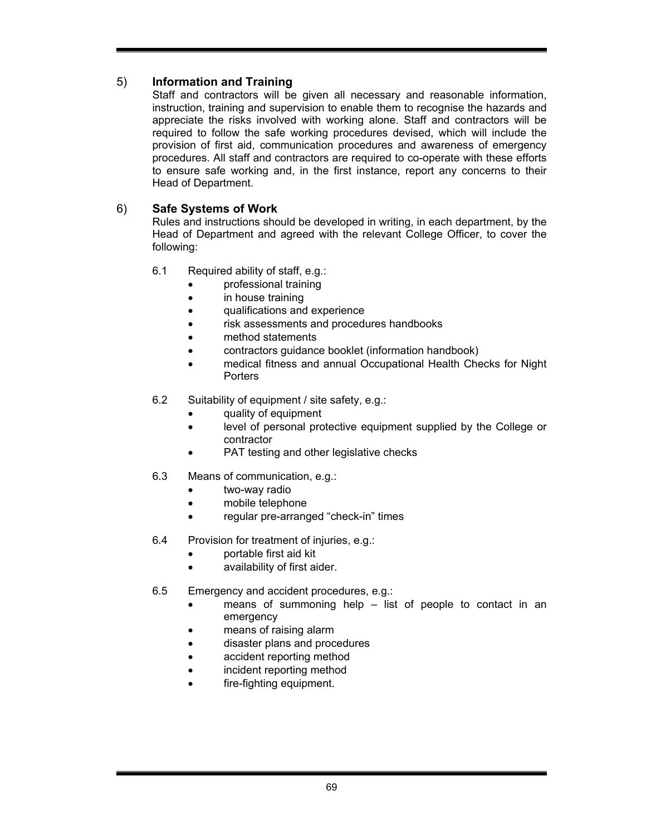# 5) **Information and Training**

Staff and contractors will be given all necessary and reasonable information, instruction, training and supervision to enable them to recognise the hazards and appreciate the risks involved with working alone. Staff and contractors will be required to follow the safe working procedures devised, which will include the provision of first aid, communication procedures and awareness of emergency procedures. All staff and contractors are required to co-operate with these efforts to ensure safe working and, in the first instance, report any concerns to their Head of Department.

# 6) **Safe Systems of Work**

Rules and instructions should be developed in writing, in each department, by the Head of Department and agreed with the relevant College Officer, to cover the following:

- 6.1 Required ability of staff, e.g.:
	- **professional training**
	- in house training
	- qualifications and experience
	- risk assessments and procedures handbooks
	- method statements
	- contractors guidance booklet (information handbook)
	- medical fitness and annual Occupational Health Checks for Night **Porters**
- 6.2 Suitability of equipment / site safety, e.g.:
	- quality of equipment
	- level of personal protective equipment supplied by the College or contractor
	- PAT testing and other legislative checks
- 6.3 Means of communication, e.g.:
	- two-way radio
	- mobile telephone
	- regular pre-arranged "check-in" times
- 6.4 Provision for treatment of injuries, e.g.:
	- portable first aid kit
	- availability of first aider.
- 6.5 Emergency and accident procedures, e.g.:
	- means of summoning help list of people to contact in an emergency
	- means of raising alarm
	- disaster plans and procedures
	- accident reporting method
	- incident reporting method
	- fire-fighting equipment.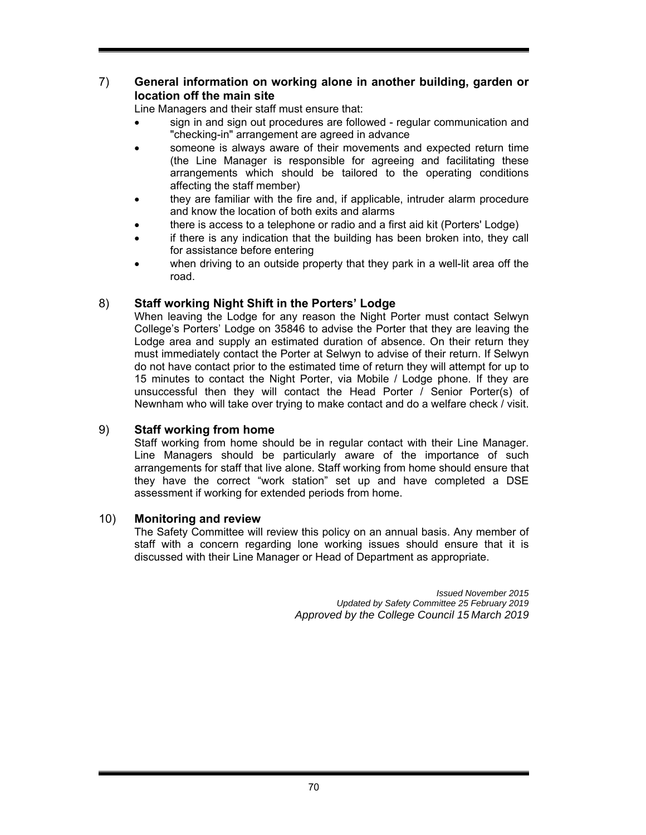# 7) **General information on working alone in another building, garden or location off the main site**

Line Managers and their staff must ensure that:

- sign in and sign out procedures are followed regular communication and "checking-in" arrangement are agreed in advance
- someone is always aware of their movements and expected return time (the Line Manager is responsible for agreeing and facilitating these arrangements which should be tailored to the operating conditions affecting the staff member)
- they are familiar with the fire and, if applicable, intruder alarm procedure and know the location of both exits and alarms
- there is access to a telephone or radio and a first aid kit (Porters' Lodge)
- if there is any indication that the building has been broken into, they call for assistance before entering
- when driving to an outside property that they park in a well-lit area off the road.

# 8) **Staff working Night Shift in the Porters' Lodge**

When leaving the Lodge for any reason the Night Porter must contact Selwyn College's Porters' Lodge on 35846 to advise the Porter that they are leaving the Lodge area and supply an estimated duration of absence. On their return they must immediately contact the Porter at Selwyn to advise of their return. If Selwyn do not have contact prior to the estimated time of return they will attempt for up to 15 minutes to contact the Night Porter, via Mobile / Lodge phone. If they are unsuccessful then they will contact the Head Porter / Senior Porter(s) of Newnham who will take over trying to make contact and do a welfare check / visit.

# 9) **Staff working from home**

Staff working from home should be in regular contact with their Line Manager. Line Managers should be particularly aware of the importance of such arrangements for staff that live alone. Staff working from home should ensure that they have the correct "work station" set up and have completed a DSE assessment if working for extended periods from home.

# 10) **Monitoring and review**

The Safety Committee will review this policy on an annual basis. Any member of staff with a concern regarding lone working issues should ensure that it is discussed with their Line Manager or Head of Department as appropriate.

> *Issued November 2015 Updated by Safety Committee 25 February 2019 Approved by the College Council 15 March 2019*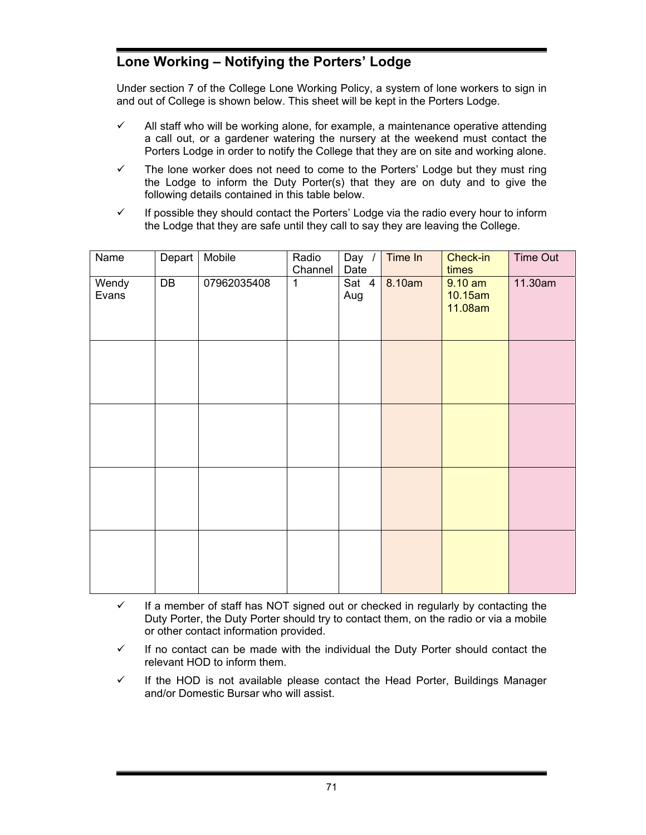# **Lone Working – Notifying the Porters' Lodge**

Under section 7 of the College Lone Working Policy, a system of lone workers to sign in and out of College is shown below. This sheet will be kept in the Porters Lodge.

- $\checkmark$  All staff who will be working alone, for example, a maintenance operative attending a call out, or a gardener watering the nursery at the weekend must contact the Porters Lodge in order to notify the College that they are on site and working alone.
- $\checkmark$  The lone worker does not need to come to the Porters' Lodge but they must ring the Lodge to inform the Duty Porter(s) that they are on duty and to give the following details contained in this table below.
- $\checkmark$  If possible they should contact the Porters' Lodge via the radio every hour to inform the Lodge that they are safe until they call to say they are leaving the College.

| $\overline{\mathsf{Name}}$ | Depart | Mobile      | Radio<br>Channel | Day /<br>Date | Time In | Check-in<br>times               | Time Out |
|----------------------------|--------|-------------|------------------|---------------|---------|---------------------------------|----------|
| Wendy<br>Evans             | DB     | 07962035408 | $\mathbf{1}$     | Sat 4<br>Aug  | 8.10am  | $9.10$ am<br>10.15am<br>11.08am | 11.30am  |
|                            |        |             |                  |               |         |                                 |          |
|                            |        |             |                  |               |         |                                 |          |
|                            |        |             |                  |               |         |                                 |          |
|                            |        |             |                  |               |         |                                 |          |

- $\checkmark$  If a member of staff has NOT signed out or checked in regularly by contacting the Duty Porter, the Duty Porter should try to contact them, on the radio or via a mobile or other contact information provided.
- $\checkmark$  If no contact can be made with the individual the Duty Porter should contact the relevant HOD to inform them.
- $\checkmark$  If the HOD is not available please contact the Head Porter, Buildings Manager and/or Domestic Bursar who will assist.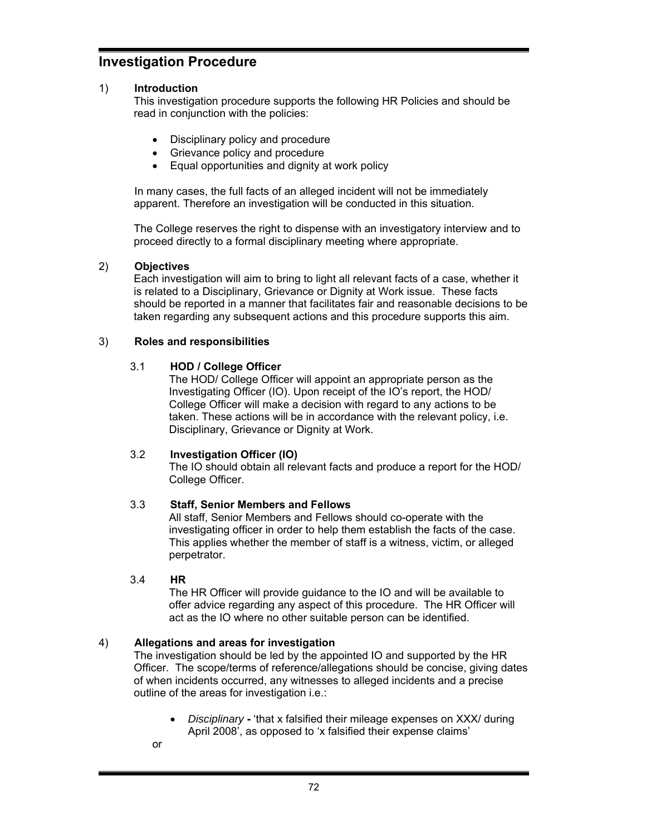# **Investigation Procedure**

# 1) **Introduction**

This investigation procedure supports the following HR Policies and should be read in conjunction with the policies:

- Disciplinary policy and procedure
- Grievance policy and procedure
- Equal opportunities and dignity at work policy

 In many cases, the full facts of an alleged incident will not be immediately apparent. Therefore an investigation will be conducted in this situation.

The College reserves the right to dispense with an investigatory interview and to proceed directly to a formal disciplinary meeting where appropriate.

### 2) **Objectives**

Each investigation will aim to bring to light all relevant facts of a case, whether it is related to a Disciplinary, Grievance or Dignity at Work issue. These facts should be reported in a manner that facilitates fair and reasonable decisions to be taken regarding any subsequent actions and this procedure supports this aim.

### 3) **Roles and responsibilities**

### 3.1 **HOD / College Officer**

The HOD/ College Officer will appoint an appropriate person as the Investigating Officer (IO). Upon receipt of the IO's report, the HOD/ College Officer will make a decision with regard to any actions to be taken. These actions will be in accordance with the relevant policy, i.e. Disciplinary, Grievance or Dignity at Work.

# 3.2 **Investigation Officer (IO)**

The IO should obtain all relevant facts and produce a report for the HOD/ College Officer.

# 3.3 **Staff, Senior Members and Fellows**

All staff, Senior Members and Fellows should co-operate with the investigating officer in order to help them establish the facts of the case. This applies whether the member of staff is a witness, victim, or alleged perpetrator.

#### 3.4 **HR**

The HR Officer will provide guidance to the IO and will be available to offer advice regarding any aspect of this procedure. The HR Officer will act as the IO where no other suitable person can be identified.

# 4) **Allegations and areas for investigation**

The investigation should be led by the appointed IO and supported by the HR Officer. The scope/terms of reference/allegations should be concise, giving dates of when incidents occurred, any witnesses to alleged incidents and a precise outline of the areas for investigation i.e.:

- *Disciplinary*'that x falsified their mileage expenses on XXX/ during April 2008', as opposed to 'x falsified their expense claims'
- or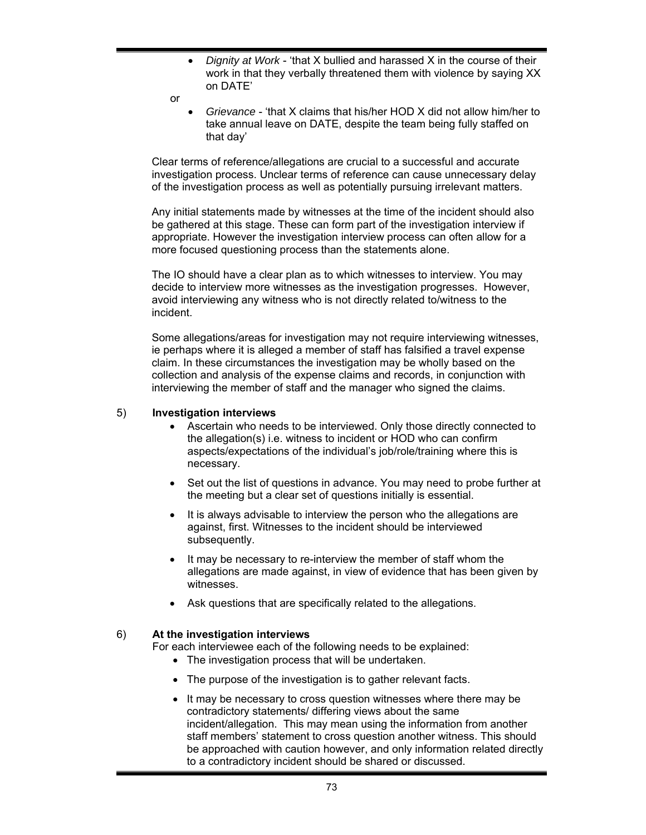- *Dignity at Work* 'that X bullied and harassed X in the course of their work in that they verbally threatened them with violence by saying XX on DATE'
- or
	- *Grievance* 'that X claims that his/her HOD X did not allow him/her to take annual leave on DATE, despite the team being fully staffed on that day'

Clear terms of reference/allegations are crucial to a successful and accurate investigation process. Unclear terms of reference can cause unnecessary delay of the investigation process as well as potentially pursuing irrelevant matters.

Any initial statements made by witnesses at the time of the incident should also be gathered at this stage. These can form part of the investigation interview if appropriate. However the investigation interview process can often allow for a more focused questioning process than the statements alone.

The IO should have a clear plan as to which witnesses to interview. You may decide to interview more witnesses as the investigation progresses. However, avoid interviewing any witness who is not directly related to/witness to the incident.

Some allegations/areas for investigation may not require interviewing witnesses, ie perhaps where it is alleged a member of staff has falsified a travel expense claim. In these circumstances the investigation may be wholly based on the collection and analysis of the expense claims and records, in conjunction with interviewing the member of staff and the manager who signed the claims.

### 5) **Investigation interviews**

- Ascertain who needs to be interviewed. Only those directly connected to the allegation(s) i.e. witness to incident or HOD who can confirm aspects/expectations of the individual's job/role/training where this is necessary.
- Set out the list of questions in advance. You may need to probe further at the meeting but a clear set of questions initially is essential.
- It is always advisable to interview the person who the allegations are against, first. Witnesses to the incident should be interviewed subsequently.
- It may be necessary to re-interview the member of staff whom the allegations are made against, in view of evidence that has been given by witnesses.
- Ask questions that are specifically related to the allegations.

# 6) **At the investigation interviews**

For each interviewee each of the following needs to be explained:

- The investigation process that will be undertaken.
- The purpose of the investigation is to gather relevant facts.
- It may be necessary to cross question witnesses where there may be contradictory statements/ differing views about the same incident/allegation. This may mean using the information from another staff members' statement to cross question another witness. This should be approached with caution however, and only information related directly to a contradictory incident should be shared or discussed.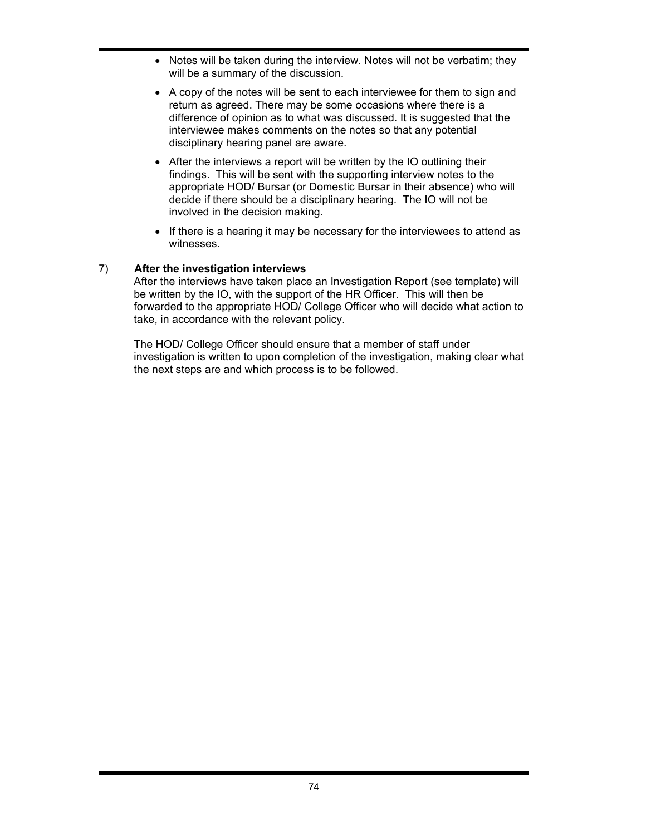- Notes will be taken during the interview. Notes will not be verbatim; they will be a summary of the discussion.
- A copy of the notes will be sent to each interviewee for them to sign and return as agreed. There may be some occasions where there is a difference of opinion as to what was discussed. It is suggested that the interviewee makes comments on the notes so that any potential disciplinary hearing panel are aware.
- After the interviews a report will be written by the IO outlining their findings. This will be sent with the supporting interview notes to the appropriate HOD/ Bursar (or Domestic Bursar in their absence) who will decide if there should be a disciplinary hearing. The IO will not be involved in the decision making.
- If there is a hearing it may be necessary for the interviewees to attend as witnesses.

# 7) **After the investigation interviews**

After the interviews have taken place an Investigation Report (see template) will be written by the IO, with the support of the HR Officer. This will then be forwarded to the appropriate HOD/ College Officer who will decide what action to take, in accordance with the relevant policy.

The HOD/ College Officer should ensure that a member of staff under investigation is written to upon completion of the investigation, making clear what the next steps are and which process is to be followed.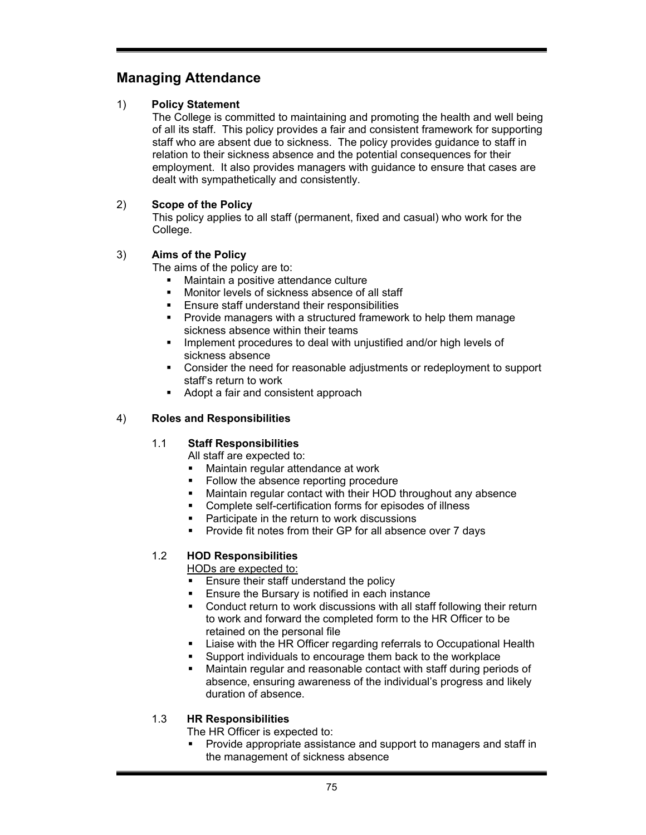# **Managing Attendance**

# 1) **Policy Statement**

The College is committed to maintaining and promoting the health and well being of all its staff. This policy provides a fair and consistent framework for supporting staff who are absent due to sickness. The policy provides guidance to staff in relation to their sickness absence and the potential consequences for their employment. It also provides managers with guidance to ensure that cases are dealt with sympathetically and consistently.

# 2) **Scope of the Policy**

This policy applies to all staff (permanent, fixed and casual) who work for the College.

# 3) **Aims of the Policy**

The aims of the policy are to:

- **Maintain a positive attendance culture**
- **Monitor levels of sickness absence of all staff**
- **Ensure staff understand their responsibilities**
- **Provide managers with a structured framework to help them manage** sickness absence within their teams
- **IMPLEMENT IMPLEMENT IN A LOCAL EXAMPLEM** 11 Implement procedures to deal with unjustified and/or high levels of sickness absence
- Consider the need for reasonable adjustments or redeployment to support staff's return to work
- Adopt a fair and consistent approach

# 4) **Roles and Responsibilities**

# 1.1 **Staff Responsibilities**

All staff are expected to:

- Maintain regular attendance at work
- Follow the absence reporting procedure
- Maintain regular contact with their HOD throughout any absence
- Complete self-certification forms for episodes of illness
- **Participate in the return to work discussions**
- **Provide fit notes from their GP for all absence over 7 days**

# 1.2 **HOD Responsibilities**

HODs are expected to:

- Ensure their staff understand the policy
- **Ensure the Bursary is notified in each instance**
- Conduct return to work discussions with all staff following their return to work and forward the completed form to the HR Officer to be retained on the personal file
- **EXED Liaise with the HR Officer regarding referrals to Occupational Health**
- Support individuals to encourage them back to the workplace
- Maintain regular and reasonable contact with staff during periods of absence, ensuring awareness of the individual's progress and likely duration of absence.

# 1.3 **HR Responsibilities**

The HR Officer is expected to:

 Provide appropriate assistance and support to managers and staff in the management of sickness absence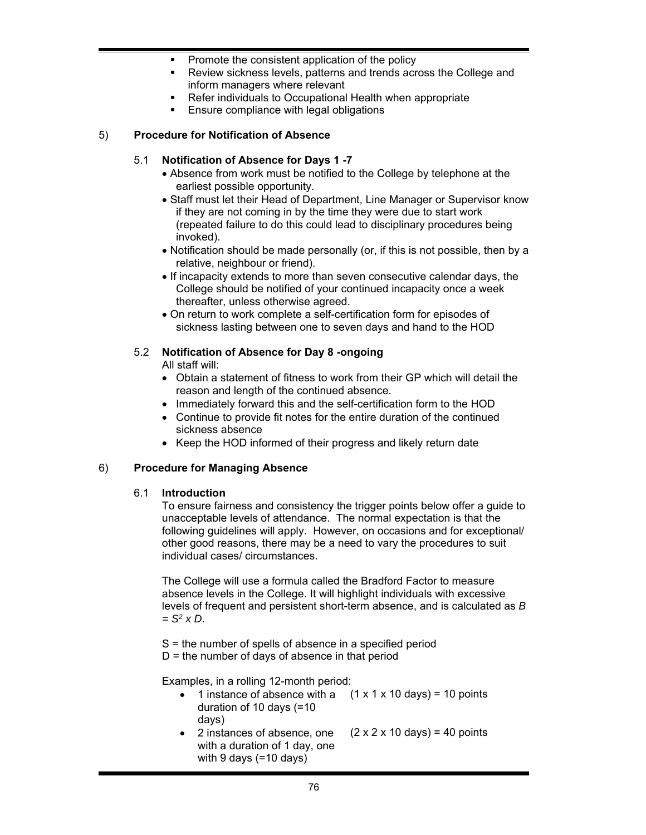- **Promote the consistent application of the policy**
- Review sickness levels, patterns and trends across the College and inform managers where relevant
- Refer individuals to Occupational Health when appropriate
- Ensure compliance with legal obligations

#### 5) **Procedure for Notification of Absence**

#### 5.1 **Notification of Absence for Days 1 -7**

- Absence from work must be notified to the College by telephone at the earliest possible opportunity.
- Staff must let their Head of Department, Line Manager or Supervisor know if they are not coming in by the time they were due to start work (repeated failure to do this could lead to disciplinary procedures being invoked).
- Notification should be made personally (or, if this is not possible, then by a relative, neighbour or friend).
- If incapacity extends to more than seven consecutive calendar days, the College should be notified of your continued incapacity once a week thereafter, unless otherwise agreed.
- On return to work complete a self-certification form for episodes of sickness lasting between one to seven days and hand to the HOD

# 5.2 **Notification of Absence for Day 8 -ongoing**

All staff will:

- Obtain a statement of fitness to work from their GP which will detail the reason and length of the continued absence.
- Immediately forward this and the self-certification form to the HOD
- Continue to provide fit notes for the entire duration of the continued sickness absence
- Keep the HOD informed of their progress and likely return date

# 6) **Procedure for Managing Absence**

#### 6.1 **Introduction**

To ensure fairness and consistency the trigger points below offer a guide to unacceptable levels of attendance. The normal expectation is that the following guidelines will apply. However, on occasions and for exceptional/ other good reasons, there may be a need to vary the procedures to suit individual cases/ circumstances.

The College will use a formula called the Bradford Factor to measure absence levels in the College. It will highlight individuals with excessive levels of frequent and persistent short-term absence, and is calculated as *B = S2 x D*.

S = the number of spells of absence in a specified period

 $D =$  the number of days of absence in that period

Examples, in a rolling 12-month period:

- 1 instance of absence with a  $(1 \times 1 \times 10 \text{ days}) = 10 \text{ points}$ duration of 10 days (=10 days)
- 2 instances of absence, one with a duration of 1 day, one with 9 days (=10 days)  $(2 \times 2 \times 10 \text{ days}) = 40 \text{ points}$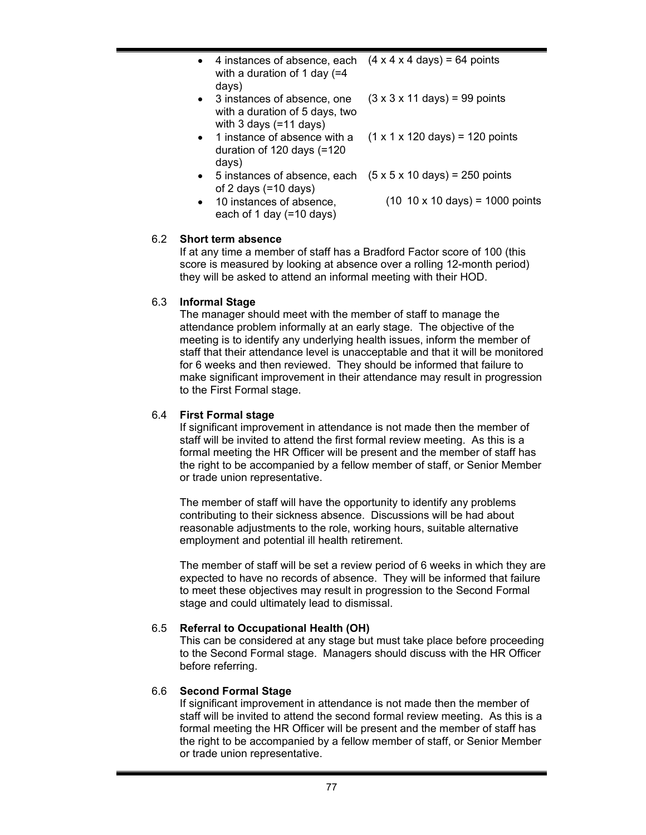- 4 instances of absence, each with a duration of 1 day (=4 days)  $(4 \times 4 \times 4 \text{ days}) = 64 \text{ points}$
- 3 instances of absence, one with a duration of 5 days, two with 3 days (=11 days)  $(3 \times 3 \times 11 \text{ days}) = 99 \text{ points}$
- 1 instance of absence with a duration of 120 days (=120 days)  $(1 \times 1 \times 120 \text{ days}) = 120 \text{ points}$
- $\bullet$  5 instances of absence, each  $(5 \times 5 \times 10 \text{ days}) = 250 \text{ points}$ of 2 days (=10 days)
- 10 instances of absence, each of 1 day (=10 days) (10 10 x 10 days) = 1000 points

# 6.2 **Short term absence**

If at any time a member of staff has a Bradford Factor score of 100 (this score is measured by looking at absence over a rolling 12-month period) they will be asked to attend an informal meeting with their HOD.

# 6.3 **Informal Stage**

The manager should meet with the member of staff to manage the attendance problem informally at an early stage. The objective of the meeting is to identify any underlying health issues, inform the member of staff that their attendance level is unacceptable and that it will be monitored for 6 weeks and then reviewed. They should be informed that failure to make significant improvement in their attendance may result in progression to the First Formal stage.

# 6.4 **First Formal stage**

If significant improvement in attendance is not made then the member of staff will be invited to attend the first formal review meeting. As this is a formal meeting the HR Officer will be present and the member of staff has the right to be accompanied by a fellow member of staff, or Senior Member or trade union representative.

The member of staff will have the opportunity to identify any problems contributing to their sickness absence. Discussions will be had about reasonable adjustments to the role, working hours, suitable alternative employment and potential ill health retirement.

The member of staff will be set a review period of 6 weeks in which they are expected to have no records of absence. They will be informed that failure to meet these objectives may result in progression to the Second Formal stage and could ultimately lead to dismissal.

# 6.5 **Referral to Occupational Health (OH)**

This can be considered at any stage but must take place before proceeding to the Second Formal stage. Managers should discuss with the HR Officer before referring.

# 6.6 **Second Formal Stage**

If significant improvement in attendance is not made then the member of staff will be invited to attend the second formal review meeting. As this is a formal meeting the HR Officer will be present and the member of staff has the right to be accompanied by a fellow member of staff, or Senior Member or trade union representative.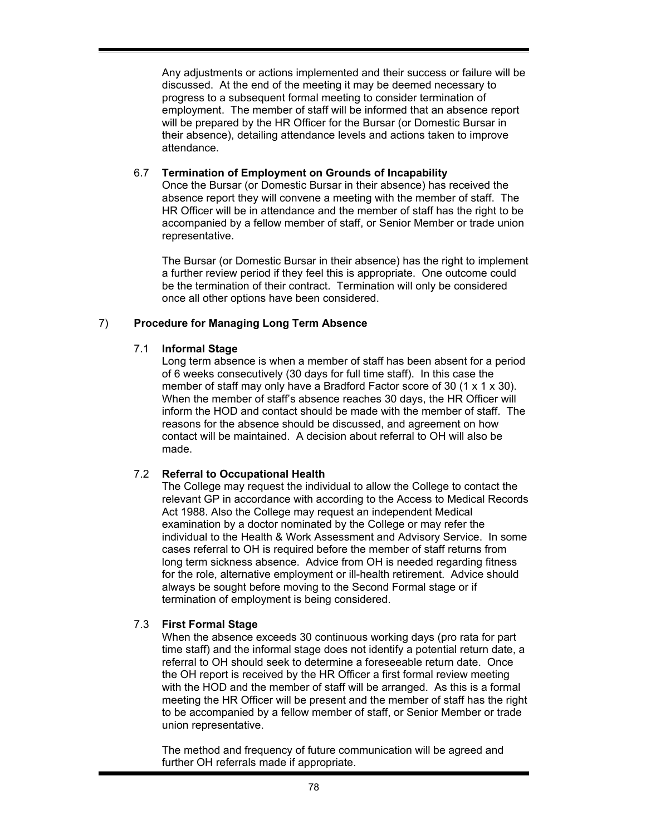Any adjustments or actions implemented and their success or failure will be discussed. At the end of the meeting it may be deemed necessary to progress to a subsequent formal meeting to consider termination of employment. The member of staff will be informed that an absence report will be prepared by the HR Officer for the Bursar (or Domestic Bursar in their absence), detailing attendance levels and actions taken to improve attendance.

#### 6.7 **Termination of Employment on Grounds of Incapability**

Once the Bursar (or Domestic Bursar in their absence) has received the absence report they will convene a meeting with the member of staff. The HR Officer will be in attendance and the member of staff has the right to be accompanied by a fellow member of staff, or Senior Member or trade union representative.

The Bursar (or Domestic Bursar in their absence) has the right to implement a further review period if they feel this is appropriate. One outcome could be the termination of their contract. Termination will only be considered once all other options have been considered.

# 7) **Procedure for Managing Long Term Absence**

### 7.1 **Informal Stage**

Long term absence is when a member of staff has been absent for a period of 6 weeks consecutively (30 days for full time staff). In this case the member of staff may only have a Bradford Factor score of 30 (1 x 1 x 30). When the member of staff's absence reaches 30 days, the HR Officer will inform the HOD and contact should be made with the member of staff. The reasons for the absence should be discussed, and agreement on how contact will be maintained. A decision about referral to OH will also be made.

# 7.2 **Referral to Occupational Health**

The College may request the individual to allow the College to contact the relevant GP in accordance with according to the Access to Medical Records Act 1988. Also the College may request an independent Medical examination by a doctor nominated by the College or may refer the individual to the Health & Work Assessment and Advisory Service. In some cases referral to OH is required before the member of staff returns from long term sickness absence. Advice from OH is needed regarding fitness for the role, alternative employment or ill-health retirement. Advice should always be sought before moving to the Second Formal stage or if termination of employment is being considered.

# 7.3 **First Formal Stage**

When the absence exceeds 30 continuous working days (pro rata for part time staff) and the informal stage does not identify a potential return date, a referral to OH should seek to determine a foreseeable return date. Once the OH report is received by the HR Officer a first formal review meeting with the HOD and the member of staff will be arranged. As this is a formal meeting the HR Officer will be present and the member of staff has the right to be accompanied by a fellow member of staff, or Senior Member or trade union representative.

The method and frequency of future communication will be agreed and further OH referrals made if appropriate.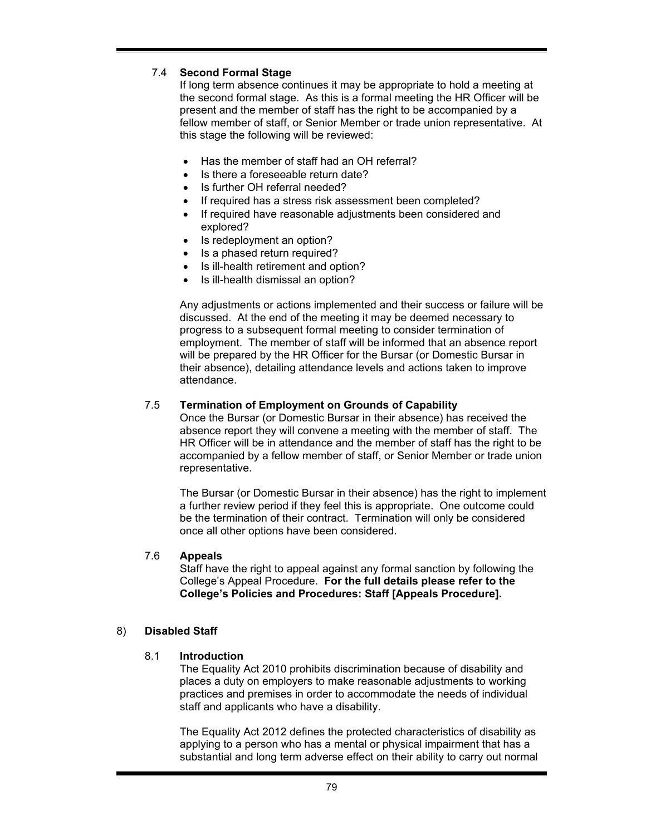# 7.4 **Second Formal Stage**

If long term absence continues it may be appropriate to hold a meeting at the second formal stage. As this is a formal meeting the HR Officer will be present and the member of staff has the right to be accompanied by a fellow member of staff, or Senior Member or trade union representative. At this stage the following will be reviewed:

- Has the member of staff had an OH referral?
- Is there a foreseeable return date?
- Is further OH referral needed?
- If required has a stress risk assessment been completed?
- If required have reasonable adjustments been considered and explored?
- Is redeployment an option?
- Is a phased return required?
- Is ill-health retirement and option?
- Is ill-health dismissal an option?

Any adjustments or actions implemented and their success or failure will be discussed. At the end of the meeting it may be deemed necessary to progress to a subsequent formal meeting to consider termination of employment. The member of staff will be informed that an absence report will be prepared by the HR Officer for the Bursar (or Domestic Bursar in their absence), detailing attendance levels and actions taken to improve attendance.

#### 7.5 **Termination of Employment on Grounds of Capability**

Once the Bursar (or Domestic Bursar in their absence) has received the absence report they will convene a meeting with the member of staff. The HR Officer will be in attendance and the member of staff has the right to be accompanied by a fellow member of staff, or Senior Member or trade union representative.

The Bursar (or Domestic Bursar in their absence) has the right to implement a further review period if they feel this is appropriate. One outcome could be the termination of their contract. Termination will only be considered once all other options have been considered.

#### 7.6 **Appeals**

Staff have the right to appeal against any formal sanction by following the College's Appeal Procedure. **For the full details please refer to the College's Policies and Procedures: Staff [Appeals Procedure].** 

#### 8) **Disabled Staff**

#### 8.1 **Introduction**

The Equality Act 2010 prohibits discrimination because of disability and places a duty on employers to make reasonable adjustments to working practices and premises in order to accommodate the needs of individual staff and applicants who have a disability.

The Equality Act 2012 defines the protected characteristics of disability as applying to a person who has a mental or physical impairment that has a substantial and long term adverse effect on their ability to carry out normal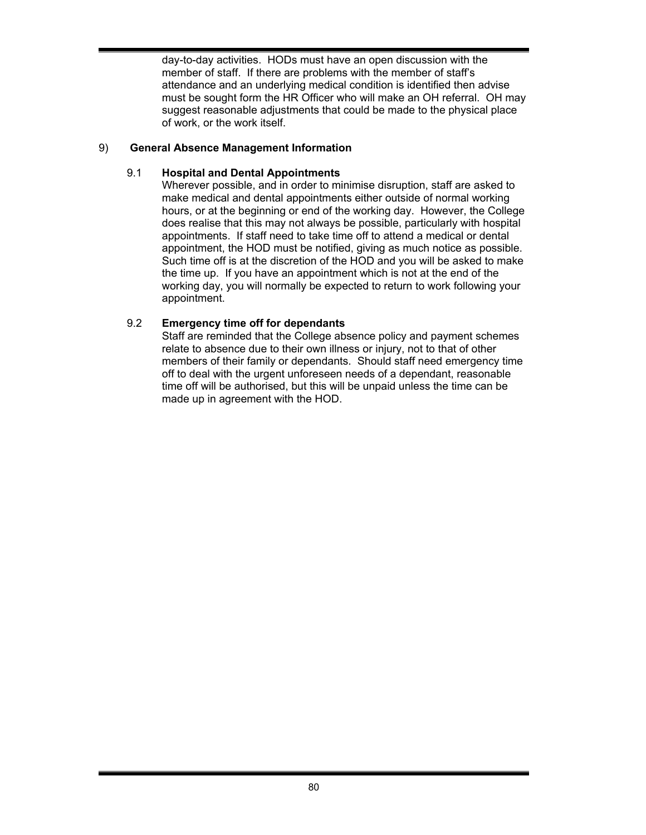day-to-day activities. HODs must have an open discussion with the member of staff. If there are problems with the member of staff's attendance and an underlying medical condition is identified then advise must be sought form the HR Officer who will make an OH referral. OH may suggest reasonable adjustments that could be made to the physical place of work, or the work itself.

# 9) **General Absence Management Information**

# 9.1 **Hospital and Dental Appointments**

Wherever possible, and in order to minimise disruption, staff are asked to make medical and dental appointments either outside of normal working hours, or at the beginning or end of the working day. However, the College does realise that this may not always be possible, particularly with hospital appointments. If staff need to take time off to attend a medical or dental appointment, the HOD must be notified, giving as much notice as possible. Such time off is at the discretion of the HOD and you will be asked to make the time up. If you have an appointment which is not at the end of the working day, you will normally be expected to return to work following your appointment.

# 9.2 **Emergency time off for dependants**

Staff are reminded that the College absence policy and payment schemes relate to absence due to their own illness or injury, not to that of other members of their family or dependants. Should staff need emergency time off to deal with the urgent unforeseen needs of a dependant, reasonable time off will be authorised, but this will be unpaid unless the time can be made up in agreement with the HOD.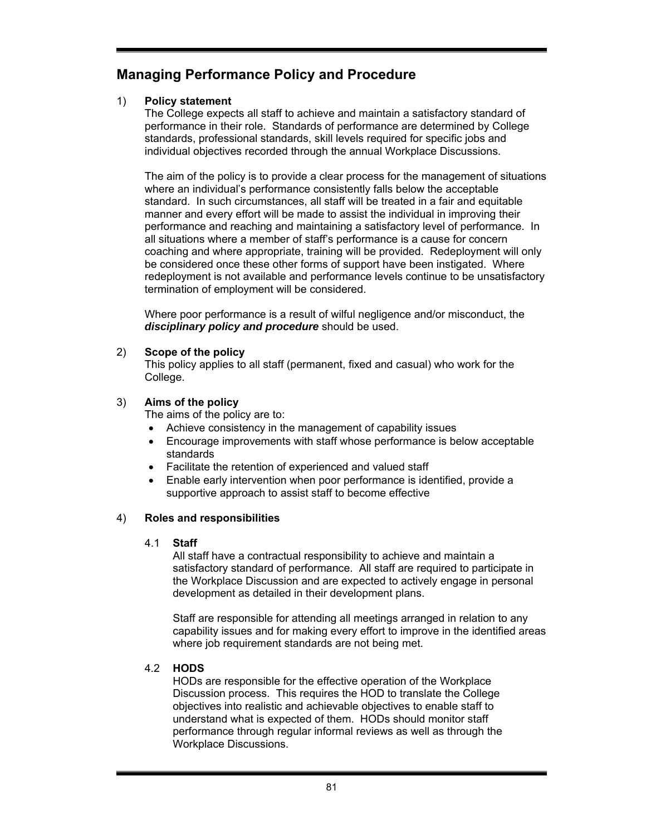# **Managing Performance Policy and Procedure**

# 1) **Policy statement**

The College expects all staff to achieve and maintain a satisfactory standard of performance in their role. Standards of performance are determined by College standards, professional standards, skill levels required for specific jobs and individual objectives recorded through the annual Workplace Discussions.

The aim of the policy is to provide a clear process for the management of situations where an individual's performance consistently falls below the acceptable standard. In such circumstances, all staff will be treated in a fair and equitable manner and every effort will be made to assist the individual in improving their performance and reaching and maintaining a satisfactory level of performance. In all situations where a member of staff's performance is a cause for concern coaching and where appropriate, training will be provided. Redeployment will only be considered once these other forms of support have been instigated. Where redeployment is not available and performance levels continue to be unsatisfactory termination of employment will be considered.

Where poor performance is a result of wilful negligence and/or misconduct, the *disciplinary policy and procedure* should be used.

# 2) **Scope of the policy**

This policy applies to all staff (permanent, fixed and casual) who work for the College.

# 3) **Aims of the policy**

The aims of the policy are to:

- Achieve consistency in the management of capability issues
- Encourage improvements with staff whose performance is below acceptable standards
- Facilitate the retention of experienced and valued staff
- Enable early intervention when poor performance is identified, provide a supportive approach to assist staff to become effective

# 4) **Roles and responsibilities**

#### 4.1 **Staff**

All staff have a contractual responsibility to achieve and maintain a satisfactory standard of performance. All staff are required to participate in the Workplace Discussion and are expected to actively engage in personal development as detailed in their development plans.

Staff are responsible for attending all meetings arranged in relation to any capability issues and for making every effort to improve in the identified areas where job requirement standards are not being met.

# 4.2 **HODS**

HODs are responsible for the effective operation of the Workplace Discussion process. This requires the HOD to translate the College objectives into realistic and achievable objectives to enable staff to understand what is expected of them. HODs should monitor staff performance through regular informal reviews as well as through the Workplace Discussions.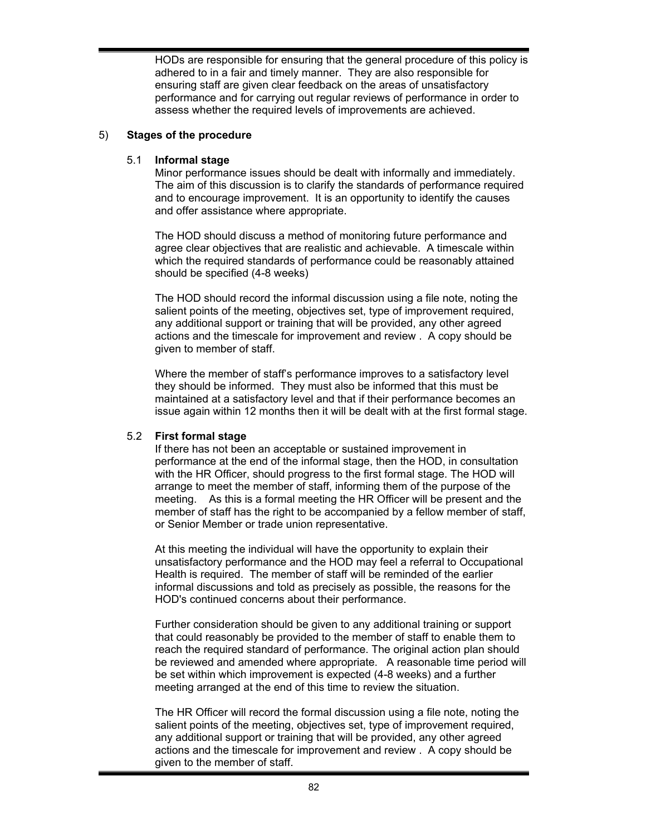HODs are responsible for ensuring that the general procedure of this policy is adhered to in a fair and timely manner. They are also responsible for ensuring staff are given clear feedback on the areas of unsatisfactory performance and for carrying out regular reviews of performance in order to assess whether the required levels of improvements are achieved.

#### 5) **Stages of the procedure**

### 5.1 **Informal stage**

Minor performance issues should be dealt with informally and immediately. The aim of this discussion is to clarify the standards of performance required and to encourage improvement. It is an opportunity to identify the causes and offer assistance where appropriate.

The HOD should discuss a method of monitoring future performance and agree clear objectives that are realistic and achievable. A timescale within which the required standards of performance could be reasonably attained should be specified (4-8 weeks)

The HOD should record the informal discussion using a file note, noting the salient points of the meeting, objectives set, type of improvement required, any additional support or training that will be provided, any other agreed actions and the timescale for improvement and review . A copy should be given to member of staff.

Where the member of staff's performance improves to a satisfactory level they should be informed. They must also be informed that this must be maintained at a satisfactory level and that if their performance becomes an issue again within 12 months then it will be dealt with at the first formal stage.

#### 5.2 **First formal stage**

If there has not been an acceptable or sustained improvement in performance at the end of the informal stage, then the HOD, in consultation with the HR Officer, should progress to the first formal stage. The HOD will arrange to meet the member of staff, informing them of the purpose of the meeting. As this is a formal meeting the HR Officer will be present and the member of staff has the right to be accompanied by a fellow member of staff, or Senior Member or trade union representative.

At this meeting the individual will have the opportunity to explain their unsatisfactory performance and the HOD may feel a referral to Occupational Health is required. The member of staff will be reminded of the earlier informal discussions and told as precisely as possible, the reasons for the HOD's continued concerns about their performance.

Further consideration should be given to any additional training or support that could reasonably be provided to the member of staff to enable them to reach the required standard of performance. The original action plan should be reviewed and amended where appropriate. A reasonable time period will be set within which improvement is expected (4-8 weeks) and a further meeting arranged at the end of this time to review the situation.

The HR Officer will record the formal discussion using a file note, noting the salient points of the meeting, objectives set, type of improvement required, any additional support or training that will be provided, any other agreed actions and the timescale for improvement and review . A copy should be given to the member of staff.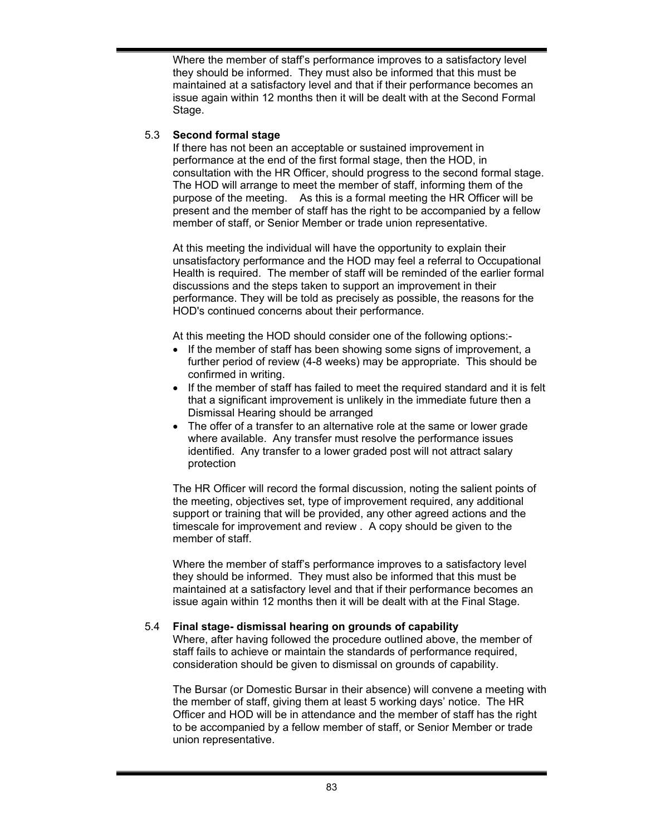Where the member of staff's performance improves to a satisfactory level they should be informed. They must also be informed that this must be maintained at a satisfactory level and that if their performance becomes an issue again within 12 months then it will be dealt with at the Second Formal Stage.

### 5.3 **Second formal stage**

If there has not been an acceptable or sustained improvement in performance at the end of the first formal stage, then the HOD, in consultation with the HR Officer, should progress to the second formal stage. The HOD will arrange to meet the member of staff, informing them of the purpose of the meeting. As this is a formal meeting the HR Officer will be present and the member of staff has the right to be accompanied by a fellow member of staff, or Senior Member or trade union representative.

At this meeting the individual will have the opportunity to explain their unsatisfactory performance and the HOD may feel a referral to Occupational Health is required. The member of staff will be reminded of the earlier formal discussions and the steps taken to support an improvement in their performance. They will be told as precisely as possible, the reasons for the HOD's continued concerns about their performance.

At this meeting the HOD should consider one of the following options:-

- If the member of staff has been showing some signs of improvement, a further period of review (4-8 weeks) may be appropriate. This should be confirmed in writing.
- If the member of staff has failed to meet the required standard and it is felt that a significant improvement is unlikely in the immediate future then a Dismissal Hearing should be arranged
- The offer of a transfer to an alternative role at the same or lower grade where available. Any transfer must resolve the performance issues identified. Any transfer to a lower graded post will not attract salary protection

The HR Officer will record the formal discussion, noting the salient points of the meeting, objectives set, type of improvement required, any additional support or training that will be provided, any other agreed actions and the timescale for improvement and review . A copy should be given to the member of staff.

Where the member of staff's performance improves to a satisfactory level they should be informed. They must also be informed that this must be maintained at a satisfactory level and that if their performance becomes an issue again within 12 months then it will be dealt with at the Final Stage.

# 5.4 **Final stage- dismissal hearing on grounds of capability**

Where, after having followed the procedure outlined above, the member of staff fails to achieve or maintain the standards of performance required, consideration should be given to dismissal on grounds of capability.

The Bursar (or Domestic Bursar in their absence) will convene a meeting with the member of staff, giving them at least 5 working days' notice. The HR Officer and HOD will be in attendance and the member of staff has the right to be accompanied by a fellow member of staff, or Senior Member or trade union representative.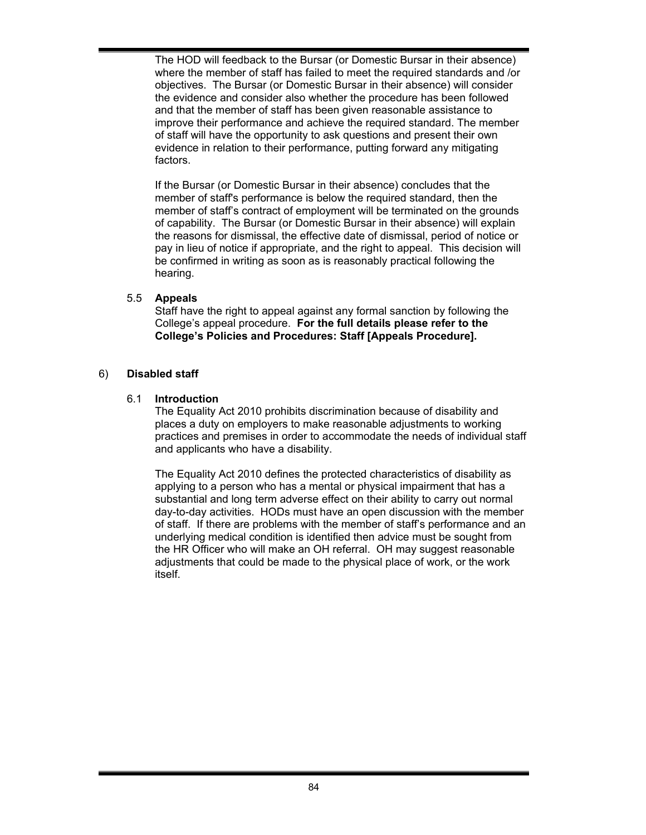The HOD will feedback to the Bursar (or Domestic Bursar in their absence) where the member of staff has failed to meet the required standards and /or objectives. The Bursar (or Domestic Bursar in their absence) will consider the evidence and consider also whether the procedure has been followed and that the member of staff has been given reasonable assistance to improve their performance and achieve the required standard. The member of staff will have the opportunity to ask questions and present their own evidence in relation to their performance, putting forward any mitigating factors.

If the Bursar (or Domestic Bursar in their absence) concludes that the member of staff's performance is below the required standard, then the member of staff's contract of employment will be terminated on the grounds of capability. The Bursar (or Domestic Bursar in their absence) will explain the reasons for dismissal, the effective date of dismissal, period of notice or pay in lieu of notice if appropriate, and the right to appeal. This decision will be confirmed in writing as soon as is reasonably practical following the hearing.

# 5.5 **Appeals**

Staff have the right to appeal against any formal sanction by following the College's appeal procedure. **For the full details please refer to the College's Policies and Procedures: Staff [Appeals Procedure].** 

### 6) **Disabled staff**

### 6.1 **Introduction**

The Equality Act 2010 prohibits discrimination because of disability and places a duty on employers to make reasonable adjustments to working practices and premises in order to accommodate the needs of individual staff and applicants who have a disability.

The Equality Act 2010 defines the protected characteristics of disability as applying to a person who has a mental or physical impairment that has a substantial and long term adverse effect on their ability to carry out normal day-to-day activities. HODs must have an open discussion with the member of staff. If there are problems with the member of staff's performance and an underlying medical condition is identified then advice must be sought from the HR Officer who will make an OH referral. OH may suggest reasonable adjustments that could be made to the physical place of work, or the work itself.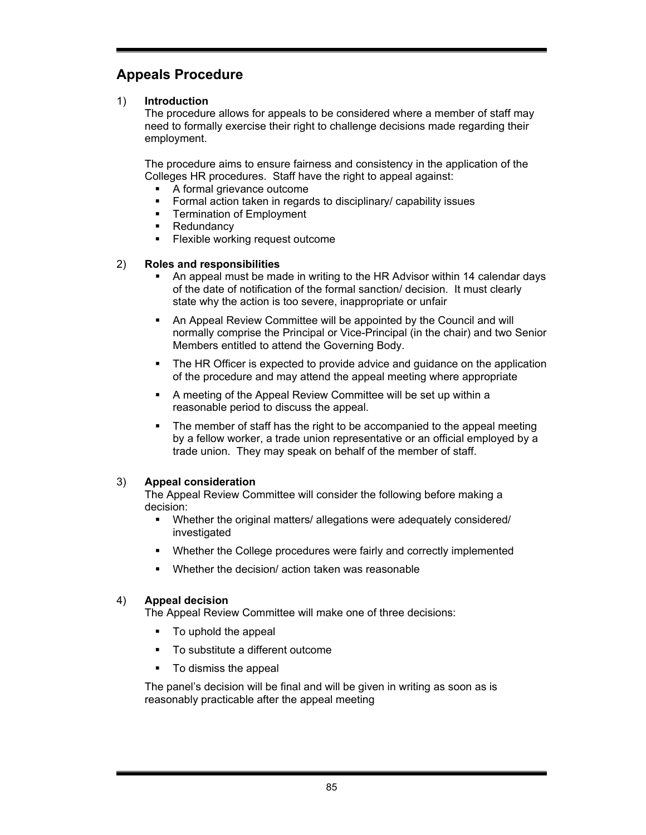# **Appeals Procedure**

### 1) **Introduction**

The procedure allows for appeals to be considered where a member of staff may need to formally exercise their right to challenge decisions made regarding their employment.

The procedure aims to ensure fairness and consistency in the application of the Colleges HR procedures. Staff have the right to appeal against:

- A formal grievance outcome
- **Formal action taken in regards to disciplinary/ capability issues**
- **Termination of Employment**
- **Redundancy**
- **Flexible working request outcome**

#### 2) **Roles and responsibilities**

- An appeal must be made in writing to the HR Advisor within 14 calendar days of the date of notification of the formal sanction/ decision. It must clearly state why the action is too severe, inappropriate or unfair
- An Appeal Review Committee will be appointed by the Council and will normally comprise the Principal or Vice-Principal (in the chair) and two Senior Members entitled to attend the Governing Body.
- The HR Officer is expected to provide advice and guidance on the application of the procedure and may attend the appeal meeting where appropriate
- A meeting of the Appeal Review Committee will be set up within a reasonable period to discuss the appeal.
- The member of staff has the right to be accompanied to the appeal meeting by a fellow worker, a trade union representative or an official employed by a trade union. They may speak on behalf of the member of staff.

# 3) **Appeal consideration**

The Appeal Review Committee will consider the following before making a decision:

- Whether the original matters/ allegations were adequately considered/ investigated
- Whether the College procedures were fairly and correctly implemented
- Whether the decision/ action taken was reasonable

# 4) **Appeal decision**

The Appeal Review Committee will make one of three decisions:

- To uphold the appeal
- To substitute a different outcome
- To dismiss the appeal

The panel's decision will be final and will be given in writing as soon as is reasonably practicable after the appeal meeting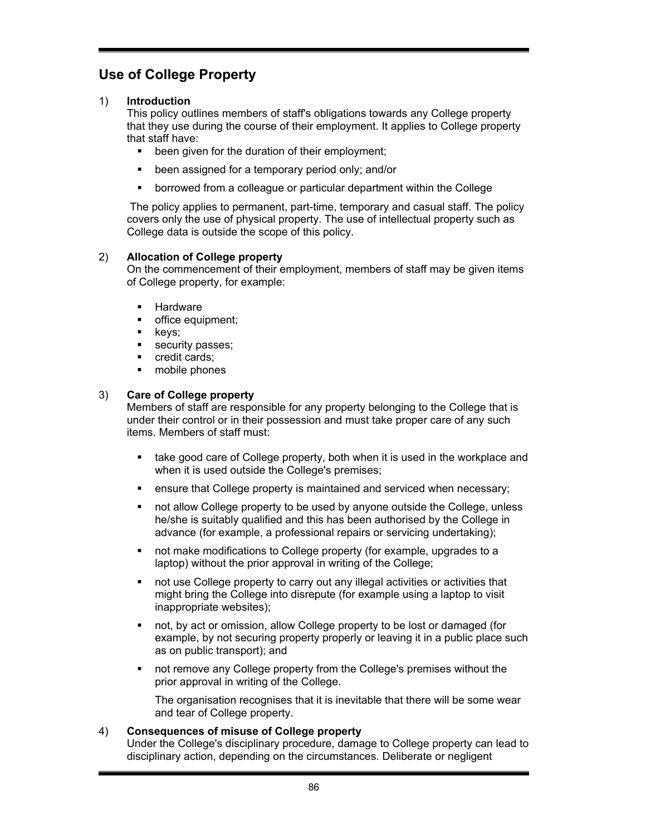# **Use of College Property**

# 1) **Introduction**

This policy outlines members of staff's obligations towards any College property that they use during the course of their employment. It applies to College property that staff have:

- been given for the duration of their employment;
- been assigned for a temporary period only; and/or
- borrowed from a colleague or particular department within the College

 The policy applies to permanent, part-time, temporary and casual staff. The policy covers only the use of physical property. The use of intellectual property such as College data is outside the scope of this policy.

# 2) **Allocation of College property**

On the commencement of their employment, members of staff may be given items of College property, for example:

- Hardware
- **office equipment;**
- $\blacksquare$  keys;
- security passes;
- **credit cards;**
- **n** mobile phones

# 3) **Care of College property**

Members of staff are responsible for any property belonging to the College that is under their control or in their possession and must take proper care of any such items. Members of staff must:

- **take good care of College property, both when it is used in the workplace and** when it is used outside the College's premises;
- ensure that College property is maintained and serviced when necessary;
- not allow College property to be used by anyone outside the College, unless he/she is suitably qualified and this has been authorised by the College in advance (for example, a professional repairs or servicing undertaking);
- not make modifications to College property (for example, upgrades to a laptop) without the prior approval in writing of the College;
- not use College property to carry out any illegal activities or activities that might bring the College into disrepute (for example using a laptop to visit inappropriate websites);
- not, by act or omission, allow College property to be lost or damaged (for example, by not securing property properly or leaving it in a public place such as on public transport); and
- not remove any College property from the College's premises without the prior approval in writing of the College.

The organisation recognises that it is inevitable that there will be some wear and tear of College property.

# 4) **Consequences of misuse of College property**

Under the College's disciplinary procedure, damage to College property can lead to disciplinary action, depending on the circumstances. Deliberate or negligent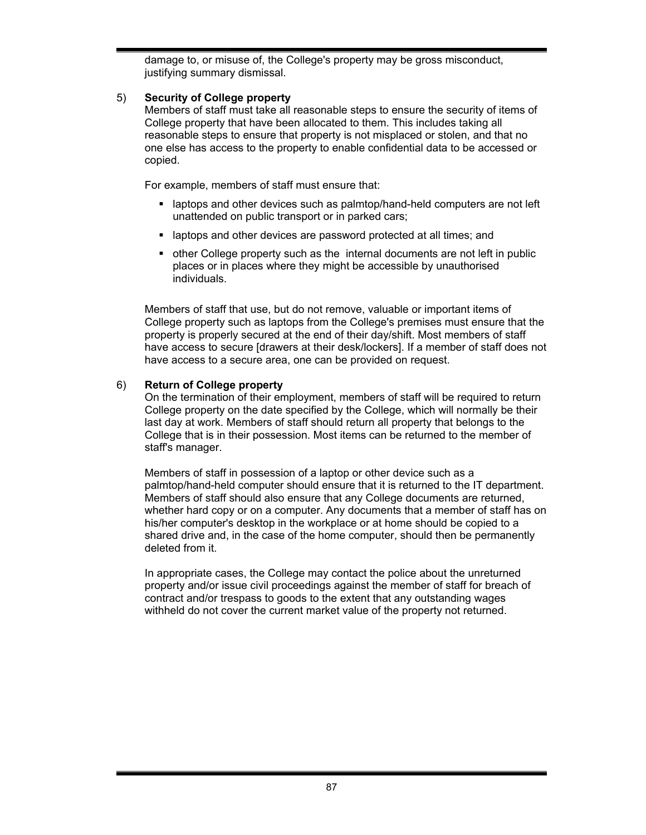damage to, or misuse of, the College's property may be gross misconduct, justifying summary dismissal.

# 5) **Security of College property**

Members of staff must take all reasonable steps to ensure the security of items of College property that have been allocated to them. This includes taking all reasonable steps to ensure that property is not misplaced or stolen, and that no one else has access to the property to enable confidential data to be accessed or copied.

For example, members of staff must ensure that:

- laptops and other devices such as palmtop/hand-held computers are not left unattended on public transport or in parked cars;
- **EXTERN** 1 aptops and other devices are password protected at all times; and
- other College property such as the internal documents are not left in public places or in places where they might be accessible by unauthorised individuals.

Members of staff that use, but do not remove, valuable or important items of College property such as laptops from the College's premises must ensure that the property is properly secured at the end of their day/shift. Most members of staff have access to secure [drawers at their desk/lockers]. If a member of staff does not have access to a secure area, one can be provided on request.

### 6) **Return of College property**

On the termination of their employment, members of staff will be required to return College property on the date specified by the College, which will normally be their last day at work. Members of staff should return all property that belongs to the College that is in their possession. Most items can be returned to the member of staff's manager.

Members of staff in possession of a laptop or other device such as a palmtop/hand-held computer should ensure that it is returned to the IT department. Members of staff should also ensure that any College documents are returned, whether hard copy or on a computer. Any documents that a member of staff has on his/her computer's desktop in the workplace or at home should be copied to a shared drive and, in the case of the home computer, should then be permanently deleted from it.

In appropriate cases, the College may contact the police about the unreturned property and/or issue civil proceedings against the member of staff for breach of contract and/or trespass to goods to the extent that any outstanding wages withheld do not cover the current market value of the property not returned.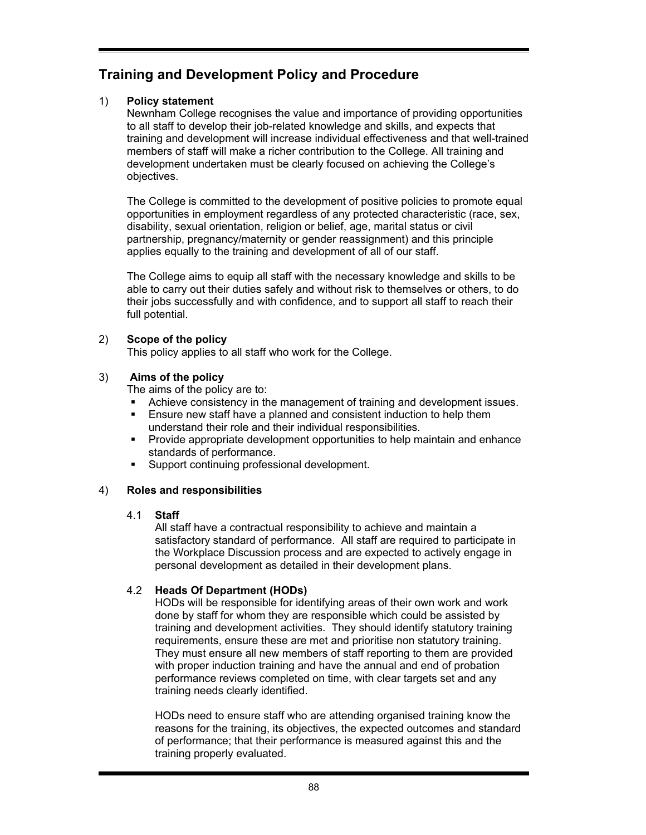# **Training and Development Policy and Procedure**

# 1) **Policy statement**

Newnham College recognises the value and importance of providing opportunities to all staff to develop their job-related knowledge and skills, and expects that training and development will increase individual effectiveness and that well-trained members of staff will make a richer contribution to the College. All training and development undertaken must be clearly focused on achieving the College's objectives.

The College is committed to the development of positive policies to promote equal opportunities in employment regardless of any protected characteristic (race, sex, disability, sexual orientation, religion or belief, age, marital status or civil partnership, pregnancy/maternity or gender reassignment) and this principle applies equally to the training and development of all of our staff.

The College aims to equip all staff with the necessary knowledge and skills to be able to carry out their duties safely and without risk to themselves or others, to do their jobs successfully and with confidence, and to support all staff to reach their full potential.

# 2) **Scope of the policy**

This policy applies to all staff who work for the College.

# 3) **Aims of the policy**

The aims of the policy are to:

- Achieve consistency in the management of training and development issues.
- Ensure new staff have a planned and consistent induction to help them understand their role and their individual responsibilities.
- Provide appropriate development opportunities to help maintain and enhance standards of performance.
- Support continuing professional development.

# 4) **Roles and responsibilities**

# 4.1 **Staff**

All staff have a contractual responsibility to achieve and maintain a satisfactory standard of performance. All staff are required to participate in the Workplace Discussion process and are expected to actively engage in personal development as detailed in their development plans.

# 4.2 **Heads Of Department (HODs)**

HODs will be responsible for identifying areas of their own work and work done by staff for whom they are responsible which could be assisted by training and development activities. They should identify statutory training requirements, ensure these are met and prioritise non statutory training. They must ensure all new members of staff reporting to them are provided with proper induction training and have the annual and end of probation performance reviews completed on time, with clear targets set and any training needs clearly identified.

HODs need to ensure staff who are attending organised training know the reasons for the training, its objectives, the expected outcomes and standard of performance; that their performance is measured against this and the training properly evaluated.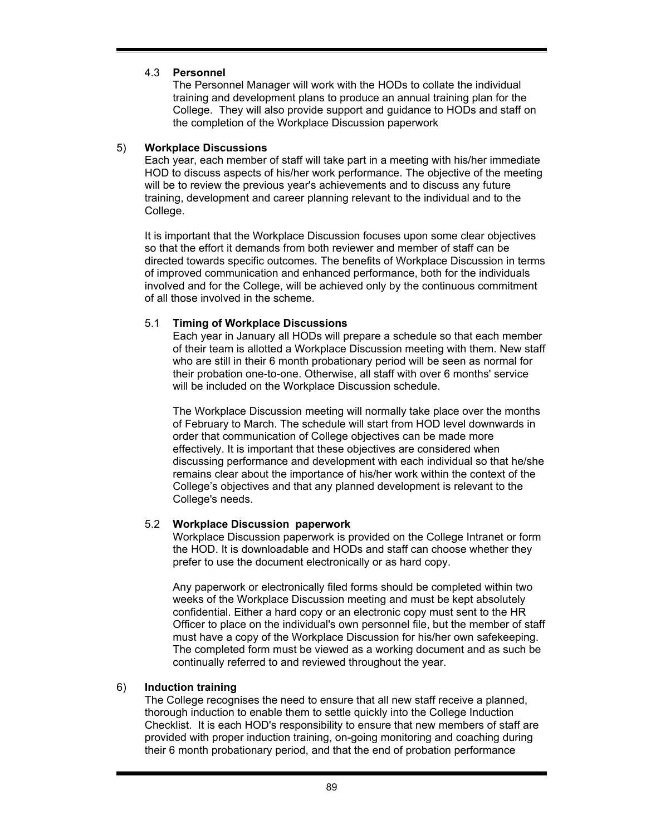# 4.3 **Personnel**

The Personnel Manager will work with the HODs to collate the individual training and development plans to produce an annual training plan for the College. They will also provide support and guidance to HODs and staff on the completion of the Workplace Discussion paperwork

### 5) **Workplace Discussions**

Each year, each member of staff will take part in a meeting with his/her immediate HOD to discuss aspects of his/her work performance. The objective of the meeting will be to review the previous year's achievements and to discuss any future training, development and career planning relevant to the individual and to the College.

It is important that the Workplace Discussion focuses upon some clear objectives so that the effort it demands from both reviewer and member of staff can be directed towards specific outcomes. The benefits of Workplace Discussion in terms of improved communication and enhanced performance, both for the individuals involved and for the College, will be achieved only by the continuous commitment of all those involved in the scheme.

# 5.1 **Timing of Workplace Discussions**

Each year in January all HODs will prepare a schedule so that each member of their team is allotted a Workplace Discussion meeting with them. New staff who are still in their 6 month probationary period will be seen as normal for their probation one-to-one. Otherwise, all staff with over 6 months' service will be included on the Workplace Discussion schedule.

The Workplace Discussion meeting will normally take place over the months of February to March. The schedule will start from HOD level downwards in order that communication of College objectives can be made more effectively. It is important that these objectives are considered when discussing performance and development with each individual so that he/she remains clear about the importance of his/her work within the context of the College's objectives and that any planned development is relevant to the College's needs.

# 5.2 **Workplace Discussion paperwork**

Workplace Discussion paperwork is provided on the College Intranet or form the HOD. It is downloadable and HODs and staff can choose whether they prefer to use the document electronically or as hard copy.

Any paperwork or electronically filed forms should be completed within two weeks of the Workplace Discussion meeting and must be kept absolutely confidential. Either a hard copy or an electronic copy must sent to the HR Officer to place on the individual's own personnel file, but the member of staff must have a copy of the Workplace Discussion for his/her own safekeeping. The completed form must be viewed as a working document and as such be continually referred to and reviewed throughout the year.

# 6) **Induction training**

The College recognises the need to ensure that all new staff receive a planned, thorough induction to enable them to settle quickly into the College Induction Checklist. It is each HOD's responsibility to ensure that new members of staff are provided with proper induction training, on-going monitoring and coaching during their 6 month probationary period, and that the end of probation performance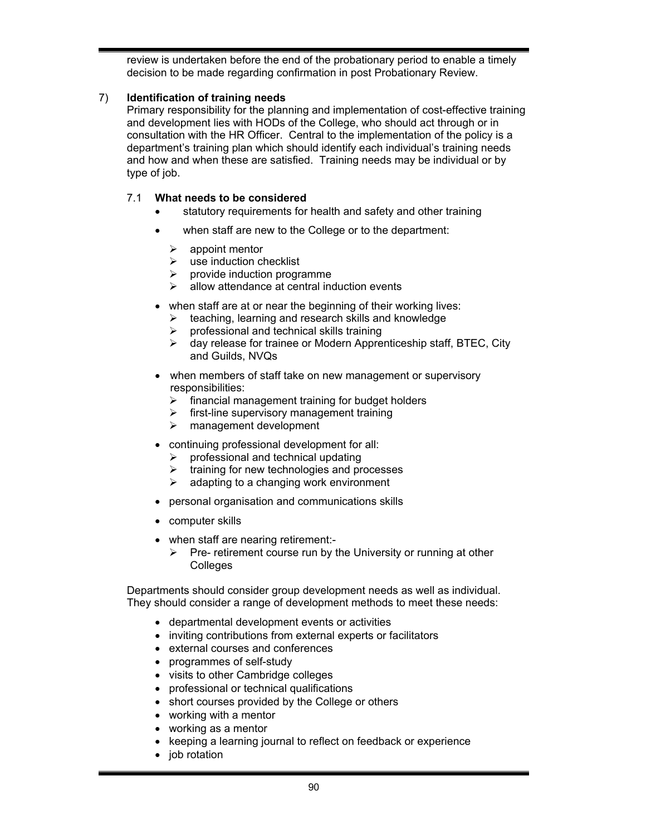review is undertaken before the end of the probationary period to enable a timely decision to be made regarding confirmation in post Probationary Review.

# 7) **Identification of training needs**

Primary responsibility for the planning and implementation of cost-effective training and development lies with HODs of the College, who should act through or in consultation with the HR Officer. Central to the implementation of the policy is a department's training plan which should identify each individual's training needs and how and when these are satisfied. Training needs may be individual or by type of job.

# 7.1 **What needs to be considered**

- statutory requirements for health and safety and other training
- when staff are new to the College or to the department:
	- $\triangleright$  appoint mentor
	- $\triangleright$  use induction checklist
	- $\triangleright$  provide induction programme
	- allow attendance at central induction events
- when staff are at or near the beginning of their working lives:
	- $\triangleright$  teaching, learning and research skills and knowledge
	- professional and technical skills training
	- $\triangleright$  day release for trainee or Modern Apprenticeship staff, BTEC, City and Guilds, NVQs
- when members of staff take on new management or supervisory responsibilities:
	- $\triangleright$  financial management training for budget holders
	- $\triangleright$  first-line supervisory management training
	- $\triangleright$  management development
- continuing professional development for all:
	- $\triangleright$  professional and technical updating
	- $\triangleright$  training for new technologies and processes
	- $\triangleright$  adapting to a changing work environment
- personal organisation and communications skills
- computer skills
- when staff are nearing retirement:-
	- $\triangleright$  Pre- retirement course run by the University or running at other Colleges

Departments should consider group development needs as well as individual. They should consider a range of development methods to meet these needs:

- departmental development events or activities
- inviting contributions from external experts or facilitators
- external courses and conferences
- programmes of self-study
- visits to other Cambridge colleges
- professional or technical qualifications
- short courses provided by the College or others
- working with a mentor
- working as a mentor
- keeping a learning journal to reflect on feedback or experience
- job rotation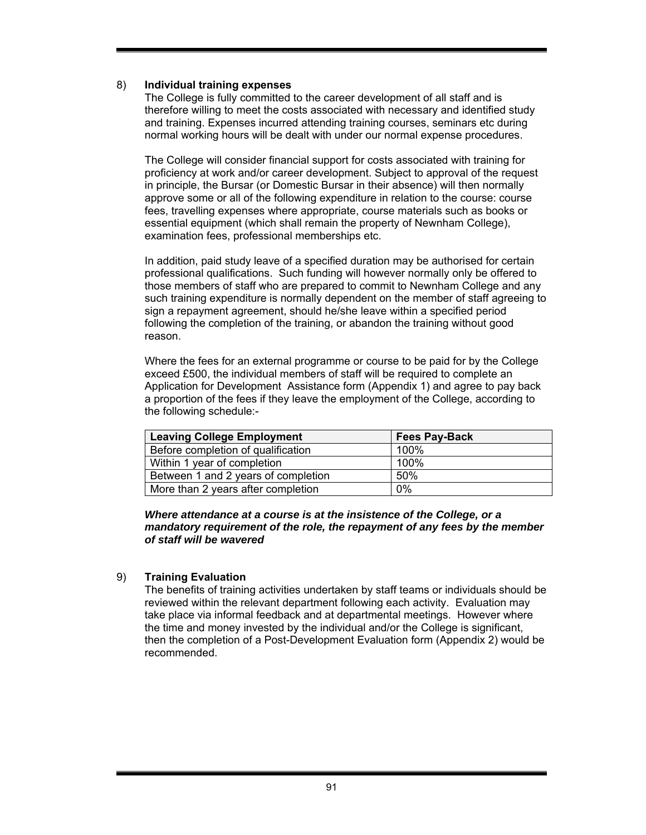### 8) **Individual training expenses**

The College is fully committed to the career development of all staff and is therefore willing to meet the costs associated with necessary and identified study and training. Expenses incurred attending training courses, seminars etc during normal working hours will be dealt with under our normal expense procedures.

The College will consider financial support for costs associated with training for proficiency at work and/or career development. Subject to approval of the request in principle, the Bursar (or Domestic Bursar in their absence) will then normally approve some or all of the following expenditure in relation to the course: course fees, travelling expenses where appropriate, course materials such as books or essential equipment (which shall remain the property of Newnham College), examination fees, professional memberships etc.

In addition, paid study leave of a specified duration may be authorised for certain professional qualifications. Such funding will however normally only be offered to those members of staff who are prepared to commit to Newnham College and any such training expenditure is normally dependent on the member of staff agreeing to sign a repayment agreement, should he/she leave within a specified period following the completion of the training, or abandon the training without good reason.

Where the fees for an external programme or course to be paid for by the College exceed £500, the individual members of staff will be required to complete an Application for Development Assistance form (Appendix 1) and agree to pay back a proportion of the fees if they leave the employment of the College, according to the following schedule:-

| <b>Leaving College Employment</b>   | <b>Fees Pay-Back</b> |
|-------------------------------------|----------------------|
| Before completion of qualification  | 100%                 |
| Within 1 year of completion         | 100%                 |
| Between 1 and 2 years of completion | .50%                 |
| More than 2 years after completion  | $0\%$                |

#### *Where attendance at a course is at the insistence of the College, or a mandatory requirement of the role, the repayment of any fees by the member of staff will be wavered*

# 9) **Training Evaluation**

The benefits of training activities undertaken by staff teams or individuals should be reviewed within the relevant department following each activity. Evaluation may take place via informal feedback and at departmental meetings. However where the time and money invested by the individual and/or the College is significant, then the completion of a Post-Development Evaluation form (Appendix 2) would be recommended.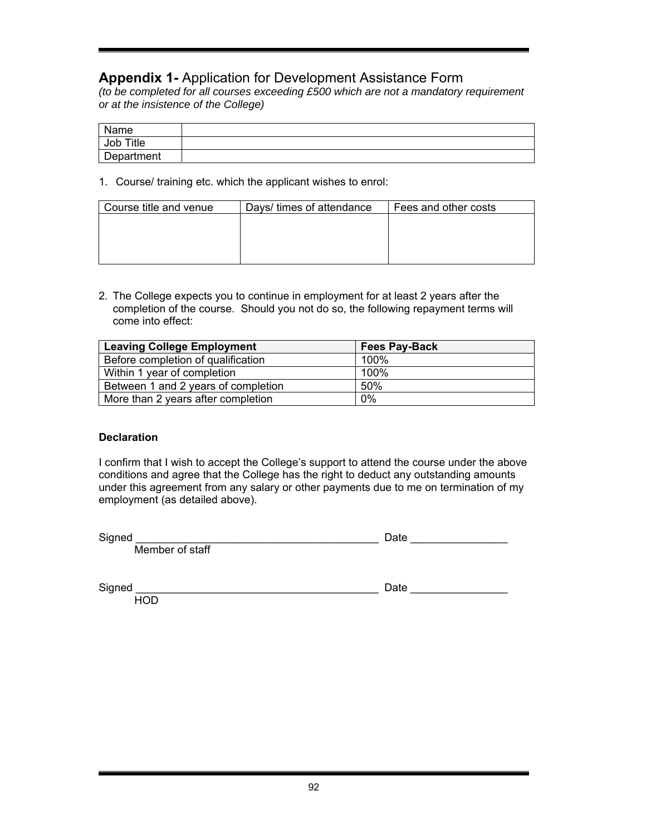# **Appendix 1-** Application for Development Assistance Form

*(to be completed for all courses exceeding £500 which are not a mandatory requirement or at the insistence of the College)* 

| Name       |  |
|------------|--|
| Job Title  |  |
| Department |  |

1. Course/ training etc. which the applicant wishes to enrol:

| Course title and venue | Days/ times of attendance | Fees and other costs |  |  |  |
|------------------------|---------------------------|----------------------|--|--|--|
|                        |                           |                      |  |  |  |
|                        |                           |                      |  |  |  |
|                        |                           |                      |  |  |  |
|                        |                           |                      |  |  |  |

2. The College expects you to continue in employment for at least 2 years after the completion of the course. Should you not do so, the following repayment terms will come into effect:

| <b>Leaving College Employment</b>   | <b>Fees Pay-Back</b> |
|-------------------------------------|----------------------|
| Before completion of qualification  | 100%                 |
| Within 1 year of completion         | 100%                 |
| Between 1 and 2 years of completion | 50%                  |
| More than 2 years after completion  | 0%                   |

#### **Declaration**

I confirm that I wish to accept the College's support to attend the course under the above conditions and agree that the College has the right to deduct any outstanding amounts under this agreement from any salary or other payments due to me on termination of my employment (as detailed above).

Member of staff

| Signed | uw |
|--------|----|
|        |    |

 $Signed$   $\Box$ 

**HOD** 

| מוני<br>Ja |  |  |  |  |  |  |  |
|------------|--|--|--|--|--|--|--|
|            |  |  |  |  |  |  |  |